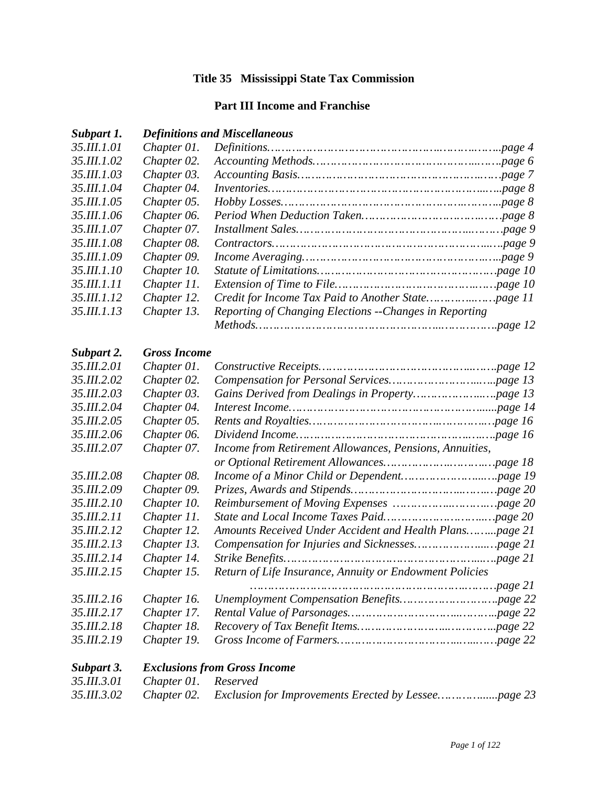## **Title 35 Mississippi State Tax Commission**

### **Part III Income and Franchise**

#### *Subpart 1. Definitions and Miscellaneous*

| 35.III.1.01         | Chapter 01.         |                                                         |  |
|---------------------|---------------------|---------------------------------------------------------|--|
| 35.III.1.02         | Chapter 02.         |                                                         |  |
| 35.III.1.03         | Chapter 03.         |                                                         |  |
| 35.III.1.04         | Chapter 04.         |                                                         |  |
| 35.III.1.05         | Chapter 05.         |                                                         |  |
| 35.III.1.06         | Chapter 06.         |                                                         |  |
| 35.III.1.07         | Chapter 07.         |                                                         |  |
| 35. <i>III.1.08</i> | Chapter 08.         |                                                         |  |
| 35.III.1.09         | Chapter 09.         |                                                         |  |
| 35.III.1.10         | Chapter 10.         |                                                         |  |
| 35.III.1.11         | Chapter 11.         |                                                         |  |
| 35.III.1.12         | Chapter 12.         |                                                         |  |
| 35.III.1.13         | Chapter 13.         | Reporting of Changing Elections -- Changes in Reporting |  |
|                     |                     |                                                         |  |
| Subpart 2.          | <b>Gross Income</b> |                                                         |  |
| 35.III.2.01         | Chapter 01.         |                                                         |  |
| 35.III.2.02         | Chapter 02.         |                                                         |  |
| 35.III.2.03         | Chapter 03.         |                                                         |  |
| 35.III.2.04         | Chapter 04.         |                                                         |  |
| 35.III.2.05         | Chapter 05.         |                                                         |  |
| 35. <i>III.2.06</i> | Chapter 06.         |                                                         |  |
| 35.III.2.07         | Chapter 07.         | Income from Retirement Allowances, Pensions, Annuities, |  |
|                     |                     |                                                         |  |
|                     | $27.77220$ $21.00$  |                                                         |  |

*35.III.2.08 Chapter 08. Income of a Minor Child or Dependent…………………...….page 19 35.III.2.09 Chapter 09. Prizes, Awards and Stipends…………………………..…….…page 20 35.III.2.10 Chapter 10. Reimbursement of Moving Expenses ……………..……….…page 20 35.III.2.11 Chapter 11. State and Local Income Taxes Paid………………………..…page 20 35.III.2.12 Chapter 12. Amounts Received Under Accident and Health Plans……...page 21 35.III.2.13 Chapter 13. Compensation for Injuries and Sicknesses………………...…page 21 35.III.2.14 Chapter 14. Strike Benefits………………………………………………...….page 21 35.III.2.15 Chapter 15. Return of Life Insurance, Annuity or Endowment Policies …………………………………………………….………page 21 35.III.2.16 Chapter 16. Unemployment Compensation Benefits……………………….page 22 35.III.2.17 Chapter 17. Rental Value of Parsonages…………………………..………..page 22 35.III.2.18 Chapter 18. Recovery of Tax Benefit Items……………………..…………..page 22* 

| Subpart 3. | <b>Exclusions from Gross Income</b> |  |
|------------|-------------------------------------|--|

| Subpart 5. Exclusions from Gross Income |  |
|-----------------------------------------|--|
| 35.III.3.01 Chapter 01. Reserved        |  |
|                                         |  |

*35.III.2.19 Chapter 19. Gross Income of Farmers……………………………..…..……page 22*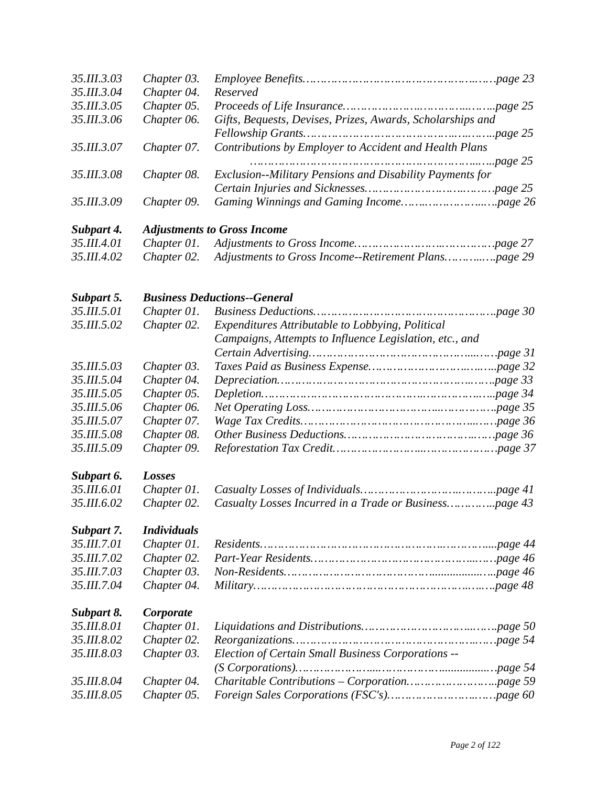| 35.III.3.03               | Chapter 03.                |                                                            |  |  |
|---------------------------|----------------------------|------------------------------------------------------------|--|--|
| 35.III.3.04               | Chapter 04.                | Reserved                                                   |  |  |
| 35.III.3.05               | Chapter 05.                |                                                            |  |  |
| 35.III.3.06               | Chapter 06.                | Gifts, Bequests, Devises, Prizes, Awards, Scholarships and |  |  |
| 35.III.3.07               | Chapter 07.                | Contributions by Employer to Accident and Health Plans     |  |  |
|                           |                            |                                                            |  |  |
| 35.III.3.08               | Chapter 08.                | Exclusion--Military Pensions and Disability Payments for   |  |  |
| 35.III.3.09               | Chapter 09.                |                                                            |  |  |
| Subpart 4.                |                            | <b>Adjustments to Gross Income</b>                         |  |  |
| 35.III.4.01               | Chapter 01.                |                                                            |  |  |
| 35.III.4.02               | Chapter 02.                |                                                            |  |  |
|                           |                            |                                                            |  |  |
| Subpart 5.<br>35.III.5.01 | Chapter 01.                | <b>Business Deductions--General</b>                        |  |  |
| 35.III.5.02               |                            | Expenditures Attributable to Lobbying, Political           |  |  |
|                           | Chapter 02.                | Campaigns, Attempts to Influence Legislation, etc., and    |  |  |
|                           |                            |                                                            |  |  |
| 35.III.5.03               | Chapter 03.                |                                                            |  |  |
| 35.III.5.04               | Chapter 04.                |                                                            |  |  |
| 35.III.5.05               | Chapter 05.                |                                                            |  |  |
| 35.III.5.06               | Chapter 06.                |                                                            |  |  |
| 35.III.5.07               |                            |                                                            |  |  |
| 35.III.5.08               | Chapter 07.<br>Chapter 08. |                                                            |  |  |
| 35.III.5.09               | Chapter 09.                |                                                            |  |  |
|                           |                            |                                                            |  |  |
| Subpart 6.                | Losses                     |                                                            |  |  |
| 35.III.6.01               | Chapter 01.                |                                                            |  |  |
| 35.III.6.02               | Chapter 02.                | Casualty Losses Incurred in a Trade or Businesspage 43     |  |  |
| Subpart 7.                | <b>Individuals</b>         |                                                            |  |  |
| 35.III.7.01               | Chapter 01.                |                                                            |  |  |
| 35.III.7.02               | Chapter 02.                |                                                            |  |  |
| 35.III.7.03               | Chapter 03.                |                                                            |  |  |
| 35.III.7.04               | Chapter 04.                |                                                            |  |  |
| Subpart 8.                | Corporate                  |                                                            |  |  |
| 35.III.8.01               | Chapter 01.                |                                                            |  |  |
| 35.III.8.02               | Chapter 02.                |                                                            |  |  |
| 35.III.8.03               | Chapter 03.                | Election of Certain Small Business Corporations --         |  |  |
|                           |                            |                                                            |  |  |
| 35.III.8.04               | Chapter 04.                |                                                            |  |  |
| 35.III.8.05               | Chapter 05.                |                                                            |  |  |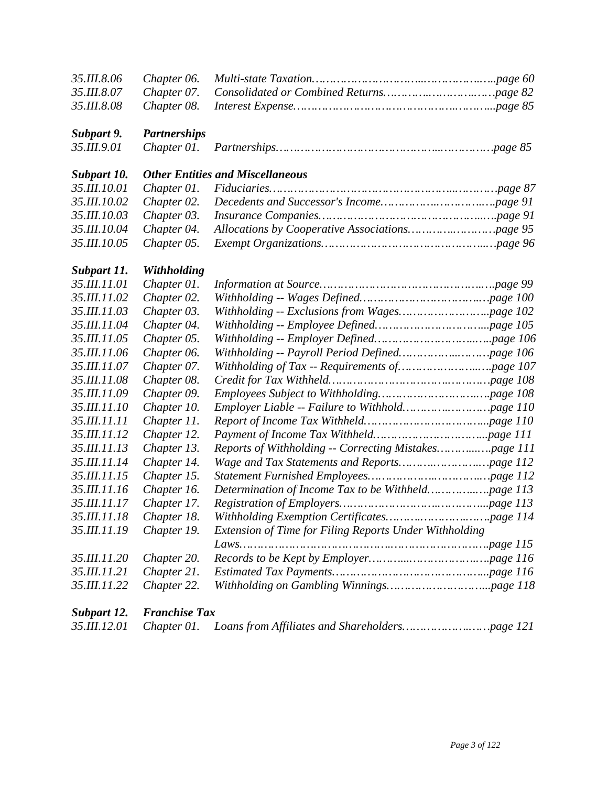| 35.III.8.06          | Chapter 06.          |                                                        |  |  |
|----------------------|----------------------|--------------------------------------------------------|--|--|
| 35.III.8.07          | Chapter 07.          |                                                        |  |  |
| 35.III.8.08          | Chapter 08.          |                                                        |  |  |
| Subpart 9.           | <b>Partnerships</b>  |                                                        |  |  |
| 35.III.9.01          | Chapter 01.          |                                                        |  |  |
| Subpart 10.          |                      | <b>Other Entities and Miscellaneous</b>                |  |  |
| 35.III.10.01         | Chapter 01.          |                                                        |  |  |
| 35.III.10.02         | Chapter 02.          |                                                        |  |  |
| 35.III.10.03         | Chapter 03.          |                                                        |  |  |
| 35.III.10.04         | Chapter 04.          |                                                        |  |  |
| 35.III.10.05         | Chapter 05.          |                                                        |  |  |
| Subpart 11.          | Withholding          |                                                        |  |  |
| 35.III.11.01         | Chapter 01.          |                                                        |  |  |
| 35.III.11.02         | Chapter 02.          |                                                        |  |  |
| 35.III.11.03         | Chapter 03.          |                                                        |  |  |
| 35.III.11.04         | Chapter 04.          |                                                        |  |  |
| 35.III.11.05         | Chapter 05.          |                                                        |  |  |
| 35.III.11.06         | Chapter 06.          |                                                        |  |  |
| 35.III.11.07         | Chapter 07.          |                                                        |  |  |
| 35.III.11.08         | Chapter 08.          |                                                        |  |  |
| 35.III.11.09         | Chapter 09.          |                                                        |  |  |
| 35.III.11.10         | Chapter 10.          |                                                        |  |  |
| 35.III.11.11         | Chapter 11.          |                                                        |  |  |
| 35.III.11.12         | Chapter 12.          |                                                        |  |  |
| 35.III.11.13         | Chapter 13.          |                                                        |  |  |
| 35.III.11.14         | Chapter 14.          |                                                        |  |  |
| 35.III.11.15         | Chapter 15.          |                                                        |  |  |
| 35. <i>III.11.16</i> | Chapter 16.          |                                                        |  |  |
| 35.III.11.17         | Chapter 17.          |                                                        |  |  |
| 35.III.11.18         | Chapter 18.          |                                                        |  |  |
| 35.III.11.19         | Chapter 19.          | Extension of Time for Filing Reports Under Withholding |  |  |
|                      |                      |                                                        |  |  |
| 35.III.11.20         | Chapter 20.          |                                                        |  |  |
| 35.III.11.21         | Chapter 21.          |                                                        |  |  |
| 35.III.11.22         | Chapter 22.          |                                                        |  |  |
| Subpart 12.          | <b>Franchise Tax</b> |                                                        |  |  |

|--|--|--|--|--|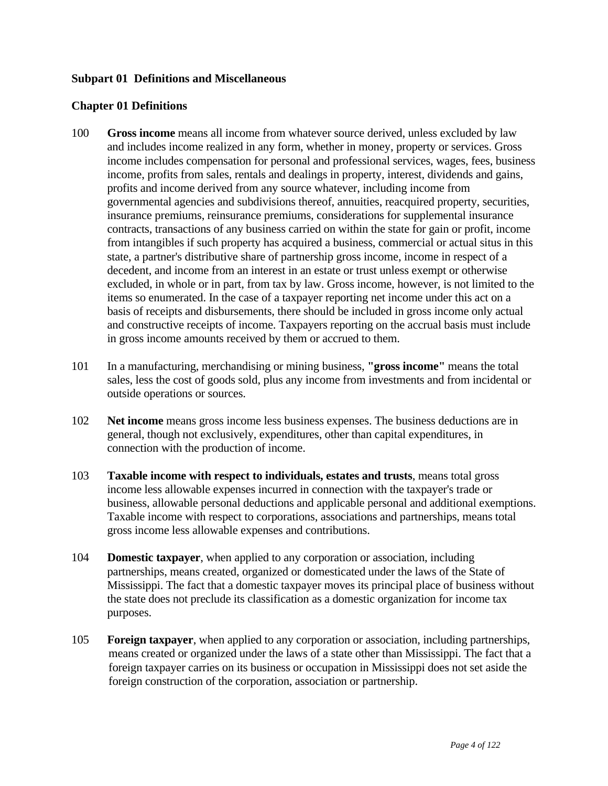### **Subpart 01 Definitions and Miscellaneous**

#### **Chapter 01 Definitions**

- 100 **Gross income** means all income from whatever source derived, unless excluded by law and includes income realized in any form, whether in money, property or services. Gross income includes compensation for personal and professional services, wages, fees, business income, profits from sales, rentals and dealings in property, interest, dividends and gains, profits and income derived from any source whatever, including income from governmental agencies and subdivisions thereof, annuities, reacquired property, securities, insurance premiums, reinsurance premiums, considerations for supplemental insurance contracts, transactions of any business carried on within the state for gain or profit, income from intangibles if such property has acquired a business, commercial or actual situs in this state, a partner's distributive share of partnership gross income, income in respect of a decedent, and income from an interest in an estate or trust unless exempt or otherwise excluded, in whole or in part, from tax by law. Gross income, however, is not limited to the items so enumerated. In the case of a taxpayer reporting net income under this act on a basis of receipts and disbursements, there should be included in gross income only actual and constructive receipts of income. Taxpayers reporting on the accrual basis must include in gross income amounts received by them or accrued to them.
- 101 In a manufacturing, merchandising or mining business, **"gross income"** means the total sales, less the cost of goods sold, plus any income from investments and from incidental or outside operations or sources.
- 102 **Net income** means gross income less business expenses. The business deductions are in general, though not exclusively, expenditures, other than capital expenditures, in connection with the production of income.
- 103 **Taxable income with respect to individuals, estates and trusts**, means total gross income less allowable expenses incurred in connection with the taxpayer's trade or business, allowable personal deductions and applicable personal and additional exemptions. Taxable income with respect to corporations, associations and partnerships, means total gross income less allowable expenses and contributions.
- 104 **Domestic taxpayer**, when applied to any corporation or association, including partnerships, means created, organized or domesticated under the laws of the State of Mississippi. The fact that a domestic taxpayer moves its principal place of business without the state does not preclude its classification as a domestic organization for income tax purposes.
- 105 **Foreign taxpayer**, when applied to any corporation or association, including partnerships, means created or organized under the laws of a state other than Mississippi. The fact that a foreign taxpayer carries on its business or occupation in Mississippi does not set aside the foreign construction of the corporation, association or partnership.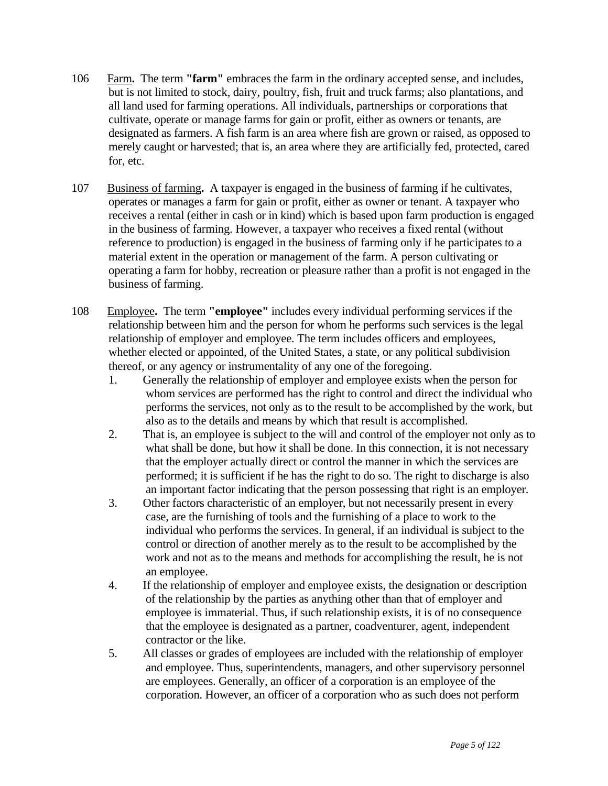- 106 Farm**.** The term **"farm"** embraces the farm in the ordinary accepted sense, and includes, but is not limited to stock, dairy, poultry, fish, fruit and truck farms; also plantations, and all land used for farming operations. All individuals, partnerships or corporations that cultivate, operate or manage farms for gain or profit, either as owners or tenants, are designated as farmers. A fish farm is an area where fish are grown or raised, as opposed to merely caught or harvested; that is, an area where they are artificially fed, protected, cared for, etc.
- 107 Business of farming**.** A taxpayer is engaged in the business of farming if he cultivates, operates or manages a farm for gain or profit, either as owner or tenant. A taxpayer who receives a rental (either in cash or in kind) which is based upon farm production is engaged in the business of farming. However, a taxpayer who receives a fixed rental (without reference to production) is engaged in the business of farming only if he participates to a material extent in the operation or management of the farm. A person cultivating or operating a farm for hobby, recreation or pleasure rather than a profit is not engaged in the business of farming.
- 108 Employee**.** The term **"employee"** includes every individual performing services if the relationship between him and the person for whom he performs such services is the legal relationship of employer and employee. The term includes officers and employees, whether elected or appointed, of the United States, a state, or any political subdivision thereof, or any agency or instrumentality of any one of the foregoing.
	- 1. Generally the relationship of employer and employee exists when the person for whom services are performed has the right to control and direct the individual who performs the services, not only as to the result to be accomplished by the work, but also as to the details and means by which that result is accomplished.
	- 2. That is, an employee is subject to the will and control of the employer not only as to what shall be done, but how it shall be done. In this connection, it is not necessary that the employer actually direct or control the manner in which the services are performed; it is sufficient if he has the right to do so. The right to discharge is also an important factor indicating that the person possessing that right is an employer.
	- 3. Other factors characteristic of an employer, but not necessarily present in every case, are the furnishing of tools and the furnishing of a place to work to the individual who performs the services. In general, if an individual is subject to the control or direction of another merely as to the result to be accomplished by the work and not as to the means and methods for accomplishing the result, he is not an employee.
	- 4. If the relationship of employer and employee exists, the designation or description of the relationship by the parties as anything other than that of employer and employee is immaterial. Thus, if such relationship exists, it is of no consequence that the employee is designated as a partner, coadventurer, agent, independent contractor or the like.
	- 5. All classes or grades of employees are included with the relationship of employer and employee. Thus, superintendents, managers, and other supervisory personnel are employees. Generally, an officer of a corporation is an employee of the corporation. However, an officer of a corporation who as such does not perform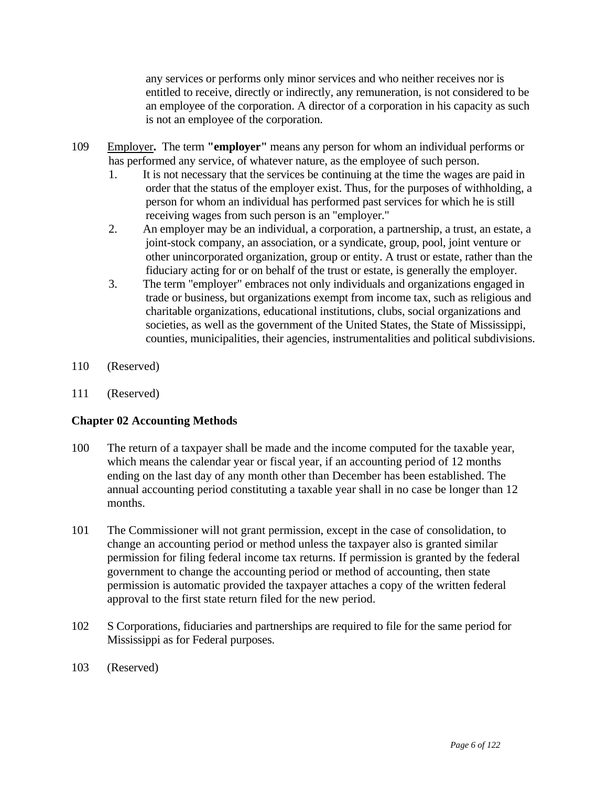any services or performs only minor services and who neither receives nor is entitled to receive, directly or indirectly, any remuneration, is not considered to be an employee of the corporation. A director of a corporation in his capacity as such is not an employee of the corporation.

- 109 Employer**.** The term **"employer"** means any person for whom an individual performs or has performed any service, of whatever nature, as the employee of such person.
	- 1. It is not necessary that the services be continuing at the time the wages are paid in order that the status of the employer exist. Thus, for the purposes of withholding, a person for whom an individual has performed past services for which he is still receiving wages from such person is an "employer."
	- 2. An employer may be an individual, a corporation, a partnership, a trust, an estate, a joint-stock company, an association, or a syndicate, group, pool, joint venture or other unincorporated organization, group or entity. A trust or estate, rather than the fiduciary acting for or on behalf of the trust or estate, is generally the employer.
	- 3. The term "employer" embraces not only individuals and organizations engaged in trade or business, but organizations exempt from income tax, such as religious and charitable organizations, educational institutions, clubs, social organizations and societies, as well as the government of the United States, the State of Mississippi, counties, municipalities, their agencies, instrumentalities and political subdivisions.
- 110 (Reserved)
- 111 (Reserved)

# **Chapter 02 Accounting Methods**

- 100 The return of a taxpayer shall be made and the income computed for the taxable year, which means the calendar year or fiscal year, if an accounting period of 12 months ending on the last day of any month other than December has been established. The annual accounting period constituting a taxable year shall in no case be longer than 12 months.
- 101 The Commissioner will not grant permission, except in the case of consolidation, to change an accounting period or method unless the taxpayer also is granted similar permission for filing federal income tax returns. If permission is granted by the federal government to change the accounting period or method of accounting, then state permission is automatic provided the taxpayer attaches a copy of the written federal approval to the first state return filed for the new period.
- 102 S Corporations, fiduciaries and partnerships are required to file for the same period for Mississippi as for Federal purposes.
- 103 (Reserved)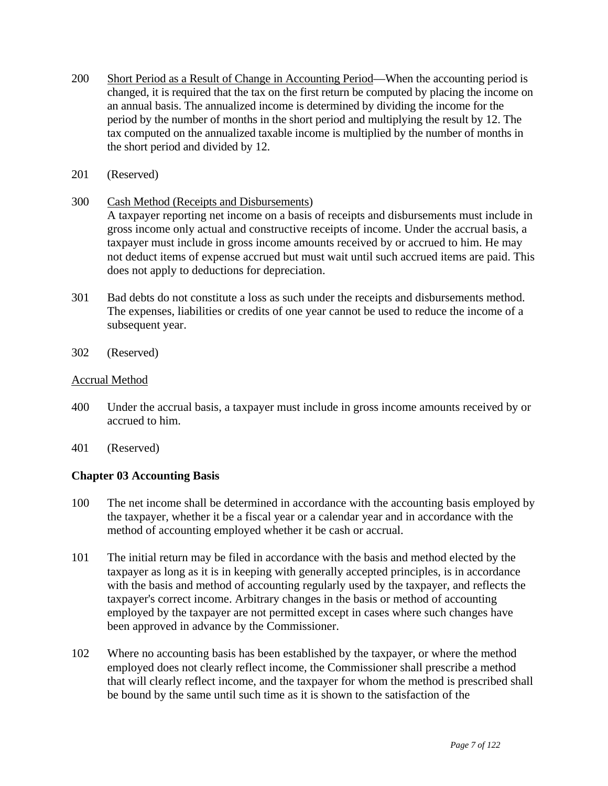- 200 Short Period as a Result of Change in Accounting Period—When the accounting period is changed, it is required that the tax on the first return be computed by placing the income on an annual basis. The annualized income is determined by dividing the income for the period by the number of months in the short period and multiplying the result by 12. The tax computed on the annualized taxable income is multiplied by the number of months in the short period and divided by 12.
- 201 (Reserved)
- 300 Cash Method (Receipts and Disbursements)

 A taxpayer reporting net income on a basis of receipts and disbursements must include in gross income only actual and constructive receipts of income. Under the accrual basis, a taxpayer must include in gross income amounts received by or accrued to him. He may not deduct items of expense accrued but must wait until such accrued items are paid. This does not apply to deductions for depreciation.

- 301 Bad debts do not constitute a loss as such under the receipts and disbursements method. The expenses, liabilities or credits of one year cannot be used to reduce the income of a subsequent year.
- 302 (Reserved)

#### Accrual Method

- 400 Under the accrual basis, a taxpayer must include in gross income amounts received by or accrued to him.
- 401 (Reserved)

### **Chapter 03 Accounting Basis**

- 100 The net income shall be determined in accordance with the accounting basis employed by the taxpayer, whether it be a fiscal year or a calendar year and in accordance with the method of accounting employed whether it be cash or accrual.
- 101 The initial return may be filed in accordance with the basis and method elected by the taxpayer as long as it is in keeping with generally accepted principles, is in accordance with the basis and method of accounting regularly used by the taxpayer, and reflects the taxpayer's correct income. Arbitrary changes in the basis or method of accounting employed by the taxpayer are not permitted except in cases where such changes have been approved in advance by the Commissioner.
- 102 Where no accounting basis has been established by the taxpayer, or where the method employed does not clearly reflect income, the Commissioner shall prescribe a method that will clearly reflect income, and the taxpayer for whom the method is prescribed shall be bound by the same until such time as it is shown to the satisfaction of the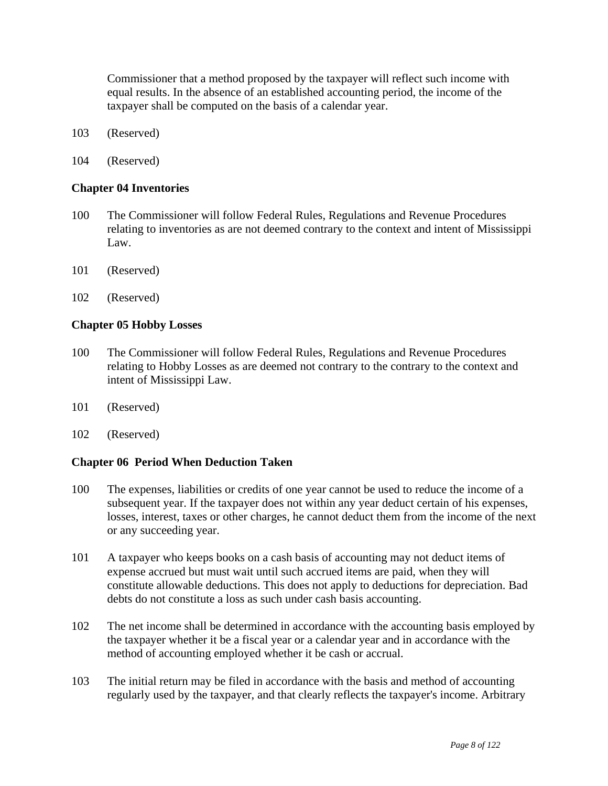Commissioner that a method proposed by the taxpayer will reflect such income with equal results. In the absence of an established accounting period, the income of the taxpayer shall be computed on the basis of a calendar year.

- 103 (Reserved)
- 104 (Reserved)

#### **Chapter 04 Inventories**

- 100 The Commissioner will follow Federal Rules, Regulations and Revenue Procedures relating to inventories as are not deemed contrary to the context and intent of Mississippi Law.
- 101 (Reserved)
- 102 (Reserved)

#### **Chapter 05 Hobby Losses**

- 100 The Commissioner will follow Federal Rules, Regulations and Revenue Procedures relating to Hobby Losses as are deemed not contrary to the contrary to the context and intent of Mississippi Law.
- 101 (Reserved)
- 102 (Reserved)

### **Chapter 06 Period When Deduction Taken**

- 100 The expenses, liabilities or credits of one year cannot be used to reduce the income of a subsequent year. If the taxpayer does not within any year deduct certain of his expenses, losses, interest, taxes or other charges, he cannot deduct them from the income of the next or any succeeding year.
- 101 A taxpayer who keeps books on a cash basis of accounting may not deduct items of expense accrued but must wait until such accrued items are paid, when they will constitute allowable deductions. This does not apply to deductions for depreciation. Bad debts do not constitute a loss as such under cash basis accounting.
- 102 The net income shall be determined in accordance with the accounting basis employed by the taxpayer whether it be a fiscal year or a calendar year and in accordance with the method of accounting employed whether it be cash or accrual.
- 103 The initial return may be filed in accordance with the basis and method of accounting regularly used by the taxpayer, and that clearly reflects the taxpayer's income. Arbitrary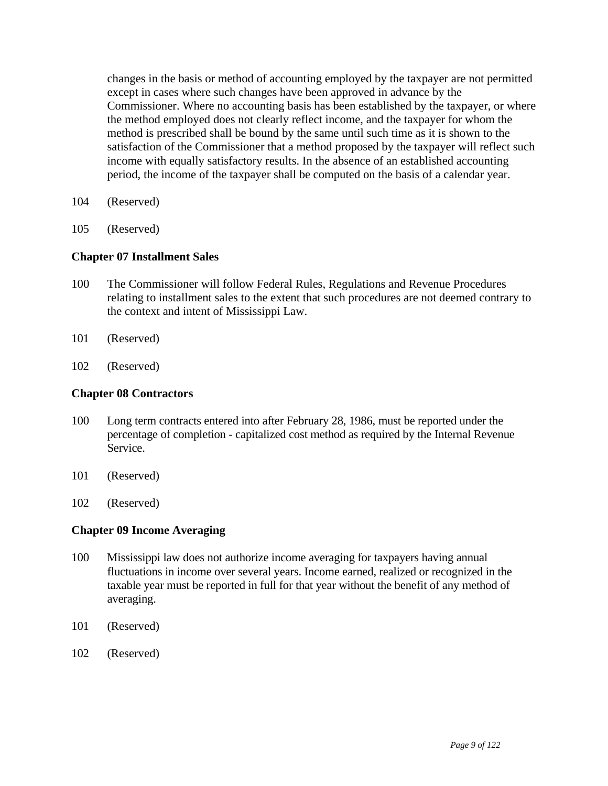changes in the basis or method of accounting employed by the taxpayer are not permitted except in cases where such changes have been approved in advance by the Commissioner. Where no accounting basis has been established by the taxpayer, or where the method employed does not clearly reflect income, and the taxpayer for whom the method is prescribed shall be bound by the same until such time as it is shown to the satisfaction of the Commissioner that a method proposed by the taxpayer will reflect such income with equally satisfactory results. In the absence of an established accounting period, the income of the taxpayer shall be computed on the basis of a calendar year.

- 104 (Reserved)
- 105 (Reserved)

### **Chapter 07 Installment Sales**

- 100 The Commissioner will follow Federal Rules, Regulations and Revenue Procedures relating to installment sales to the extent that such procedures are not deemed contrary to the context and intent of Mississippi Law.
- 101 (Reserved)
- 102 (Reserved)

#### **Chapter 08 Contractors**

- 100 Long term contracts entered into after February 28, 1986, must be reported under the percentage of completion - capitalized cost method as required by the Internal Revenue Service.
- 101 (Reserved)
- 102 (Reserved)

#### **Chapter 09 Income Averaging**

- 100 Mississippi law does not authorize income averaging for taxpayers having annual fluctuations in income over several years. Income earned, realized or recognized in the taxable year must be reported in full for that year without the benefit of any method of averaging.
- 101 (Reserved)
- 102 (Reserved)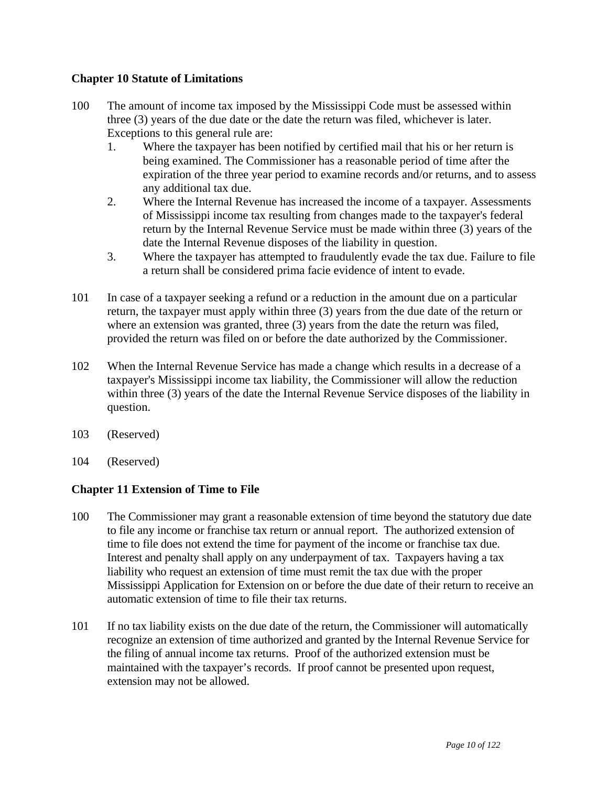## **Chapter 10 Statute of Limitations**

- 100 The amount of income tax imposed by the Mississippi Code must be assessed within three (3) years of the due date or the date the return was filed, whichever is later. Exceptions to this general rule are:
	- 1. Where the taxpayer has been notified by certified mail that his or her return is being examined. The Commissioner has a reasonable period of time after the expiration of the three year period to examine records and/or returns, and to assess any additional tax due.
	- 2. Where the Internal Revenue has increased the income of a taxpayer. Assessments of Mississippi income tax resulting from changes made to the taxpayer's federal return by the Internal Revenue Service must be made within three (3) years of the date the Internal Revenue disposes of the liability in question.
	- 3. Where the taxpayer has attempted to fraudulently evade the tax due. Failure to file a return shall be considered prima facie evidence of intent to evade.
- 101 In case of a taxpayer seeking a refund or a reduction in the amount due on a particular return, the taxpayer must apply within three (3) years from the due date of the return or where an extension was granted, three (3) years from the date the return was filed, provided the return was filed on or before the date authorized by the Commissioner.
- 102 When the Internal Revenue Service has made a change which results in a decrease of a taxpayer's Mississippi income tax liability, the Commissioner will allow the reduction within three (3) years of the date the Internal Revenue Service disposes of the liability in question.
- 103 (Reserved)
- 104 (Reserved)

# **Chapter 11 Extension of Time to File**

- 100 The Commissioner may grant a reasonable extension of time beyond the statutory due date to file any income or franchise tax return or annual report. The authorized extension of time to file does not extend the time for payment of the income or franchise tax due. Interest and penalty shall apply on any underpayment of tax. Taxpayers having a tax liability who request an extension of time must remit the tax due with the proper Mississippi Application for Extension on or before the due date of their return to receive an automatic extension of time to file their tax returns.
- 101 If no tax liability exists on the due date of the return, the Commissioner will automatically recognize an extension of time authorized and granted by the Internal Revenue Service for the filing of annual income tax returns. Proof of the authorized extension must be maintained with the taxpayer's records. If proof cannot be presented upon request, extension may not be allowed.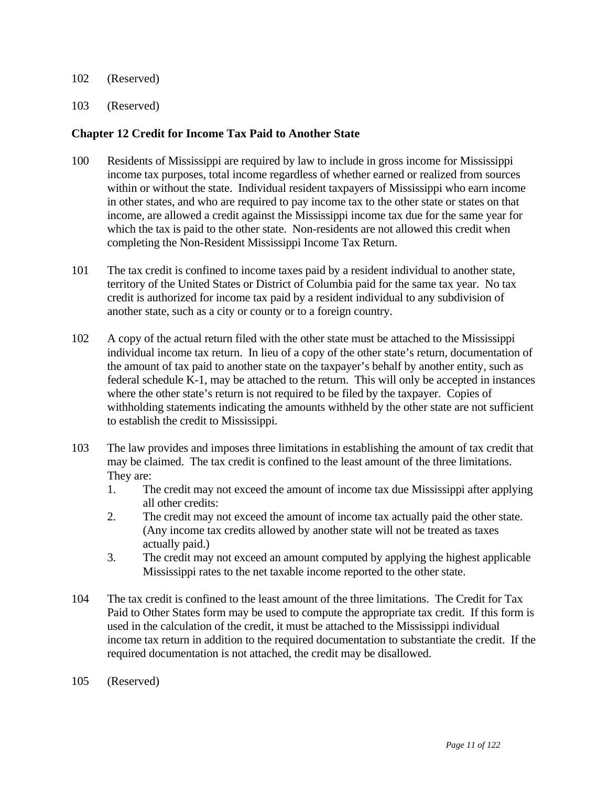- 102 (Reserved)
- 103 (Reserved)

#### **Chapter 12 Credit for Income Tax Paid to Another State**

- 100 Residents of Mississippi are required by law to include in gross income for Mississippi income tax purposes, total income regardless of whether earned or realized from sources within or without the state. Individual resident taxpayers of Mississippi who earn income in other states, and who are required to pay income tax to the other state or states on that income, are allowed a credit against the Mississippi income tax due for the same year for which the tax is paid to the other state. Non-residents are not allowed this credit when completing the Non-Resident Mississippi Income Tax Return.
- 101 The tax credit is confined to income taxes paid by a resident individual to another state, territory of the United States or District of Columbia paid for the same tax year. No tax credit is authorized for income tax paid by a resident individual to any subdivision of another state, such as a city or county or to a foreign country.
- 102 A copy of the actual return filed with the other state must be attached to the Mississippi individual income tax return. In lieu of a copy of the other state's return, documentation of the amount of tax paid to another state on the taxpayer's behalf by another entity, such as federal schedule K-1, may be attached to the return. This will only be accepted in instances where the other state's return is not required to be filed by the taxpayer. Copies of withholding statements indicating the amounts withheld by the other state are not sufficient to establish the credit to Mississippi.
- 103 The law provides and imposes three limitations in establishing the amount of tax credit that may be claimed. The tax credit is confined to the least amount of the three limitations. They are:
	- 1. The credit may not exceed the amount of income tax due Mississippi after applying all other credits:
	- 2. The credit may not exceed the amount of income tax actually paid the other state. (Any income tax credits allowed by another state will not be treated as taxes actually paid.)
	- 3. The credit may not exceed an amount computed by applying the highest applicable Mississippi rates to the net taxable income reported to the other state.
- 104 The tax credit is confined to the least amount of the three limitations. The Credit for Tax Paid to Other States form may be used to compute the appropriate tax credit. If this form is used in the calculation of the credit, it must be attached to the Mississippi individual income tax return in addition to the required documentation to substantiate the credit. If the required documentation is not attached, the credit may be disallowed.
- 105 (Reserved)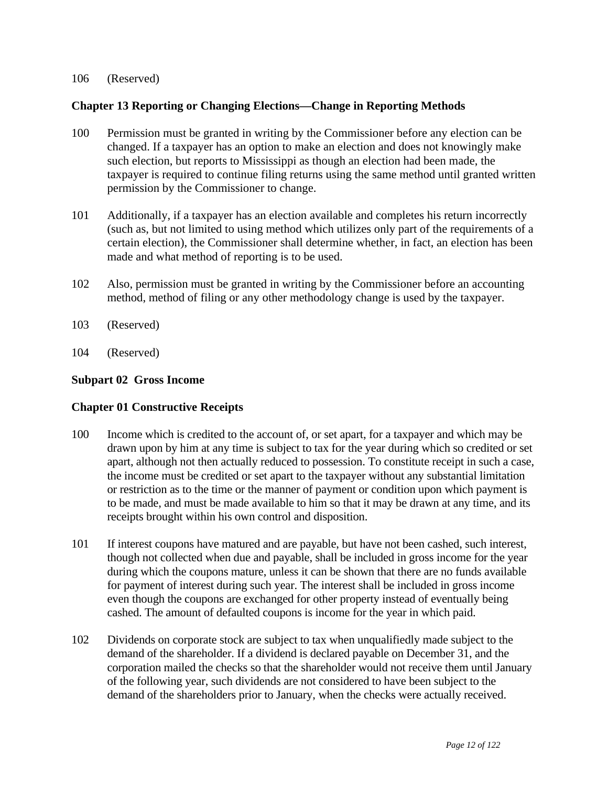#### 106 (Reserved)

### **Chapter 13 Reporting or Changing Elections—Change in Reporting Methods**

- 100 Permission must be granted in writing by the Commissioner before any election can be changed. If a taxpayer has an option to make an election and does not knowingly make such election, but reports to Mississippi as though an election had been made, the taxpayer is required to continue filing returns using the same method until granted written permission by the Commissioner to change.
- 101 Additionally, if a taxpayer has an election available and completes his return incorrectly (such as, but not limited to using method which utilizes only part of the requirements of a certain election), the Commissioner shall determine whether, in fact, an election has been made and what method of reporting is to be used.
- 102 Also, permission must be granted in writing by the Commissioner before an accounting method, method of filing or any other methodology change is used by the taxpayer.
- 103 (Reserved)
- 104 (Reserved)

## **Subpart 02 Gross Income**

### **Chapter 01 Constructive Receipts**

- 100 Income which is credited to the account of, or set apart, for a taxpayer and which may be drawn upon by him at any time is subject to tax for the year during which so credited or set apart, although not then actually reduced to possession. To constitute receipt in such a case, the income must be credited or set apart to the taxpayer without any substantial limitation or restriction as to the time or the manner of payment or condition upon which payment is to be made, and must be made available to him so that it may be drawn at any time, and its receipts brought within his own control and disposition.
- 101 If interest coupons have matured and are payable, but have not been cashed, such interest, though not collected when due and payable, shall be included in gross income for the year during which the coupons mature, unless it can be shown that there are no funds available for payment of interest during such year. The interest shall be included in gross income even though the coupons are exchanged for other property instead of eventually being cashed. The amount of defaulted coupons is income for the year in which paid.
- 102 Dividends on corporate stock are subject to tax when unqualifiedly made subject to the demand of the shareholder. If a dividend is declared payable on December 31, and the corporation mailed the checks so that the shareholder would not receive them until January of the following year, such dividends are not considered to have been subject to the demand of the shareholders prior to January, when the checks were actually received.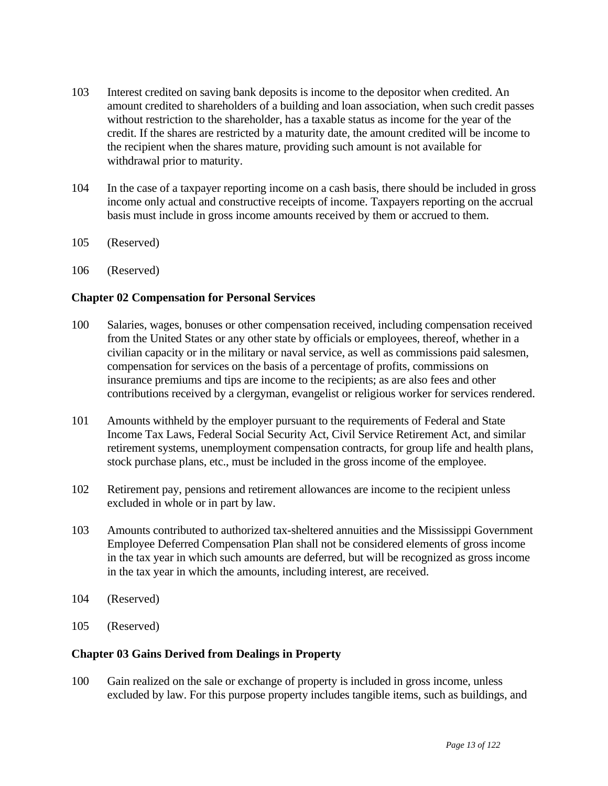- 103 Interest credited on saving bank deposits is income to the depositor when credited. An amount credited to shareholders of a building and loan association, when such credit passes without restriction to the shareholder, has a taxable status as income for the year of the credit. If the shares are restricted by a maturity date, the amount credited will be income to the recipient when the shares mature, providing such amount is not available for withdrawal prior to maturity.
- 104 In the case of a taxpayer reporting income on a cash basis, there should be included in gross income only actual and constructive receipts of income. Taxpayers reporting on the accrual basis must include in gross income amounts received by them or accrued to them.
- 105 (Reserved)
- 106 (Reserved)

## **Chapter 02 Compensation for Personal Services**

- 100 Salaries, wages, bonuses or other compensation received, including compensation received from the United States or any other state by officials or employees, thereof, whether in a civilian capacity or in the military or naval service, as well as commissions paid salesmen, compensation for services on the basis of a percentage of profits, commissions on insurance premiums and tips are income to the recipients; as are also fees and other contributions received by a clergyman, evangelist or religious worker for services rendered.
- 101 Amounts withheld by the employer pursuant to the requirements of Federal and State Income Tax Laws, Federal Social Security Act, Civil Service Retirement Act, and similar retirement systems, unemployment compensation contracts, for group life and health plans, stock purchase plans, etc., must be included in the gross income of the employee.
- 102 Retirement pay, pensions and retirement allowances are income to the recipient unless excluded in whole or in part by law.
- 103 Amounts contributed to authorized tax-sheltered annuities and the Mississippi Government Employee Deferred Compensation Plan shall not be considered elements of gross income in the tax year in which such amounts are deferred, but will be recognized as gross income in the tax year in which the amounts, including interest, are received.
- 104 (Reserved)
- 105 (Reserved)

# **Chapter 03 Gains Derived from Dealings in Property**

100 Gain realized on the sale or exchange of property is included in gross income, unless excluded by law. For this purpose property includes tangible items, such as buildings, and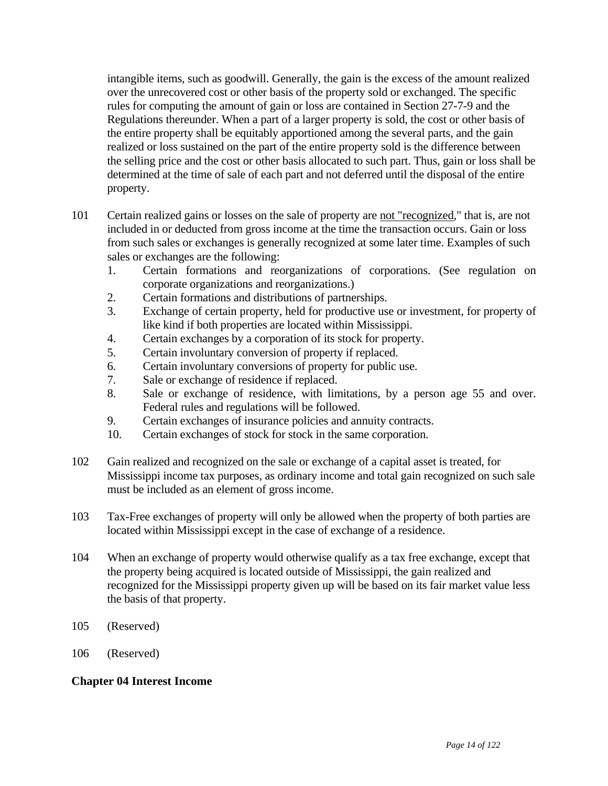intangible items, such as goodwill. Generally, the gain is the excess of the amount realized over the unrecovered cost or other basis of the property sold or exchanged. The specific rules for computing the amount of gain or loss are contained in Section 27-7-9 and the Regulations thereunder. When a part of a larger property is sold, the cost or other basis of the entire property shall be equitably apportioned among the several parts, and the gain realized or loss sustained on the part of the entire property sold is the difference between the selling price and the cost or other basis allocated to such part. Thus, gain or loss shall be determined at the time of sale of each part and not deferred until the disposal of the entire property.

- 101 Certain realized gains or losses on the sale of property are not "recognized," that is, are not included in or deducted from gross income at the time the transaction occurs. Gain or loss from such sales or exchanges is generally recognized at some later time. Examples of such sales or exchanges are the following:
	- 1. Certain formations and reorganizations of corporations. (See regulation on corporate organizations and reorganizations.)
	- 2. Certain formations and distributions of partnerships.
	- 3. Exchange of certain property, held for productive use or investment, for property of like kind if both properties are located within Mississippi.
	- 4. Certain exchanges by a corporation of its stock for property.
	- 5. Certain involuntary conversion of property if replaced.
	- 6. Certain involuntary conversions of property for public use.
	- 7. Sale or exchange of residence if replaced.
	- 8. Sale or exchange of residence, with limitations, by a person age 55 and over. Federal rules and regulations will be followed.
	- 9. Certain exchanges of insurance policies and annuity contracts.
	- 10. Certain exchanges of stock for stock in the same corporation.
- 102 Gain realized and recognized on the sale or exchange of a capital asset is treated, for Mississippi income tax purposes, as ordinary income and total gain recognized on such sale must be included as an element of gross income.
- 103 Tax-Free exchanges of property will only be allowed when the property of both parties are located within Mississippi except in the case of exchange of a residence.
- 104 When an exchange of property would otherwise qualify as a tax free exchange, except that the property being acquired is located outside of Mississippi, the gain realized and recognized for the Mississippi property given up will be based on its fair market value less the basis of that property.
- 105 (Reserved)
- 106 (Reserved)

# **Chapter 04 Interest Income**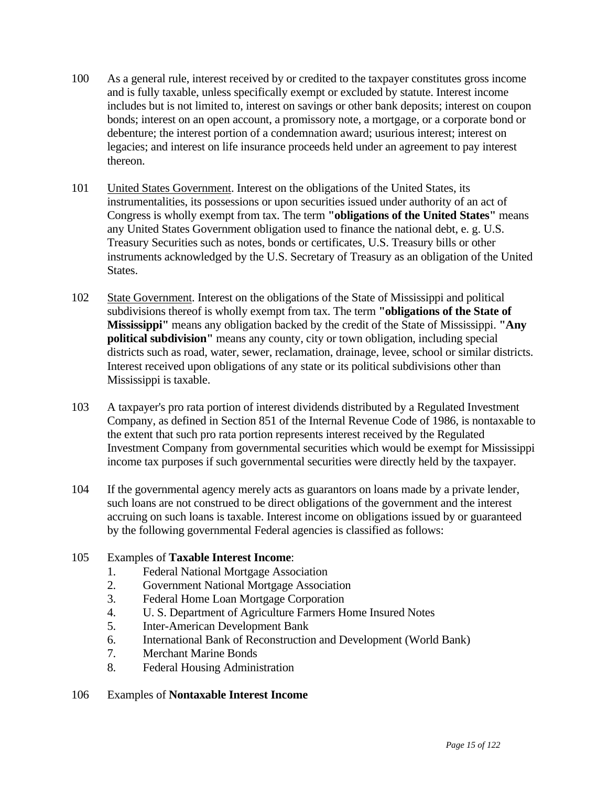- 100 As a general rule, interest received by or credited to the taxpayer constitutes gross income and is fully taxable, unless specifically exempt or excluded by statute. Interest income includes but is not limited to, interest on savings or other bank deposits; interest on coupon bonds; interest on an open account, a promissory note, a mortgage, or a corporate bond or debenture; the interest portion of a condemnation award; usurious interest; interest on legacies; and interest on life insurance proceeds held under an agreement to pay interest thereon.
- 101 United States Government. Interest on the obligations of the United States, its instrumentalities, its possessions or upon securities issued under authority of an act of Congress is wholly exempt from tax. The term **"obligations of the United States"** means any United States Government obligation used to finance the national debt, e. g. U.S. Treasury Securities such as notes, bonds or certificates, U.S. Treasury bills or other instruments acknowledged by the U.S. Secretary of Treasury as an obligation of the United States.
- 102 State Government. Interest on the obligations of the State of Mississippi and political subdivisions thereof is wholly exempt from tax. The term **"obligations of the State of Mississippi"** means any obligation backed by the credit of the State of Mississippi. **"Any political subdivision"** means any county, city or town obligation, including special districts such as road, water, sewer, reclamation, drainage, levee, school or similar districts. Interest received upon obligations of any state or its political subdivisions other than Mississippi is taxable.
- 103 A taxpayer's pro rata portion of interest dividends distributed by a Regulated Investment Company, as defined in Section 851 of the Internal Revenue Code of 1986, is nontaxable to the extent that such pro rata portion represents interest received by the Regulated Investment Company from governmental securities which would be exempt for Mississippi income tax purposes if such governmental securities were directly held by the taxpayer.
- 104 If the governmental agency merely acts as guarantors on loans made by a private lender, such loans are not construed to be direct obligations of the government and the interest accruing on such loans is taxable. Interest income on obligations issued by or guaranteed by the following governmental Federal agencies is classified as follows:

### 105 Examples of **Taxable Interest Income**:

- 1. Federal National Mortgage Association
- 2. Government National Mortgage Association
- 3. Federal Home Loan Mortgage Corporation
- 4. U. S. Department of Agriculture Farmers Home Insured Notes
- 5. Inter-American Development Bank
- 6. International Bank of Reconstruction and Development (World Bank)
- 7. Merchant Marine Bonds
- 8. Federal Housing Administration
- 106 Examples of **Nontaxable Interest Income**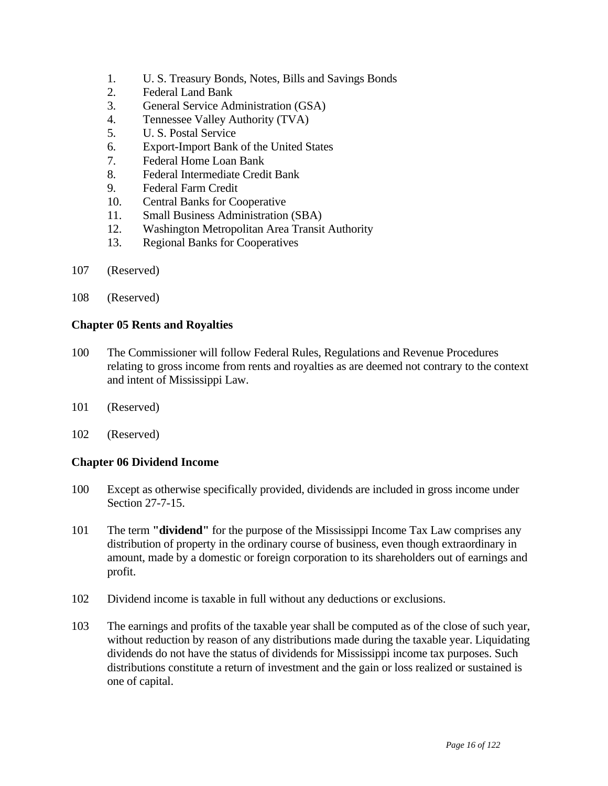- 1. U. S. Treasury Bonds, Notes, Bills and Savings Bonds
- 2. Federal Land Bank
- 3. General Service Administration (GSA)
- 4. Tennessee Valley Authority (TVA)
- 5. U. S. Postal Service
- 6. Export-Import Bank of the United States
- 7. Federal Home Loan Bank
- 8. Federal Intermediate Credit Bank
- 9. Federal Farm Credit
- 10. Central Banks for Cooperative
- 11. Small Business Administration (SBA)
- 12. Washington Metropolitan Area Transit Authority
- 13. Regional Banks for Cooperatives
- 107 (Reserved)
- 108 (Reserved)

#### **Chapter 05 Rents and Royalties**

- 100 The Commissioner will follow Federal Rules, Regulations and Revenue Procedures relating to gross income from rents and royalties as are deemed not contrary to the context and intent of Mississippi Law.
- 101 (Reserved)
- 102 (Reserved)

### **Chapter 06 Dividend Income**

- 100 Except as otherwise specifically provided, dividends are included in gross income under Section 27-7-15.
- 101 The term **"dividend"** for the purpose of the Mississippi Income Tax Law comprises any distribution of property in the ordinary course of business, even though extraordinary in amount, made by a domestic or foreign corporation to its shareholders out of earnings and profit.
- 102 Dividend income is taxable in full without any deductions or exclusions.
- 103 The earnings and profits of the taxable year shall be computed as of the close of such year, without reduction by reason of any distributions made during the taxable year. Liquidating dividends do not have the status of dividends for Mississippi income tax purposes. Such distributions constitute a return of investment and the gain or loss realized or sustained is one of capital.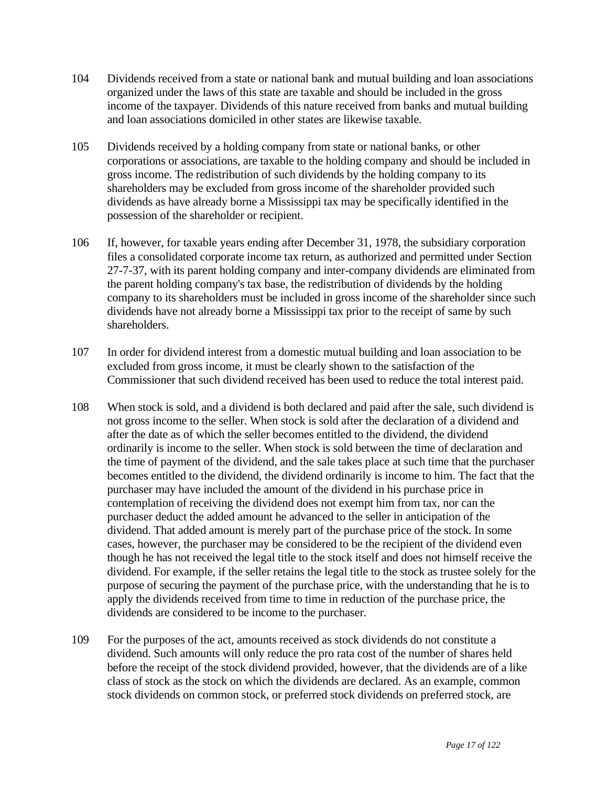- 104 Dividends received from a state or national bank and mutual building and loan associations organized under the laws of this state are taxable and should be included in the gross income of the taxpayer. Dividends of this nature received from banks and mutual building and loan associations domiciled in other states are likewise taxable.
- 105 Dividends received by a holding company from state or national banks, or other corporations or associations, are taxable to the holding company and should be included in gross income. The redistribution of such dividends by the holding company to its shareholders may be excluded from gross income of the shareholder provided such dividends as have already borne a Mississippi tax may be specifically identified in the possession of the shareholder or recipient.
- 106 If, however, for taxable years ending after December 31, 1978, the subsidiary corporation files a consolidated corporate income tax return, as authorized and permitted under Section 27-7-37, with its parent holding company and inter-company dividends are eliminated from the parent holding company's tax base, the redistribution of dividends by the holding company to its shareholders must be included in gross income of the shareholder since such dividends have not already borne a Mississippi tax prior to the receipt of same by such shareholders.
- 107 In order for dividend interest from a domestic mutual building and loan association to be excluded from gross income, it must be clearly shown to the satisfaction of the Commissioner that such dividend received has been used to reduce the total interest paid.
- 108 When stock is sold, and a dividend is both declared and paid after the sale, such dividend is not gross income to the seller. When stock is sold after the declaration of a dividend and after the date as of which the seller becomes entitled to the dividend, the dividend ordinarily is income to the seller. When stock is sold between the time of declaration and the time of payment of the dividend, and the sale takes place at such time that the purchaser becomes entitled to the dividend, the dividend ordinarily is income to him. The fact that the purchaser may have included the amount of the dividend in his purchase price in contemplation of receiving the dividend does not exempt him from tax, nor can the purchaser deduct the added amount he advanced to the seller in anticipation of the dividend. That added amount is merely part of the purchase price of the stock. In some cases, however, the purchaser may be considered to be the recipient of the dividend even though he has not received the legal title to the stock itself and does not himself receive the dividend. For example, if the seller retains the legal title to the stock as trustee solely for the purpose of securing the payment of the purchase price, with the understanding that he is to apply the dividends received from time to time in reduction of the purchase price, the dividends are considered to be income to the purchaser.
- 109 For the purposes of the act, amounts received as stock dividends do not constitute a dividend. Such amounts will only reduce the pro rata cost of the number of shares held before the receipt of the stock dividend provided, however, that the dividends are of a like class of stock as the stock on which the dividends are declared. As an example, common stock dividends on common stock, or preferred stock dividends on preferred stock, are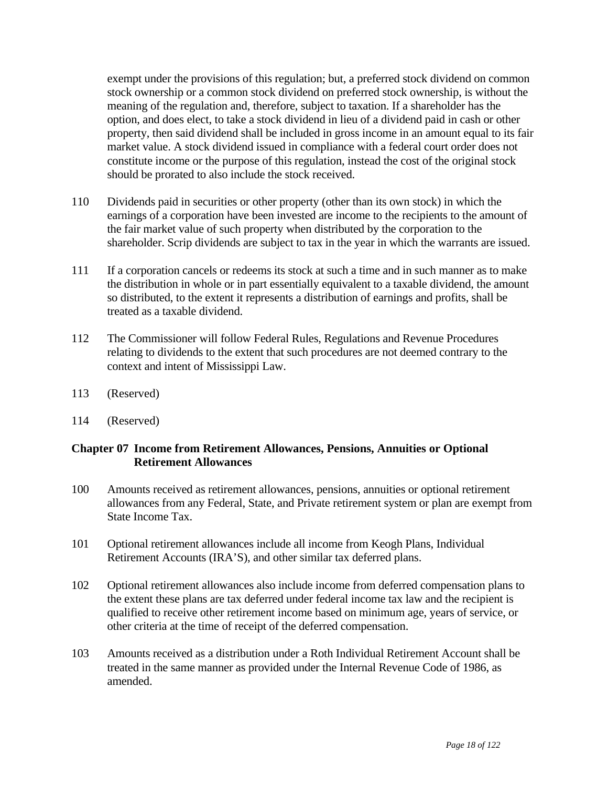exempt under the provisions of this regulation; but, a preferred stock dividend on common stock ownership or a common stock dividend on preferred stock ownership, is without the meaning of the regulation and, therefore, subject to taxation. If a shareholder has the option, and does elect, to take a stock dividend in lieu of a dividend paid in cash or other property, then said dividend shall be included in gross income in an amount equal to its fair market value. A stock dividend issued in compliance with a federal court order does not constitute income or the purpose of this regulation, instead the cost of the original stock should be prorated to also include the stock received.

- 110 Dividends paid in securities or other property (other than its own stock) in which the earnings of a corporation have been invested are income to the recipients to the amount of the fair market value of such property when distributed by the corporation to the shareholder. Scrip dividends are subject to tax in the year in which the warrants are issued.
- 111 If a corporation cancels or redeems its stock at such a time and in such manner as to make the distribution in whole or in part essentially equivalent to a taxable dividend, the amount so distributed, to the extent it represents a distribution of earnings and profits, shall be treated as a taxable dividend.
- 112 The Commissioner will follow Federal Rules, Regulations and Revenue Procedures relating to dividends to the extent that such procedures are not deemed contrary to the context and intent of Mississippi Law.
- 113 (Reserved)
- 114 (Reserved)

## **Chapter 07 Income from Retirement Allowances, Pensions, Annuities or Optional Retirement Allowances**

- 100 Amounts received as retirement allowances, pensions, annuities or optional retirement allowances from any Federal, State, and Private retirement system or plan are exempt from State Income Tax.
- 101 Optional retirement allowances include all income from Keogh Plans, Individual Retirement Accounts (IRA'S), and other similar tax deferred plans.
- 102 Optional retirement allowances also include income from deferred compensation plans to the extent these plans are tax deferred under federal income tax law and the recipient is qualified to receive other retirement income based on minimum age, years of service, or other criteria at the time of receipt of the deferred compensation.
- 103 Amounts received as a distribution under a Roth Individual Retirement Account shall be treated in the same manner as provided under the Internal Revenue Code of 1986, as amended.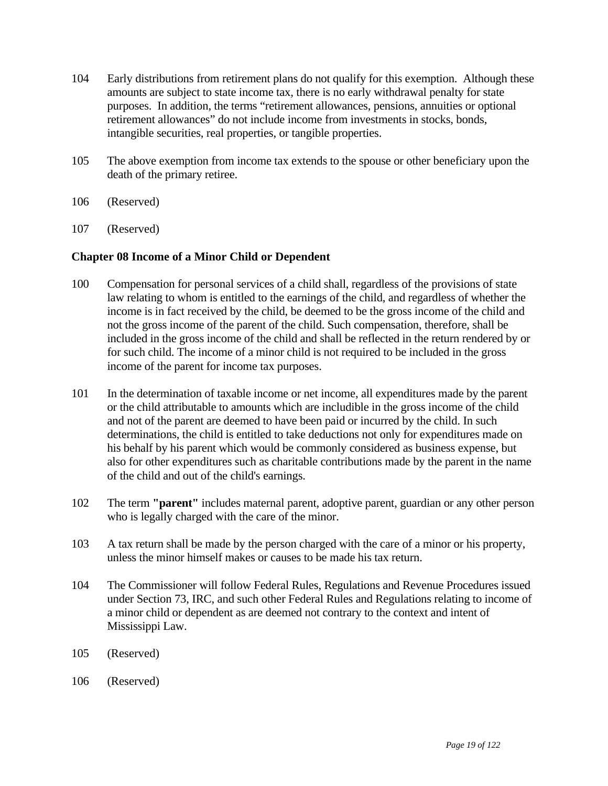- 104 Early distributions from retirement plans do not qualify for this exemption. Although these amounts are subject to state income tax, there is no early withdrawal penalty for state purposes. In addition, the terms "retirement allowances, pensions, annuities or optional retirement allowances" do not include income from investments in stocks, bonds, intangible securities, real properties, or tangible properties.
- 105 The above exemption from income tax extends to the spouse or other beneficiary upon the death of the primary retiree.
- 106 (Reserved)
- 107 (Reserved)

### **Chapter 08 Income of a Minor Child or Dependent**

- 100 Compensation for personal services of a child shall, regardless of the provisions of state law relating to whom is entitled to the earnings of the child, and regardless of whether the income is in fact received by the child, be deemed to be the gross income of the child and not the gross income of the parent of the child. Such compensation, therefore, shall be included in the gross income of the child and shall be reflected in the return rendered by or for such child. The income of a minor child is not required to be included in the gross income of the parent for income tax purposes.
- 101 In the determination of taxable income or net income, all expenditures made by the parent or the child attributable to amounts which are includible in the gross income of the child and not of the parent are deemed to have been paid or incurred by the child. In such determinations, the child is entitled to take deductions not only for expenditures made on his behalf by his parent which would be commonly considered as business expense, but also for other expenditures such as charitable contributions made by the parent in the name of the child and out of the child's earnings.
- 102 The term **"parent"** includes maternal parent, adoptive parent, guardian or any other person who is legally charged with the care of the minor.
- 103 A tax return shall be made by the person charged with the care of a minor or his property, unless the minor himself makes or causes to be made his tax return.
- 104 The Commissioner will follow Federal Rules, Regulations and Revenue Procedures issued under Section 73, IRC, and such other Federal Rules and Regulations relating to income of a minor child or dependent as are deemed not contrary to the context and intent of Mississippi Law.
- 105 (Reserved)
- 106 (Reserved)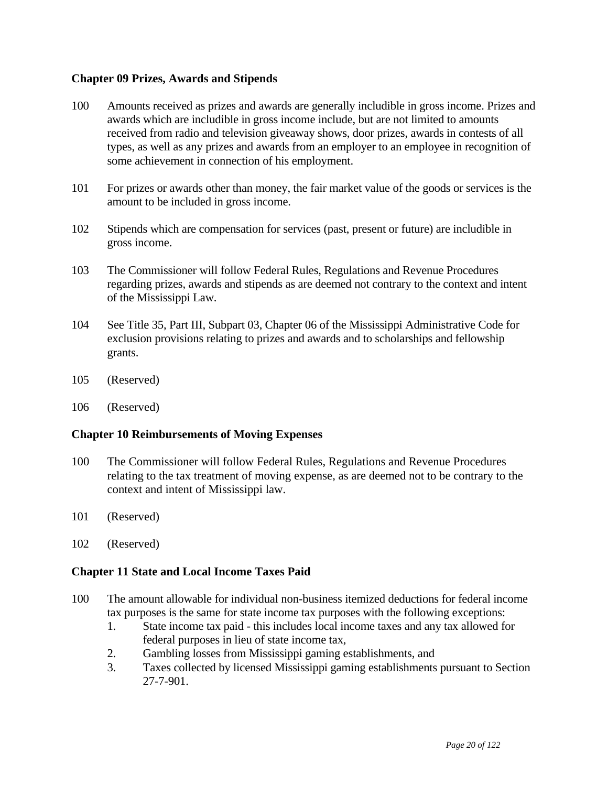### **Chapter 09 Prizes, Awards and Stipends**

- 100 Amounts received as prizes and awards are generally includible in gross income. Prizes and awards which are includible in gross income include, but are not limited to amounts received from radio and television giveaway shows, door prizes, awards in contests of all types, as well as any prizes and awards from an employer to an employee in recognition of some achievement in connection of his employment.
- 101 For prizes or awards other than money, the fair market value of the goods or services is the amount to be included in gross income.
- 102 Stipends which are compensation for services (past, present or future) are includible in gross income.
- 103 The Commissioner will follow Federal Rules, Regulations and Revenue Procedures regarding prizes, awards and stipends as are deemed not contrary to the context and intent of the Mississippi Law.
- 104 See Title 35, Part III, Subpart 03, Chapter 06 of the Mississippi Administrative Code for exclusion provisions relating to prizes and awards and to scholarships and fellowship grants.
- 105 (Reserved)
- 106 (Reserved)

### **Chapter 10 Reimbursements of Moving Expenses**

- 100 The Commissioner will follow Federal Rules, Regulations and Revenue Procedures relating to the tax treatment of moving expense, as are deemed not to be contrary to the context and intent of Mississippi law.
- 101 (Reserved)
- 102 (Reserved)

### **Chapter 11 State and Local Income Taxes Paid**

- 100 The amount allowable for individual non-business itemized deductions for federal income tax purposes is the same for state income tax purposes with the following exceptions:
	- 1. State income tax paid this includes local income taxes and any tax allowed for federal purposes in lieu of state income tax,
	- 2. Gambling losses from Mississippi gaming establishments, and
	- 3. Taxes collected by licensed Mississippi gaming establishments pursuant to Section 27-7-901.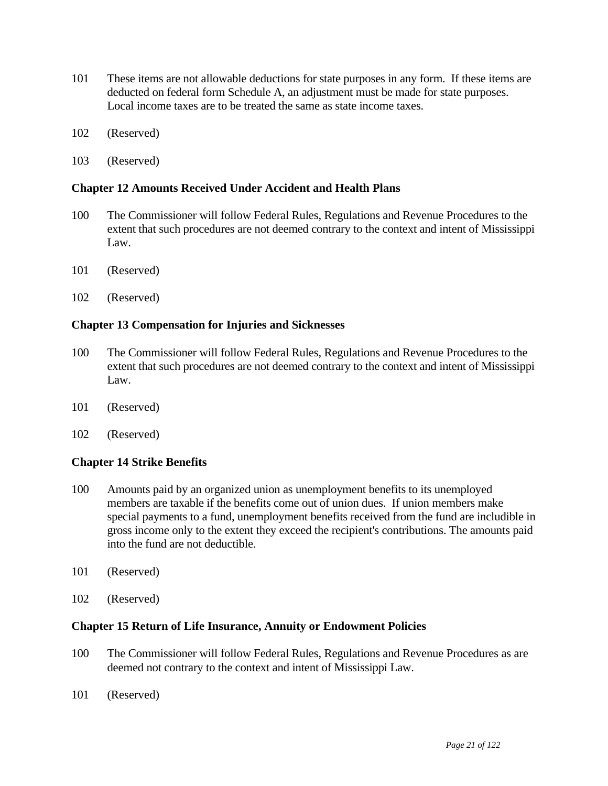- 101 These items are not allowable deductions for state purposes in any form. If these items are deducted on federal form Schedule A, an adjustment must be made for state purposes. Local income taxes are to be treated the same as state income taxes.
- 102 (Reserved)
- 103 (Reserved)

#### **Chapter 12 Amounts Received Under Accident and Health Plans**

- 100 The Commissioner will follow Federal Rules, Regulations and Revenue Procedures to the extent that such procedures are not deemed contrary to the context and intent of Mississippi Law.
- 101 (Reserved)
- 102 (Reserved)

#### **Chapter 13 Compensation for Injuries and Sicknesses**

- 100 The Commissioner will follow Federal Rules, Regulations and Revenue Procedures to the extent that such procedures are not deemed contrary to the context and intent of Mississippi Law.
- 101 (Reserved)
- 102 (Reserved)

### **Chapter 14 Strike Benefits**

- 100 Amounts paid by an organized union as unemployment benefits to its unemployed members are taxable if the benefits come out of union dues. If union members make special payments to a fund, unemployment benefits received from the fund are includible in gross income only to the extent they exceed the recipient's contributions. The amounts paid into the fund are not deductible.
- 101 (Reserved)
- 102 (Reserved)

#### **Chapter 15 Return of Life Insurance, Annuity or Endowment Policies**

- 100 The Commissioner will follow Federal Rules, Regulations and Revenue Procedures as are deemed not contrary to the context and intent of Mississippi Law.
- 101 (Reserved)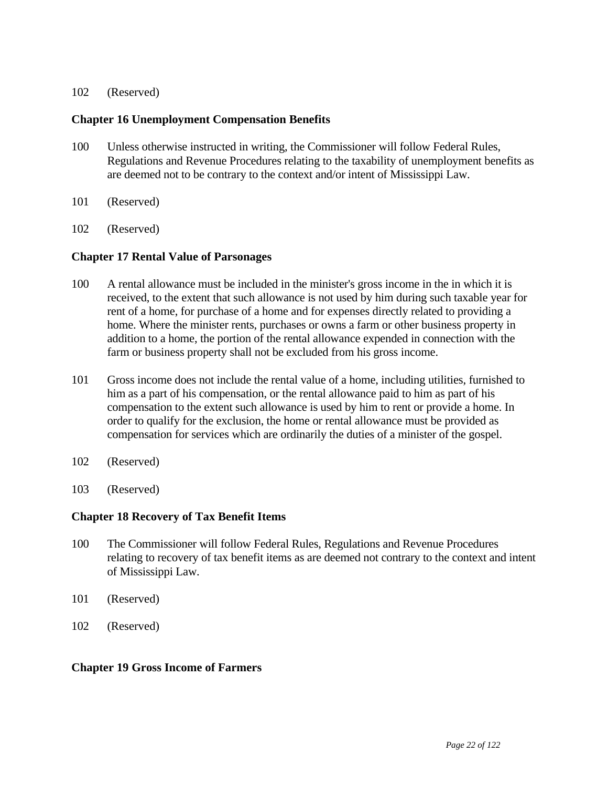#### 102 (Reserved)

#### **Chapter 16 Unemployment Compensation Benefits**

- 100 Unless otherwise instructed in writing, the Commissioner will follow Federal Rules, Regulations and Revenue Procedures relating to the taxability of unemployment benefits as are deemed not to be contrary to the context and/or intent of Mississippi Law.
- 101 (Reserved)
- 102 (Reserved)

#### **Chapter 17 Rental Value of Parsonages**

- 100 A rental allowance must be included in the minister's gross income in the in which it is received, to the extent that such allowance is not used by him during such taxable year for rent of a home, for purchase of a home and for expenses directly related to providing a home. Where the minister rents, purchases or owns a farm or other business property in addition to a home, the portion of the rental allowance expended in connection with the farm or business property shall not be excluded from his gross income.
- 101 Gross income does not include the rental value of a home, including utilities, furnished to him as a part of his compensation, or the rental allowance paid to him as part of his compensation to the extent such allowance is used by him to rent or provide a home. In order to qualify for the exclusion, the home or rental allowance must be provided as compensation for services which are ordinarily the duties of a minister of the gospel.
- 102 (Reserved)
- 103 (Reserved)

#### **Chapter 18 Recovery of Tax Benefit Items**

- 100 The Commissioner will follow Federal Rules, Regulations and Revenue Procedures relating to recovery of tax benefit items as are deemed not contrary to the context and intent of Mississippi Law.
- 101 (Reserved)
- 102 (Reserved)

#### **Chapter 19 Gross Income of Farmers**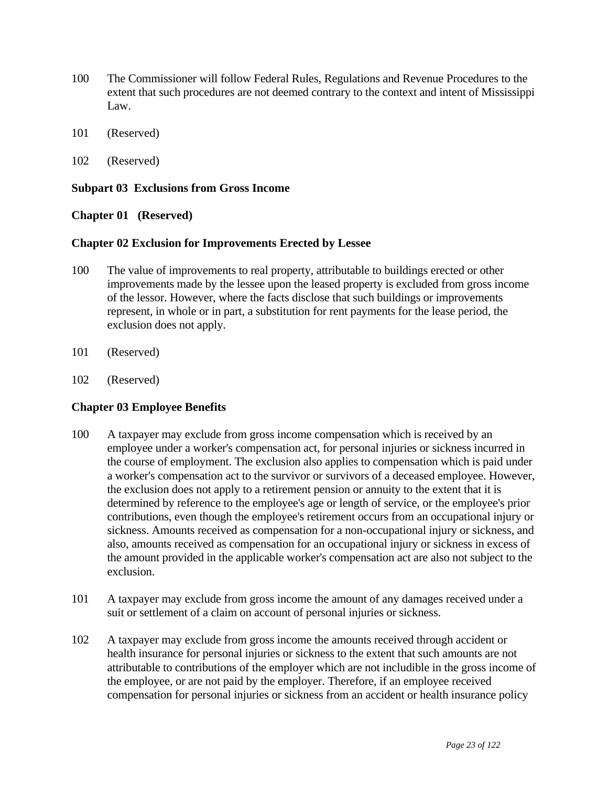- 100 The Commissioner will follow Federal Rules, Regulations and Revenue Procedures to the extent that such procedures are not deemed contrary to the context and intent of Mississippi Law.
- 101 (Reserved)
- 102 (Reserved)

### **Subpart 03 Exclusions from Gross Income**

## **Chapter 01 (Reserved)**

### **Chapter 02 Exclusion for Improvements Erected by Lessee**

- 100 The value of improvements to real property, attributable to buildings erected or other improvements made by the lessee upon the leased property is excluded from gross income of the lessor. However, where the facts disclose that such buildings or improvements represent, in whole or in part, a substitution for rent payments for the lease period, the exclusion does not apply.
- 101 (Reserved)
- 102 (Reserved)

# **Chapter 03 Employee Benefits**

- 100 A taxpayer may exclude from gross income compensation which is received by an employee under a worker's compensation act, for personal injuries or sickness incurred in the course of employment. The exclusion also applies to compensation which is paid under a worker's compensation act to the survivor or survivors of a deceased employee. However, the exclusion does not apply to a retirement pension or annuity to the extent that it is determined by reference to the employee's age or length of service, or the employee's prior contributions, even though the employee's retirement occurs from an occupational injury or sickness. Amounts received as compensation for a non-occupational injury or sickness, and also, amounts received as compensation for an occupational injury or sickness in excess of the amount provided in the applicable worker's compensation act are also not subject to the exclusion.
- 101 A taxpayer may exclude from gross income the amount of any damages received under a suit or settlement of a claim on account of personal injuries or sickness.
- 102 A taxpayer may exclude from gross income the amounts received through accident or health insurance for personal injuries or sickness to the extent that such amounts are not attributable to contributions of the employer which are not includible in the gross income of the employee, or are not paid by the employer. Therefore, if an employee received compensation for personal injuries or sickness from an accident or health insurance policy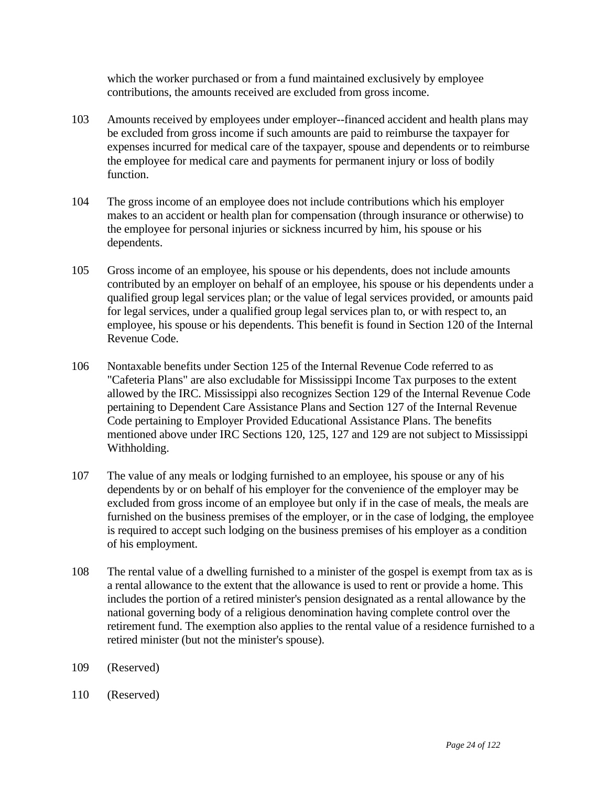which the worker purchased or from a fund maintained exclusively by employee contributions, the amounts received are excluded from gross income.

- 103 Amounts received by employees under employer--financed accident and health plans may be excluded from gross income if such amounts are paid to reimburse the taxpayer for expenses incurred for medical care of the taxpayer, spouse and dependents or to reimburse the employee for medical care and payments for permanent injury or loss of bodily function.
- 104 The gross income of an employee does not include contributions which his employer makes to an accident or health plan for compensation (through insurance or otherwise) to the employee for personal injuries or sickness incurred by him, his spouse or his dependents.
- 105 Gross income of an employee, his spouse or his dependents, does not include amounts contributed by an employer on behalf of an employee, his spouse or his dependents under a qualified group legal services plan; or the value of legal services provided, or amounts paid for legal services, under a qualified group legal services plan to, or with respect to, an employee, his spouse or his dependents. This benefit is found in Section 120 of the Internal Revenue Code.
- 106 Nontaxable benefits under Section 125 of the Internal Revenue Code referred to as "Cafeteria Plans" are also excludable for Mississippi Income Tax purposes to the extent allowed by the IRC. Mississippi also recognizes Section 129 of the Internal Revenue Code pertaining to Dependent Care Assistance Plans and Section 127 of the Internal Revenue Code pertaining to Employer Provided Educational Assistance Plans. The benefits mentioned above under IRC Sections 120, 125, 127 and 129 are not subject to Mississippi Withholding.
- 107 The value of any meals or lodging furnished to an employee, his spouse or any of his dependents by or on behalf of his employer for the convenience of the employer may be excluded from gross income of an employee but only if in the case of meals, the meals are furnished on the business premises of the employer, or in the case of lodging, the employee is required to accept such lodging on the business premises of his employer as a condition of his employment.
- 108 The rental value of a dwelling furnished to a minister of the gospel is exempt from tax as is a rental allowance to the extent that the allowance is used to rent or provide a home. This includes the portion of a retired minister's pension designated as a rental allowance by the national governing body of a religious denomination having complete control over the retirement fund. The exemption also applies to the rental value of a residence furnished to a retired minister (but not the minister's spouse).
- 109 (Reserved)
- 110 (Reserved)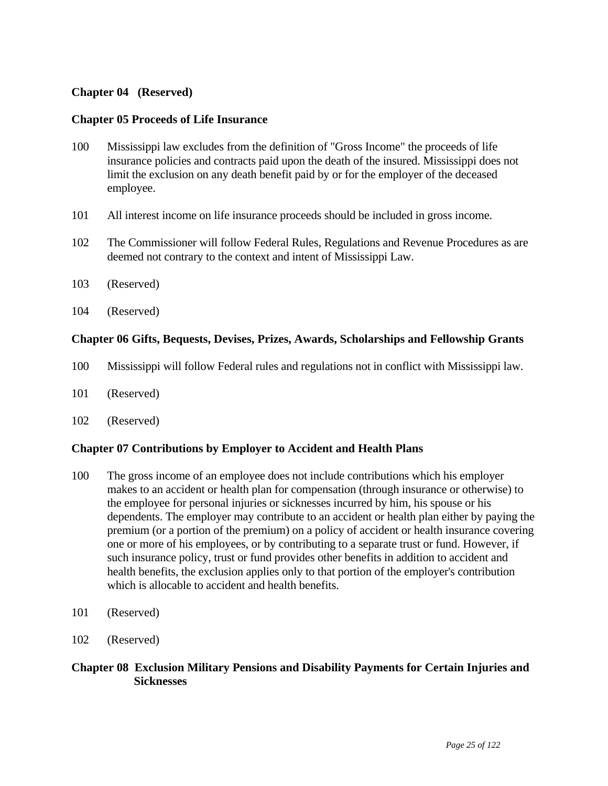### **Chapter 04 (Reserved)**

### **Chapter 05 Proceeds of Life Insurance**

- 100 Mississippi law excludes from the definition of "Gross Income" the proceeds of life insurance policies and contracts paid upon the death of the insured. Mississippi does not limit the exclusion on any death benefit paid by or for the employer of the deceased employee.
- 101 All interest income on life insurance proceeds should be included in gross income.
- 102 The Commissioner will follow Federal Rules, Regulations and Revenue Procedures as are deemed not contrary to the context and intent of Mississippi Law.
- 103 (Reserved)
- 104 (Reserved)

### **Chapter 06 Gifts, Bequests, Devises, Prizes, Awards, Scholarships and Fellowship Grants**

- 100 Mississippi will follow Federal rules and regulations not in conflict with Mississippi law.
- 101 (Reserved)
- 102 (Reserved)

### **Chapter 07 Contributions by Employer to Accident and Health Plans**

- 100 The gross income of an employee does not include contributions which his employer makes to an accident or health plan for compensation (through insurance or otherwise) to the employee for personal injuries or sicknesses incurred by him, his spouse or his dependents. The employer may contribute to an accident or health plan either by paying the premium (or a portion of the premium) on a policy of accident or health insurance covering one or more of his employees, or by contributing to a separate trust or fund. However, if such insurance policy, trust or fund provides other benefits in addition to accident and health benefits, the exclusion applies only to that portion of the employer's contribution which is allocable to accident and health benefits.
- 101 (Reserved)
- 102 (Reserved)

### **Chapter 08 Exclusion Military Pensions and Disability Payments for Certain Injuries and Sicknesses**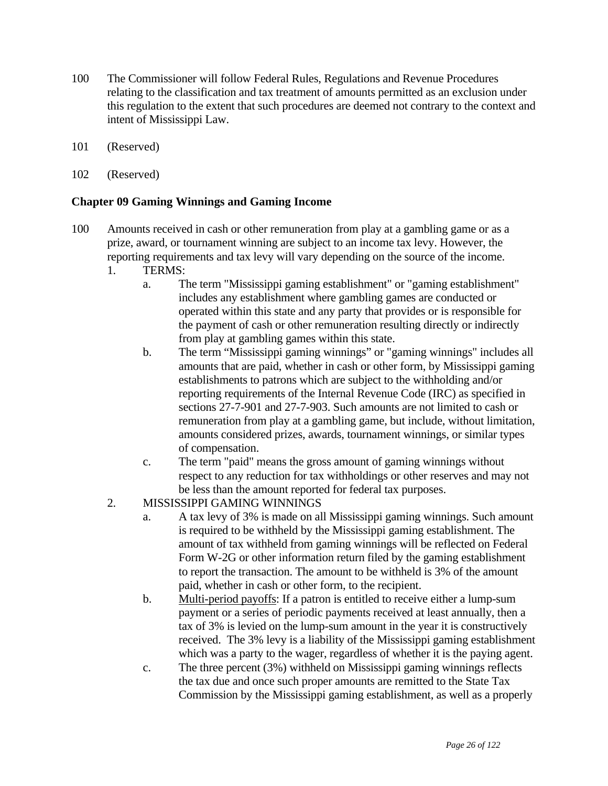- 100 The Commissioner will follow Federal Rules, Regulations and Revenue Procedures relating to the classification and tax treatment of amounts permitted as an exclusion under this regulation to the extent that such procedures are deemed not contrary to the context and intent of Mississippi Law.
- 101 (Reserved)
- 102 (Reserved)

## **Chapter 09 Gaming Winnings and Gaming Income**

- 100 Amounts received in cash or other remuneration from play at a gambling game or as a prize, award, or tournament winning are subject to an income tax levy. However, the reporting requirements and tax levy will vary depending on the source of the income.
	- 1. TERMS:
		- a. The term "Mississippi gaming establishment" or "gaming establishment" includes any establishment where gambling games are conducted or operated within this state and any party that provides or is responsible for the payment of cash or other remuneration resulting directly or indirectly from play at gambling games within this state.
		- b. The term "Mississippi gaming winnings" or "gaming winnings" includes all amounts that are paid, whether in cash or other form, by Mississippi gaming establishments to patrons which are subject to the withholding and/or reporting requirements of the Internal Revenue Code (IRC) as specified in sections 27-7-901 and 27-7-903. Such amounts are not limited to cash or remuneration from play at a gambling game, but include, without limitation, amounts considered prizes, awards, tournament winnings, or similar types of compensation.
		- c. The term "paid" means the gross amount of gaming winnings without respect to any reduction for tax withholdings or other reserves and may not be less than the amount reported for federal tax purposes.
	- 2. MISSISSIPPI GAMING WINNINGS
		- a. A tax levy of 3% is made on all Mississippi gaming winnings. Such amount is required to be withheld by the Mississippi gaming establishment. The amount of tax withheld from gaming winnings will be reflected on Federal Form W-2G or other information return filed by the gaming establishment to report the transaction. The amount to be withheld is 3% of the amount paid, whether in cash or other form, to the recipient.
		- b. Multi-period payoffs: If a patron is entitled to receive either a lump-sum payment or a series of periodic payments received at least annually, then a tax of 3% is levied on the lump-sum amount in the year it is constructively received. The 3% levy is a liability of the Mississippi gaming establishment which was a party to the wager, regardless of whether it is the paying agent.
		- c. The three percent (3%) withheld on Mississippi gaming winnings reflects the tax due and once such proper amounts are remitted to the State Tax Commission by the Mississippi gaming establishment, as well as a properly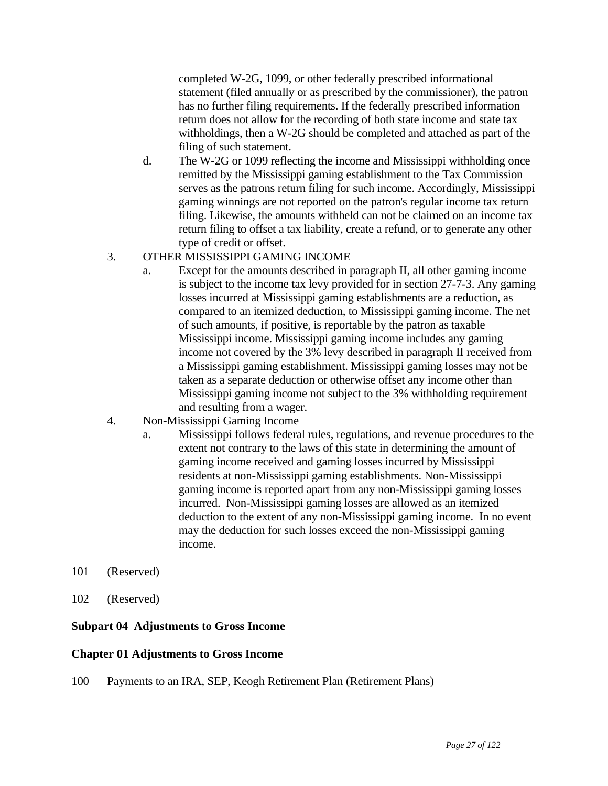completed W-2G, 1099, or other federally prescribed informational statement (filed annually or as prescribed by the commissioner), the patron has no further filing requirements. If the federally prescribed information return does not allow for the recording of both state income and state tax withholdings, then a W-2G should be completed and attached as part of the filing of such statement.

 d. The W-2G or 1099 reflecting the income and Mississippi withholding once remitted by the Mississippi gaming establishment to the Tax Commission serves as the patrons return filing for such income. Accordingly, Mississippi gaming winnings are not reported on the patron's regular income tax return filing. Likewise, the amounts withheld can not be claimed on an income tax return filing to offset a tax liability, create a refund, or to generate any other type of credit or offset.

## 3. OTHER MISSISSIPPI GAMING INCOME

- a. Except for the amounts described in paragraph II, all other gaming income is subject to the income tax levy provided for in section 27-7-3. Any gaming losses incurred at Mississippi gaming establishments are a reduction, as compared to an itemized deduction, to Mississippi gaming income. The net of such amounts, if positive, is reportable by the patron as taxable Mississippi income. Mississippi gaming income includes any gaming income not covered by the 3% levy described in paragraph II received from a Mississippi gaming establishment. Mississippi gaming losses may not be taken as a separate deduction or otherwise offset any income other than Mississippi gaming income not subject to the 3% withholding requirement and resulting from a wager.
- 4. Non-Mississippi Gaming Income
	- a. Mississippi follows federal rules, regulations, and revenue procedures to the extent not contrary to the laws of this state in determining the amount of gaming income received and gaming losses incurred by Mississippi residents at non-Mississippi gaming establishments. Non-Mississippi gaming income is reported apart from any non-Mississippi gaming losses incurred. Non-Mississippi gaming losses are allowed as an itemized deduction to the extent of any non-Mississippi gaming income. In no event may the deduction for such losses exceed the non-Mississippi gaming income.
- 101 (Reserved)
- 102 (Reserved)

### **Subpart 04 Adjustments to Gross Income**

### **Chapter 01 Adjustments to Gross Income**

100 Payments to an IRA, SEP, Keogh Retirement Plan (Retirement Plans)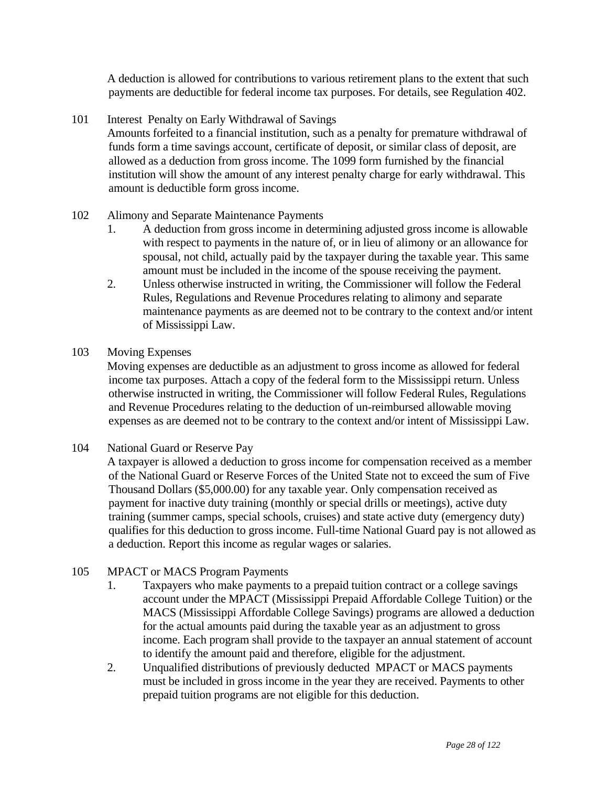A deduction is allowed for contributions to various retirement plans to the extent that such payments are deductible for federal income tax purposes. For details, see Regulation 402.

101 Interest Penalty on Early Withdrawal of Savings

 Amounts forfeited to a financial institution, such as a penalty for premature withdrawal of funds form a time savings account, certificate of deposit, or similar class of deposit, are allowed as a deduction from gross income. The 1099 form furnished by the financial institution will show the amount of any interest penalty charge for early withdrawal. This amount is deductible form gross income.

## 102 Alimony and Separate Maintenance Payments

- 1. A deduction from gross income in determining adjusted gross income is allowable with respect to payments in the nature of, or in lieu of alimony or an allowance for spousal, not child, actually paid by the taxpayer during the taxable year. This same amount must be included in the income of the spouse receiving the payment.
- 2. Unless otherwise instructed in writing, the Commissioner will follow the Federal Rules, Regulations and Revenue Procedures relating to alimony and separate maintenance payments as are deemed not to be contrary to the context and/or intent of Mississippi Law.

### 103 Moving Expenses

 Moving expenses are deductible as an adjustment to gross income as allowed for federal income tax purposes. Attach a copy of the federal form to the Mississippi return. Unless otherwise instructed in writing, the Commissioner will follow Federal Rules, Regulations and Revenue Procedures relating to the deduction of un-reimbursed allowable moving expenses as are deemed not to be contrary to the context and/or intent of Mississippi Law.

104 National Guard or Reserve Pay

 A taxpayer is allowed a deduction to gross income for compensation received as a member of the National Guard or Reserve Forces of the United State not to exceed the sum of Five Thousand Dollars (\$5,000.00) for any taxable year. Only compensation received as payment for inactive duty training (monthly or special drills or meetings), active duty training (summer camps, special schools, cruises) and state active duty (emergency duty) qualifies for this deduction to gross income. Full-time National Guard pay is not allowed as a deduction. Report this income as regular wages or salaries.

### 105 MPACT or MACS Program Payments

- 1. Taxpayers who make payments to a prepaid tuition contract or a college savings account under the MPACT (Mississippi Prepaid Affordable College Tuition) or the MACS (Mississippi Affordable College Savings) programs are allowed a deduction for the actual amounts paid during the taxable year as an adjustment to gross income. Each program shall provide to the taxpayer an annual statement of account to identify the amount paid and therefore, eligible for the adjustment.
- 2. Unqualified distributions of previously deducted MPACT or MACS payments must be included in gross income in the year they are received. Payments to other prepaid tuition programs are not eligible for this deduction.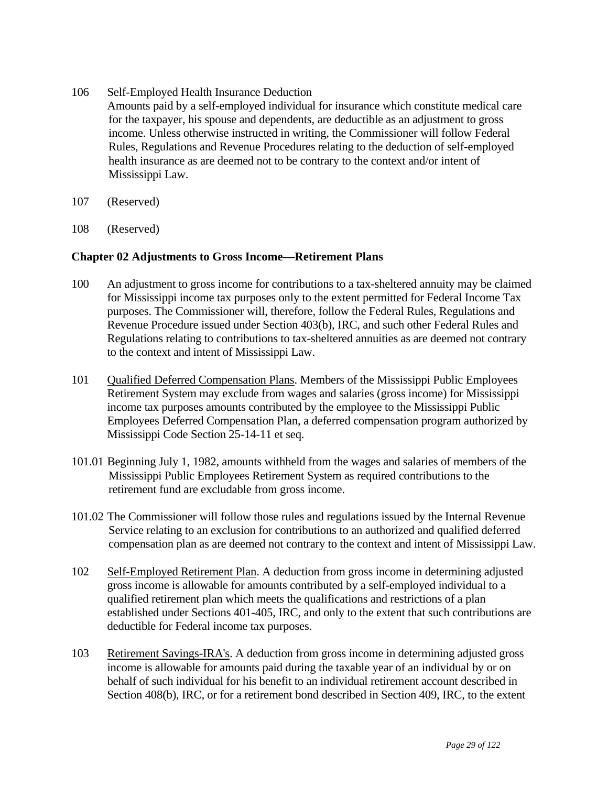- 106 Self-Employed Health Insurance Deduction Amounts paid by a self-employed individual for insurance which constitute medical care for the taxpayer, his spouse and dependents, are deductible as an adjustment to gross income. Unless otherwise instructed in writing, the Commissioner will follow Federal Rules, Regulations and Revenue Procedures relating to the deduction of self-employed health insurance as are deemed not to be contrary to the context and/or intent of Mississippi Law.
- 107 (Reserved)
- 108 (Reserved)

### **Chapter 02 Adjustments to Gross Income—Retirement Plans**

- 100 An adjustment to gross income for contributions to a tax-sheltered annuity may be claimed for Mississippi income tax purposes only to the extent permitted for Federal Income Tax purposes. The Commissioner will, therefore, follow the Federal Rules, Regulations and Revenue Procedure issued under Section 403(b), IRC, and such other Federal Rules and Regulations relating to contributions to tax-sheltered annuities as are deemed not contrary to the context and intent of Mississippi Law.
- 101 Qualified Deferred Compensation Plans. Members of the Mississippi Public Employees Retirement System may exclude from wages and salaries (gross income) for Mississippi income tax purposes amounts contributed by the employee to the Mississippi Public Employees Deferred Compensation Plan, a deferred compensation program authorized by Mississippi Code Section 25-14-11 et seq.
- 101.01 Beginning July 1, 1982, amounts withheld from the wages and salaries of members of the Mississippi Public Employees Retirement System as required contributions to the retirement fund are excludable from gross income.
- 101.02 The Commissioner will follow those rules and regulations issued by the Internal Revenue Service relating to an exclusion for contributions to an authorized and qualified deferred compensation plan as are deemed not contrary to the context and intent of Mississippi Law.
- 102 Self-Employed Retirement Plan. A deduction from gross income in determining adjusted gross income is allowable for amounts contributed by a self-employed individual to a qualified retirement plan which meets the qualifications and restrictions of a plan established under Sections 401-405, IRC, and only to the extent that such contributions are deductible for Federal income tax purposes.
- 103 Retirement Savings-IRA's. A deduction from gross income in determining adjusted gross income is allowable for amounts paid during the taxable year of an individual by or on behalf of such individual for his benefit to an individual retirement account described in Section 408(b), IRC, or for a retirement bond described in Section 409, IRC, to the extent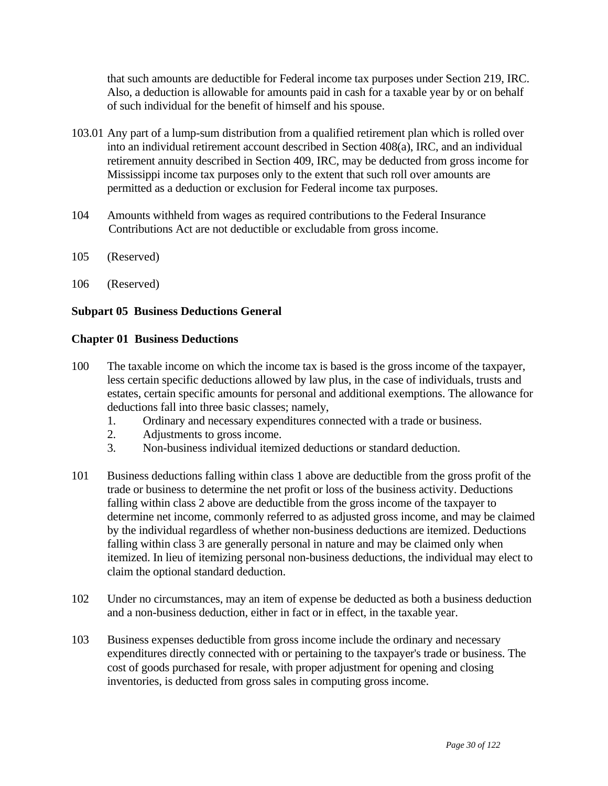that such amounts are deductible for Federal income tax purposes under Section 219, IRC. Also, a deduction is allowable for amounts paid in cash for a taxable year by or on behalf of such individual for the benefit of himself and his spouse.

- 103.01 Any part of a lump-sum distribution from a qualified retirement plan which is rolled over into an individual retirement account described in Section 408(a), IRC, and an individual retirement annuity described in Section 409, IRC, may be deducted from gross income for Mississippi income tax purposes only to the extent that such roll over amounts are permitted as a deduction or exclusion for Federal income tax purposes.
- 104 Amounts withheld from wages as required contributions to the Federal Insurance Contributions Act are not deductible or excludable from gross income.
- 105 (Reserved)
- 106 (Reserved)

## **Subpart 05 Business Deductions General**

### **Chapter 01 Business Deductions**

- 100 The taxable income on which the income tax is based is the gross income of the taxpayer, less certain specific deductions allowed by law plus, in the case of individuals, trusts and estates, certain specific amounts for personal and additional exemptions. The allowance for deductions fall into three basic classes; namely,
	- 1. Ordinary and necessary expenditures connected with a trade or business.
	- 2. Adjustments to gross income.
	- 3. Non-business individual itemized deductions or standard deduction.
- 101 Business deductions falling within class 1 above are deductible from the gross profit of the trade or business to determine the net profit or loss of the business activity. Deductions falling within class 2 above are deductible from the gross income of the taxpayer to determine net income, commonly referred to as adjusted gross income, and may be claimed by the individual regardless of whether non-business deductions are itemized. Deductions falling within class 3 are generally personal in nature and may be claimed only when itemized. In lieu of itemizing personal non-business deductions, the individual may elect to claim the optional standard deduction.
- 102 Under no circumstances, may an item of expense be deducted as both a business deduction and a non-business deduction, either in fact or in effect, in the taxable year.
- 103 Business expenses deductible from gross income include the ordinary and necessary expenditures directly connected with or pertaining to the taxpayer's trade or business. The cost of goods purchased for resale, with proper adjustment for opening and closing inventories, is deducted from gross sales in computing gross income.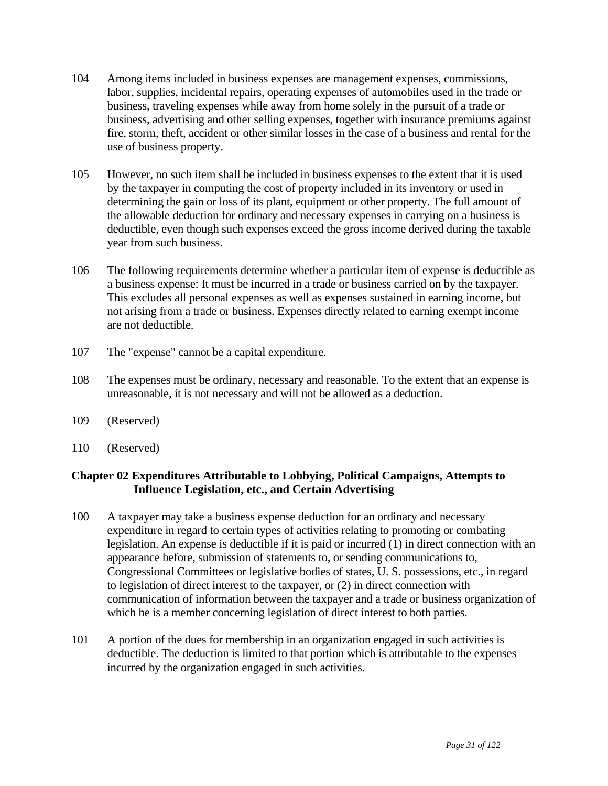- 104 Among items included in business expenses are management expenses, commissions, labor, supplies, incidental repairs, operating expenses of automobiles used in the trade or business, traveling expenses while away from home solely in the pursuit of a trade or business, advertising and other selling expenses, together with insurance premiums against fire, storm, theft, accident or other similar losses in the case of a business and rental for the use of business property.
- 105 However, no such item shall be included in business expenses to the extent that it is used by the taxpayer in computing the cost of property included in its inventory or used in determining the gain or loss of its plant, equipment or other property. The full amount of the allowable deduction for ordinary and necessary expenses in carrying on a business is deductible, even though such expenses exceed the gross income derived during the taxable year from such business.
- 106 The following requirements determine whether a particular item of expense is deductible as a business expense: It must be incurred in a trade or business carried on by the taxpayer. This excludes all personal expenses as well as expenses sustained in earning income, but not arising from a trade or business. Expenses directly related to earning exempt income are not deductible.
- 107 The "expense" cannot be a capital expenditure.
- 108 The expenses must be ordinary, necessary and reasonable. To the extent that an expense is unreasonable, it is not necessary and will not be allowed as a deduction.
- 109 (Reserved)
- 110 (Reserved)

# **Chapter 02 Expenditures Attributable to Lobbying, Political Campaigns, Attempts to Influence Legislation, etc., and Certain Advertising**

- 100 A taxpayer may take a business expense deduction for an ordinary and necessary expenditure in regard to certain types of activities relating to promoting or combating legislation. An expense is deductible if it is paid or incurred (1) in direct connection with an appearance before, submission of statements to, or sending communications to, Congressional Committees or legislative bodies of states, U. S. possessions, etc., in regard to legislation of direct interest to the taxpayer, or (2) in direct connection with communication of information between the taxpayer and a trade or business organization of which he is a member concerning legislation of direct interest to both parties.
- 101 A portion of the dues for membership in an organization engaged in such activities is deductible. The deduction is limited to that portion which is attributable to the expenses incurred by the organization engaged in such activities.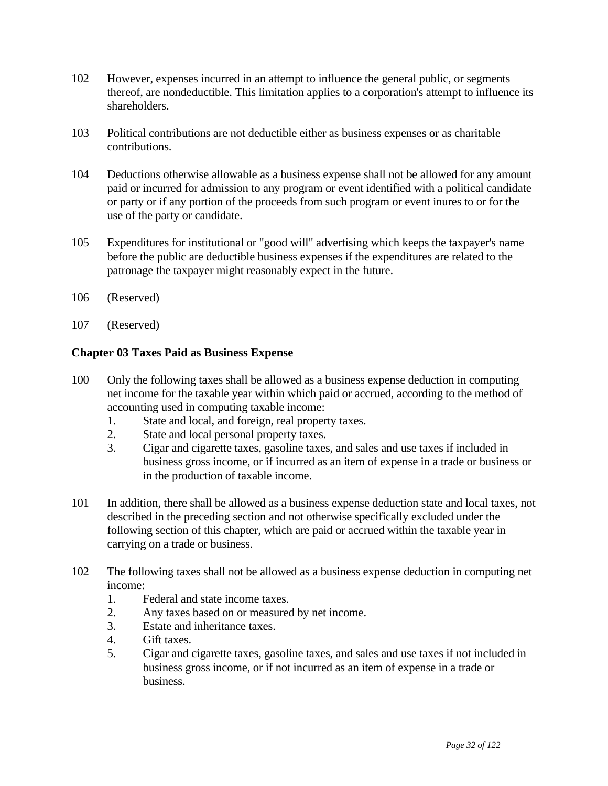- 102 However, expenses incurred in an attempt to influence the general public, or segments thereof, are nondeductible. This limitation applies to a corporation's attempt to influence its shareholders.
- 103 Political contributions are not deductible either as business expenses or as charitable contributions.
- 104 Deductions otherwise allowable as a business expense shall not be allowed for any amount paid or incurred for admission to any program or event identified with a political candidate or party or if any portion of the proceeds from such program or event inures to or for the use of the party or candidate.
- 105 Expenditures for institutional or "good will" advertising which keeps the taxpayer's name before the public are deductible business expenses if the expenditures are related to the patronage the taxpayer might reasonably expect in the future.
- 106 (Reserved)
- 107 (Reserved)

## **Chapter 03 Taxes Paid as Business Expense**

- 100 Only the following taxes shall be allowed as a business expense deduction in computing net income for the taxable year within which paid or accrued, according to the method of accounting used in computing taxable income:
	- 1. State and local, and foreign, real property taxes.
	- 2. State and local personal property taxes.
	- 3. Cigar and cigarette taxes, gasoline taxes, and sales and use taxes if included in business gross income, or if incurred as an item of expense in a trade or business or in the production of taxable income.
- 101 In addition, there shall be allowed as a business expense deduction state and local taxes, not described in the preceding section and not otherwise specifically excluded under the following section of this chapter, which are paid or accrued within the taxable year in carrying on a trade or business.
- 102 The following taxes shall not be allowed as a business expense deduction in computing net income:
	- 1. Federal and state income taxes.
	- 2. Any taxes based on or measured by net income.
	- 3. Estate and inheritance taxes.
	- 4. Gift taxes.
	- 5. Cigar and cigarette taxes, gasoline taxes, and sales and use taxes if not included in business gross income, or if not incurred as an item of expense in a trade or business.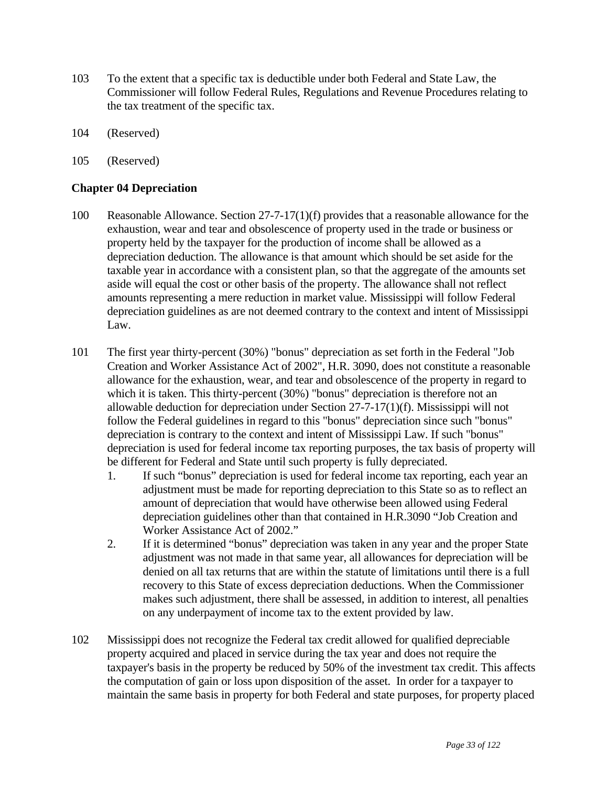- 103 To the extent that a specific tax is deductible under both Federal and State Law, the Commissioner will follow Federal Rules, Regulations and Revenue Procedures relating to the tax treatment of the specific tax.
- 104 (Reserved)
- 105 (Reserved)

## **Chapter 04 Depreciation**

- 100 Reasonable Allowance. Section 27-7-17(1)(f) provides that a reasonable allowance for the exhaustion, wear and tear and obsolescence of property used in the trade or business or property held by the taxpayer for the production of income shall be allowed as a depreciation deduction. The allowance is that amount which should be set aside for the taxable year in accordance with a consistent plan, so that the aggregate of the amounts set aside will equal the cost or other basis of the property. The allowance shall not reflect amounts representing a mere reduction in market value. Mississippi will follow Federal depreciation guidelines as are not deemed contrary to the context and intent of Mississippi Law.
- 101 The first year thirty-percent (30%) "bonus" depreciation as set forth in the Federal "Job Creation and Worker Assistance Act of 2002", H.R. 3090, does not constitute a reasonable allowance for the exhaustion, wear, and tear and obsolescence of the property in regard to which it is taken. This thirty-percent (30%) "bonus" depreciation is therefore not an allowable deduction for depreciation under Section 27-7-17(1)(f). Mississippi will not follow the Federal guidelines in regard to this "bonus" depreciation since such "bonus" depreciation is contrary to the context and intent of Mississippi Law. If such "bonus" depreciation is used for federal income tax reporting purposes, the tax basis of property will be different for Federal and State until such property is fully depreciated.
	- 1. If such "bonus" depreciation is used for federal income tax reporting, each year an adjustment must be made for reporting depreciation to this State so as to reflect an amount of depreciation that would have otherwise been allowed using Federal depreciation guidelines other than that contained in H.R.3090 "Job Creation and Worker Assistance Act of 2002."
	- 2. If it is determined "bonus" depreciation was taken in any year and the proper State adjustment was not made in that same year, all allowances for depreciation will be denied on all tax returns that are within the statute of limitations until there is a full recovery to this State of excess depreciation deductions. When the Commissioner makes such adjustment, there shall be assessed, in addition to interest, all penalties on any underpayment of income tax to the extent provided by law.
- 102 Mississippi does not recognize the Federal tax credit allowed for qualified depreciable property acquired and placed in service during the tax year and does not require the taxpayer's basis in the property be reduced by 50% of the investment tax credit. This affects the computation of gain or loss upon disposition of the asset. In order for a taxpayer to maintain the same basis in property for both Federal and state purposes, for property placed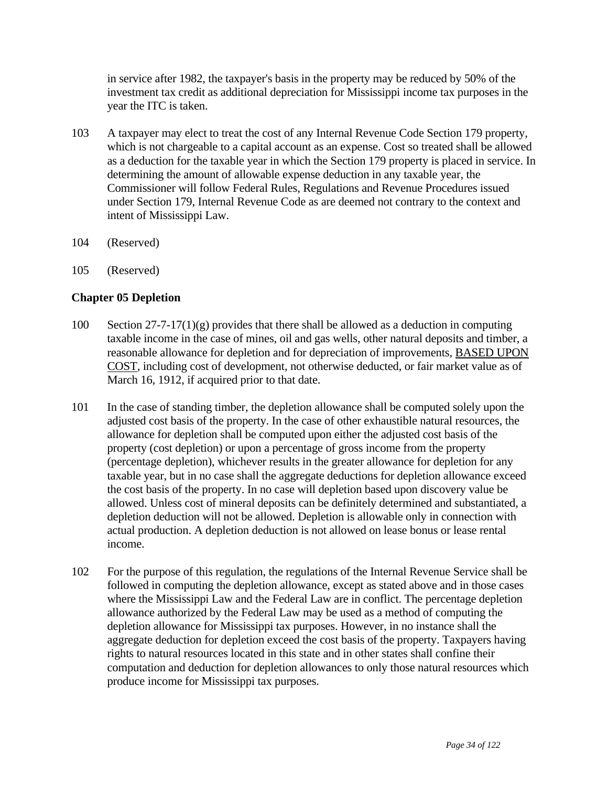in service after 1982, the taxpayer's basis in the property may be reduced by 50% of the investment tax credit as additional depreciation for Mississippi income tax purposes in the year the ITC is taken.

- 103 A taxpayer may elect to treat the cost of any Internal Revenue Code Section 179 property, which is not chargeable to a capital account as an expense. Cost so treated shall be allowed as a deduction for the taxable year in which the Section 179 property is placed in service. In determining the amount of allowable expense deduction in any taxable year, the Commissioner will follow Federal Rules, Regulations and Revenue Procedures issued under Section 179, Internal Revenue Code as are deemed not contrary to the context and intent of Mississippi Law.
- 104 (Reserved)
- 105 (Reserved)

## **Chapter 05 Depletion**

- 100 Section 27-7-17(1)(g) provides that there shall be allowed as a deduction in computing taxable income in the case of mines, oil and gas wells, other natural deposits and timber, a reasonable allowance for depletion and for depreciation of improvements, BASED UPON COST, including cost of development, not otherwise deducted, or fair market value as of March 16, 1912, if acquired prior to that date.
- 101 In the case of standing timber, the depletion allowance shall be computed solely upon the adjusted cost basis of the property. In the case of other exhaustible natural resources, the allowance for depletion shall be computed upon either the adjusted cost basis of the property (cost depletion) or upon a percentage of gross income from the property (percentage depletion), whichever results in the greater allowance for depletion for any taxable year, but in no case shall the aggregate deductions for depletion allowance exceed the cost basis of the property. In no case will depletion based upon discovery value be allowed. Unless cost of mineral deposits can be definitely determined and substantiated, a depletion deduction will not be allowed. Depletion is allowable only in connection with actual production. A depletion deduction is not allowed on lease bonus or lease rental income.
- 102 For the purpose of this regulation, the regulations of the Internal Revenue Service shall be followed in computing the depletion allowance, except as stated above and in those cases where the Mississippi Law and the Federal Law are in conflict. The percentage depletion allowance authorized by the Federal Law may be used as a method of computing the depletion allowance for Mississippi tax purposes. However, in no instance shall the aggregate deduction for depletion exceed the cost basis of the property. Taxpayers having rights to natural resources located in this state and in other states shall confine their computation and deduction for depletion allowances to only those natural resources which produce income for Mississippi tax purposes.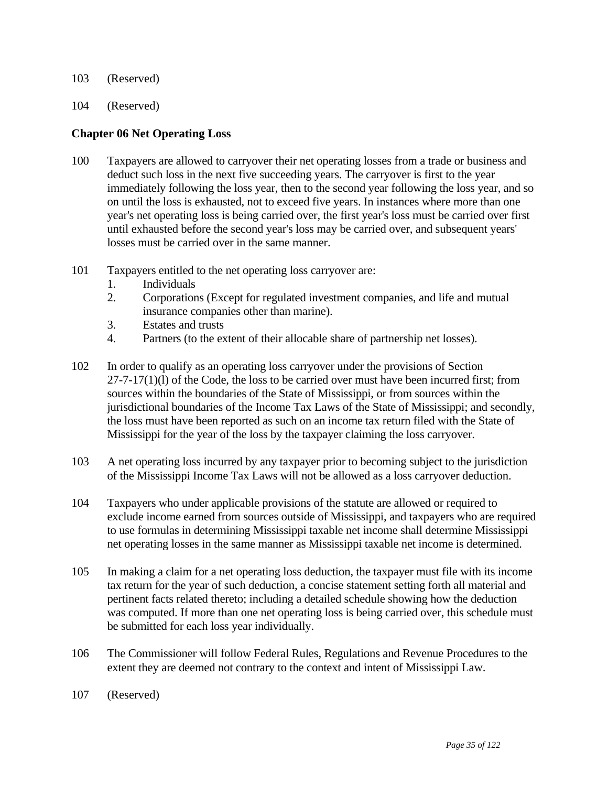- 103 (Reserved)
- 104 (Reserved)

#### **Chapter 06 Net Operating Loss**

- 100 Taxpayers are allowed to carryover their net operating losses from a trade or business and deduct such loss in the next five succeeding years. The carryover is first to the year immediately following the loss year, then to the second year following the loss year, and so on until the loss is exhausted, not to exceed five years. In instances where more than one year's net operating loss is being carried over, the first year's loss must be carried over first until exhausted before the second year's loss may be carried over, and subsequent years' losses must be carried over in the same manner.
- 101 Taxpayers entitled to the net operating loss carryover are:
	- 1. Individuals
	- 2. Corporations (Except for regulated investment companies, and life and mutual insurance companies other than marine).
	- 3. Estates and trusts
	- 4. Partners (to the extent of their allocable share of partnership net losses).
- 102 In order to qualify as an operating loss carryover under the provisions of Section  $27-7-17(1)(1)$  of the Code, the loss to be carried over must have been incurred first; from sources within the boundaries of the State of Mississippi, or from sources within the jurisdictional boundaries of the Income Tax Laws of the State of Mississippi; and secondly, the loss must have been reported as such on an income tax return filed with the State of Mississippi for the year of the loss by the taxpayer claiming the loss carryover.
- 103 A net operating loss incurred by any taxpayer prior to becoming subject to the jurisdiction of the Mississippi Income Tax Laws will not be allowed as a loss carryover deduction.
- 104 Taxpayers who under applicable provisions of the statute are allowed or required to exclude income earned from sources outside of Mississippi, and taxpayers who are required to use formulas in determining Mississippi taxable net income shall determine Mississippi net operating losses in the same manner as Mississippi taxable net income is determined.
- 105 In making a claim for a net operating loss deduction, the taxpayer must file with its income tax return for the year of such deduction, a concise statement setting forth all material and pertinent facts related thereto; including a detailed schedule showing how the deduction was computed. If more than one net operating loss is being carried over, this schedule must be submitted for each loss year individually.
- 106 The Commissioner will follow Federal Rules, Regulations and Revenue Procedures to the extent they are deemed not contrary to the context and intent of Mississippi Law.
- 107 (Reserved)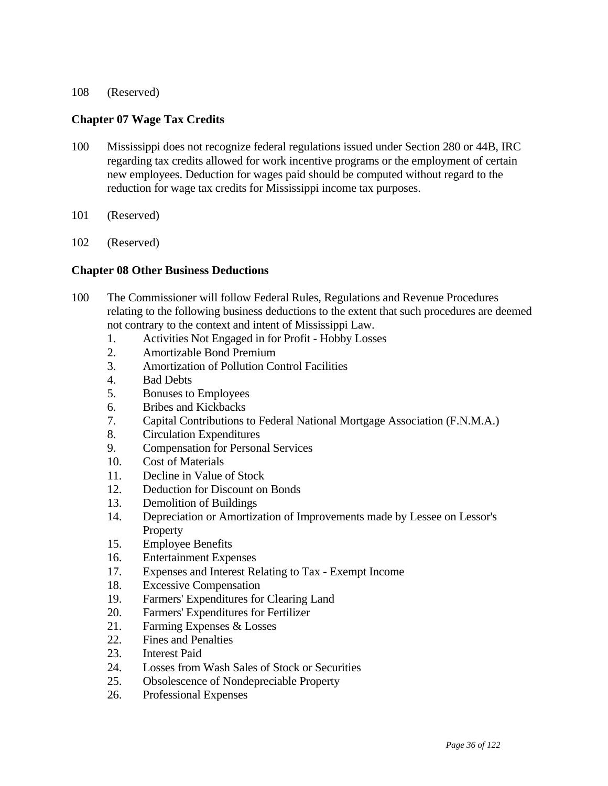#### 108 (Reserved)

## **Chapter 07 Wage Tax Credits**

- 100 Mississippi does not recognize federal regulations issued under Section 280 or 44B, IRC regarding tax credits allowed for work incentive programs or the employment of certain new employees. Deduction for wages paid should be computed without regard to the reduction for wage tax credits for Mississippi income tax purposes.
- 101 (Reserved)
- 102 (Reserved)

#### **Chapter 08 Other Business Deductions**

- 100 The Commissioner will follow Federal Rules, Regulations and Revenue Procedures relating to the following business deductions to the extent that such procedures are deemed not contrary to the context and intent of Mississippi Law.
	- 1. Activities Not Engaged in for Profit Hobby Losses
	- 2. Amortizable Bond Premium
	- 3. Amortization of Pollution Control Facilities
	- 4. Bad Debts
	- 5. Bonuses to Employees
	- 6. Bribes and Kickbacks
	- 7. Capital Contributions to Federal National Mortgage Association (F.N.M.A.)
	- 8. Circulation Expenditures
	- 9. Compensation for Personal Services
	- 10. Cost of Materials
	- 11. Decline in Value of Stock
	- 12. Deduction for Discount on Bonds
	- 13. Demolition of Buildings
	- 14. Depreciation or Amortization of Improvements made by Lessee on Lessor's Property
	- 15. Employee Benefits
	- 16. Entertainment Expenses
	- 17. Expenses and Interest Relating to Tax Exempt Income
	- 18. Excessive Compensation
	- 19. Farmers' Expenditures for Clearing Land
	- 20. Farmers' Expenditures for Fertilizer
	- 21. Farming Expenses & Losses
	- 22. Fines and Penalties
	- 23. Interest Paid
	- 24. Losses from Wash Sales of Stock or Securities
	- 25. Obsolescence of Nondepreciable Property
	- 26. Professional Expenses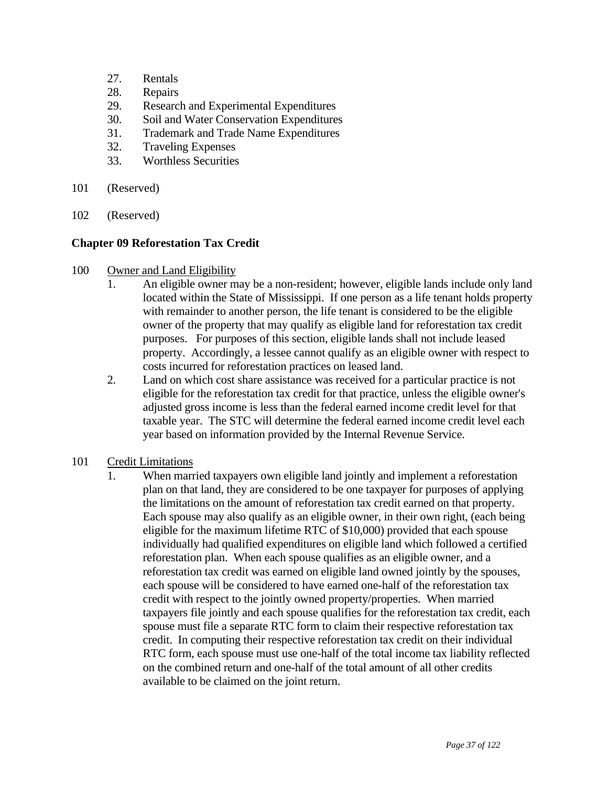- 27. Rentals
- 28. Repairs
- 29. Research and Experimental Expenditures
- 30. Soil and Water Conservation Expenditures
- 31. Trademark and Trade Name Expenditures
- 32. Traveling Expenses
- 33. Worthless Securities
- 101 (Reserved)
- 102 (Reserved)

### **Chapter 09 Reforestation Tax Credit**

- 100 Owner and Land Eligibility
	- 1. An eligible owner may be a non-resident; however, eligible lands include only land located within the State of Mississippi. If one person as a life tenant holds property with remainder to another person, the life tenant is considered to be the eligible owner of the property that may qualify as eligible land for reforestation tax credit purposes. For purposes of this section, eligible lands shall not include leased property. Accordingly, a lessee cannot qualify as an eligible owner with respect to costs incurred for reforestation practices on leased land.
	- 2. Land on which cost share assistance was received for a particular practice is not eligible for the reforestation tax credit for that practice, unless the eligible owner's adjusted gross income is less than the federal earned income credit level for that taxable year. The STC will determine the federal earned income credit level each year based on information provided by the Internal Revenue Service.
- 101 Credit Limitations
	- 1. When married taxpayers own eligible land jointly and implement a reforestation plan on that land, they are considered to be one taxpayer for purposes of applying the limitations on the amount of reforestation tax credit earned on that property. Each spouse may also qualify as an eligible owner, in their own right, (each being eligible for the maximum lifetime RTC of \$10,000) provided that each spouse individually had qualified expenditures on eligible land which followed a certified reforestation plan. When each spouse qualifies as an eligible owner, and a reforestation tax credit was earned on eligible land owned jointly by the spouses, each spouse will be considered to have earned one-half of the reforestation tax credit with respect to the jointly owned property/properties. When married taxpayers file jointly and each spouse qualifies for the reforestation tax credit, each spouse must file a separate RTC form to claim their respective reforestation tax credit. In computing their respective reforestation tax credit on their individual RTC form, each spouse must use one-half of the total income tax liability reflected on the combined return and one-half of the total amount of all other credits available to be claimed on the joint return.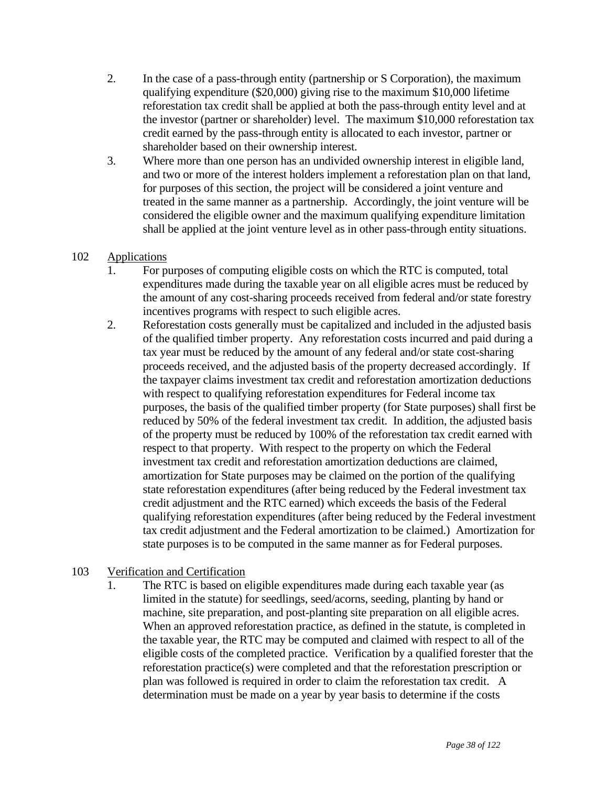- 2. In the case of a pass-through entity (partnership or S Corporation), the maximum qualifying expenditure (\$20,000) giving rise to the maximum \$10,000 lifetime reforestation tax credit shall be applied at both the pass-through entity level and at the investor (partner or shareholder) level. The maximum \$10,000 reforestation tax credit earned by the pass-through entity is allocated to each investor, partner or shareholder based on their ownership interest.
- 3. Where more than one person has an undivided ownership interest in eligible land, and two or more of the interest holders implement a reforestation plan on that land, for purposes of this section, the project will be considered a joint venture and treated in the same manner as a partnership. Accordingly, the joint venture will be considered the eligible owner and the maximum qualifying expenditure limitation shall be applied at the joint venture level as in other pass-through entity situations.

## 102 Applications

- 1. For purposes of computing eligible costs on which the RTC is computed, total expenditures made during the taxable year on all eligible acres must be reduced by the amount of any cost-sharing proceeds received from federal and/or state forestry incentives programs with respect to such eligible acres.
- 2. Reforestation costs generally must be capitalized and included in the adjusted basis of the qualified timber property. Any reforestation costs incurred and paid during a tax year must be reduced by the amount of any federal and/or state cost-sharing proceeds received, and the adjusted basis of the property decreased accordingly. If the taxpayer claims investment tax credit and reforestation amortization deductions with respect to qualifying reforestation expenditures for Federal income tax purposes, the basis of the qualified timber property (for State purposes) shall first be reduced by 50% of the federal investment tax credit. In addition, the adjusted basis of the property must be reduced by 100% of the reforestation tax credit earned with respect to that property. With respect to the property on which the Federal investment tax credit and reforestation amortization deductions are claimed, amortization for State purposes may be claimed on the portion of the qualifying state reforestation expenditures (after being reduced by the Federal investment tax credit adjustment and the RTC earned) which exceeds the basis of the Federal qualifying reforestation expenditures (after being reduced by the Federal investment tax credit adjustment and the Federal amortization to be claimed.) Amortization for state purposes is to be computed in the same manner as for Federal purposes.

# 103 Verification and Certification

 1. The RTC is based on eligible expenditures made during each taxable year (as limited in the statute) for seedlings, seed/acorns, seeding, planting by hand or machine, site preparation, and post-planting site preparation on all eligible acres. When an approved reforestation practice, as defined in the statute, is completed in the taxable year, the RTC may be computed and claimed with respect to all of the eligible costs of the completed practice. Verification by a qualified forester that the reforestation practice(s) were completed and that the reforestation prescription or plan was followed is required in order to claim the reforestation tax credit. A determination must be made on a year by year basis to determine if the costs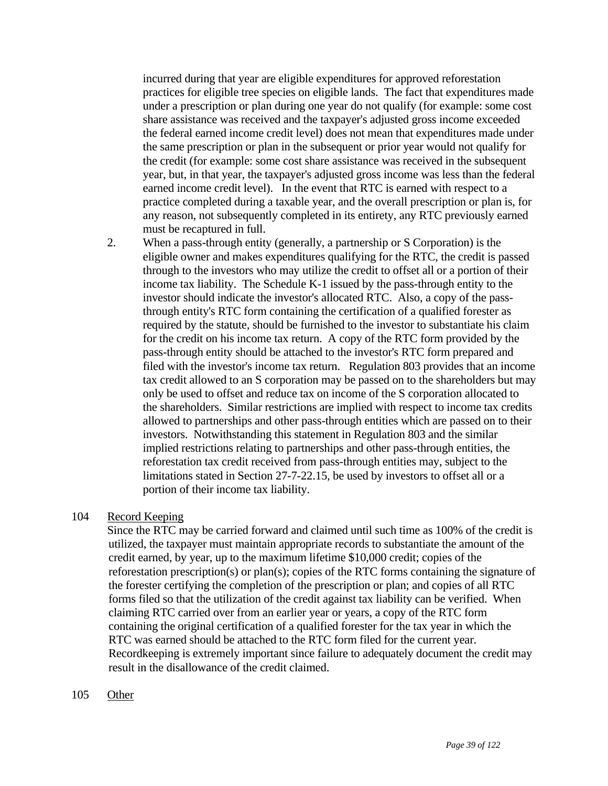incurred during that year are eligible expenditures for approved reforestation practices for eligible tree species on eligible lands. The fact that expenditures made under a prescription or plan during one year do not qualify (for example: some cost share assistance was received and the taxpayer's adjusted gross income exceeded the federal earned income credit level) does not mean that expenditures made under the same prescription or plan in the subsequent or prior year would not qualify for the credit (for example: some cost share assistance was received in the subsequent year, but, in that year, the taxpayer's adjusted gross income was less than the federal earned income credit level). In the event that RTC is earned with respect to a practice completed during a taxable year, and the overall prescription or plan is, for any reason, not subsequently completed in its entirety, any RTC previously earned must be recaptured in full.

 2. When a pass-through entity (generally, a partnership or S Corporation) is the eligible owner and makes expenditures qualifying for the RTC, the credit is passed through to the investors who may utilize the credit to offset all or a portion of their income tax liability. The Schedule K-1 issued by the pass-through entity to the investor should indicate the investor's allocated RTC. Also, a copy of the passthrough entity's RTC form containing the certification of a qualified forester as required by the statute, should be furnished to the investor to substantiate his claim for the credit on his income tax return. A copy of the RTC form provided by the pass-through entity should be attached to the investor's RTC form prepared and filed with the investor's income tax return. Regulation 803 provides that an income tax credit allowed to an S corporation may be passed on to the shareholders but may only be used to offset and reduce tax on income of the S corporation allocated to the shareholders. Similar restrictions are implied with respect to income tax credits allowed to partnerships and other pass-through entities which are passed on to their investors. Notwithstanding this statement in Regulation 803 and the similar implied restrictions relating to partnerships and other pass-through entities, the reforestation tax credit received from pass-through entities may, subject to the limitations stated in Section 27-7-22.15, be used by investors to offset all or a portion of their income tax liability.

### 104 Record Keeping

 Since the RTC may be carried forward and claimed until such time as 100% of the credit is utilized, the taxpayer must maintain appropriate records to substantiate the amount of the credit earned, by year, up to the maximum lifetime \$10,000 credit; copies of the reforestation prescription(s) or plan(s); copies of the RTC forms containing the signature of the forester certifying the completion of the prescription or plan; and copies of all RTC forms filed so that the utilization of the credit against tax liability can be verified. When claiming RTC carried over from an earlier year or years, a copy of the RTC form containing the original certification of a qualified forester for the tax year in which the RTC was earned should be attached to the RTC form filed for the current year. Recordkeeping is extremely important since failure to adequately document the credit may result in the disallowance of the credit claimed.

105 Other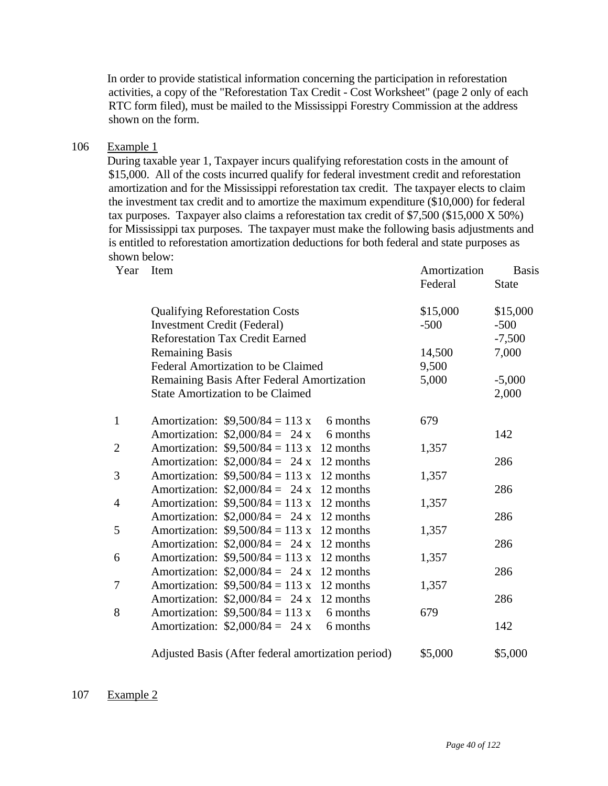In order to provide statistical information concerning the participation in reforestation activities, a copy of the "Reforestation Tax Credit - Cost Worksheet" (page 2 only of each RTC form filed), must be mailed to the Mississippi Forestry Commission at the address shown on the form.

## 106 Example 1

 During taxable year 1, Taxpayer incurs qualifying reforestation costs in the amount of \$15,000. All of the costs incurred qualify for federal investment credit and reforestation amortization and for the Mississippi reforestation tax credit. The taxpayer elects to claim the investment tax credit and to amortize the maximum expenditure (\$10,000) for federal tax purposes. Taxpayer also claims a reforestation tax credit of \$7,500 (\$15,000 X 50%) for Mississippi tax purposes. The taxpayer must make the following basis adjustments and is entitled to reforestation amortization deductions for both federal and state purposes as shown below:<br>Veary Hem

| Year           | Item                                                |           | Amortization<br>Federal | <b>Basis</b><br><b>State</b> |
|----------------|-----------------------------------------------------|-----------|-------------------------|------------------------------|
|                | <b>Qualifying Reforestation Costs</b>               |           | \$15,000                | \$15,000                     |
|                | <b>Investment Credit (Federal)</b>                  |           | $-500$                  | $-500$                       |
|                | <b>Reforestation Tax Credit Earned</b>              |           |                         | $-7,500$                     |
|                | <b>Remaining Basis</b>                              |           | 14,500                  | 7,000                        |
|                | Federal Amortization to be Claimed                  |           | 9,500                   |                              |
|                | Remaining Basis After Federal Amortization          |           | 5,000                   | $-5,000$                     |
|                | <b>State Amortization to be Claimed</b>             |           |                         | 2,000                        |
| $\mathbf{1}$   | Amortization: $$9,500/84 = 113 \text{ x}$           | 6 months  | 679                     |                              |
|                | Amortization: $$2,000/84 = 24 x$                    | 6 months  |                         | 142                          |
| $\overline{c}$ | Amortization: $$9,500/84 = 113 \text{ x}$ 12 months |           | 1,357                   |                              |
|                | Amortization: $$2,000/84 = 24 \times 12$ months     |           |                         | 286                          |
| 3              | Amortization: $$9,500/84 = 113 \text{ x}$ 12 months |           | 1,357                   |                              |
|                | Amortization: $$2,000/84 = 24 x$                    | 12 months |                         | 286                          |
| 4              | Amortization: $$9,500/84 = 113 \text{ x}$ 12 months |           | 1,357                   |                              |
|                | Amortization: $$2,000/84 = 24 x$                    | 12 months |                         | 286                          |
| 5              | Amortization: $$9,500/84 = 113 \text{ x}$           | 12 months | 1,357                   |                              |
|                | Amortization: $$2,000/84 = 24 \times 12$ months     |           |                         | 286                          |
| 6              | Amortization: $$9,500/84 = 113 \text{ x}$ 12 months |           | 1,357                   |                              |
|                | Amortization: $$2,000/84 = 24 \times 12$ months     |           |                         | 286                          |
| 7              | Amortization: $$9,500/84 = 113 \text{ x}$ 12 months |           | 1,357                   |                              |
|                | Amortization: $$2,000/84 = 24 \times 12$ months     |           |                         | 286                          |
| 8              | Amortization: $$9,500/84 = 113$ x 6 months          |           | 679                     |                              |
|                | Amortization: $$2,000/84 = 24 x$                    | 6 months  |                         | 142                          |
|                | Adjusted Basis (After federal amortization period)  |           | \$5,000                 | \$5,000                      |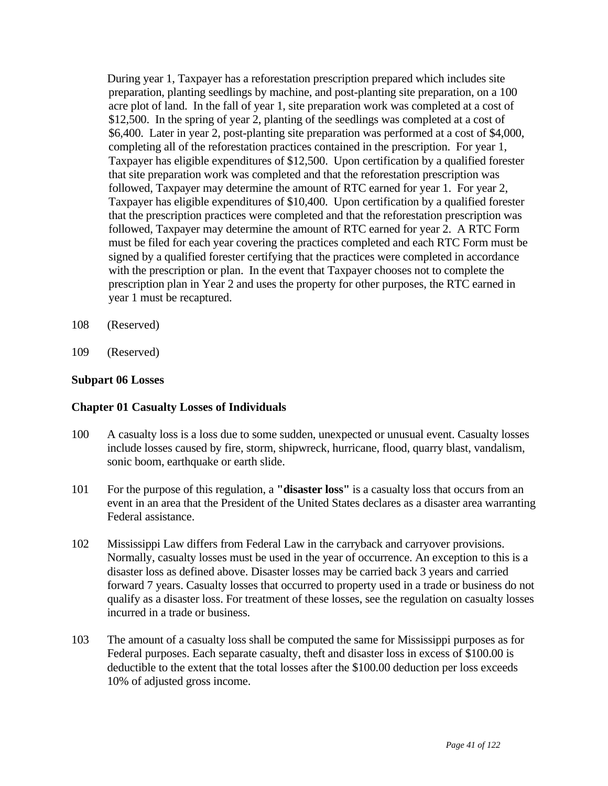During year 1, Taxpayer has a reforestation prescription prepared which includes site preparation, planting seedlings by machine, and post-planting site preparation, on a 100 acre plot of land. In the fall of year 1, site preparation work was completed at a cost of \$12,500. In the spring of year 2, planting of the seedlings was completed at a cost of \$6,400. Later in year 2, post-planting site preparation was performed at a cost of \$4,000, completing all of the reforestation practices contained in the prescription. For year 1, Taxpayer has eligible expenditures of \$12,500. Upon certification by a qualified forester that site preparation work was completed and that the reforestation prescription was followed, Taxpayer may determine the amount of RTC earned for year 1. For year 2, Taxpayer has eligible expenditures of \$10,400. Upon certification by a qualified forester that the prescription practices were completed and that the reforestation prescription was followed, Taxpayer may determine the amount of RTC earned for year 2. A RTC Form must be filed for each year covering the practices completed and each RTC Form must be signed by a qualified forester certifying that the practices were completed in accordance with the prescription or plan. In the event that Taxpayer chooses not to complete the prescription plan in Year 2 and uses the property for other purposes, the RTC earned in year 1 must be recaptured.

- 108 (Reserved)
- 109 (Reserved)

#### **Subpart 06 Losses**

#### **Chapter 01 Casualty Losses of Individuals**

- 100 A casualty loss is a loss due to some sudden, unexpected or unusual event. Casualty losses include losses caused by fire, storm, shipwreck, hurricane, flood, quarry blast, vandalism, sonic boom, earthquake or earth slide.
- 101 For the purpose of this regulation, a **"disaster loss"** is a casualty loss that occurs from an event in an area that the President of the United States declares as a disaster area warranting Federal assistance.
- 102 Mississippi Law differs from Federal Law in the carryback and carryover provisions. Normally, casualty losses must be used in the year of occurrence. An exception to this is a disaster loss as defined above. Disaster losses may be carried back 3 years and carried forward 7 years. Casualty losses that occurred to property used in a trade or business do not qualify as a disaster loss. For treatment of these losses, see the regulation on casualty losses incurred in a trade or business.
- 103 The amount of a casualty loss shall be computed the same for Mississippi purposes as for Federal purposes. Each separate casualty, theft and disaster loss in excess of \$100.00 is deductible to the extent that the total losses after the \$100.00 deduction per loss exceeds 10% of adjusted gross income.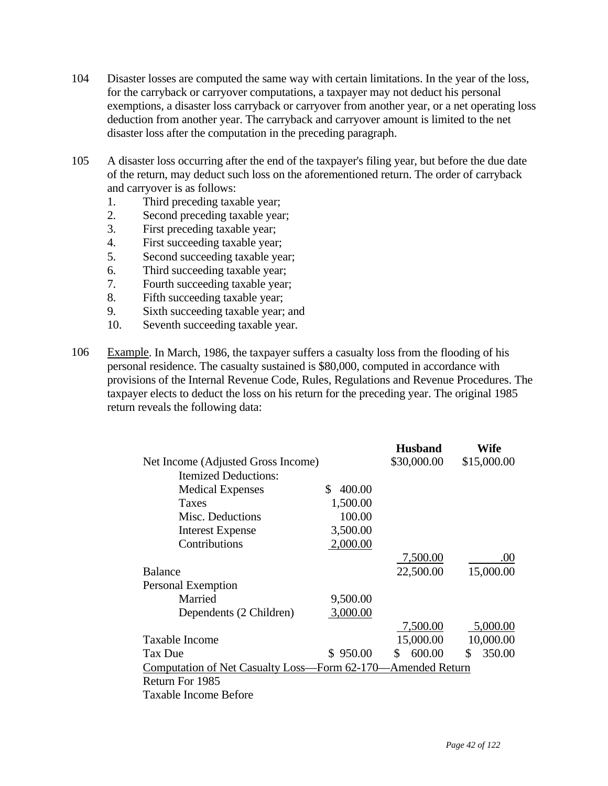- 104 Disaster losses are computed the same way with certain limitations. In the year of the loss, for the carryback or carryover computations, a taxpayer may not deduct his personal exemptions, a disaster loss carryback or carryover from another year, or a net operating loss deduction from another year. The carryback and carryover amount is limited to the net disaster loss after the computation in the preceding paragraph.
- 105 A disaster loss occurring after the end of the taxpayer's filing year, but before the due date of the return, may deduct such loss on the aforementioned return. The order of carryback and carryover is as follows:
	- 1. Third preceding taxable year;
	- 2. Second preceding taxable year;
	- 3. First preceding taxable year;
	- 4. First succeeding taxable year;
	- 5. Second succeeding taxable year;
	- 6. Third succeeding taxable year;
	- 7. Fourth succeeding taxable year;
	- 8. Fifth succeeding taxable year;
	- 9. Sixth succeeding taxable year; and
	- 10. Seventh succeeding taxable year.
- 106 Example. In March, 1986, the taxpayer suffers a casualty loss from the flooding of his personal residence. The casualty sustained is \$80,000, computed in accordance with provisions of the Internal Revenue Code, Rules, Regulations and Revenue Procedures. The taxpayer elects to deduct the loss on his return for the preceding year. The original 1985 return reveals the following data:

|                                    |                                                             | <b>Husband</b> | Wife          |  |  |  |
|------------------------------------|-------------------------------------------------------------|----------------|---------------|--|--|--|
| Net Income (Adjusted Gross Income) |                                                             | \$30,000.00    | \$15,000.00   |  |  |  |
| <b>Itemized Deductions:</b>        |                                                             |                |               |  |  |  |
| <b>Medical Expenses</b>            | 400.00<br>\$.                                               |                |               |  |  |  |
| Taxes                              | 1,500.00                                                    |                |               |  |  |  |
| Misc. Deductions                   | 100.00                                                      |                |               |  |  |  |
| <b>Interest Expense</b>            | 3,500.00                                                    |                |               |  |  |  |
| Contributions                      | 2,000.00                                                    |                |               |  |  |  |
|                                    |                                                             | 7,500.00       | .00.          |  |  |  |
| <b>Balance</b>                     |                                                             | 22,500.00      | 15,000.00     |  |  |  |
| Personal Exemption                 |                                                             |                |               |  |  |  |
| Married                            | 9,500.00                                                    |                |               |  |  |  |
| Dependents (2 Children)            | 3,000.00                                                    |                |               |  |  |  |
|                                    |                                                             | 7,500.00       | 5,000.00      |  |  |  |
| Taxable Income                     |                                                             | 15,000.00      | 10,000.00     |  |  |  |
| Tax Due                            | \$950.00                                                    | 600.00<br>\$.  | 350.00<br>\$. |  |  |  |
|                                    | Computation of Net Casualty Loss-Form 62-170-Amended Return |                |               |  |  |  |
| Return For 1985                    |                                                             |                |               |  |  |  |
| <b>Taxable Income Before</b>       |                                                             |                |               |  |  |  |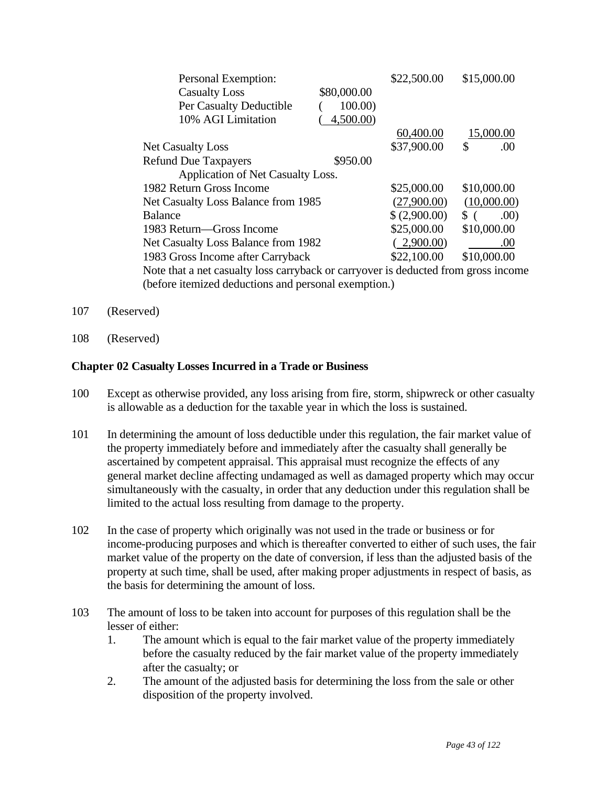| Personal Exemption:                                                               |             | \$22,500.00  | \$15,000.00            |
|-----------------------------------------------------------------------------------|-------------|--------------|------------------------|
| <b>Casualty Loss</b>                                                              | \$80,000.00 |              |                        |
| Per Casualty Deductible                                                           | 100.00      |              |                        |
| 10% AGI Limitation                                                                | 4,500.00    |              |                        |
|                                                                                   |             | 60,400.00    | 15,000.00              |
| <b>Net Casualty Loss</b>                                                          |             | \$37,900.00  | \$<br>.00              |
| <b>Refund Due Taxpayers</b>                                                       | \$950.00    |              |                        |
| Application of Net Casualty Loss.                                                 |             |              |                        |
| 1982 Return Gross Income                                                          |             | \$25,000.00  | \$10,000.00            |
| Net Casualty Loss Balance from 1985                                               |             | (27,900.00)  | (10,000.00)            |
| <b>Balance</b>                                                                    |             | \$(2,900.00) | .00)<br>$\mathbb{S}$ ( |
| 1983 Return—Gross Income                                                          |             | \$25,000.00  | \$10,000.00            |
| Net Casualty Loss Balance from 1982                                               |             | 2,900.00     | .00                    |
| 1983 Gross Income after Carryback                                                 |             | \$22,100.00  | \$10,000.00            |
| Note that a net casualty loss carryback or carryover is deducted from gross incom |             |              |                        |

 Note that a net casualty loss carryback or carryover is deducted from gross income (before itemized deductions and personal exemption.)

- 107 (Reserved)
- 108 (Reserved)

### **Chapter 02 Casualty Losses Incurred in a Trade or Business**

- 100 Except as otherwise provided, any loss arising from fire, storm, shipwreck or other casualty is allowable as a deduction for the taxable year in which the loss is sustained.
- 101 In determining the amount of loss deductible under this regulation, the fair market value of the property immediately before and immediately after the casualty shall generally be ascertained by competent appraisal. This appraisal must recognize the effects of any general market decline affecting undamaged as well as damaged property which may occur simultaneously with the casualty, in order that any deduction under this regulation shall be limited to the actual loss resulting from damage to the property.
- 102 In the case of property which originally was not used in the trade or business or for income-producing purposes and which is thereafter converted to either of such uses, the fair market value of the property on the date of conversion, if less than the adjusted basis of the property at such time, shall be used, after making proper adjustments in respect of basis, as the basis for determining the amount of loss.
- 103 The amount of loss to be taken into account for purposes of this regulation shall be the lesser of either:
	- 1. The amount which is equal to the fair market value of the property immediately before the casualty reduced by the fair market value of the property immediately after the casualty; or
	- 2. The amount of the adjusted basis for determining the loss from the sale or other disposition of the property involved.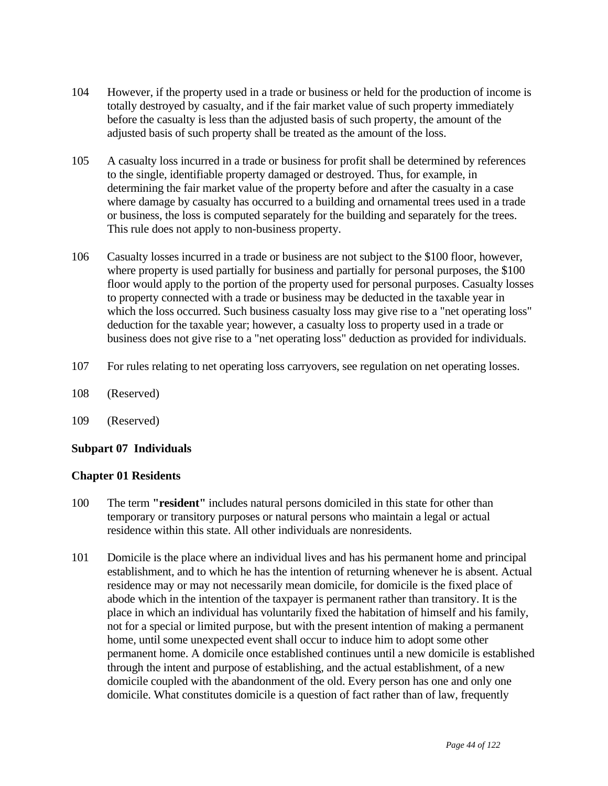- 104 However, if the property used in a trade or business or held for the production of income is totally destroyed by casualty, and if the fair market value of such property immediately before the casualty is less than the adjusted basis of such property, the amount of the adjusted basis of such property shall be treated as the amount of the loss.
- 105 A casualty loss incurred in a trade or business for profit shall be determined by references to the single, identifiable property damaged or destroyed. Thus, for example, in determining the fair market value of the property before and after the casualty in a case where damage by casualty has occurred to a building and ornamental trees used in a trade or business, the loss is computed separately for the building and separately for the trees. This rule does not apply to non-business property.
- 106 Casualty losses incurred in a trade or business are not subject to the \$100 floor, however, where property is used partially for business and partially for personal purposes, the \$100 floor would apply to the portion of the property used for personal purposes. Casualty losses to property connected with a trade or business may be deducted in the taxable year in which the loss occurred. Such business casualty loss may give rise to a "net operating loss" deduction for the taxable year; however, a casualty loss to property used in a trade or business does not give rise to a "net operating loss" deduction as provided for individuals.
- 107 For rules relating to net operating loss carryovers, see regulation on net operating losses.
- 108 (Reserved)
- 109 (Reserved)

# **Subpart 07 Individuals**

### **Chapter 01 Residents**

- 100 The term **"resident"** includes natural persons domiciled in this state for other than temporary or transitory purposes or natural persons who maintain a legal or actual residence within this state. All other individuals are nonresidents.
- 101 Domicile is the place where an individual lives and has his permanent home and principal establishment, and to which he has the intention of returning whenever he is absent. Actual residence may or may not necessarily mean domicile, for domicile is the fixed place of abode which in the intention of the taxpayer is permanent rather than transitory. It is the place in which an individual has voluntarily fixed the habitation of himself and his family, not for a special or limited purpose, but with the present intention of making a permanent home, until some unexpected event shall occur to induce him to adopt some other permanent home. A domicile once established continues until a new domicile is established through the intent and purpose of establishing, and the actual establishment, of a new domicile coupled with the abandonment of the old. Every person has one and only one domicile. What constitutes domicile is a question of fact rather than of law, frequently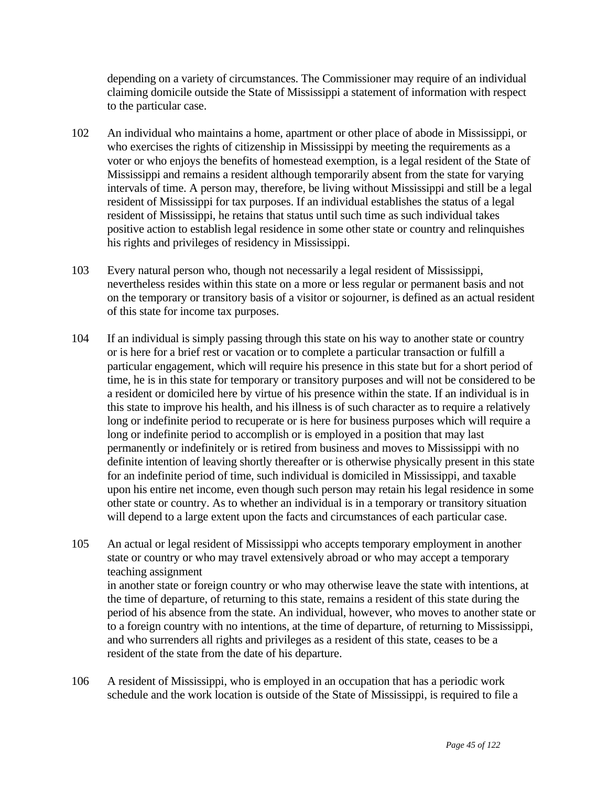depending on a variety of circumstances. The Commissioner may require of an individual claiming domicile outside the State of Mississippi a statement of information with respect to the particular case.

- 102 An individual who maintains a home, apartment or other place of abode in Mississippi, or who exercises the rights of citizenship in Mississippi by meeting the requirements as a voter or who enjoys the benefits of homestead exemption, is a legal resident of the State of Mississippi and remains a resident although temporarily absent from the state for varying intervals of time. A person may, therefore, be living without Mississippi and still be a legal resident of Mississippi for tax purposes. If an individual establishes the status of a legal resident of Mississippi, he retains that status until such time as such individual takes positive action to establish legal residence in some other state or country and relinquishes his rights and privileges of residency in Mississippi.
- 103 Every natural person who, though not necessarily a legal resident of Mississippi, nevertheless resides within this state on a more or less regular or permanent basis and not on the temporary or transitory basis of a visitor or sojourner, is defined as an actual resident of this state for income tax purposes.
- 104 If an individual is simply passing through this state on his way to another state or country or is here for a brief rest or vacation or to complete a particular transaction or fulfill a particular engagement, which will require his presence in this state but for a short period of time, he is in this state for temporary or transitory purposes and will not be considered to be a resident or domiciled here by virtue of his presence within the state. If an individual is in this state to improve his health, and his illness is of such character as to require a relatively long or indefinite period to recuperate or is here for business purposes which will require a long or indefinite period to accomplish or is employed in a position that may last permanently or indefinitely or is retired from business and moves to Mississippi with no definite intention of leaving shortly thereafter or is otherwise physically present in this state for an indefinite period of time, such individual is domiciled in Mississippi, and taxable upon his entire net income, even though such person may retain his legal residence in some other state or country. As to whether an individual is in a temporary or transitory situation will depend to a large extent upon the facts and circumstances of each particular case.
- 105 An actual or legal resident of Mississippi who accepts temporary employment in another state or country or who may travel extensively abroad or who may accept a temporary teaching assignment in another state or foreign country or who may otherwise leave the state with intentions, at the time of departure, of returning to this state, remains a resident of this state during the period of his absence from the state. An individual, however, who moves to another state or to a foreign country with no intentions, at the time of departure, of returning to Mississippi, and who surrenders all rights and privileges as a resident of this state, ceases to be a resident of the state from the date of his departure.
- 106 A resident of Mississippi, who is employed in an occupation that has a periodic work schedule and the work location is outside of the State of Mississippi, is required to file a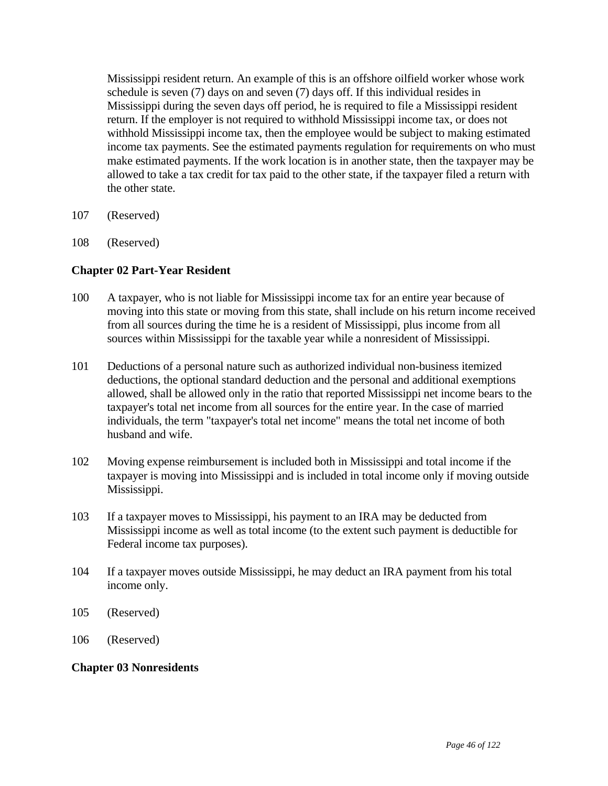Mississippi resident return. An example of this is an offshore oilfield worker whose work schedule is seven (7) days on and seven (7) days off. If this individual resides in Mississippi during the seven days off period, he is required to file a Mississippi resident return. If the employer is not required to withhold Mississippi income tax, or does not withhold Mississippi income tax, then the employee would be subject to making estimated income tax payments. See the estimated payments regulation for requirements on who must make estimated payments. If the work location is in another state, then the taxpayer may be allowed to take a tax credit for tax paid to the other state, if the taxpayer filed a return with the other state.

- 107 (Reserved)
- 108 (Reserved)

### **Chapter 02 Part-Year Resident**

- 100 A taxpayer, who is not liable for Mississippi income tax for an entire year because of moving into this state or moving from this state, shall include on his return income received from all sources during the time he is a resident of Mississippi, plus income from all sources within Mississippi for the taxable year while a nonresident of Mississippi.
- 101 Deductions of a personal nature such as authorized individual non-business itemized deductions, the optional standard deduction and the personal and additional exemptions allowed, shall be allowed only in the ratio that reported Mississippi net income bears to the taxpayer's total net income from all sources for the entire year. In the case of married individuals, the term "taxpayer's total net income" means the total net income of both husband and wife.
- 102 Moving expense reimbursement is included both in Mississippi and total income if the taxpayer is moving into Mississippi and is included in total income only if moving outside Mississippi.
- 103 If a taxpayer moves to Mississippi, his payment to an IRA may be deducted from Mississippi income as well as total income (to the extent such payment is deductible for Federal income tax purposes).
- 104 If a taxpayer moves outside Mississippi, he may deduct an IRA payment from his total income only.
- 105 (Reserved)
- 106 (Reserved)

#### **Chapter 03 Nonresidents**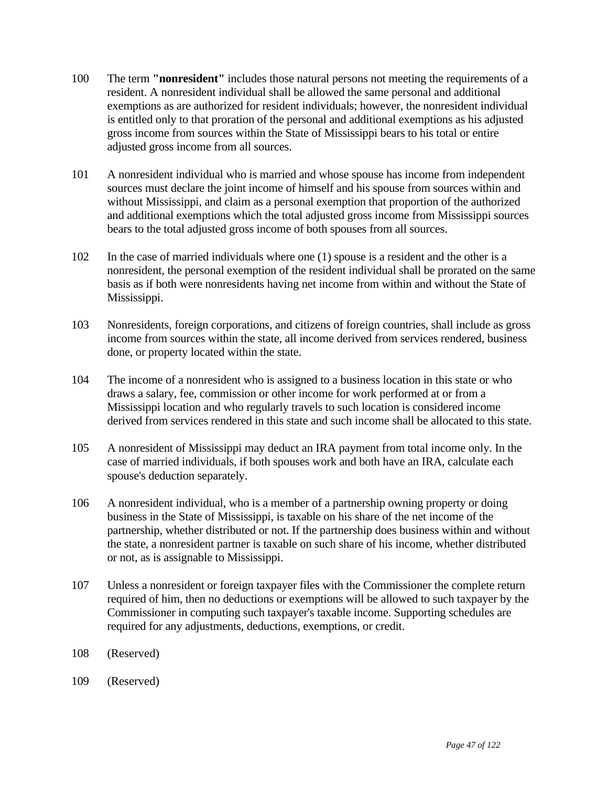- 100 The term **"nonresident"** includes those natural persons not meeting the requirements of a resident. A nonresident individual shall be allowed the same personal and additional exemptions as are authorized for resident individuals; however, the nonresident individual is entitled only to that proration of the personal and additional exemptions as his adjusted gross income from sources within the State of Mississippi bears to his total or entire adjusted gross income from all sources.
- 101 A nonresident individual who is married and whose spouse has income from independent sources must declare the joint income of himself and his spouse from sources within and without Mississippi, and claim as a personal exemption that proportion of the authorized and additional exemptions which the total adjusted gross income from Mississippi sources bears to the total adjusted gross income of both spouses from all sources.
- 102 In the case of married individuals where one (1) spouse is a resident and the other is a nonresident, the personal exemption of the resident individual shall be prorated on the same basis as if both were nonresidents having net income from within and without the State of Mississippi.
- 103 Nonresidents, foreign corporations, and citizens of foreign countries, shall include as gross income from sources within the state, all income derived from services rendered, business done, or property located within the state.
- 104 The income of a nonresident who is assigned to a business location in this state or who draws a salary, fee, commission or other income for work performed at or from a Mississippi location and who regularly travels to such location is considered income derived from services rendered in this state and such income shall be allocated to this state.
- 105 A nonresident of Mississippi may deduct an IRA payment from total income only. In the case of married individuals, if both spouses work and both have an IRA, calculate each spouse's deduction separately.
- 106 A nonresident individual, who is a member of a partnership owning property or doing business in the State of Mississippi, is taxable on his share of the net income of the partnership, whether distributed or not. If the partnership does business within and without the state, a nonresident partner is taxable on such share of his income, whether distributed or not, as is assignable to Mississippi.
- 107 Unless a nonresident or foreign taxpayer files with the Commissioner the complete return required of him, then no deductions or exemptions will be allowed to such taxpayer by the Commissioner in computing such taxpayer's taxable income. Supporting schedules are required for any adjustments, deductions, exemptions, or credit.
- 108 (Reserved)
- 109 (Reserved)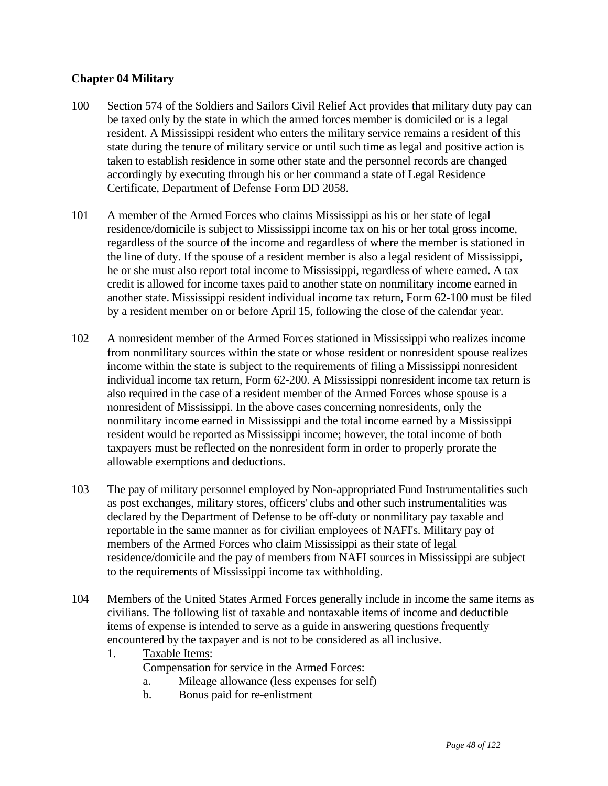# **Chapter 04 Military**

- 100 Section 574 of the Soldiers and Sailors Civil Relief Act provides that military duty pay can be taxed only by the state in which the armed forces member is domiciled or is a legal resident. A Mississippi resident who enters the military service remains a resident of this state during the tenure of military service or until such time as legal and positive action is taken to establish residence in some other state and the personnel records are changed accordingly by executing through his or her command a state of Legal Residence Certificate, Department of Defense Form DD 2058.
- 101 A member of the Armed Forces who claims Mississippi as his or her state of legal residence/domicile is subject to Mississippi income tax on his or her total gross income, regardless of the source of the income and regardless of where the member is stationed in the line of duty. If the spouse of a resident member is also a legal resident of Mississippi, he or she must also report total income to Mississippi, regardless of where earned. A tax credit is allowed for income taxes paid to another state on nonmilitary income earned in another state. Mississippi resident individual income tax return, Form 62-100 must be filed by a resident member on or before April 15, following the close of the calendar year.
- 102 A nonresident member of the Armed Forces stationed in Mississippi who realizes income from nonmilitary sources within the state or whose resident or nonresident spouse realizes income within the state is subject to the requirements of filing a Mississippi nonresident individual income tax return, Form 62-200. A Mississippi nonresident income tax return is also required in the case of a resident member of the Armed Forces whose spouse is a nonresident of Mississippi. In the above cases concerning nonresidents, only the nonmilitary income earned in Mississippi and the total income earned by a Mississippi resident would be reported as Mississippi income; however, the total income of both taxpayers must be reflected on the nonresident form in order to properly prorate the allowable exemptions and deductions.
- 103 The pay of military personnel employed by Non-appropriated Fund Instrumentalities such as post exchanges, military stores, officers' clubs and other such instrumentalities was declared by the Department of Defense to be off-duty or nonmilitary pay taxable and reportable in the same manner as for civilian employees of NAFI's. Military pay of members of the Armed Forces who claim Mississippi as their state of legal residence/domicile and the pay of members from NAFI sources in Mississippi are subject to the requirements of Mississippi income tax withholding.
- 104 Members of the United States Armed Forces generally include in income the same items as civilians. The following list of taxable and nontaxable items of income and deductible items of expense is intended to serve as a guide in answering questions frequently encountered by the taxpayer and is not to be considered as all inclusive.
	- 1. Taxable Items:
		- Compensation for service in the Armed Forces:
		- a. Mileage allowance (less expenses for self)
		- b. Bonus paid for re-enlistment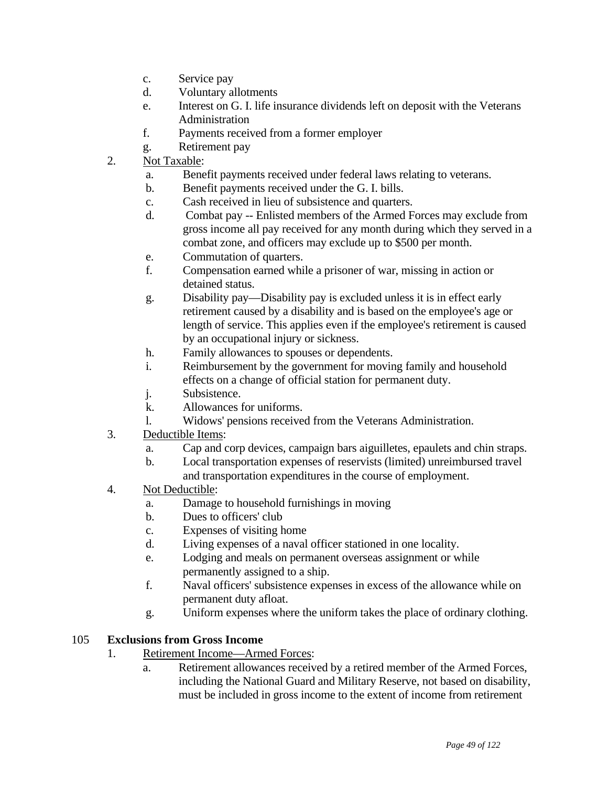- c. Service pay
- d. Voluntary allotments
- e. Interest on G. I. life insurance dividends left on deposit with the Veterans Administration
- f. Payments received from a former employer
- g. Retirement pay
- 2. Not Taxable:
	- a. Benefit payments received under federal laws relating to veterans.
	- b. Benefit payments received under the G. I. bills.
	- c. Cash received in lieu of subsistence and quarters.
	- d. Combat pay -- Enlisted members of the Armed Forces may exclude from gross income all pay received for any month during which they served in a combat zone, and officers may exclude up to \$500 per month.
	- e. Commutation of quarters.
	- f. Compensation earned while a prisoner of war, missing in action or detained status.
	- g. Disability pay—Disability pay is excluded unless it is in effect early retirement caused by a disability and is based on the employee's age or length of service. This applies even if the employee's retirement is caused by an occupational injury or sickness.
	- h. Family allowances to spouses or dependents.
	- i. Reimbursement by the government for moving family and household effects on a change of official station for permanent duty.
	- j. Subsistence.
	- k. Allowances for uniforms.
	- l. Widows' pensions received from the Veterans Administration.
- 3. Deductible Items:
	- a. Cap and corp devices, campaign bars aiguilletes, epaulets and chin straps.
	- b. Local transportation expenses of reservists (limited) unreimbursed travel and transportation expenditures in the course of employment.
- 4. Not Deductible:
	- a. Damage to household furnishings in moving
	- b. Dues to officers' club
	- c. Expenses of visiting home
	- d. Living expenses of a naval officer stationed in one locality.
	- e. Lodging and meals on permanent overseas assignment or while permanently assigned to a ship.
	- f. Naval officers' subsistence expenses in excess of the allowance while on permanent duty afloat.
	- g. Uniform expenses where the uniform takes the place of ordinary clothing.

### 105 **Exclusions from Gross Income**

- 1. Retirement Income—Armed Forces:
	- a. Retirement allowances received by a retired member of the Armed Forces, including the National Guard and Military Reserve, not based on disability, must be included in gross income to the extent of income from retirement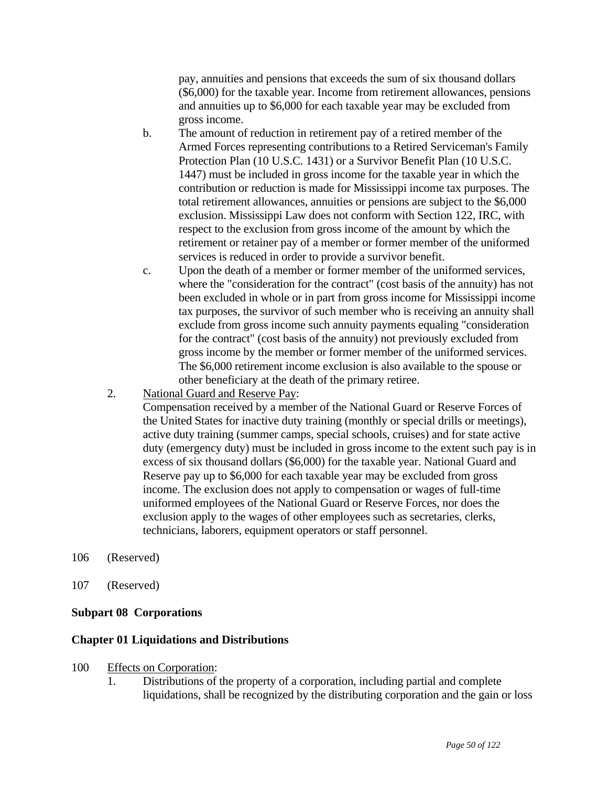pay, annuities and pensions that exceeds the sum of six thousand dollars (\$6,000) for the taxable year. Income from retirement allowances, pensions and annuities up to \$6,000 for each taxable year may be excluded from gross income.

- b. The amount of reduction in retirement pay of a retired member of the Armed Forces representing contributions to a Retired Serviceman's Family Protection Plan (10 U.S.C. 1431) or a Survivor Benefit Plan (10 U.S.C. 1447) must be included in gross income for the taxable year in which the contribution or reduction is made for Mississippi income tax purposes. The total retirement allowances, annuities or pensions are subject to the \$6,000 exclusion. Mississippi Law does not conform with Section 122, IRC, with respect to the exclusion from gross income of the amount by which the retirement or retainer pay of a member or former member of the uniformed services is reduced in order to provide a survivor benefit.
- c. Upon the death of a member or former member of the uniformed services, where the "consideration for the contract" (cost basis of the annuity) has not been excluded in whole or in part from gross income for Mississippi income tax purposes, the survivor of such member who is receiving an annuity shall exclude from gross income such annuity payments equaling "consideration for the contract" (cost basis of the annuity) not previously excluded from gross income by the member or former member of the uniformed services. The \$6,000 retirement income exclusion is also available to the spouse or other beneficiary at the death of the primary retiree.
- 2. National Guard and Reserve Pay:

 Compensation received by a member of the National Guard or Reserve Forces of the United States for inactive duty training (monthly or special drills or meetings), active duty training (summer camps, special schools, cruises) and for state active duty (emergency duty) must be included in gross income to the extent such pay is in excess of six thousand dollars (\$6,000) for the taxable year. National Guard and Reserve pay up to \$6,000 for each taxable year may be excluded from gross income. The exclusion does not apply to compensation or wages of full-time uniformed employees of the National Guard or Reserve Forces, nor does the exclusion apply to the wages of other employees such as secretaries, clerks, technicians, laborers, equipment operators or staff personnel.

- 106 (Reserved)
- 107 (Reserved)

### **Subpart 08 Corporations**

#### **Chapter 01 Liquidations and Distributions**

- 100 Effects on Corporation:
	- 1. Distributions of the property of a corporation, including partial and complete liquidations, shall be recognized by the distributing corporation and the gain or loss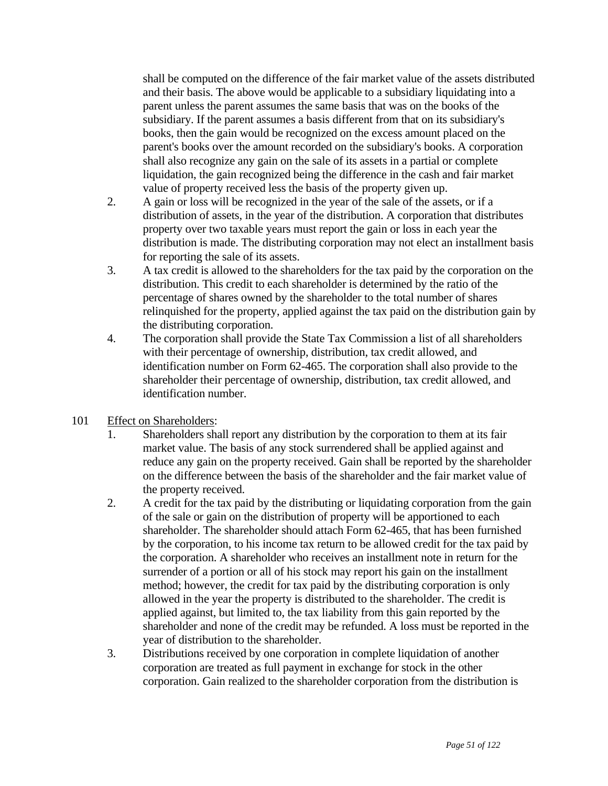shall be computed on the difference of the fair market value of the assets distributed and their basis. The above would be applicable to a subsidiary liquidating into a parent unless the parent assumes the same basis that was on the books of the subsidiary. If the parent assumes a basis different from that on its subsidiary's books, then the gain would be recognized on the excess amount placed on the parent's books over the amount recorded on the subsidiary's books. A corporation shall also recognize any gain on the sale of its assets in a partial or complete liquidation, the gain recognized being the difference in the cash and fair market value of property received less the basis of the property given up.

- 2. A gain or loss will be recognized in the year of the sale of the assets, or if a distribution of assets, in the year of the distribution. A corporation that distributes property over two taxable years must report the gain or loss in each year the distribution is made. The distributing corporation may not elect an installment basis for reporting the sale of its assets.
- 3. A tax credit is allowed to the shareholders for the tax paid by the corporation on the distribution. This credit to each shareholder is determined by the ratio of the percentage of shares owned by the shareholder to the total number of shares relinquished for the property, applied against the tax paid on the distribution gain by the distributing corporation.
- 4. The corporation shall provide the State Tax Commission a list of all shareholders with their percentage of ownership, distribution, tax credit allowed, and identification number on Form 62-465. The corporation shall also provide to the shareholder their percentage of ownership, distribution, tax credit allowed, and identification number.
- 101 Effect on Shareholders:
	- 1. Shareholders shall report any distribution by the corporation to them at its fair market value. The basis of any stock surrendered shall be applied against and reduce any gain on the property received. Gain shall be reported by the shareholder on the difference between the basis of the shareholder and the fair market value of the property received.
	- 2. A credit for the tax paid by the distributing or liquidating corporation from the gain of the sale or gain on the distribution of property will be apportioned to each shareholder. The shareholder should attach Form 62-465, that has been furnished by the corporation, to his income tax return to be allowed credit for the tax paid by the corporation. A shareholder who receives an installment note in return for the surrender of a portion or all of his stock may report his gain on the installment method; however, the credit for tax paid by the distributing corporation is only allowed in the year the property is distributed to the shareholder. The credit is applied against, but limited to, the tax liability from this gain reported by the shareholder and none of the credit may be refunded. A loss must be reported in the year of distribution to the shareholder.
	- 3. Distributions received by one corporation in complete liquidation of another corporation are treated as full payment in exchange for stock in the other corporation. Gain realized to the shareholder corporation from the distribution is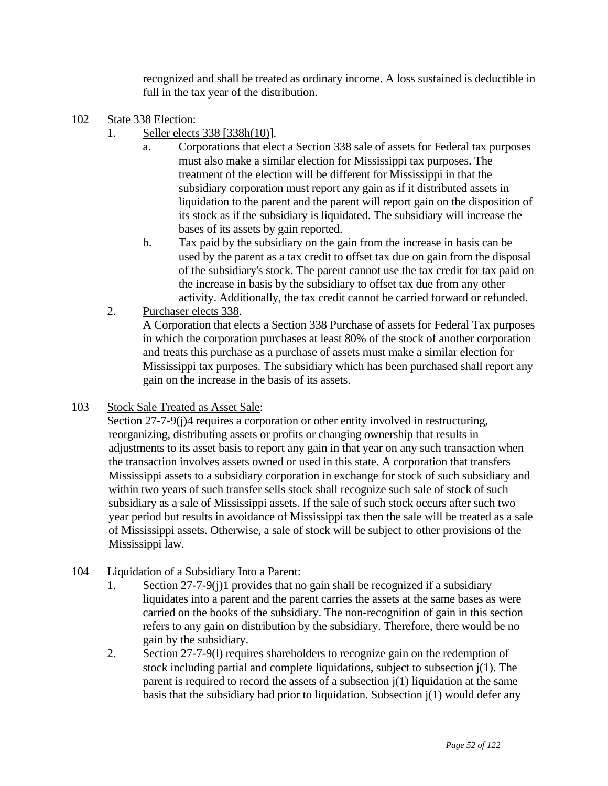recognized and shall be treated as ordinary income. A loss sustained is deductible in full in the tax year of the distribution.

- 102 State 338 Election:
	- 1. Seller elects 338 [338h(10)].
		- a. Corporations that elect a Section 338 sale of assets for Federal tax purposes must also make a similar election for Mississippi tax purposes. The treatment of the election will be different for Mississippi in that the subsidiary corporation must report any gain as if it distributed assets in liquidation to the parent and the parent will report gain on the disposition of its stock as if the subsidiary is liquidated. The subsidiary will increase the bases of its assets by gain reported.
		- b. Tax paid by the subsidiary on the gain from the increase in basis can be used by the parent as a tax credit to offset tax due on gain from the disposal of the subsidiary's stock. The parent cannot use the tax credit for tax paid on the increase in basis by the subsidiary to offset tax due from any other activity. Additionally, the tax credit cannot be carried forward or refunded.
	- 2. Purchaser elects 338.

 A Corporation that elects a Section 338 Purchase of assets for Federal Tax purposes in which the corporation purchases at least 80% of the stock of another corporation and treats this purchase as a purchase of assets must make a similar election for Mississippi tax purposes. The subsidiary which has been purchased shall report any gain on the increase in the basis of its assets.

103 Stock Sale Treated as Asset Sale:

Section 27-7-9(j)4 requires a corporation or other entity involved in restructuring, reorganizing, distributing assets or profits or changing ownership that results in adjustments to its asset basis to report any gain in that year on any such transaction when the transaction involves assets owned or used in this state. A corporation that transfers Mississippi assets to a subsidiary corporation in exchange for stock of such subsidiary and within two years of such transfer sells stock shall recognize such sale of stock of such subsidiary as a sale of Mississippi assets. If the sale of such stock occurs after such two year period but results in avoidance of Mississippi tax then the sale will be treated as a sale of Mississippi assets. Otherwise, a sale of stock will be subject to other provisions of the Mississippi law.

- 104 Liquidation of a Subsidiary Into a Parent:
	- 1. Section 27-7-9(j)1 provides that no gain shall be recognized if a subsidiary liquidates into a parent and the parent carries the assets at the same bases as were carried on the books of the subsidiary. The non-recognition of gain in this section refers to any gain on distribution by the subsidiary. Therefore, there would be no gain by the subsidiary.
	- 2. Section 27-7-9(l) requires shareholders to recognize gain on the redemption of stock including partial and complete liquidations, subject to subsection j(1). The parent is required to record the assets of a subsection  $j(1)$  liquidation at the same basis that the subsidiary had prior to liquidation. Subsection j(1) would defer any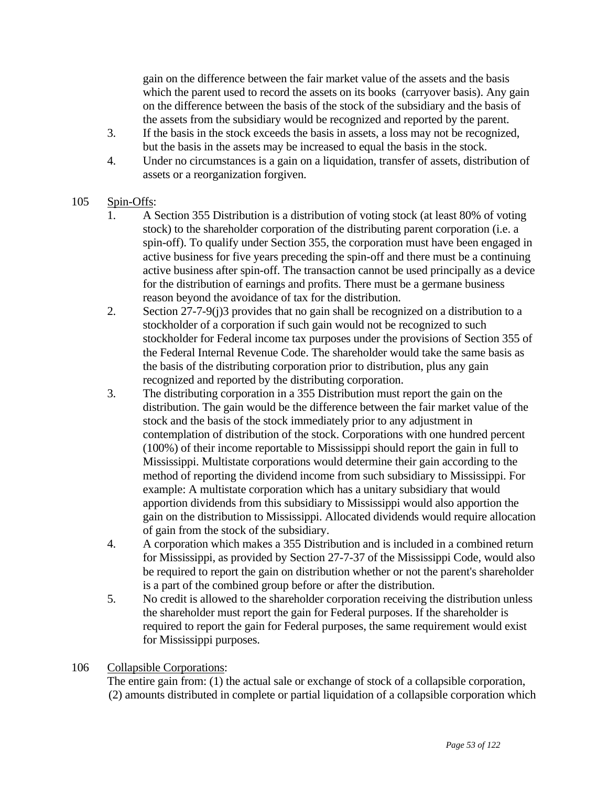gain on the difference between the fair market value of the assets and the basis which the parent used to record the assets on its books (carryover basis). Any gain on the difference between the basis of the stock of the subsidiary and the basis of the assets from the subsidiary would be recognized and reported by the parent.

- 3. If the basis in the stock exceeds the basis in assets, a loss may not be recognized, but the basis in the assets may be increased to equal the basis in the stock.
- 4. Under no circumstances is a gain on a liquidation, transfer of assets, distribution of assets or a reorganization forgiven.

# 105 Spin-Offs:

- 1. A Section 355 Distribution is a distribution of voting stock (at least 80% of voting stock) to the shareholder corporation of the distributing parent corporation (i.e. a spin-off). To qualify under Section 355, the corporation must have been engaged in active business for five years preceding the spin-off and there must be a continuing active business after spin-off. The transaction cannot be used principally as a device for the distribution of earnings and profits. There must be a germane business reason beyond the avoidance of tax for the distribution.
- 2. Section 27-7-9(j)3 provides that no gain shall be recognized on a distribution to a stockholder of a corporation if such gain would not be recognized to such stockholder for Federal income tax purposes under the provisions of Section 355 of the Federal Internal Revenue Code. The shareholder would take the same basis as the basis of the distributing corporation prior to distribution, plus any gain recognized and reported by the distributing corporation.
- 3. The distributing corporation in a 355 Distribution must report the gain on the distribution. The gain would be the difference between the fair market value of the stock and the basis of the stock immediately prior to any adjustment in contemplation of distribution of the stock. Corporations with one hundred percent (100%) of their income reportable to Mississippi should report the gain in full to Mississippi. Multistate corporations would determine their gain according to the method of reporting the dividend income from such subsidiary to Mississippi. For example: A multistate corporation which has a unitary subsidiary that would apportion dividends from this subsidiary to Mississippi would also apportion the gain on the distribution to Mississippi. Allocated dividends would require allocation of gain from the stock of the subsidiary.
- 4. A corporation which makes a 355 Distribution and is included in a combined return for Mississippi, as provided by Section 27-7-37 of the Mississippi Code, would also be required to report the gain on distribution whether or not the parent's shareholder is a part of the combined group before or after the distribution.
- 5. No credit is allowed to the shareholder corporation receiving the distribution unless the shareholder must report the gain for Federal purposes. If the shareholder is required to report the gain for Federal purposes, the same requirement would exist for Mississippi purposes.

# 106 Collapsible Corporations:

 The entire gain from: (1) the actual sale or exchange of stock of a collapsible corporation, (2) amounts distributed in complete or partial liquidation of a collapsible corporation which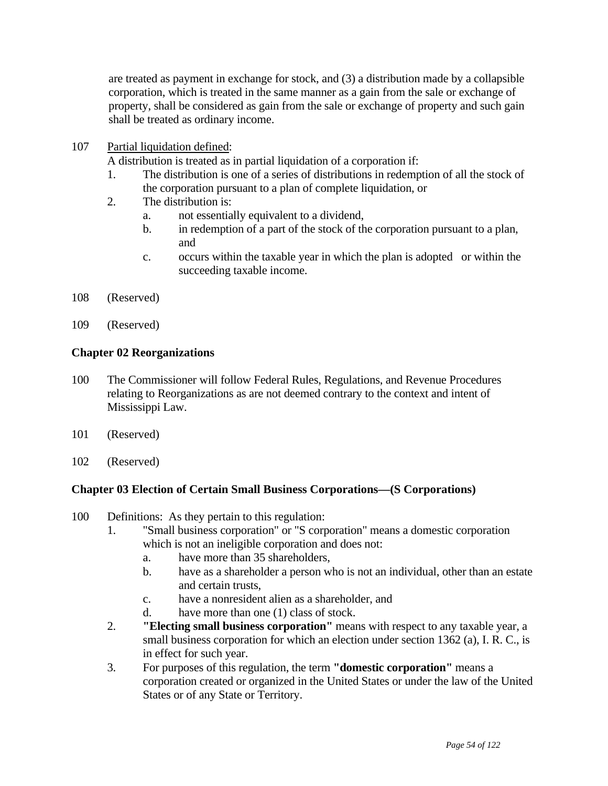are treated as payment in exchange for stock, and (3) a distribution made by a collapsible corporation, which is treated in the same manner as a gain from the sale or exchange of property, shall be considered as gain from the sale or exchange of property and such gain shall be treated as ordinary income.

107 Partial liquidation defined:

A distribution is treated as in partial liquidation of a corporation if:

- 1. The distribution is one of a series of distributions in redemption of all the stock of the corporation pursuant to a plan of complete liquidation, or
- 2. The distribution is:
	- a. not essentially equivalent to a dividend,
	- b. in redemption of a part of the stock of the corporation pursuant to a plan, and
	- c. occurs within the taxable year in which the plan is adopted or within the succeeding taxable income.
- 108 (Reserved)
- 109 (Reserved)

## **Chapter 02 Reorganizations**

- 100 The Commissioner will follow Federal Rules, Regulations, and Revenue Procedures relating to Reorganizations as are not deemed contrary to the context and intent of Mississippi Law.
- 101 (Reserved)
- 102 (Reserved)

# **Chapter 03 Election of Certain Small Business Corporations—(S Corporations)**

- 100 Definitions: As they pertain to this regulation:
	- 1. "Small business corporation" or "S corporation" means a domestic corporation which is not an ineligible corporation and does not:
		- a. have more than 35 shareholders,
		- b. have as a shareholder a person who is not an individual, other than an estate and certain trusts,
		- c. have a nonresident alien as a shareholder, and
		- d. have more than one (1) class of stock.
	- 2. **"Electing small business corporation"** means with respect to any taxable year, a small business corporation for which an election under section 1362 (a), I. R. C., is in effect for such year.
	- 3. For purposes of this regulation, the term **"domestic corporation"** means a corporation created or organized in the United States or under the law of the United States or of any State or Territory.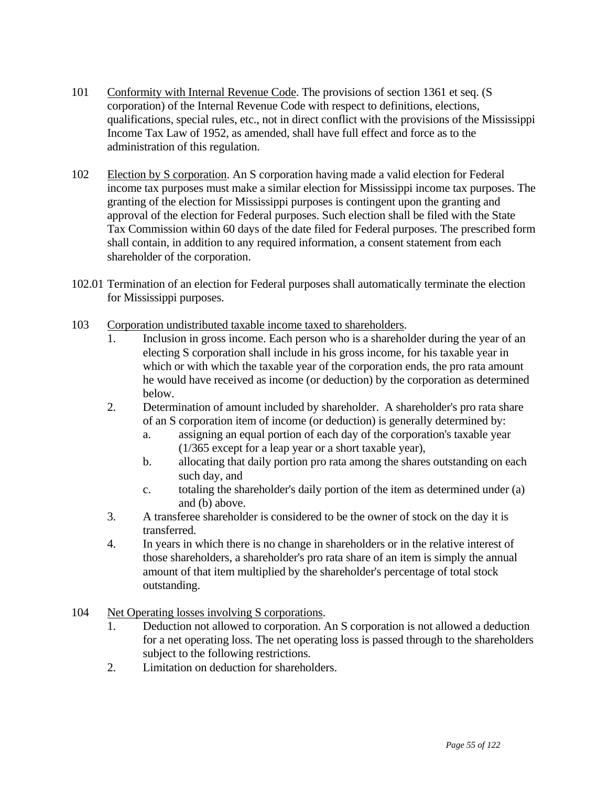- 101 Conformity with Internal Revenue Code. The provisions of section 1361 et seq. (S corporation) of the Internal Revenue Code with respect to definitions, elections, qualifications, special rules, etc., not in direct conflict with the provisions of the Mississippi Income Tax Law of 1952, as amended, shall have full effect and force as to the administration of this regulation.
- 102 Election by S corporation. An S corporation having made a valid election for Federal income tax purposes must make a similar election for Mississippi income tax purposes. The granting of the election for Mississippi purposes is contingent upon the granting and approval of the election for Federal purposes. Such election shall be filed with the State Tax Commission within 60 days of the date filed for Federal purposes. The prescribed form shall contain, in addition to any required information, a consent statement from each shareholder of the corporation.
- 102.01 Termination of an election for Federal purposes shall automatically terminate the election for Mississippi purposes.
- 103 Corporation undistributed taxable income taxed to shareholders.
	- 1. Inclusion in gross income. Each person who is a shareholder during the year of an electing S corporation shall include in his gross income, for his taxable year in which or with which the taxable year of the corporation ends, the pro rata amount he would have received as income (or deduction) by the corporation as determined below.
	- 2. Determination of amount included by shareholder. A shareholder's pro rata share of an S corporation item of income (or deduction) is generally determined by:
		- a. assigning an equal portion of each day of the corporation's taxable year (1/365 except for a leap year or a short taxable year),
		- b. allocating that daily portion pro rata among the shares outstanding on each such day, and
		- c. totaling the shareholder's daily portion of the item as determined under (a) and (b) above.
	- 3. A transferee shareholder is considered to be the owner of stock on the day it is transferred.
	- 4. In years in which there is no change in shareholders or in the relative interest of those shareholders, a shareholder's pro rata share of an item is simply the annual amount of that item multiplied by the shareholder's percentage of total stock outstanding.
- 104 Net Operating losses involving S corporations.
	- 1. Deduction not allowed to corporation. An S corporation is not allowed a deduction for a net operating loss. The net operating loss is passed through to the shareholders subject to the following restrictions.
	- 2. Limitation on deduction for shareholders.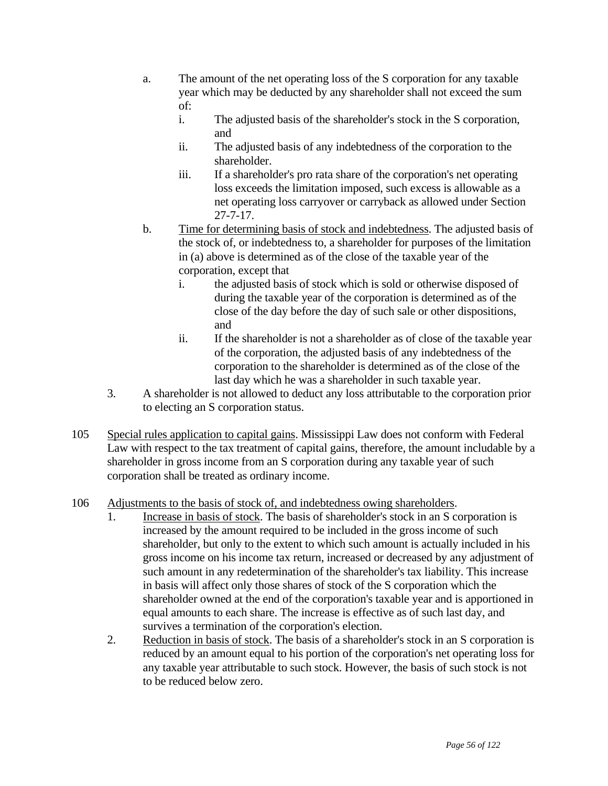- a. The amount of the net operating loss of the S corporation for any taxable year which may be deducted by any shareholder shall not exceed the sum of:
	- i. The adjusted basis of the shareholder's stock in the S corporation, and
	- ii. The adjusted basis of any indebtedness of the corporation to the shareholder.
	- iii. If a shareholder's pro rata share of the corporation's net operating loss exceeds the limitation imposed, such excess is allowable as a net operating loss carryover or carryback as allowed under Section 27-7-17.
- b. Time for determining basis of stock and indebtedness. The adjusted basis of the stock of, or indebtedness to, a shareholder for purposes of the limitation in (a) above is determined as of the close of the taxable year of the corporation, except that
	- i. the adjusted basis of stock which is sold or otherwise disposed of during the taxable year of the corporation is determined as of the close of the day before the day of such sale or other dispositions, and
	- ii. If the shareholder is not a shareholder as of close of the taxable year of the corporation, the adjusted basis of any indebtedness of the corporation to the shareholder is determined as of the close of the last day which he was a shareholder in such taxable year.
- 3. A shareholder is not allowed to deduct any loss attributable to the corporation prior to electing an S corporation status.
- 105 Special rules application to capital gains. Mississippi Law does not conform with Federal Law with respect to the tax treatment of capital gains, therefore, the amount includable by a shareholder in gross income from an S corporation during any taxable year of such corporation shall be treated as ordinary income.
- 106 Adjustments to the basis of stock of, and indebtedness owing shareholders.
	- 1. Increase in basis of stock. The basis of shareholder's stock in an S corporation is increased by the amount required to be included in the gross income of such shareholder, but only to the extent to which such amount is actually included in his gross income on his income tax return, increased or decreased by any adjustment of such amount in any redetermination of the shareholder's tax liability. This increase in basis will affect only those shares of stock of the S corporation which the shareholder owned at the end of the corporation's taxable year and is apportioned in equal amounts to each share. The increase is effective as of such last day, and survives a termination of the corporation's election.
	- 2. Reduction in basis of stock. The basis of a shareholder's stock in an S corporation is reduced by an amount equal to his portion of the corporation's net operating loss for any taxable year attributable to such stock. However, the basis of such stock is not to be reduced below zero.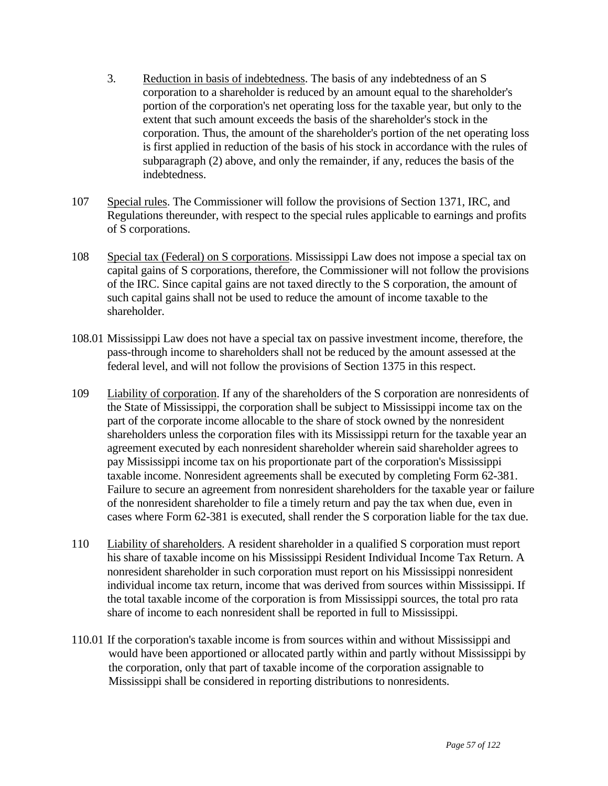- 3. Reduction in basis of indebtedness. The basis of any indebtedness of an S corporation to a shareholder is reduced by an amount equal to the shareholder's portion of the corporation's net operating loss for the taxable year, but only to the extent that such amount exceeds the basis of the shareholder's stock in the corporation. Thus, the amount of the shareholder's portion of the net operating loss is first applied in reduction of the basis of his stock in accordance with the rules of subparagraph (2) above, and only the remainder, if any, reduces the basis of the indebtedness.
- 107 Special rules. The Commissioner will follow the provisions of Section 1371, IRC, and Regulations thereunder, with respect to the special rules applicable to earnings and profits of S corporations.
- 108 Special tax (Federal) on S corporations. Mississippi Law does not impose a special tax on capital gains of S corporations, therefore, the Commissioner will not follow the provisions of the IRC. Since capital gains are not taxed directly to the S corporation, the amount of such capital gains shall not be used to reduce the amount of income taxable to the shareholder.
- 108.01 Mississippi Law does not have a special tax on passive investment income, therefore, the pass-through income to shareholders shall not be reduced by the amount assessed at the federal level, and will not follow the provisions of Section 1375 in this respect.
- 109 Liability of corporation. If any of the shareholders of the S corporation are nonresidents of the State of Mississippi, the corporation shall be subject to Mississippi income tax on the part of the corporate income allocable to the share of stock owned by the nonresident shareholders unless the corporation files with its Mississippi return for the taxable year an agreement executed by each nonresident shareholder wherein said shareholder agrees to pay Mississippi income tax on his proportionate part of the corporation's Mississippi taxable income. Nonresident agreements shall be executed by completing Form 62-381. Failure to secure an agreement from nonresident shareholders for the taxable year or failure of the nonresident shareholder to file a timely return and pay the tax when due, even in cases where Form 62-381 is executed, shall render the S corporation liable for the tax due.
- 110 Liability of shareholders. A resident shareholder in a qualified S corporation must report his share of taxable income on his Mississippi Resident Individual Income Tax Return. A nonresident shareholder in such corporation must report on his Mississippi nonresident individual income tax return, income that was derived from sources within Mississippi. If the total taxable income of the corporation is from Mississippi sources, the total pro rata share of income to each nonresident shall be reported in full to Mississippi.
- 110.01 If the corporation's taxable income is from sources within and without Mississippi and would have been apportioned or allocated partly within and partly without Mississippi by the corporation, only that part of taxable income of the corporation assignable to Mississippi shall be considered in reporting distributions to nonresidents.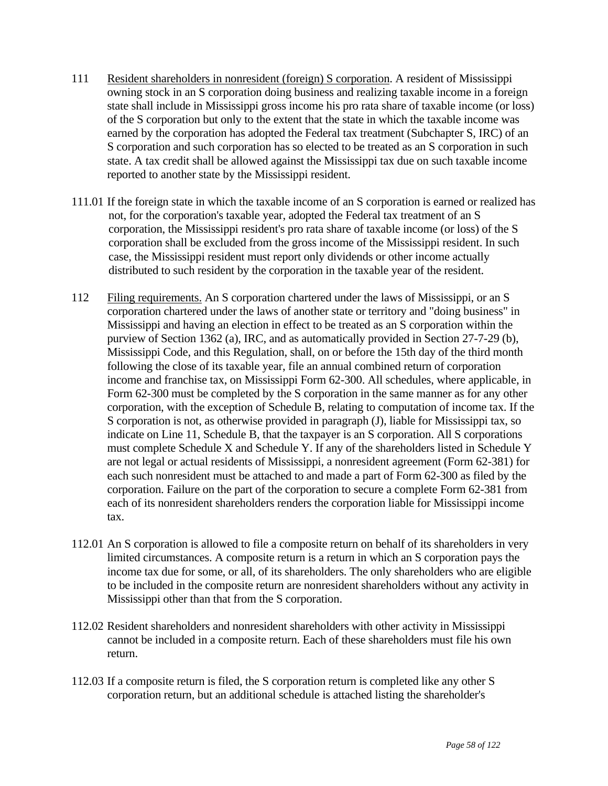- 111 Resident shareholders in nonresident (foreign) S corporation. A resident of Mississippi owning stock in an S corporation doing business and realizing taxable income in a foreign state shall include in Mississippi gross income his pro rata share of taxable income (or loss) of the S corporation but only to the extent that the state in which the taxable income was earned by the corporation has adopted the Federal tax treatment (Subchapter S, IRC) of an S corporation and such corporation has so elected to be treated as an S corporation in such state. A tax credit shall be allowed against the Mississippi tax due on such taxable income reported to another state by the Mississippi resident.
- 111.01 If the foreign state in which the taxable income of an S corporation is earned or realized has not, for the corporation's taxable year, adopted the Federal tax treatment of an S corporation, the Mississippi resident's pro rata share of taxable income (or loss) of the S corporation shall be excluded from the gross income of the Mississippi resident. In such case, the Mississippi resident must report only dividends or other income actually distributed to such resident by the corporation in the taxable year of the resident.
- 112 Filing requirements. An S corporation chartered under the laws of Mississippi, or an S corporation chartered under the laws of another state or territory and "doing business" in Mississippi and having an election in effect to be treated as an S corporation within the purview of Section 1362 (a), IRC, and as automatically provided in Section 27-7-29 (b), Mississippi Code, and this Regulation, shall, on or before the 15th day of the third month following the close of its taxable year, file an annual combined return of corporation income and franchise tax, on Mississippi Form 62-300. All schedules, where applicable, in Form 62-300 must be completed by the S corporation in the same manner as for any other corporation, with the exception of Schedule B, relating to computation of income tax. If the S corporation is not, as otherwise provided in paragraph (J), liable for Mississippi tax, so indicate on Line 11, Schedule B, that the taxpayer is an S corporation. All S corporations must complete Schedule X and Schedule Y. If any of the shareholders listed in Schedule Y are not legal or actual residents of Mississippi, a nonresident agreement (Form 62-381) for each such nonresident must be attached to and made a part of Form 62-300 as filed by the corporation. Failure on the part of the corporation to secure a complete Form 62-381 from each of its nonresident shareholders renders the corporation liable for Mississippi income tax.
- 112.01 An S corporation is allowed to file a composite return on behalf of its shareholders in very limited circumstances. A composite return is a return in which an S corporation pays the income tax due for some, or all, of its shareholders. The only shareholders who are eligible to be included in the composite return are nonresident shareholders without any activity in Mississippi other than that from the S corporation.
- 112.02 Resident shareholders and nonresident shareholders with other activity in Mississippi cannot be included in a composite return. Each of these shareholders must file his own return.
- 112.03 If a composite return is filed, the S corporation return is completed like any other S corporation return, but an additional schedule is attached listing the shareholder's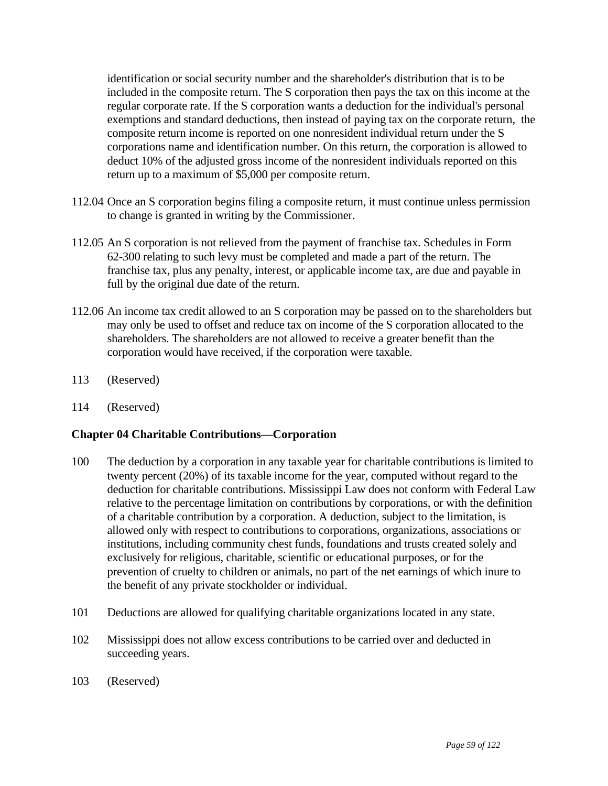identification or social security number and the shareholder's distribution that is to be included in the composite return. The S corporation then pays the tax on this income at the regular corporate rate. If the S corporation wants a deduction for the individual's personal exemptions and standard deductions, then instead of paying tax on the corporate return, the composite return income is reported on one nonresident individual return under the S corporations name and identification number. On this return, the corporation is allowed to deduct 10% of the adjusted gross income of the nonresident individuals reported on this return up to a maximum of \$5,000 per composite return.

- 112.04 Once an S corporation begins filing a composite return, it must continue unless permission to change is granted in writing by the Commissioner.
- 112.05 An S corporation is not relieved from the payment of franchise tax. Schedules in Form 62-300 relating to such levy must be completed and made a part of the return. The franchise tax, plus any penalty, interest, or applicable income tax, are due and payable in full by the original due date of the return.
- 112.06 An income tax credit allowed to an S corporation may be passed on to the shareholders but may only be used to offset and reduce tax on income of the S corporation allocated to the shareholders. The shareholders are not allowed to receive a greater benefit than the corporation would have received, if the corporation were taxable.
- 113 (Reserved)
- 114 (Reserved)

### **Chapter 04 Charitable Contributions—Corporation**

- 100 The deduction by a corporation in any taxable year for charitable contributions is limited to twenty percent (20%) of its taxable income for the year, computed without regard to the deduction for charitable contributions. Mississippi Law does not conform with Federal Law relative to the percentage limitation on contributions by corporations, or with the definition of a charitable contribution by a corporation. A deduction, subject to the limitation, is allowed only with respect to contributions to corporations, organizations, associations or institutions, including community chest funds, foundations and trusts created solely and exclusively for religious, charitable, scientific or educational purposes, or for the prevention of cruelty to children or animals, no part of the net earnings of which inure to the benefit of any private stockholder or individual.
- 101 Deductions are allowed for qualifying charitable organizations located in any state.
- 102 Mississippi does not allow excess contributions to be carried over and deducted in succeeding years.
- 103 (Reserved)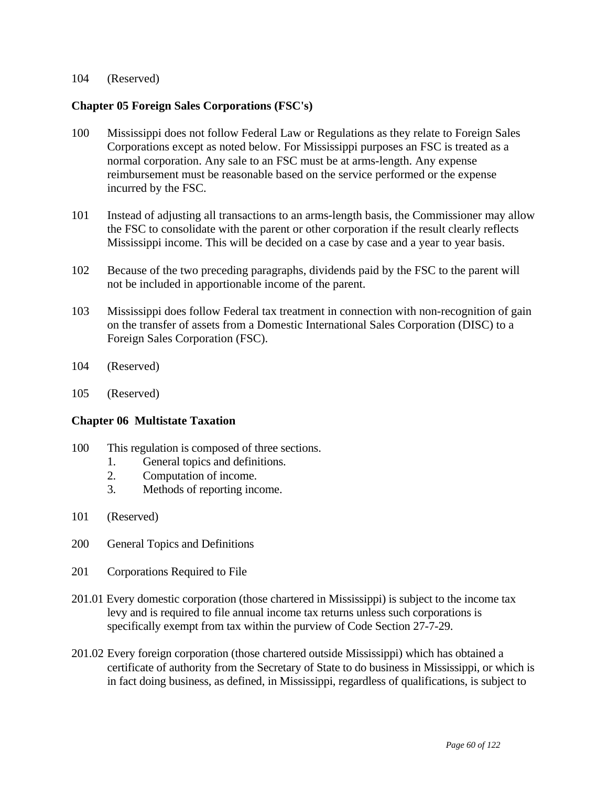#### 104 (Reserved)

### **Chapter 05 Foreign Sales Corporations (FSC's)**

- 100 Mississippi does not follow Federal Law or Regulations as they relate to Foreign Sales Corporations except as noted below. For Mississippi purposes an FSC is treated as a normal corporation. Any sale to an FSC must be at arms-length. Any expense reimbursement must be reasonable based on the service performed or the expense incurred by the FSC.
- 101 Instead of adjusting all transactions to an arms-length basis, the Commissioner may allow the FSC to consolidate with the parent or other corporation if the result clearly reflects Mississippi income. This will be decided on a case by case and a year to year basis.
- 102 Because of the two preceding paragraphs, dividends paid by the FSC to the parent will not be included in apportionable income of the parent.
- 103 Mississippi does follow Federal tax treatment in connection with non-recognition of gain on the transfer of assets from a Domestic International Sales Corporation (DISC) to a Foreign Sales Corporation (FSC).
- 104 (Reserved)
- 105 (Reserved)

### **Chapter 06 Multistate Taxation**

- 100 This regulation is composed of three sections.
	- 1. General topics and definitions.
	- 2. Computation of income.
	- 3. Methods of reporting income.
- 101 (Reserved)
- 200 General Topics and Definitions
- 201 Corporations Required to File
- 201.01 Every domestic corporation (those chartered in Mississippi) is subject to the income tax levy and is required to file annual income tax returns unless such corporations is specifically exempt from tax within the purview of Code Section 27-7-29.
- 201.02 Every foreign corporation (those chartered outside Mississippi) which has obtained a certificate of authority from the Secretary of State to do business in Mississippi, or which is in fact doing business, as defined, in Mississippi, regardless of qualifications, is subject to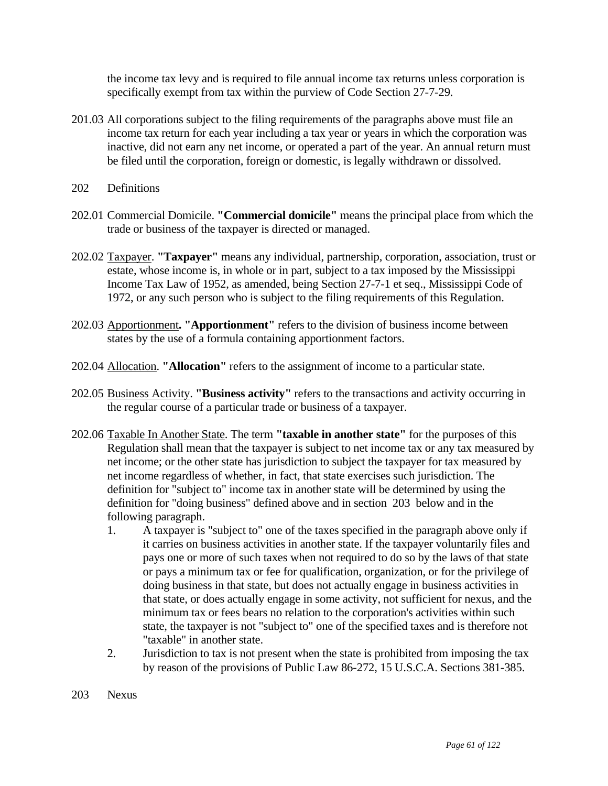the income tax levy and is required to file annual income tax returns unless corporation is specifically exempt from tax within the purview of Code Section 27-7-29.

- 201.03 All corporations subject to the filing requirements of the paragraphs above must file an income tax return for each year including a tax year or years in which the corporation was inactive, did not earn any net income, or operated a part of the year. An annual return must be filed until the corporation, foreign or domestic, is legally withdrawn or dissolved.
- 202 Definitions
- 202.01 Commercial Domicile. **"Commercial domicile"** means the principal place from which the trade or business of the taxpayer is directed or managed.
- 202.02 Taxpayer. **"Taxpayer"** means any individual, partnership, corporation, association, trust or estate, whose income is, in whole or in part, subject to a tax imposed by the Mississippi Income Tax Law of 1952, as amended, being Section 27-7-1 et seq., Mississippi Code of 1972, or any such person who is subject to the filing requirements of this Regulation.
- 202.03 Apportionment**. "Apportionment"** refers to the division of business income between states by the use of a formula containing apportionment factors.
- 202.04 Allocation. **"Allocation"** refers to the assignment of income to a particular state.
- 202.05 Business Activity. **"Business activity"** refers to the transactions and activity occurring in the regular course of a particular trade or business of a taxpayer.
- 202.06 Taxable In Another State. The term **"taxable in another state"** for the purposes of this Regulation shall mean that the taxpayer is subject to net income tax or any tax measured by net income; or the other state has jurisdiction to subject the taxpayer for tax measured by net income regardless of whether, in fact, that state exercises such jurisdiction. The definition for "subject to" income tax in another state will be determined by using the definition for "doing business" defined above and in section 203 below and in the following paragraph.
	- 1. A taxpayer is "subject to" one of the taxes specified in the paragraph above only if it carries on business activities in another state. If the taxpayer voluntarily files and pays one or more of such taxes when not required to do so by the laws of that state or pays a minimum tax or fee for qualification, organization, or for the privilege of doing business in that state, but does not actually engage in business activities in that state, or does actually engage in some activity, not sufficient for nexus, and the minimum tax or fees bears no relation to the corporation's activities within such state, the taxpayer is not "subject to" one of the specified taxes and is therefore not "taxable" in another state.
	- 2. Jurisdiction to tax is not present when the state is prohibited from imposing the tax by reason of the provisions of Public Law 86-272, 15 U.S.C.A. Sections 381-385.
- 203 Nexus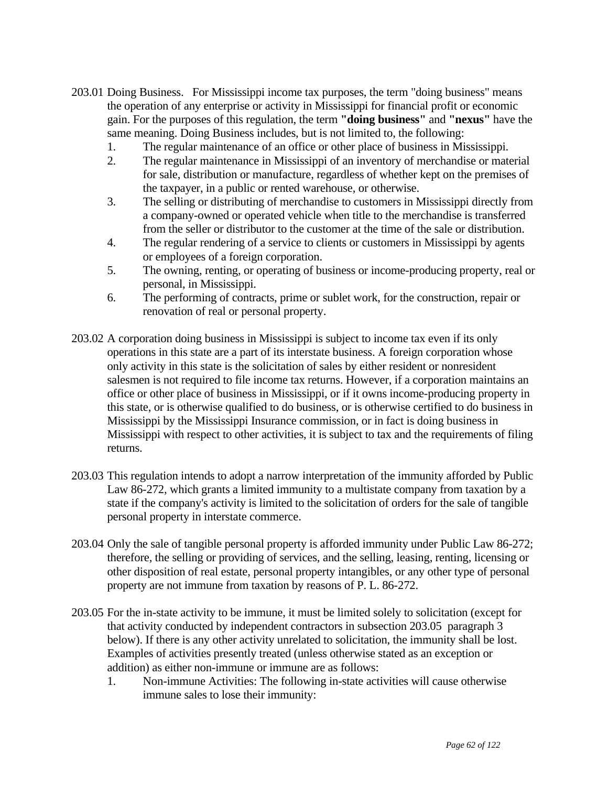- 203.01 Doing Business. For Mississippi income tax purposes, the term "doing business" means the operation of any enterprise or activity in Mississippi for financial profit or economic gain. For the purposes of this regulation, the term **"doing business"** and **"nexus"** have the same meaning. Doing Business includes, but is not limited to, the following:
	- 1. The regular maintenance of an office or other place of business in Mississippi.
	- 2. The regular maintenance in Mississippi of an inventory of merchandise or material for sale, distribution or manufacture, regardless of whether kept on the premises of the taxpayer, in a public or rented warehouse, or otherwise.
	- 3. The selling or distributing of merchandise to customers in Mississippi directly from a company-owned or operated vehicle when title to the merchandise is transferred from the seller or distributor to the customer at the time of the sale or distribution.
	- 4. The regular rendering of a service to clients or customers in Mississippi by agents or employees of a foreign corporation.
	- 5. The owning, renting, or operating of business or income-producing property, real or personal, in Mississippi.
	- 6. The performing of contracts, prime or sublet work, for the construction, repair or renovation of real or personal property.
- 203.02 A corporation doing business in Mississippi is subject to income tax even if its only operations in this state are a part of its interstate business. A foreign corporation whose only activity in this state is the solicitation of sales by either resident or nonresident salesmen is not required to file income tax returns. However, if a corporation maintains an office or other place of business in Mississippi, or if it owns income-producing property in this state, or is otherwise qualified to do business, or is otherwise certified to do business in Mississippi by the Mississippi Insurance commission, or in fact is doing business in Mississippi with respect to other activities, it is subject to tax and the requirements of filing returns.
- 203.03 This regulation intends to adopt a narrow interpretation of the immunity afforded by Public Law 86-272, which grants a limited immunity to a multistate company from taxation by a state if the company's activity is limited to the solicitation of orders for the sale of tangible personal property in interstate commerce.
- 203.04 Only the sale of tangible personal property is afforded immunity under Public Law 86-272; therefore, the selling or providing of services, and the selling, leasing, renting, licensing or other disposition of real estate, personal property intangibles, or any other type of personal property are not immune from taxation by reasons of P. L. 86-272.
- 203.05 For the in-state activity to be immune, it must be limited solely to solicitation (except for that activity conducted by independent contractors in subsection 203.05 paragraph 3 below). If there is any other activity unrelated to solicitation, the immunity shall be lost. Examples of activities presently treated (unless otherwise stated as an exception or addition) as either non-immune or immune are as follows:
	- 1. Non-immune Activities: The following in-state activities will cause otherwise immune sales to lose their immunity: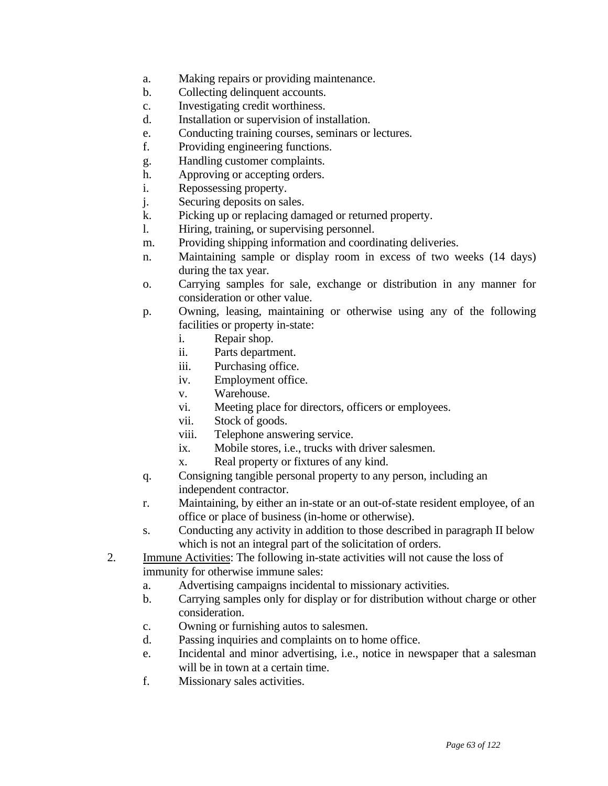- a. Making repairs or providing maintenance.
- b. Collecting delinquent accounts.
- c. Investigating credit worthiness.
- d. Installation or supervision of installation.
- e. Conducting training courses, seminars or lectures.
- f. Providing engineering functions.
- g. Handling customer complaints.
- h. Approving or accepting orders.
- i. Repossessing property.
- j. Securing deposits on sales.
- k. Picking up or replacing damaged or returned property.
- l. Hiring, training, or supervising personnel.
- m. Providing shipping information and coordinating deliveries.
- n. Maintaining sample or display room in excess of two weeks (14 days) during the tax year.
- o. Carrying samples for sale, exchange or distribution in any manner for consideration or other value.
- p. Owning, leasing, maintaining or otherwise using any of the following facilities or property in-state:
	- i. Repair shop.
	- ii. Parts department.
	- iii. Purchasing office.
	- iv. Employment office.
	- v. Warehouse.
	- vi. Meeting place for directors, officers or employees.
	- vii. Stock of goods.
	- viii. Telephone answering service.
	- ix. Mobile stores, i.e., trucks with driver salesmen.
	- x. Real property or fixtures of any kind.
- q. Consigning tangible personal property to any person, including an independent contractor.
- r. Maintaining, by either an in-state or an out-of-state resident employee, of an office or place of business (in-home or otherwise).
- s. Conducting any activity in addition to those described in paragraph II below which is not an integral part of the solicitation of orders.
- 2. Immune Activities: The following in-state activities will not cause the loss of immunity for otherwise immune sales:
	- a. Advertising campaigns incidental to missionary activities.
	- b. Carrying samples only for display or for distribution without charge or other consideration.
	- c. Owning or furnishing autos to salesmen.
	- d. Passing inquiries and complaints on to home office.
	- e. Incidental and minor advertising, i.e., notice in newspaper that a salesman will be in town at a certain time.
	- f. Missionary sales activities.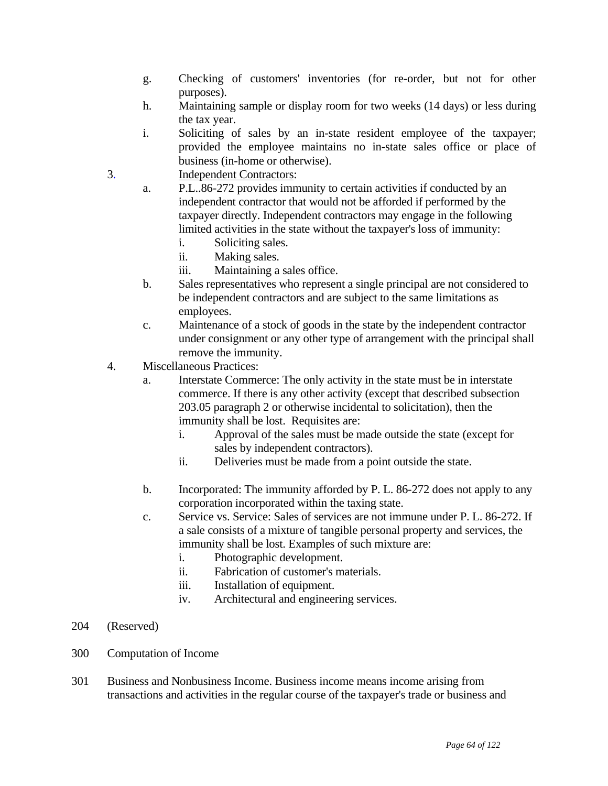- g. Checking of customers' inventories (for re-order, but not for other purposes).
- h. Maintaining sample or display room for two weeks (14 days) or less during the tax year.
- i. Soliciting of sales by an in-state resident employee of the taxpayer; provided the employee maintains no in-state sales office or place of business (in-home or otherwise).
- 3. Independent Contractors:
	- a. P.L..86-272 provides immunity to certain activities if conducted by an independent contractor that would not be afforded if performed by the taxpayer directly. Independent contractors may engage in the following limited activities in the state without the taxpayer's loss of immunity:
		- i. Soliciting sales.
		- ii. Making sales.
		- iii. Maintaining a sales office.
	- b. Sales representatives who represent a single principal are not considered to be independent contractors and are subject to the same limitations as employees.
	- c. Maintenance of a stock of goods in the state by the independent contractor under consignment or any other type of arrangement with the principal shall remove the immunity.
- 4. Miscellaneous Practices:
	- a. Interstate Commerce: The only activity in the state must be in interstate commerce. If there is any other activity (except that described subsection 203.05 paragraph 2 or otherwise incidental to solicitation), then the immunity shall be lost. Requisites are:
		- i. Approval of the sales must be made outside the state (except for sales by independent contractors).
		- ii. Deliveries must be made from a point outside the state.
	- b. Incorporated: The immunity afforded by P. L. 86-272 does not apply to any corporation incorporated within the taxing state.
	- c. Service vs. Service: Sales of services are not immune under P. L. 86-272. If a sale consists of a mixture of tangible personal property and services, the immunity shall be lost. Examples of such mixture are:
		- i. Photographic development.
		- ii. Fabrication of customer's materials.
		- iii. Installation of equipment.
		- iv. Architectural and engineering services.
- 204 (Reserved)
- 300 Computation of Income
- 301 Business and Nonbusiness Income. Business income means income arising from transactions and activities in the regular course of the taxpayer's trade or business and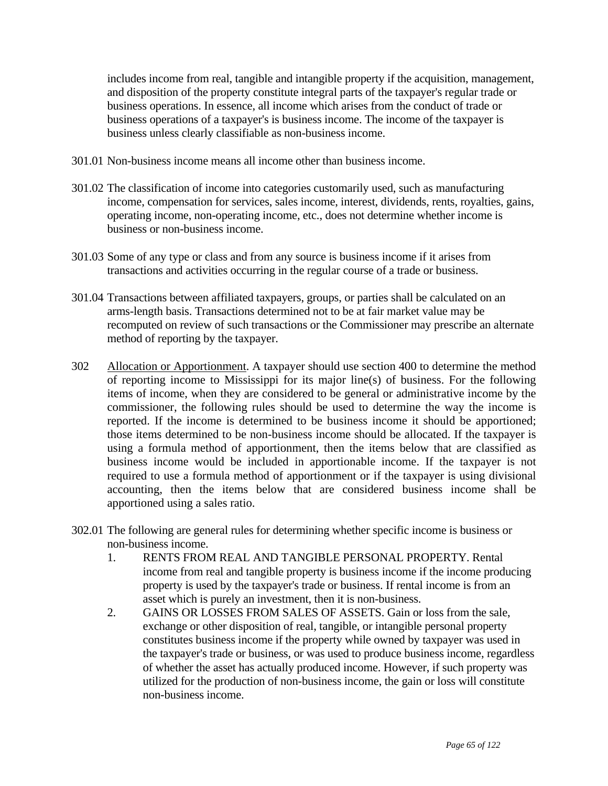includes income from real, tangible and intangible property if the acquisition, management, and disposition of the property constitute integral parts of the taxpayer's regular trade or business operations. In essence, all income which arises from the conduct of trade or business operations of a taxpayer's is business income. The income of the taxpayer is business unless clearly classifiable as non-business income.

- 301.01 Non-business income means all income other than business income.
- 301.02 The classification of income into categories customarily used, such as manufacturing income, compensation for services, sales income, interest, dividends, rents, royalties, gains, operating income, non-operating income, etc., does not determine whether income is business or non-business income.
- 301.03 Some of any type or class and from any source is business income if it arises from transactions and activities occurring in the regular course of a trade or business.
- 301.04 Transactions between affiliated taxpayers, groups, or parties shall be calculated on an arms-length basis. Transactions determined not to be at fair market value may be recomputed on review of such transactions or the Commissioner may prescribe an alternate method of reporting by the taxpayer.
- 302 Allocation or Apportionment. A taxpayer should use section 400 to determine the method of reporting income to Mississippi for its major line(s) of business. For the following items of income, when they are considered to be general or administrative income by the commissioner, the following rules should be used to determine the way the income is reported. If the income is determined to be business income it should be apportioned; those items determined to be non-business income should be allocated. If the taxpayer is using a formula method of apportionment, then the items below that are classified as business income would be included in apportionable income. If the taxpayer is not required to use a formula method of apportionment or if the taxpayer is using divisional accounting, then the items below that are considered business income shall be apportioned using a sales ratio.
- 302.01 The following are general rules for determining whether specific income is business or non-business income.
	- 1. RENTS FROM REAL AND TANGIBLE PERSONAL PROPERTY. Rental income from real and tangible property is business income if the income producing property is used by the taxpayer's trade or business. If rental income is from an asset which is purely an investment, then it is non-business.
	- 2. GAINS OR LOSSES FROM SALES OF ASSETS. Gain or loss from the sale, exchange or other disposition of real, tangible, or intangible personal property constitutes business income if the property while owned by taxpayer was used in the taxpayer's trade or business, or was used to produce business income, regardless of whether the asset has actually produced income. However, if such property was utilized for the production of non-business income, the gain or loss will constitute non-business income.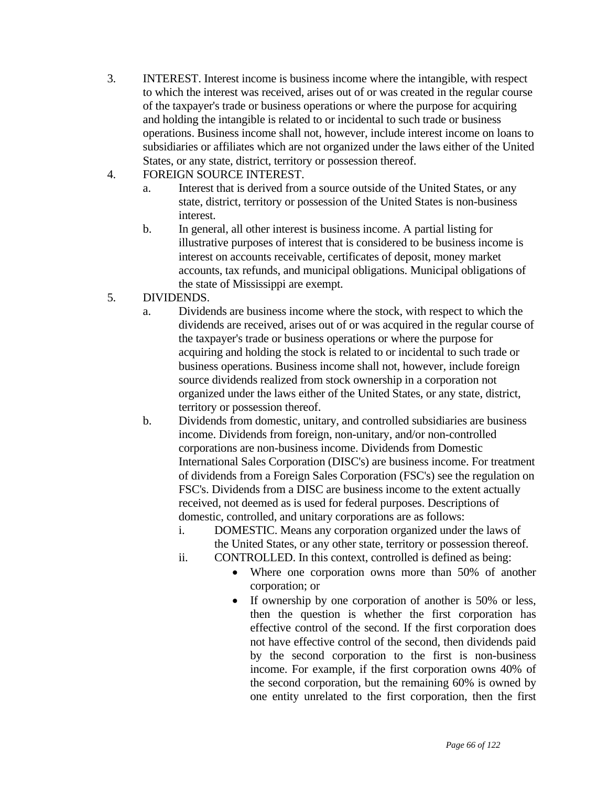- 3. INTEREST. Interest income is business income where the intangible, with respect to which the interest was received, arises out of or was created in the regular course of the taxpayer's trade or business operations or where the purpose for acquiring and holding the intangible is related to or incidental to such trade or business operations. Business income shall not, however, include interest income on loans to subsidiaries or affiliates which are not organized under the laws either of the United States, or any state, district, territory or possession thereof.
- 4. FOREIGN SOURCE INTEREST.
	- a. Interest that is derived from a source outside of the United States, or any state, district, territory or possession of the United States is non-business interest.
	- b. In general, all other interest is business income. A partial listing for illustrative purposes of interest that is considered to be business income is interest on accounts receivable, certificates of deposit, money market accounts, tax refunds, and municipal obligations. Municipal obligations of the state of Mississippi are exempt.
- 5. DIVIDENDS.
	- a. Dividends are business income where the stock, with respect to which the dividends are received, arises out of or was acquired in the regular course of the taxpayer's trade or business operations or where the purpose for acquiring and holding the stock is related to or incidental to such trade or business operations. Business income shall not, however, include foreign source dividends realized from stock ownership in a corporation not organized under the laws either of the United States, or any state, district, territory or possession thereof.
	- b. Dividends from domestic, unitary, and controlled subsidiaries are business income. Dividends from foreign, non-unitary, and/or non-controlled corporations are non-business income. Dividends from Domestic International Sales Corporation (DISC's) are business income. For treatment of dividends from a Foreign Sales Corporation (FSC's) see the regulation on FSC's. Dividends from a DISC are business income to the extent actually received, not deemed as is used for federal purposes. Descriptions of domestic, controlled, and unitary corporations are as follows:
		- i. DOMESTIC. Means any corporation organized under the laws of the United States, or any other state, territory or possession thereof.
		- ii. CONTROLLED. In this context, controlled is defined as being:
			- Where one corporation owns more than 50% of another corporation; or
			- If ownership by one corporation of another is 50% or less, then the question is whether the first corporation has effective control of the second. If the first corporation does not have effective control of the second, then dividends paid by the second corporation to the first is non-business income. For example, if the first corporation owns 40% of the second corporation, but the remaining 60% is owned by one entity unrelated to the first corporation, then the first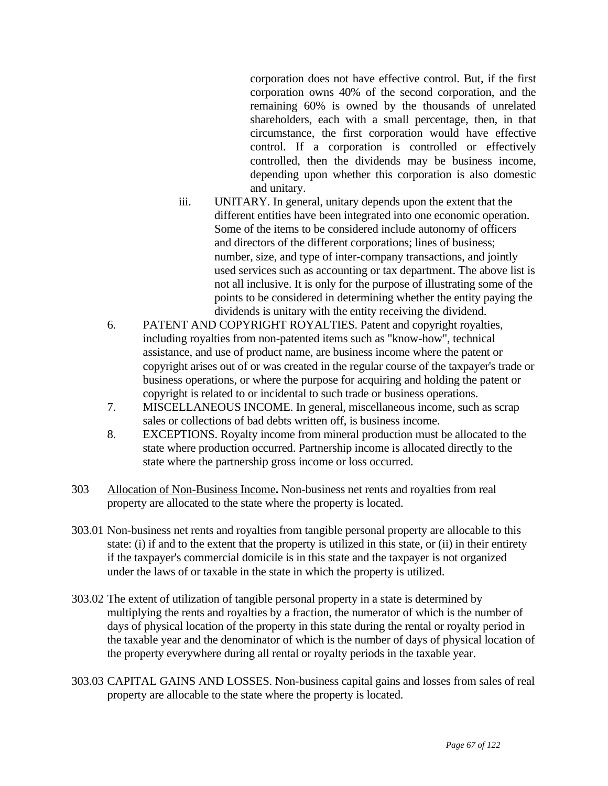corporation does not have effective control. But, if the first corporation owns 40% of the second corporation, and the remaining 60% is owned by the thousands of unrelated shareholders, each with a small percentage, then, in that circumstance, the first corporation would have effective control. If a corporation is controlled or effectively controlled, then the dividends may be business income, depending upon whether this corporation is also domestic and unitary.

- iii. UNITARY. In general, unitary depends upon the extent that the different entities have been integrated into one economic operation. Some of the items to be considered include autonomy of officers and directors of the different corporations; lines of business; number, size, and type of inter-company transactions, and jointly used services such as accounting or tax department. The above list is not all inclusive. It is only for the purpose of illustrating some of the points to be considered in determining whether the entity paying the dividends is unitary with the entity receiving the dividend.
- 6. PATENT AND COPYRIGHT ROYALTIES. Patent and copyright royalties, including royalties from non-patented items such as "know-how", technical assistance, and use of product name, are business income where the patent or copyright arises out of or was created in the regular course of the taxpayer's trade or business operations, or where the purpose for acquiring and holding the patent or copyright is related to or incidental to such trade or business operations.
- 7. MISCELLANEOUS INCOME. In general, miscellaneous income, such as scrap sales or collections of bad debts written off, is business income.
- 8. EXCEPTIONS. Royalty income from mineral production must be allocated to the state where production occurred. Partnership income is allocated directly to the state where the partnership gross income or loss occurred.
- 303 Allocation of Non-Business Income**.** Non-business net rents and royalties from real property are allocated to the state where the property is located.
- 303.01 Non-business net rents and royalties from tangible personal property are allocable to this state: (i) if and to the extent that the property is utilized in this state, or (ii) in their entirety if the taxpayer's commercial domicile is in this state and the taxpayer is not organized under the laws of or taxable in the state in which the property is utilized.
- 303.02 The extent of utilization of tangible personal property in a state is determined by multiplying the rents and royalties by a fraction, the numerator of which is the number of days of physical location of the property in this state during the rental or royalty period in the taxable year and the denominator of which is the number of days of physical location of the property everywhere during all rental or royalty periods in the taxable year.
- 303.03 CAPITAL GAINS AND LOSSES. Non-business capital gains and losses from sales of real property are allocable to the state where the property is located.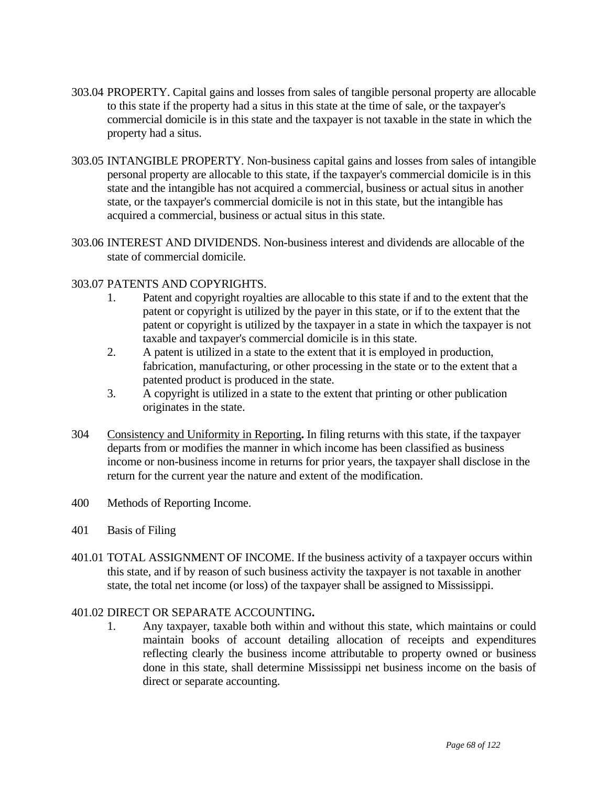- 303.04 PROPERTY. Capital gains and losses from sales of tangible personal property are allocable to this state if the property had a situs in this state at the time of sale, or the taxpayer's commercial domicile is in this state and the taxpayer is not taxable in the state in which the property had a situs.
- 303.05 INTANGIBLE PROPERTY. Non-business capital gains and losses from sales of intangible personal property are allocable to this state, if the taxpayer's commercial domicile is in this state and the intangible has not acquired a commercial, business or actual situs in another state, or the taxpayer's commercial domicile is not in this state, but the intangible has acquired a commercial, business or actual situs in this state.
- 303.06 INTEREST AND DIVIDENDS. Non-business interest and dividends are allocable of the state of commercial domicile.

## 303.07 PATENTS AND COPYRIGHTS.

- 1. Patent and copyright royalties are allocable to this state if and to the extent that the patent or copyright is utilized by the payer in this state, or if to the extent that the patent or copyright is utilized by the taxpayer in a state in which the taxpayer is not taxable and taxpayer's commercial domicile is in this state.
- 2. A patent is utilized in a state to the extent that it is employed in production, fabrication, manufacturing, or other processing in the state or to the extent that a patented product is produced in the state.
- 3. A copyright is utilized in a state to the extent that printing or other publication originates in the state.
- 304 Consistency and Uniformity in Reporting**.** In filing returns with this state, if the taxpayer departs from or modifies the manner in which income has been classified as business income or non-business income in returns for prior years, the taxpayer shall disclose in the return for the current year the nature and extent of the modification.
- 400 Methods of Reporting Income.
- 401 Basis of Filing
- 401.01 TOTAL ASSIGNMENT OF INCOME. If the business activity of a taxpayer occurs within this state, and if by reason of such business activity the taxpayer is not taxable in another state, the total net income (or loss) of the taxpayer shall be assigned to Mississippi.

# 401.02 DIRECT OR SEPARATE ACCOUNTING**.**

1. Any taxpayer, taxable both within and without this state, which maintains or could maintain books of account detailing allocation of receipts and expenditures reflecting clearly the business income attributable to property owned or business done in this state, shall determine Mississippi net business income on the basis of direct or separate accounting.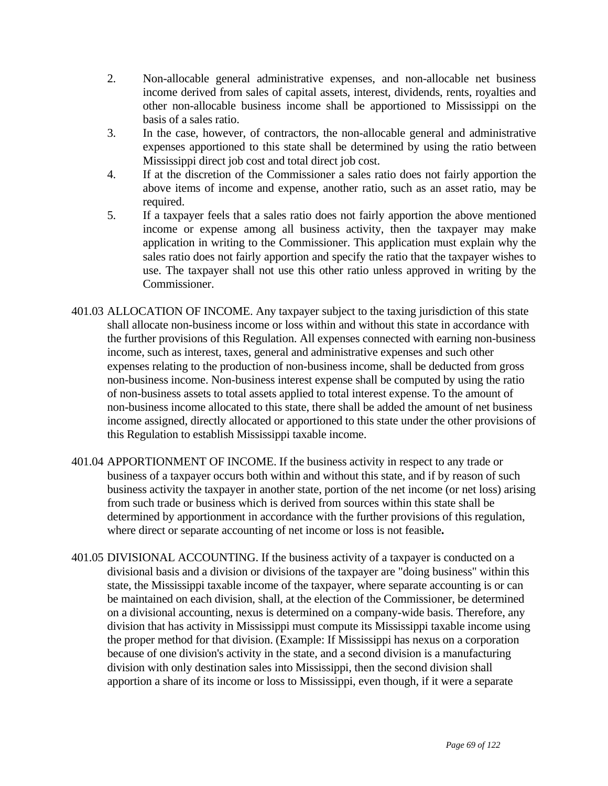- 2. Non-allocable general administrative expenses, and non-allocable net business income derived from sales of capital assets, interest, dividends, rents, royalties and other non-allocable business income shall be apportioned to Mississippi on the basis of a sales ratio.
- 3. In the case, however, of contractors, the non-allocable general and administrative expenses apportioned to this state shall be determined by using the ratio between Mississippi direct job cost and total direct job cost.
- 4. If at the discretion of the Commissioner a sales ratio does not fairly apportion the above items of income and expense, another ratio, such as an asset ratio, may be required.
- 5. If a taxpayer feels that a sales ratio does not fairly apportion the above mentioned income or expense among all business activity, then the taxpayer may make application in writing to the Commissioner. This application must explain why the sales ratio does not fairly apportion and specify the ratio that the taxpayer wishes to use. The taxpayer shall not use this other ratio unless approved in writing by the Commissioner.
- 401.03 ALLOCATION OF INCOME. Any taxpayer subject to the taxing jurisdiction of this state shall allocate non-business income or loss within and without this state in accordance with the further provisions of this Regulation. All expenses connected with earning non-business income, such as interest, taxes, general and administrative expenses and such other expenses relating to the production of non-business income, shall be deducted from gross non-business income. Non-business interest expense shall be computed by using the ratio of non-business assets to total assets applied to total interest expense. To the amount of non-business income allocated to this state, there shall be added the amount of net business income assigned, directly allocated or apportioned to this state under the other provisions of this Regulation to establish Mississippi taxable income.
- 401.04 APPORTIONMENT OF INCOME. If the business activity in respect to any trade or business of a taxpayer occurs both within and without this state, and if by reason of such business activity the taxpayer in another state, portion of the net income (or net loss) arising from such trade or business which is derived from sources within this state shall be determined by apportionment in accordance with the further provisions of this regulation, where direct or separate accounting of net income or loss is not feasible**.**
- 401.05 DIVISIONAL ACCOUNTING. If the business activity of a taxpayer is conducted on a divisional basis and a division or divisions of the taxpayer are "doing business" within this state, the Mississippi taxable income of the taxpayer, where separate accounting is or can be maintained on each division, shall, at the election of the Commissioner, be determined on a divisional accounting, nexus is determined on a company-wide basis. Therefore, any division that has activity in Mississippi must compute its Mississippi taxable income using the proper method for that division. (Example: If Mississippi has nexus on a corporation because of one division's activity in the state, and a second division is a manufacturing division with only destination sales into Mississippi, then the second division shall apportion a share of its income or loss to Mississippi, even though, if it were a separate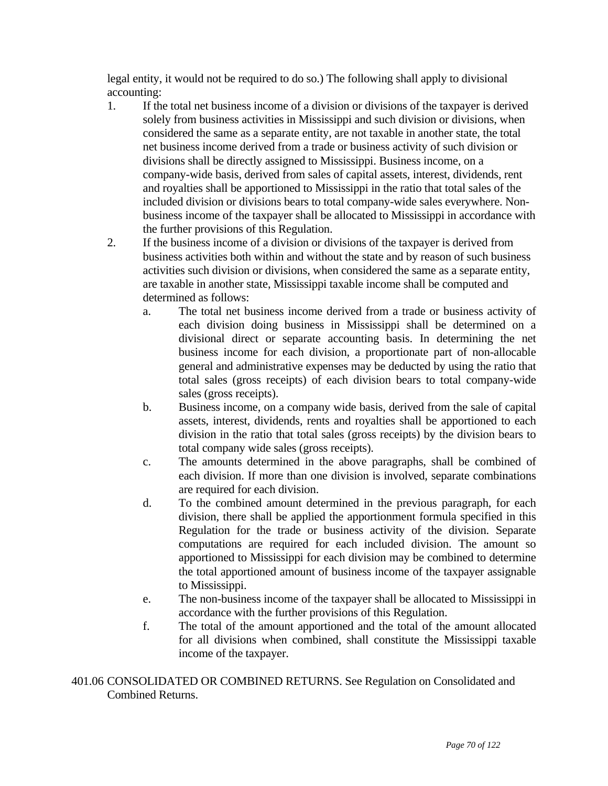legal entity, it would not be required to do so.) The following shall apply to divisional accounting:

- 1. If the total net business income of a division or divisions of the taxpayer is derived solely from business activities in Mississippi and such division or divisions, when considered the same as a separate entity, are not taxable in another state, the total net business income derived from a trade or business activity of such division or divisions shall be directly assigned to Mississippi. Business income, on a company-wide basis, derived from sales of capital assets, interest, dividends, rent and royalties shall be apportioned to Mississippi in the ratio that total sales of the included division or divisions bears to total company-wide sales everywhere. Nonbusiness income of the taxpayer shall be allocated to Mississippi in accordance with the further provisions of this Regulation.
- 2. If the business income of a division or divisions of the taxpayer is derived from business activities both within and without the state and by reason of such business activities such division or divisions, when considered the same as a separate entity, are taxable in another state, Mississippi taxable income shall be computed and determined as follows:
	- a. The total net business income derived from a trade or business activity of each division doing business in Mississippi shall be determined on a divisional direct or separate accounting basis. In determining the net business income for each division, a proportionate part of non-allocable general and administrative expenses may be deducted by using the ratio that total sales (gross receipts) of each division bears to total company-wide sales (gross receipts).
	- b. Business income, on a company wide basis, derived from the sale of capital assets, interest, dividends, rents and royalties shall be apportioned to each division in the ratio that total sales (gross receipts) by the division bears to total company wide sales (gross receipts).
	- c. The amounts determined in the above paragraphs, shall be combined of each division. If more than one division is involved, separate combinations are required for each division.
	- d. To the combined amount determined in the previous paragraph, for each division, there shall be applied the apportionment formula specified in this Regulation for the trade or business activity of the division. Separate computations are required for each included division. The amount so apportioned to Mississippi for each division may be combined to determine the total apportioned amount of business income of the taxpayer assignable to Mississippi.
	- e. The non-business income of the taxpayer shall be allocated to Mississippi in accordance with the further provisions of this Regulation.
	- f. The total of the amount apportioned and the total of the amount allocated for all divisions when combined, shall constitute the Mississippi taxable income of the taxpayer.

401.06 CONSOLIDATED OR COMBINED RETURNS. See Regulation on Consolidated and Combined Returns.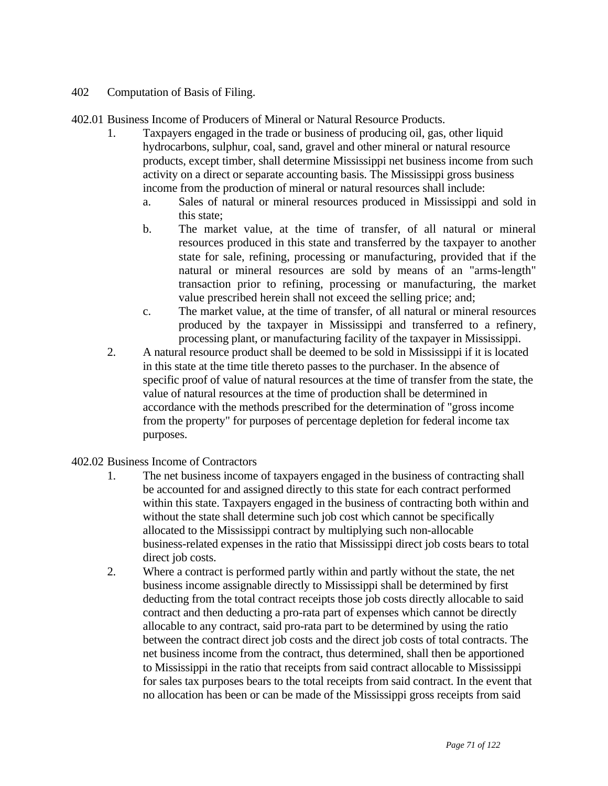- 402 Computation of Basis of Filing.
- 402.01 Business Income of Producers of Mineral or Natural Resource Products.
	- 1. Taxpayers engaged in the trade or business of producing oil, gas, other liquid hydrocarbons, sulphur, coal, sand, gravel and other mineral or natural resource products, except timber, shall determine Mississippi net business income from such activity on a direct or separate accounting basis. The Mississippi gross business income from the production of mineral or natural resources shall include:
		- a. Sales of natural or mineral resources produced in Mississippi and sold in this state;
		- b. The market value, at the time of transfer, of all natural or mineral resources produced in this state and transferred by the taxpayer to another state for sale, refining, processing or manufacturing, provided that if the natural or mineral resources are sold by means of an "arms-length" transaction prior to refining, processing or manufacturing, the market value prescribed herein shall not exceed the selling price; and;
		- c. The market value, at the time of transfer, of all natural or mineral resources produced by the taxpayer in Mississippi and transferred to a refinery, processing plant, or manufacturing facility of the taxpayer in Mississippi.
	- 2. A natural resource product shall be deemed to be sold in Mississippi if it is located in this state at the time title thereto passes to the purchaser. In the absence of specific proof of value of natural resources at the time of transfer from the state, the value of natural resources at the time of production shall be determined in accordance with the methods prescribed for the determination of "gross income from the property" for purposes of percentage depletion for federal income tax purposes.
- 402.02 Business Income of Contractors
	- 1. The net business income of taxpayers engaged in the business of contracting shall be accounted for and assigned directly to this state for each contract performed within this state. Taxpayers engaged in the business of contracting both within and without the state shall determine such job cost which cannot be specifically allocated to the Mississippi contract by multiplying such non-allocable business-related expenses in the ratio that Mississippi direct job costs bears to total direct job costs.
	- 2. Where a contract is performed partly within and partly without the state, the net business income assignable directly to Mississippi shall be determined by first deducting from the total contract receipts those job costs directly allocable to said contract and then deducting a pro-rata part of expenses which cannot be directly allocable to any contract, said pro-rata part to be determined by using the ratio between the contract direct job costs and the direct job costs of total contracts. The net business income from the contract, thus determined, shall then be apportioned to Mississippi in the ratio that receipts from said contract allocable to Mississippi for sales tax purposes bears to the total receipts from said contract. In the event that no allocation has been or can be made of the Mississippi gross receipts from said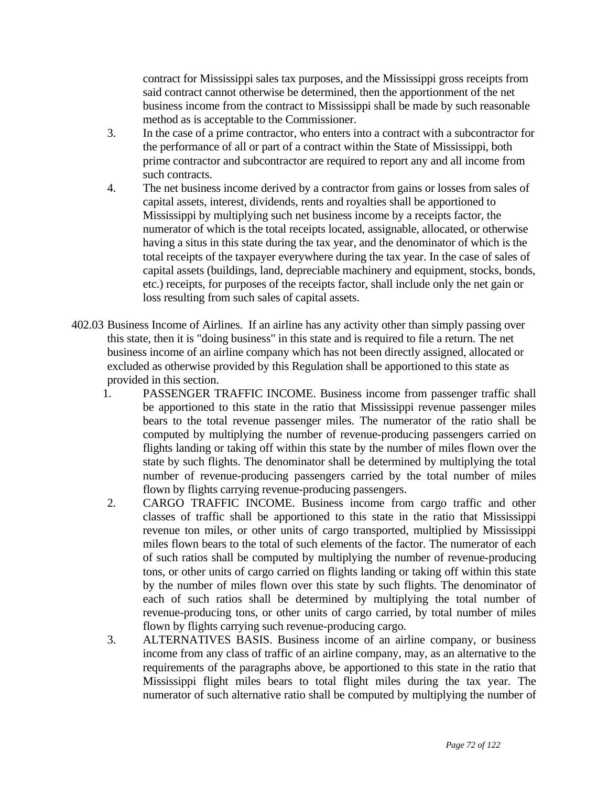contract for Mississippi sales tax purposes, and the Mississippi gross receipts from said contract cannot otherwise be determined, then the apportionment of the net business income from the contract to Mississippi shall be made by such reasonable method as is acceptable to the Commissioner.

- 3. In the case of a prime contractor, who enters into a contract with a subcontractor for the performance of all or part of a contract within the State of Mississippi, both prime contractor and subcontractor are required to report any and all income from such contracts.
- 4. The net business income derived by a contractor from gains or losses from sales of capital assets, interest, dividends, rents and royalties shall be apportioned to Mississippi by multiplying such net business income by a receipts factor, the numerator of which is the total receipts located, assignable, allocated, or otherwise having a situs in this state during the tax year, and the denominator of which is the total receipts of the taxpayer everywhere during the tax year. In the case of sales of capital assets (buildings, land, depreciable machinery and equipment, stocks, bonds, etc.) receipts, for purposes of the receipts factor, shall include only the net gain or loss resulting from such sales of capital assets.
- 402.03 Business Income of Airlines. If an airline has any activity other than simply passing over this state, then it is "doing business" in this state and is required to file a return. The net business income of an airline company which has not been directly assigned, allocated or excluded as otherwise provided by this Regulation shall be apportioned to this state as provided in this section.
	- 1. PASSENGER TRAFFIC INCOME. Business income from passenger traffic shall be apportioned to this state in the ratio that Mississippi revenue passenger miles bears to the total revenue passenger miles. The numerator of the ratio shall be computed by multiplying the number of revenue-producing passengers carried on flights landing or taking off within this state by the number of miles flown over the state by such flights. The denominator shall be determined by multiplying the total number of revenue-producing passengers carried by the total number of miles flown by flights carrying revenue-producing passengers.
	- 2. CARGO TRAFFIC INCOME. Business income from cargo traffic and other classes of traffic shall be apportioned to this state in the ratio that Mississippi revenue ton miles, or other units of cargo transported, multiplied by Mississippi miles flown bears to the total of such elements of the factor. The numerator of each of such ratios shall be computed by multiplying the number of revenue-producing tons, or other units of cargo carried on flights landing or taking off within this state by the number of miles flown over this state by such flights. The denominator of each of such ratios shall be determined by multiplying the total number of revenue-producing tons, or other units of cargo carried, by total number of miles flown by flights carrying such revenue-producing cargo.
	- 3. ALTERNATIVES BASIS. Business income of an airline company, or business income from any class of traffic of an airline company, may, as an alternative to the requirements of the paragraphs above, be apportioned to this state in the ratio that Mississippi flight miles bears to total flight miles during the tax year. The numerator of such alternative ratio shall be computed by multiplying the number of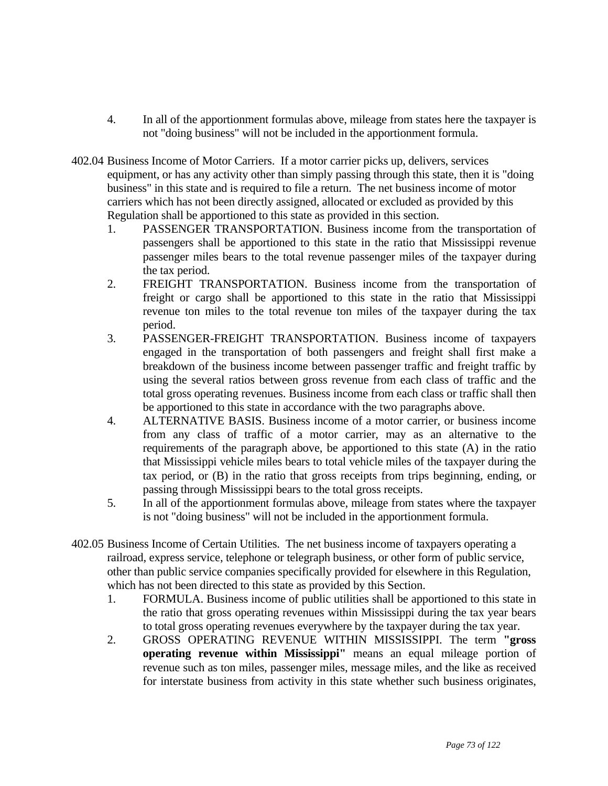- 4. In all of the apportionment formulas above, mileage from states here the taxpayer is not "doing business" will not be included in the apportionment formula.
- 402.04 Business Income of Motor Carriers. If a motor carrier picks up, delivers, services equipment, or has any activity other than simply passing through this state, then it is "doing business" in this state and is required to file a return. The net business income of motor carriers which has not been directly assigned, allocated or excluded as provided by this Regulation shall be apportioned to this state as provided in this section.
	- 1. PASSENGER TRANSPORTATION. Business income from the transportation of passengers shall be apportioned to this state in the ratio that Mississippi revenue passenger miles bears to the total revenue passenger miles of the taxpayer during the tax period.
	- 2. FREIGHT TRANSPORTATION. Business income from the transportation of freight or cargo shall be apportioned to this state in the ratio that Mississippi revenue ton miles to the total revenue ton miles of the taxpayer during the tax period.
	- 3. PASSENGER-FREIGHT TRANSPORTATION. Business income of taxpayers engaged in the transportation of both passengers and freight shall first make a breakdown of the business income between passenger traffic and freight traffic by using the several ratios between gross revenue from each class of traffic and the total gross operating revenues. Business income from each class or traffic shall then be apportioned to this state in accordance with the two paragraphs above.
	- 4. ALTERNATIVE BASIS. Business income of a motor carrier, or business income from any class of traffic of a motor carrier, may as an alternative to the requirements of the paragraph above, be apportioned to this state (A) in the ratio that Mississippi vehicle miles bears to total vehicle miles of the taxpayer during the tax period, or (B) in the ratio that gross receipts from trips beginning, ending, or passing through Mississippi bears to the total gross receipts.
	- 5. In all of the apportionment formulas above, mileage from states where the taxpayer is not "doing business" will not be included in the apportionment formula.
- 402.05 Business Income of Certain Utilities. The net business income of taxpayers operating a railroad, express service, telephone or telegraph business, or other form of public service, other than public service companies specifically provided for elsewhere in this Regulation, which has not been directed to this state as provided by this Section.
	- 1. FORMULA. Business income of public utilities shall be apportioned to this state in the ratio that gross operating revenues within Mississippi during the tax year bears to total gross operating revenues everywhere by the taxpayer during the tax year.
	- 2. GROSS OPERATING REVENUE WITHIN MISSISSIPPI. The term **"gross operating revenue within Mississippi"** means an equal mileage portion of revenue such as ton miles, passenger miles, message miles, and the like as received for interstate business from activity in this state whether such business originates,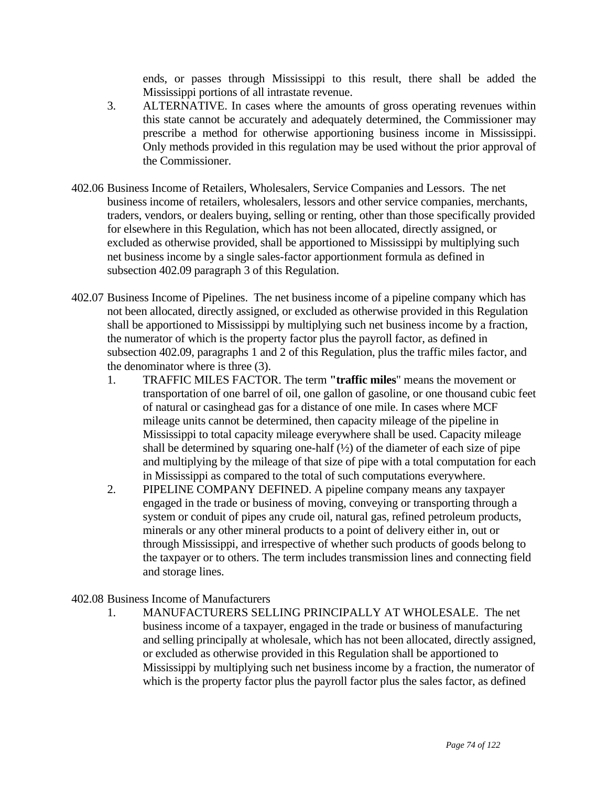ends, or passes through Mississippi to this result, there shall be added the Mississippi portions of all intrastate revenue.

- 3. ALTERNATIVE. In cases where the amounts of gross operating revenues within this state cannot be accurately and adequately determined, the Commissioner may prescribe a method for otherwise apportioning business income in Mississippi. Only methods provided in this regulation may be used without the prior approval of the Commissioner.
- 402.06 Business Income of Retailers, Wholesalers, Service Companies and Lessors. The net business income of retailers, wholesalers, lessors and other service companies, merchants, traders, vendors, or dealers buying, selling or renting, other than those specifically provided for elsewhere in this Regulation, which has not been allocated, directly assigned, or excluded as otherwise provided, shall be apportioned to Mississippi by multiplying such net business income by a single sales-factor apportionment formula as defined in subsection 402.09 paragraph 3 of this Regulation.
- 402.07 Business Income of Pipelines. The net business income of a pipeline company which has not been allocated, directly assigned, or excluded as otherwise provided in this Regulation shall be apportioned to Mississippi by multiplying such net business income by a fraction, the numerator of which is the property factor plus the payroll factor, as defined in subsection 402.09, paragraphs 1 and 2 of this Regulation, plus the traffic miles factor, and the denominator where is three (3).
	- 1. TRAFFIC MILES FACTOR. The term **"traffic miles**" means the movement or transportation of one barrel of oil, one gallon of gasoline, or one thousand cubic feet of natural or casinghead gas for a distance of one mile. In cases where MCF mileage units cannot be determined, then capacity mileage of the pipeline in Mississippi to total capacity mileage everywhere shall be used. Capacity mileage shall be determined by squaring one-half  $(½)$  of the diameter of each size of pipe and multiplying by the mileage of that size of pipe with a total computation for each in Mississippi as compared to the total of such computations everywhere.
	- 2. PIPELINE COMPANY DEFINED. A pipeline company means any taxpayer engaged in the trade or business of moving, conveying or transporting through a system or conduit of pipes any crude oil, natural gas, refined petroleum products, minerals or any other mineral products to a point of delivery either in, out or through Mississippi, and irrespective of whether such products of goods belong to the taxpayer or to others. The term includes transmission lines and connecting field and storage lines.

402.08 Business Income of Manufacturers

1. MANUFACTURERS SELLING PRINCIPALLY AT WHOLESALE. The net business income of a taxpayer, engaged in the trade or business of manufacturing and selling principally at wholesale, which has not been allocated, directly assigned, or excluded as otherwise provided in this Regulation shall be apportioned to Mississippi by multiplying such net business income by a fraction, the numerator of which is the property factor plus the payroll factor plus the sales factor, as defined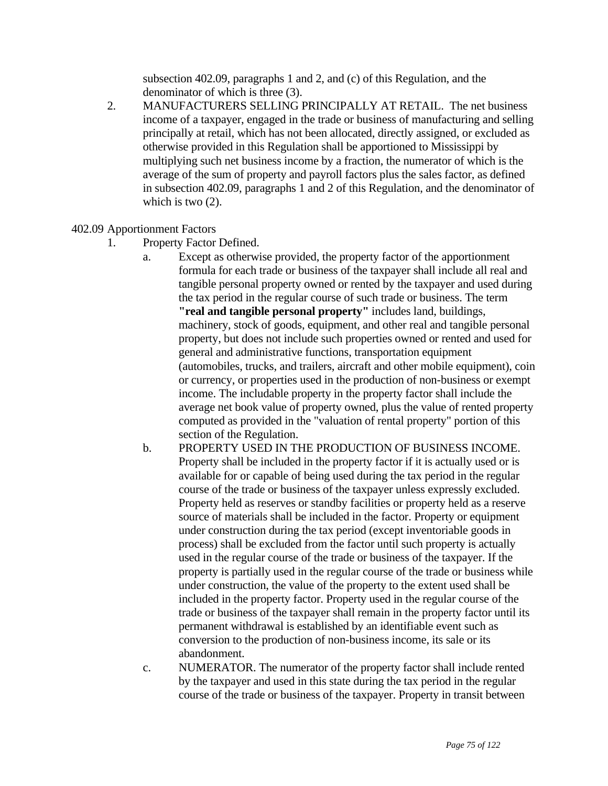subsection 402.09, paragraphs 1 and 2, and (c) of this Regulation, and the denominator of which is three (3).

2. MANUFACTURERS SELLING PRINCIPALLY AT RETAIL. The net business income of a taxpayer, engaged in the trade or business of manufacturing and selling principally at retail, which has not been allocated, directly assigned, or excluded as otherwise provided in this Regulation shall be apportioned to Mississippi by multiplying such net business income by a fraction, the numerator of which is the average of the sum of property and payroll factors plus the sales factor, as defined in subsection 402.09, paragraphs 1 and 2 of this Regulation, and the denominator of which is two  $(2)$ .

### 402.09 Apportionment Factors

- 1. Property Factor Defined.
	- a. Except as otherwise provided, the property factor of the apportionment formula for each trade or business of the taxpayer shall include all real and tangible personal property owned or rented by the taxpayer and used during the tax period in the regular course of such trade or business. The term **"real and tangible personal property"** includes land, buildings, machinery, stock of goods, equipment, and other real and tangible personal property, but does not include such properties owned or rented and used for general and administrative functions, transportation equipment (automobiles, trucks, and trailers, aircraft and other mobile equipment), coin or currency, or properties used in the production of non-business or exempt income. The includable property in the property factor shall include the average net book value of property owned, plus the value of rented property computed as provided in the "valuation of rental property" portion of this section of the Regulation.
	- b. PROPERTY USED IN THE PRODUCTION OF BUSINESS INCOME. Property shall be included in the property factor if it is actually used or is available for or capable of being used during the tax period in the regular course of the trade or business of the taxpayer unless expressly excluded. Property held as reserves or standby facilities or property held as a reserve source of materials shall be included in the factor. Property or equipment under construction during the tax period (except inventoriable goods in process) shall be excluded from the factor until such property is actually used in the regular course of the trade or business of the taxpayer. If the property is partially used in the regular course of the trade or business while under construction, the value of the property to the extent used shall be included in the property factor. Property used in the regular course of the trade or business of the taxpayer shall remain in the property factor until its permanent withdrawal is established by an identifiable event such as conversion to the production of non-business income, its sale or its abandonment.
	- c. NUMERATOR. The numerator of the property factor shall include rented by the taxpayer and used in this state during the tax period in the regular course of the trade or business of the taxpayer. Property in transit between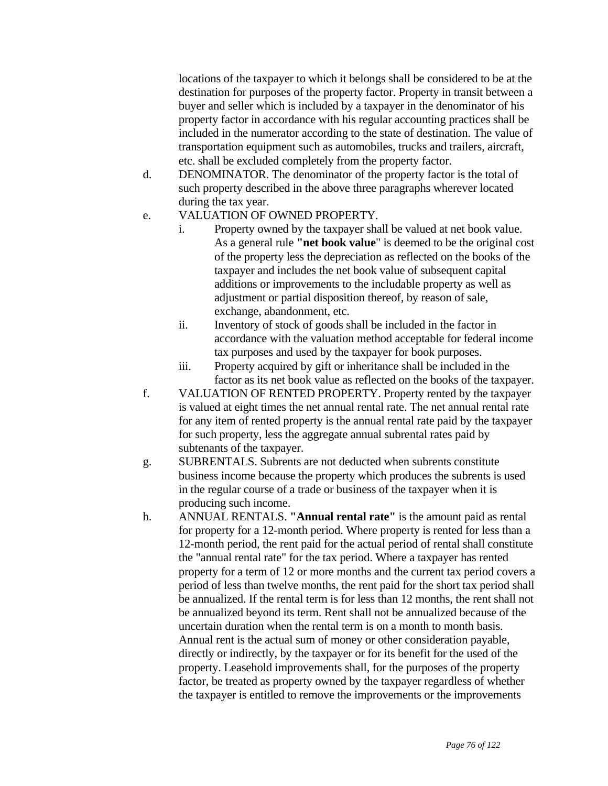locations of the taxpayer to which it belongs shall be considered to be at the destination for purposes of the property factor. Property in transit between a buyer and seller which is included by a taxpayer in the denominator of his property factor in accordance with his regular accounting practices shall be included in the numerator according to the state of destination. The value of transportation equipment such as automobiles, trucks and trailers, aircraft, etc. shall be excluded completely from the property factor.

- d. DENOMINATOR. The denominator of the property factor is the total of such property described in the above three paragraphs wherever located during the tax year.
- e. VALUATION OF OWNED PROPERTY.
	- i. Property owned by the taxpayer shall be valued at net book value. As a general rule **"net book value**" is deemed to be the original cost of the property less the depreciation as reflected on the books of the taxpayer and includes the net book value of subsequent capital additions or improvements to the includable property as well as adjustment or partial disposition thereof, by reason of sale, exchange, abandonment, etc.
	- ii. Inventory of stock of goods shall be included in the factor in accordance with the valuation method acceptable for federal income tax purposes and used by the taxpayer for book purposes.
	- iii. Property acquired by gift or inheritance shall be included in the factor as its net book value as reflected on the books of the taxpayer.
- f. VALUATION OF RENTED PROPERTY. Property rented by the taxpayer is valued at eight times the net annual rental rate. The net annual rental rate for any item of rented property is the annual rental rate paid by the taxpayer for such property, less the aggregate annual subrental rates paid by subtenants of the taxpayer.
- g. SUBRENTALS. Subrents are not deducted when subrents constitute business income because the property which produces the subrents is used in the regular course of a trade or business of the taxpayer when it is producing such income.
- h. ANNUAL RENTALS. **"Annual rental rate"** is the amount paid as rental for property for a 12-month period. Where property is rented for less than a 12-month period, the rent paid for the actual period of rental shall constitute the "annual rental rate" for the tax period. Where a taxpayer has rented property for a term of 12 or more months and the current tax period covers a period of less than twelve months, the rent paid for the short tax period shall be annualized. If the rental term is for less than 12 months, the rent shall not be annualized beyond its term. Rent shall not be annualized because of the uncertain duration when the rental term is on a month to month basis. Annual rent is the actual sum of money or other consideration payable, directly or indirectly, by the taxpayer or for its benefit for the used of the property. Leasehold improvements shall, for the purposes of the property factor, be treated as property owned by the taxpayer regardless of whether the taxpayer is entitled to remove the improvements or the improvements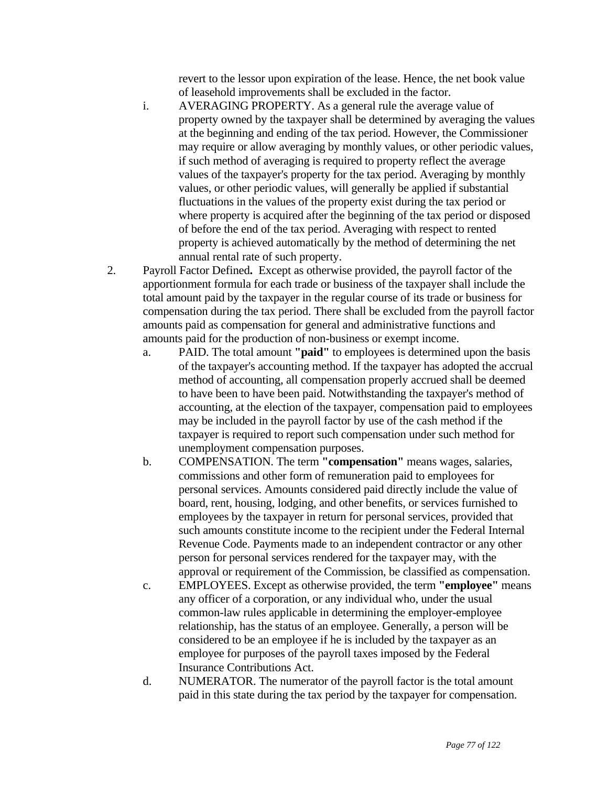revert to the lessor upon expiration of the lease. Hence, the net book value of leasehold improvements shall be excluded in the factor.

- i. AVERAGING PROPERTY. As a general rule the average value of property owned by the taxpayer shall be determined by averaging the values at the beginning and ending of the tax period. However, the Commissioner may require or allow averaging by monthly values, or other periodic values, if such method of averaging is required to property reflect the average values of the taxpayer's property for the tax period. Averaging by monthly values, or other periodic values, will generally be applied if substantial fluctuations in the values of the property exist during the tax period or where property is acquired after the beginning of the tax period or disposed of before the end of the tax period. Averaging with respect to rented property is achieved automatically by the method of determining the net annual rental rate of such property.
- 2. Payroll Factor Defined**.** Except as otherwise provided, the payroll factor of the apportionment formula for each trade or business of the taxpayer shall include the total amount paid by the taxpayer in the regular course of its trade or business for compensation during the tax period. There shall be excluded from the payroll factor amounts paid as compensation for general and administrative functions and amounts paid for the production of non-business or exempt income.
	- a. PAID. The total amount **"paid"** to employees is determined upon the basis of the taxpayer's accounting method. If the taxpayer has adopted the accrual method of accounting, all compensation properly accrued shall be deemed to have been to have been paid. Notwithstanding the taxpayer's method of accounting, at the election of the taxpayer, compensation paid to employees may be included in the payroll factor by use of the cash method if the taxpayer is required to report such compensation under such method for unemployment compensation purposes.
	- b. COMPENSATION. The term **"compensation"** means wages, salaries, commissions and other form of remuneration paid to employees for personal services. Amounts considered paid directly include the value of board, rent, housing, lodging, and other benefits, or services furnished to employees by the taxpayer in return for personal services, provided that such amounts constitute income to the recipient under the Federal Internal Revenue Code. Payments made to an independent contractor or any other person for personal services rendered for the taxpayer may, with the approval or requirement of the Commission, be classified as compensation.
	- c. EMPLOYEES. Except as otherwise provided, the term **"employee"** means any officer of a corporation, or any individual who, under the usual common-law rules applicable in determining the employer-employee relationship, has the status of an employee. Generally, a person will be considered to be an employee if he is included by the taxpayer as an employee for purposes of the payroll taxes imposed by the Federal Insurance Contributions Act.
	- d. NUMERATOR. The numerator of the payroll factor is the total amount paid in this state during the tax period by the taxpayer for compensation.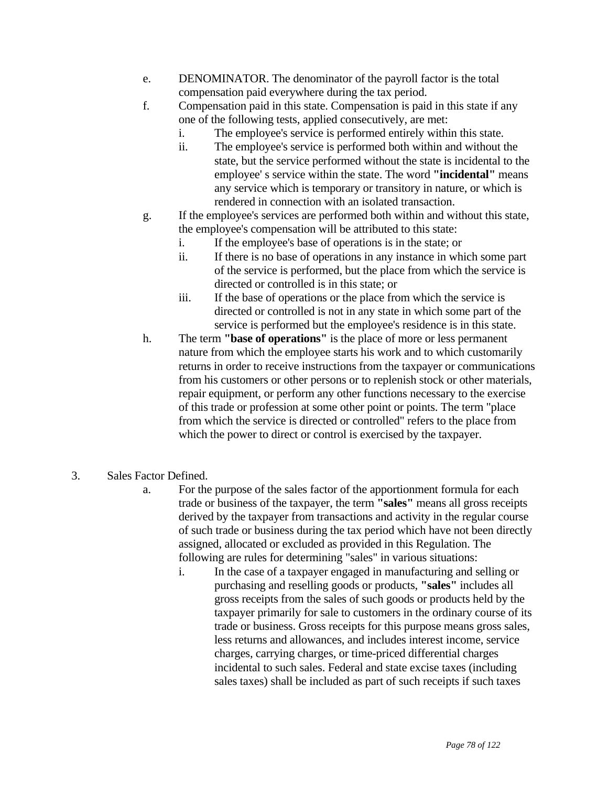- e. DENOMINATOR. The denominator of the payroll factor is the total compensation paid everywhere during the tax period.
- f. Compensation paid in this state. Compensation is paid in this state if any one of the following tests, applied consecutively, are met:
	- i. The employee's service is performed entirely within this state.
	- ii. The employee's service is performed both within and without the state, but the service performed without the state is incidental to the employee' s service within the state. The word **"incidental"** means any service which is temporary or transitory in nature, or which is rendered in connection with an isolated transaction.
- g. If the employee's services are performed both within and without this state, the employee's compensation will be attributed to this state:
	- i. If the employee's base of operations is in the state; or
	- ii. If there is no base of operations in any instance in which some part of the service is performed, but the place from which the service is directed or controlled is in this state; or
	- iii. If the base of operations or the place from which the service is directed or controlled is not in any state in which some part of the service is performed but the employee's residence is in this state.
- h. The term **"base of operations"** is the place of more or less permanent nature from which the employee starts his work and to which customarily returns in order to receive instructions from the taxpayer or communications from his customers or other persons or to replenish stock or other materials, repair equipment, or perform any other functions necessary to the exercise of this trade or profession at some other point or points. The term "place from which the service is directed or controlled" refers to the place from which the power to direct or control is exercised by the taxpayer.
- 3. Sales Factor Defined.
	- a. For the purpose of the sales factor of the apportionment formula for each trade or business of the taxpayer, the term **"sales"** means all gross receipts derived by the taxpayer from transactions and activity in the regular course of such trade or business during the tax period which have not been directly assigned, allocated or excluded as provided in this Regulation. The following are rules for determining "sales" in various situations:
		- i. In the case of a taxpayer engaged in manufacturing and selling or purchasing and reselling goods or products, **"sales"** includes all gross receipts from the sales of such goods or products held by the taxpayer primarily for sale to customers in the ordinary course of its trade or business. Gross receipts for this purpose means gross sales, less returns and allowances, and includes interest income, service charges, carrying charges, or time-priced differential charges incidental to such sales. Federal and state excise taxes (including sales taxes) shall be included as part of such receipts if such taxes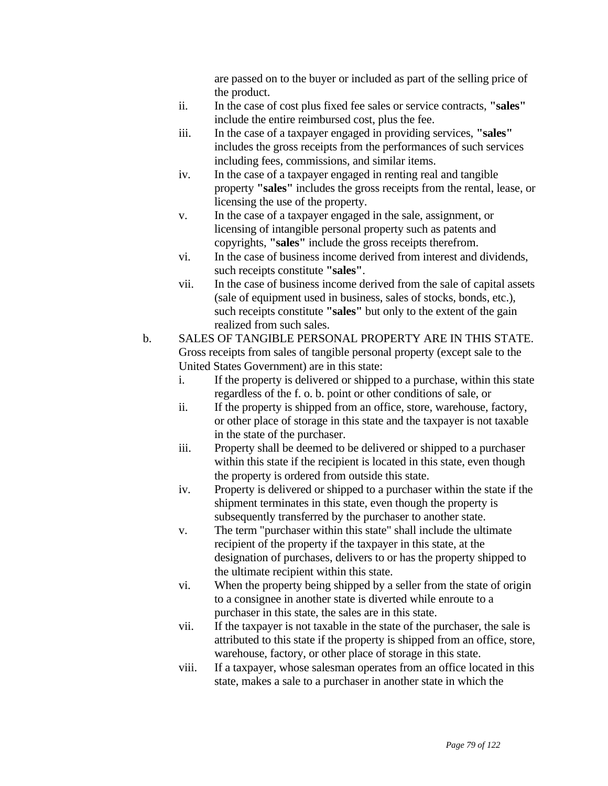are passed on to the buyer or included as part of the selling price of the product.

- ii. In the case of cost plus fixed fee sales or service contracts, **"sales"** include the entire reimbursed cost, plus the fee.
- iii. In the case of a taxpayer engaged in providing services, **"sales"** includes the gross receipts from the performances of such services including fees, commissions, and similar items.
- iv. In the case of a taxpayer engaged in renting real and tangible property **"sales"** includes the gross receipts from the rental, lease, or licensing the use of the property.
- v. In the case of a taxpayer engaged in the sale, assignment, or licensing of intangible personal property such as patents and copyrights, **"sales"** include the gross receipts therefrom.
- vi. In the case of business income derived from interest and dividends, such receipts constitute **"sales"**.
- vii. In the case of business income derived from the sale of capital assets (sale of equipment used in business, sales of stocks, bonds, etc.), such receipts constitute **"sales"** but only to the extent of the gain realized from such sales.
- b. SALES OF TANGIBLE PERSONAL PROPERTY ARE IN THIS STATE. Gross receipts from sales of tangible personal property (except sale to the United States Government) are in this state:
	- i. If the property is delivered or shipped to a purchase, within this state regardless of the f. o. b. point or other conditions of sale, or
	- ii. If the property is shipped from an office, store, warehouse, factory, or other place of storage in this state and the taxpayer is not taxable in the state of the purchaser.
	- iii. Property shall be deemed to be delivered or shipped to a purchaser within this state if the recipient is located in this state, even though the property is ordered from outside this state.
	- iv. Property is delivered or shipped to a purchaser within the state if the shipment terminates in this state, even though the property is subsequently transferred by the purchaser to another state.
	- v. The term "purchaser within this state" shall include the ultimate recipient of the property if the taxpayer in this state, at the designation of purchases, delivers to or has the property shipped to the ultimate recipient within this state.
	- vi. When the property being shipped by a seller from the state of origin to a consignee in another state is diverted while enroute to a purchaser in this state, the sales are in this state.
	- vii. If the taxpayer is not taxable in the state of the purchaser, the sale is attributed to this state if the property is shipped from an office, store, warehouse, factory, or other place of storage in this state.
	- viii. If a taxpayer, whose salesman operates from an office located in this state, makes a sale to a purchaser in another state in which the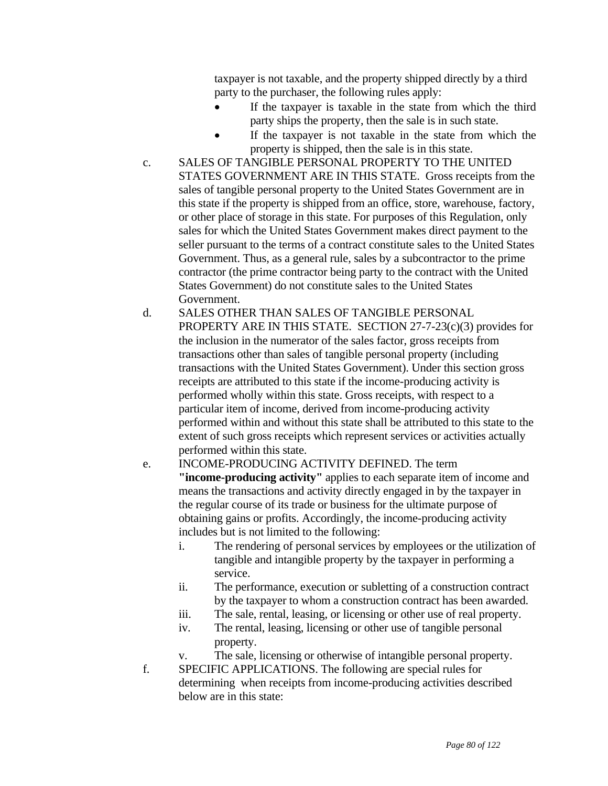taxpayer is not taxable, and the property shipped directly by a third party to the purchaser, the following rules apply:

- If the taxpayer is taxable in the state from which the third party ships the property, then the sale is in such state.
- If the taxpayer is not taxable in the state from which the property is shipped, then the sale is in this state.
- c. SALES OF TANGIBLE PERSONAL PROPERTY TO THE UNITED STATES GOVERNMENT ARE IN THIS STATE. Gross receipts from the sales of tangible personal property to the United States Government are in this state if the property is shipped from an office, store, warehouse, factory, or other place of storage in this state. For purposes of this Regulation, only sales for which the United States Government makes direct payment to the seller pursuant to the terms of a contract constitute sales to the United States Government. Thus, as a general rule, sales by a subcontractor to the prime contractor (the prime contractor being party to the contract with the United States Government) do not constitute sales to the United States Government.
- d. SALES OTHER THAN SALES OF TANGIBLE PERSONAL PROPERTY ARE IN THIS STATE. SECTION 27-7-23(c)(3) provides for the inclusion in the numerator of the sales factor, gross receipts from transactions other than sales of tangible personal property (including transactions with the United States Government). Under this section gross receipts are attributed to this state if the income-producing activity is performed wholly within this state. Gross receipts, with respect to a particular item of income, derived from income-producing activity performed within and without this state shall be attributed to this state to the extent of such gross receipts which represent services or activities actually performed within this state.
- e. INCOME-PRODUCING ACTIVITY DEFINED. The term **"income-producing activity"** applies to each separate item of income and means the transactions and activity directly engaged in by the taxpayer in the regular course of its trade or business for the ultimate purpose of obtaining gains or profits. Accordingly, the income-producing activity includes but is not limited to the following:
	- i. The rendering of personal services by employees or the utilization of tangible and intangible property by the taxpayer in performing a service.
	- ii. The performance, execution or subletting of a construction contract by the taxpayer to whom a construction contract has been awarded.
	- iii. The sale, rental, leasing, or licensing or other use of real property.
	- iv. The rental, leasing, licensing or other use of tangible personal property.
	- v. The sale, licensing or otherwise of intangible personal property.
- f. SPECIFIC APPLICATIONS. The following are special rules for determining when receipts from income-producing activities described below are in this state: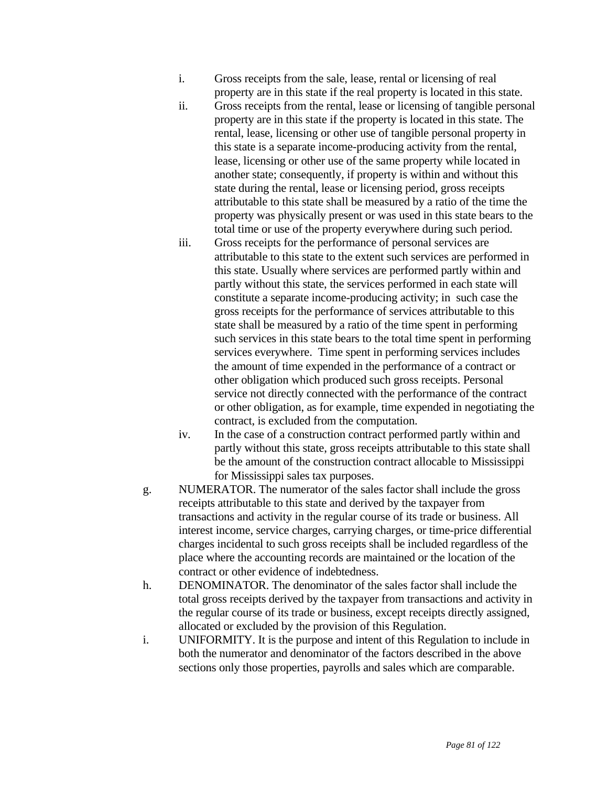- i. Gross receipts from the sale, lease, rental or licensing of real property are in this state if the real property is located in this state.
- ii. Gross receipts from the rental, lease or licensing of tangible personal property are in this state if the property is located in this state. The rental, lease, licensing or other use of tangible personal property in this state is a separate income-producing activity from the rental, lease, licensing or other use of the same property while located in another state; consequently, if property is within and without this state during the rental, lease or licensing period, gross receipts attributable to this state shall be measured by a ratio of the time the property was physically present or was used in this state bears to the total time or use of the property everywhere during such period.
- iii. Gross receipts for the performance of personal services are attributable to this state to the extent such services are performed in this state. Usually where services are performed partly within and partly without this state, the services performed in each state will constitute a separate income-producing activity; in such case the gross receipts for the performance of services attributable to this state shall be measured by a ratio of the time spent in performing such services in this state bears to the total time spent in performing services everywhere. Time spent in performing services includes the amount of time expended in the performance of a contract or other obligation which produced such gross receipts. Personal service not directly connected with the performance of the contract or other obligation, as for example, time expended in negotiating the contract, is excluded from the computation.
- iv. In the case of a construction contract performed partly within and partly without this state, gross receipts attributable to this state shall be the amount of the construction contract allocable to Mississippi for Mississippi sales tax purposes.
- g. NUMERATOR. The numerator of the sales factor shall include the gross receipts attributable to this state and derived by the taxpayer from transactions and activity in the regular course of its trade or business. All interest income, service charges, carrying charges, or time-price differential charges incidental to such gross receipts shall be included regardless of the place where the accounting records are maintained or the location of the contract or other evidence of indebtedness.
- h. DENOMINATOR. The denominator of the sales factor shall include the total gross receipts derived by the taxpayer from transactions and activity in the regular course of its trade or business, except receipts directly assigned, allocated or excluded by the provision of this Regulation.
- i. UNIFORMITY. It is the purpose and intent of this Regulation to include in both the numerator and denominator of the factors described in the above sections only those properties, payrolls and sales which are comparable.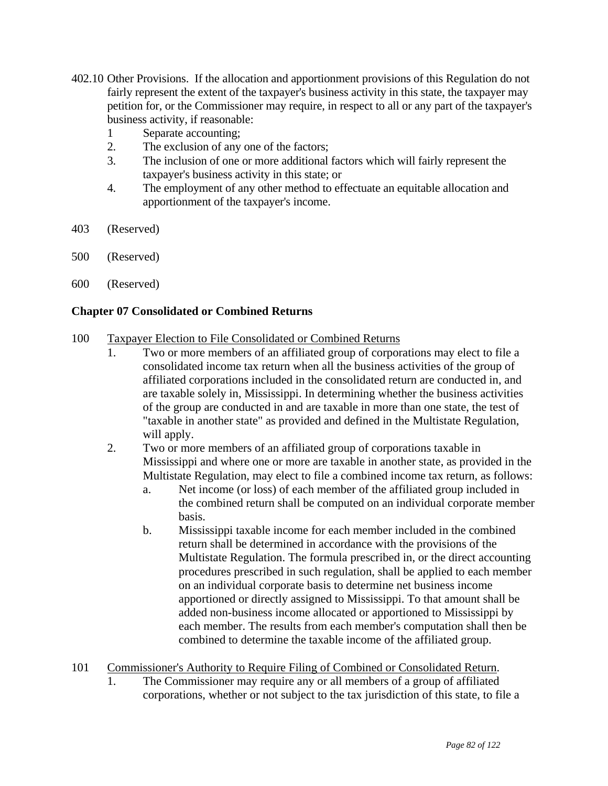- 402.10 Other Provisions. If the allocation and apportionment provisions of this Regulation do not fairly represent the extent of the taxpayer's business activity in this state, the taxpayer may petition for, or the Commissioner may require, in respect to all or any part of the taxpayer's business activity, if reasonable:
	- 1 Separate accounting;
	- 2. The exclusion of any one of the factors;
	- 3. The inclusion of one or more additional factors which will fairly represent the taxpayer's business activity in this state; or
	- 4. The employment of any other method to effectuate an equitable allocation and apportionment of the taxpayer's income.
- 403 (Reserved)
- 500 (Reserved)
- 600 (Reserved)

## **Chapter 07 Consolidated or Combined Returns**

- 100 Taxpayer Election to File Consolidated or Combined Returns
	- 1. Two or more members of an affiliated group of corporations may elect to file a consolidated income tax return when all the business activities of the group of affiliated corporations included in the consolidated return are conducted in, and are taxable solely in, Mississippi. In determining whether the business activities of the group are conducted in and are taxable in more than one state, the test of "taxable in another state" as provided and defined in the Multistate Regulation, will apply.
	- 2. Two or more members of an affiliated group of corporations taxable in Mississippi and where one or more are taxable in another state, as provided in the Multistate Regulation, may elect to file a combined income tax return, as follows:
		- a. Net income (or loss) of each member of the affiliated group included in the combined return shall be computed on an individual corporate member basis.
		- b. Mississippi taxable income for each member included in the combined return shall be determined in accordance with the provisions of the Multistate Regulation. The formula prescribed in, or the direct accounting procedures prescribed in such regulation, shall be applied to each member on an individual corporate basis to determine net business income apportioned or directly assigned to Mississippi. To that amount shall be added non-business income allocated or apportioned to Mississippi by each member. The results from each member's computation shall then be combined to determine the taxable income of the affiliated group.
- 101 Commissioner's Authority to Require Filing of Combined or Consolidated Return.
	- 1. The Commissioner may require any or all members of a group of affiliated corporations, whether or not subject to the tax jurisdiction of this state, to file a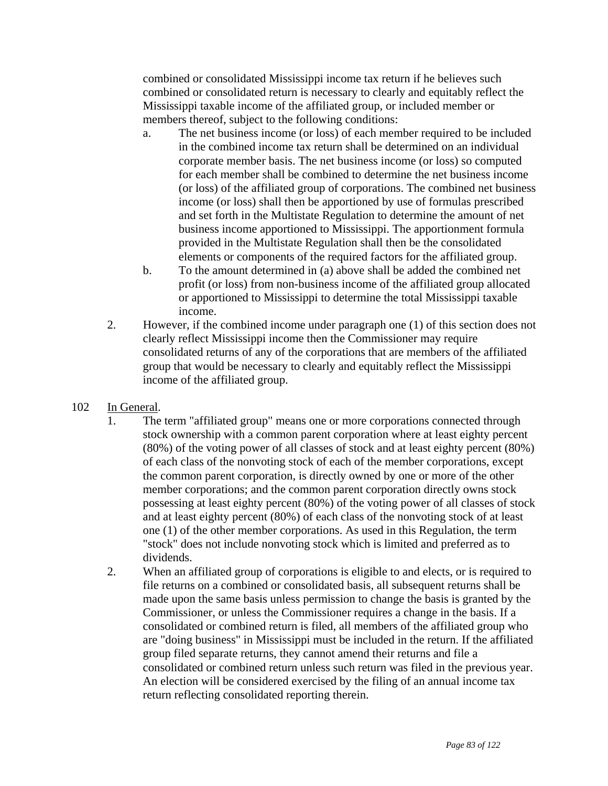combined or consolidated Mississippi income tax return if he believes such combined or consolidated return is necessary to clearly and equitably reflect the Mississippi taxable income of the affiliated group, or included member or members thereof, subject to the following conditions:

- a. The net business income (or loss) of each member required to be included in the combined income tax return shall be determined on an individual corporate member basis. The net business income (or loss) so computed for each member shall be combined to determine the net business income (or loss) of the affiliated group of corporations. The combined net business income (or loss) shall then be apportioned by use of formulas prescribed and set forth in the Multistate Regulation to determine the amount of net business income apportioned to Mississippi. The apportionment formula provided in the Multistate Regulation shall then be the consolidated elements or components of the required factors for the affiliated group.
- b. To the amount determined in (a) above shall be added the combined net profit (or loss) from non-business income of the affiliated group allocated or apportioned to Mississippi to determine the total Mississippi taxable income.
- 2. However, if the combined income under paragraph one (1) of this section does not clearly reflect Mississippi income then the Commissioner may require consolidated returns of any of the corporations that are members of the affiliated group that would be necessary to clearly and equitably reflect the Mississippi income of the affiliated group.
- 102 In General.
	- 1. The term "affiliated group" means one or more corporations connected through stock ownership with a common parent corporation where at least eighty percent (80%) of the voting power of all classes of stock and at least eighty percent (80%) of each class of the nonvoting stock of each of the member corporations, except the common parent corporation, is directly owned by one or more of the other member corporations; and the common parent corporation directly owns stock possessing at least eighty percent (80%) of the voting power of all classes of stock and at least eighty percent (80%) of each class of the nonvoting stock of at least one (1) of the other member corporations. As used in this Regulation, the term "stock" does not include nonvoting stock which is limited and preferred as to dividends.
	- 2. When an affiliated group of corporations is eligible to and elects, or is required to file returns on a combined or consolidated basis, all subsequent returns shall be made upon the same basis unless permission to change the basis is granted by the Commissioner, or unless the Commissioner requires a change in the basis. If a consolidated or combined return is filed, all members of the affiliated group who are "doing business" in Mississippi must be included in the return. If the affiliated group filed separate returns, they cannot amend their returns and file a consolidated or combined return unless such return was filed in the previous year. An election will be considered exercised by the filing of an annual income tax return reflecting consolidated reporting therein.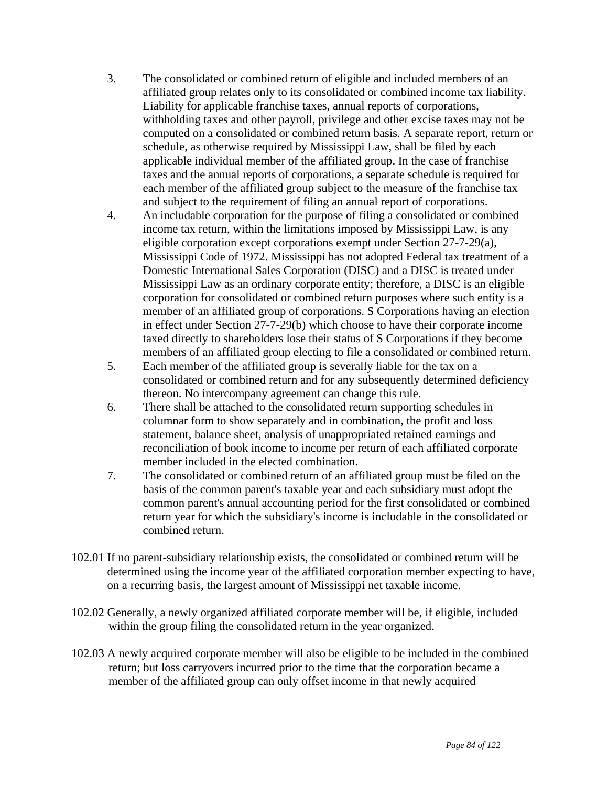- 3. The consolidated or combined return of eligible and included members of an affiliated group relates only to its consolidated or combined income tax liability. Liability for applicable franchise taxes, annual reports of corporations, withholding taxes and other payroll, privilege and other excise taxes may not be computed on a consolidated or combined return basis. A separate report, return or schedule, as otherwise required by Mississippi Law, shall be filed by each applicable individual member of the affiliated group. In the case of franchise taxes and the annual reports of corporations, a separate schedule is required for each member of the affiliated group subject to the measure of the franchise tax and subject to the requirement of filing an annual report of corporations.
- 4. An includable corporation for the purpose of filing a consolidated or combined income tax return, within the limitations imposed by Mississippi Law, is any eligible corporation except corporations exempt under Section 27-7-29(a), Mississippi Code of 1972. Mississippi has not adopted Federal tax treatment of a Domestic International Sales Corporation (DISC) and a DISC is treated under Mississippi Law as an ordinary corporate entity; therefore, a DISC is an eligible corporation for consolidated or combined return purposes where such entity is a member of an affiliated group of corporations. S Corporations having an election in effect under Section 27-7-29(b) which choose to have their corporate income taxed directly to shareholders lose their status of S Corporations if they become members of an affiliated group electing to file a consolidated or combined return.
- 5. Each member of the affiliated group is severally liable for the tax on a consolidated or combined return and for any subsequently determined deficiency thereon. No intercompany agreement can change this rule.
- 6. There shall be attached to the consolidated return supporting schedules in columnar form to show separately and in combination, the profit and loss statement, balance sheet, analysis of unappropriated retained earnings and reconciliation of book income to income per return of each affiliated corporate member included in the elected combination.
- 7. The consolidated or combined return of an affiliated group must be filed on the basis of the common parent's taxable year and each subsidiary must adopt the common parent's annual accounting period for the first consolidated or combined return year for which the subsidiary's income is includable in the consolidated or combined return.
- 102.01 If no parent-subsidiary relationship exists, the consolidated or combined return will be determined using the income year of the affiliated corporation member expecting to have, on a recurring basis, the largest amount of Mississippi net taxable income.
- 102.02 Generally, a newly organized affiliated corporate member will be, if eligible, included within the group filing the consolidated return in the year organized.
- 102.03 A newly acquired corporate member will also be eligible to be included in the combined return; but loss carryovers incurred prior to the time that the corporation became a member of the affiliated group can only offset income in that newly acquired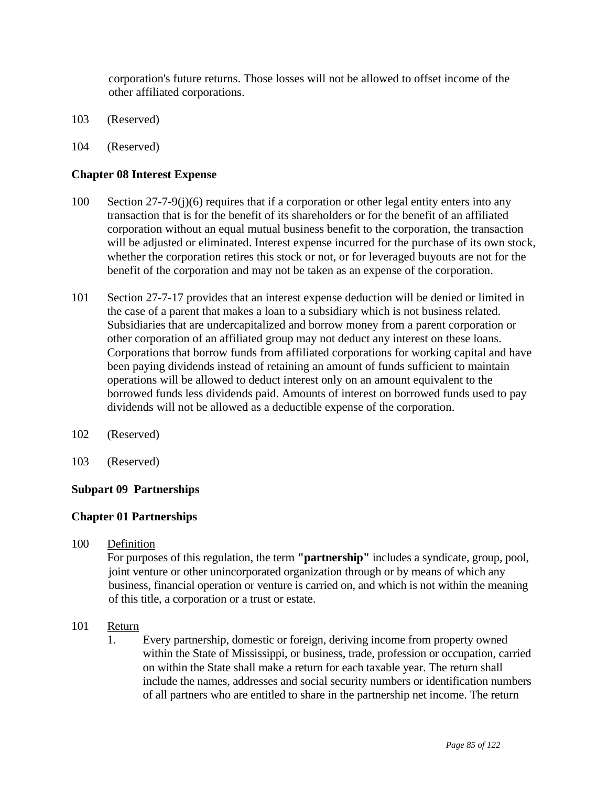corporation's future returns. Those losses will not be allowed to offset income of the other affiliated corporations.

- 103 (Reserved)
- 104 (Reserved)

## **Chapter 08 Interest Expense**

- 100 Section 27-7-9(j)(6) requires that if a corporation or other legal entity enters into any transaction that is for the benefit of its shareholders or for the benefit of an affiliated corporation without an equal mutual business benefit to the corporation, the transaction will be adjusted or eliminated. Interest expense incurred for the purchase of its own stock, whether the corporation retires this stock or not, or for leveraged buyouts are not for the benefit of the corporation and may not be taken as an expense of the corporation.
- 101 Section 27-7-17 provides that an interest expense deduction will be denied or limited in the case of a parent that makes a loan to a subsidiary which is not business related. Subsidiaries that are undercapitalized and borrow money from a parent corporation or other corporation of an affiliated group may not deduct any interest on these loans. Corporations that borrow funds from affiliated corporations for working capital and have been paying dividends instead of retaining an amount of funds sufficient to maintain operations will be allowed to deduct interest only on an amount equivalent to the borrowed funds less dividends paid. Amounts of interest on borrowed funds used to pay dividends will not be allowed as a deductible expense of the corporation.
- 102 (Reserved)
- 103 (Reserved)

### **Subpart 09 Partnerships**

### **Chapter 01 Partnerships**

100 Definition

 For purposes of this regulation, the term **"partnership"** includes a syndicate, group, pool, joint venture or other unincorporated organization through or by means of which any business, financial operation or venture is carried on, and which is not within the meaning of this title, a corporation or a trust or estate.

- 101 Return
	- 1. Every partnership, domestic or foreign, deriving income from property owned within the State of Mississippi, or business, trade, profession or occupation, carried on within the State shall make a return for each taxable year. The return shall include the names, addresses and social security numbers or identification numbers of all partners who are entitled to share in the partnership net income. The return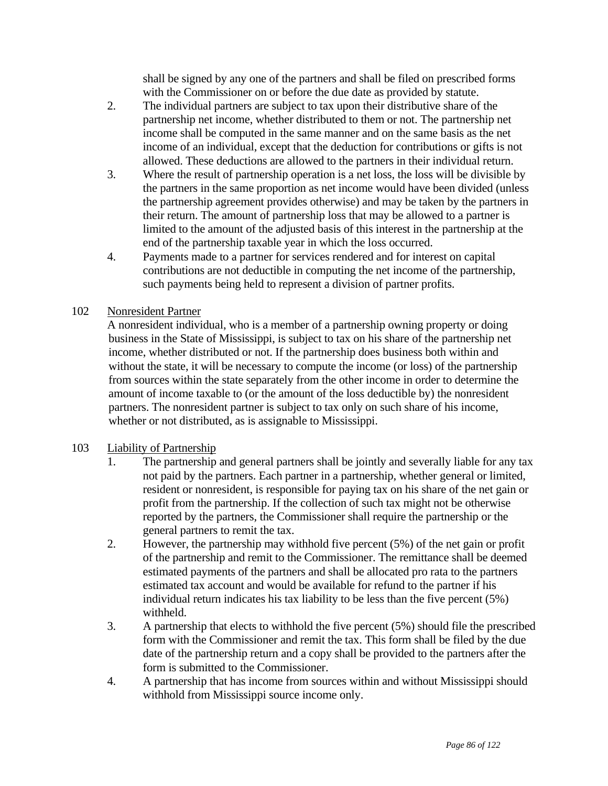shall be signed by any one of the partners and shall be filed on prescribed forms with the Commissioner on or before the due date as provided by statute.

- 2. The individual partners are subject to tax upon their distributive share of the partnership net income, whether distributed to them or not. The partnership net income shall be computed in the same manner and on the same basis as the net income of an individual, except that the deduction for contributions or gifts is not allowed. These deductions are allowed to the partners in their individual return.
- 3. Where the result of partnership operation is a net loss, the loss will be divisible by the partners in the same proportion as net income would have been divided (unless the partnership agreement provides otherwise) and may be taken by the partners in their return. The amount of partnership loss that may be allowed to a partner is limited to the amount of the adjusted basis of this interest in the partnership at the end of the partnership taxable year in which the loss occurred.
- 4. Payments made to a partner for services rendered and for interest on capital contributions are not deductible in computing the net income of the partnership, such payments being held to represent a division of partner profits.

# 102 Nonresident Partner

 A nonresident individual, who is a member of a partnership owning property or doing business in the State of Mississippi, is subject to tax on his share of the partnership net income, whether distributed or not. If the partnership does business both within and without the state, it will be necessary to compute the income (or loss) of the partnership from sources within the state separately from the other income in order to determine the amount of income taxable to (or the amount of the loss deductible by) the nonresident partners. The nonresident partner is subject to tax only on such share of his income, whether or not distributed, as is assignable to Mississippi.

# 103 Liability of Partnership

- 1. The partnership and general partners shall be jointly and severally liable for any tax not paid by the partners. Each partner in a partnership, whether general or limited, resident or nonresident, is responsible for paying tax on his share of the net gain or profit from the partnership. If the collection of such tax might not be otherwise reported by the partners, the Commissioner shall require the partnership or the general partners to remit the tax.
- 2. However, the partnership may withhold five percent (5%) of the net gain or profit of the partnership and remit to the Commissioner. The remittance shall be deemed estimated payments of the partners and shall be allocated pro rata to the partners estimated tax account and would be available for refund to the partner if his individual return indicates his tax liability to be less than the five percent (5%) withheld.
- 3. A partnership that elects to withhold the five percent (5%) should file the prescribed form with the Commissioner and remit the tax. This form shall be filed by the due date of the partnership return and a copy shall be provided to the partners after the form is submitted to the Commissioner.
- 4. A partnership that has income from sources within and without Mississippi should withhold from Mississippi source income only.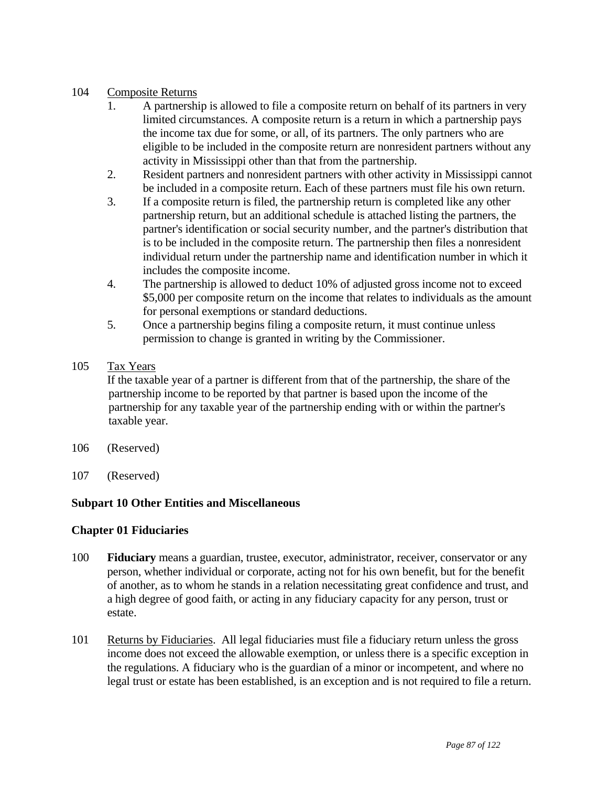### 104 Composite Returns

- 1. A partnership is allowed to file a composite return on behalf of its partners in very limited circumstances. A composite return is a return in which a partnership pays the income tax due for some, or all, of its partners. The only partners who are eligible to be included in the composite return are nonresident partners without any activity in Mississippi other than that from the partnership.
- 2. Resident partners and nonresident partners with other activity in Mississippi cannot be included in a composite return. Each of these partners must file his own return.
- 3. If a composite return is filed, the partnership return is completed like any other partnership return, but an additional schedule is attached listing the partners, the partner's identification or social security number, and the partner's distribution that is to be included in the composite return. The partnership then files a nonresident individual return under the partnership name and identification number in which it includes the composite income.
- 4. The partnership is allowed to deduct 10% of adjusted gross income not to exceed \$5,000 per composite return on the income that relates to individuals as the amount for personal exemptions or standard deductions.
- 5. Once a partnership begins filing a composite return, it must continue unless permission to change is granted in writing by the Commissioner.
- 105 Tax Years

 If the taxable year of a partner is different from that of the partnership, the share of the partnership income to be reported by that partner is based upon the income of the partnership for any taxable year of the partnership ending with or within the partner's taxable year.

- 106 (Reserved)
- 107 (Reserved)

# **Subpart 10 Other Entities and Miscellaneous**

### **Chapter 01 Fiduciaries**

- 100 **Fiduciary** means a guardian, trustee, executor, administrator, receiver, conservator or any person, whether individual or corporate, acting not for his own benefit, but for the benefit of another, as to whom he stands in a relation necessitating great confidence and trust, and a high degree of good faith, or acting in any fiduciary capacity for any person, trust or estate.
- 101 Returns by Fiduciaries. All legal fiduciaries must file a fiduciary return unless the gross income does not exceed the allowable exemption, or unless there is a specific exception in the regulations. A fiduciary who is the guardian of a minor or incompetent, and where no legal trust or estate has been established, is an exception and is not required to file a return.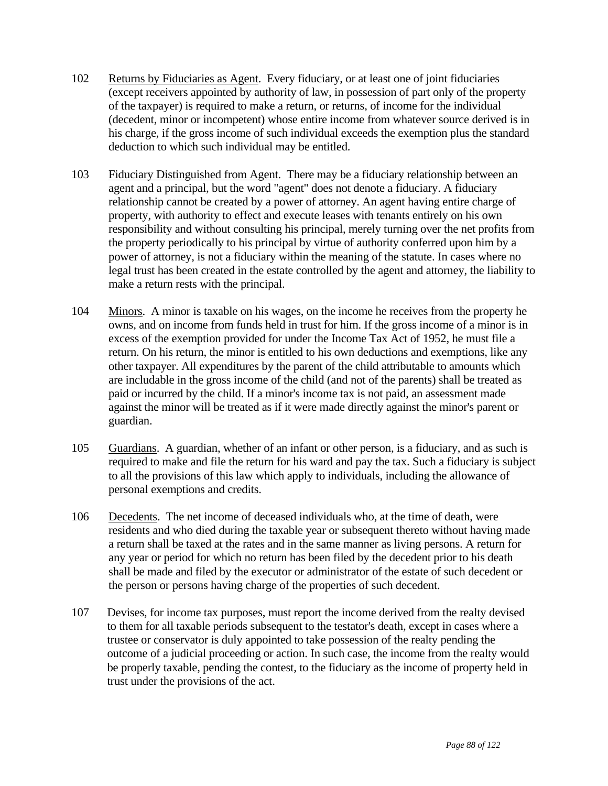- 102 Returns by Fiduciaries as Agent. Every fiduciary, or at least one of joint fiduciaries (except receivers appointed by authority of law, in possession of part only of the property of the taxpayer) is required to make a return, or returns, of income for the individual (decedent, minor or incompetent) whose entire income from whatever source derived is in his charge, if the gross income of such individual exceeds the exemption plus the standard deduction to which such individual may be entitled.
- 103 Fiduciary Distinguished from Agent. There may be a fiduciary relationship between an agent and a principal, but the word "agent" does not denote a fiduciary. A fiduciary relationship cannot be created by a power of attorney. An agent having entire charge of property, with authority to effect and execute leases with tenants entirely on his own responsibility and without consulting his principal, merely turning over the net profits from the property periodically to his principal by virtue of authority conferred upon him by a power of attorney, is not a fiduciary within the meaning of the statute. In cases where no legal trust has been created in the estate controlled by the agent and attorney, the liability to make a return rests with the principal.
- 104 Minors. A minor is taxable on his wages, on the income he receives from the property he owns, and on income from funds held in trust for him. If the gross income of a minor is in excess of the exemption provided for under the Income Tax Act of 1952, he must file a return. On his return, the minor is entitled to his own deductions and exemptions, like any other taxpayer. All expenditures by the parent of the child attributable to amounts which are includable in the gross income of the child (and not of the parents) shall be treated as paid or incurred by the child. If a minor's income tax is not paid, an assessment made against the minor will be treated as if it were made directly against the minor's parent or guardian.
- 105 Guardians. A guardian, whether of an infant or other person, is a fiduciary, and as such is required to make and file the return for his ward and pay the tax. Such a fiduciary is subject to all the provisions of this law which apply to individuals, including the allowance of personal exemptions and credits.
- 106 Decedents. The net income of deceased individuals who, at the time of death, were residents and who died during the taxable year or subsequent thereto without having made a return shall be taxed at the rates and in the same manner as living persons. A return for any year or period for which no return has been filed by the decedent prior to his death shall be made and filed by the executor or administrator of the estate of such decedent or the person or persons having charge of the properties of such decedent.
- 107 Devises, for income tax purposes, must report the income derived from the realty devised to them for all taxable periods subsequent to the testator's death, except in cases where a trustee or conservator is duly appointed to take possession of the realty pending the outcome of a judicial proceeding or action. In such case, the income from the realty would be properly taxable, pending the contest, to the fiduciary as the income of property held in trust under the provisions of the act.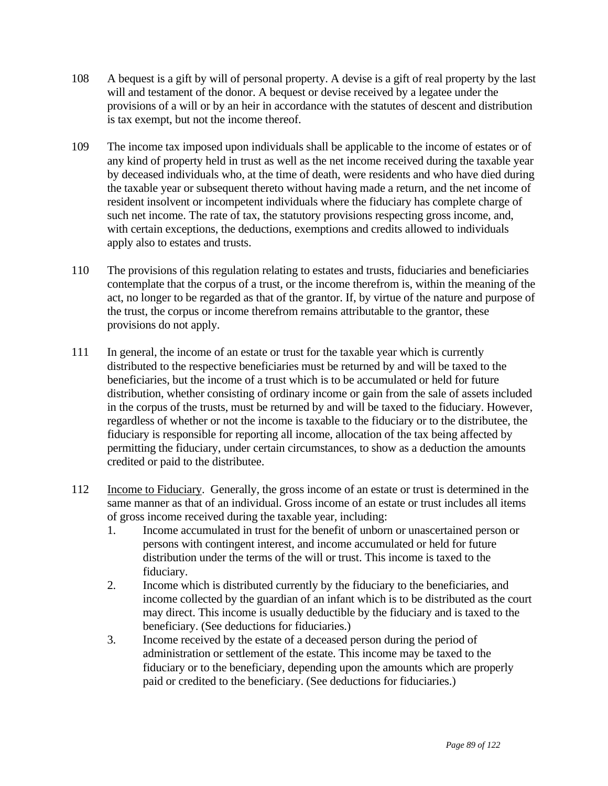- 108 A bequest is a gift by will of personal property. A devise is a gift of real property by the last will and testament of the donor. A bequest or devise received by a legatee under the provisions of a will or by an heir in accordance with the statutes of descent and distribution is tax exempt, but not the income thereof.
- 109 The income tax imposed upon individuals shall be applicable to the income of estates or of any kind of property held in trust as well as the net income received during the taxable year by deceased individuals who, at the time of death, were residents and who have died during the taxable year or subsequent thereto without having made a return, and the net income of resident insolvent or incompetent individuals where the fiduciary has complete charge of such net income. The rate of tax, the statutory provisions respecting gross income, and, with certain exceptions, the deductions, exemptions and credits allowed to individuals apply also to estates and trusts.
- 110 The provisions of this regulation relating to estates and trusts, fiduciaries and beneficiaries contemplate that the corpus of a trust, or the income therefrom is, within the meaning of the act, no longer to be regarded as that of the grantor. If, by virtue of the nature and purpose of the trust, the corpus or income therefrom remains attributable to the grantor, these provisions do not apply.
- 111 In general, the income of an estate or trust for the taxable year which is currently distributed to the respective beneficiaries must be returned by and will be taxed to the beneficiaries, but the income of a trust which is to be accumulated or held for future distribution, whether consisting of ordinary income or gain from the sale of assets included in the corpus of the trusts, must be returned by and will be taxed to the fiduciary. However, regardless of whether or not the income is taxable to the fiduciary or to the distributee, the fiduciary is responsible for reporting all income, allocation of the tax being affected by permitting the fiduciary, under certain circumstances, to show as a deduction the amounts credited or paid to the distributee.
- 112 Income to Fiduciary. Generally, the gross income of an estate or trust is determined in the same manner as that of an individual. Gross income of an estate or trust includes all items of gross income received during the taxable year, including:
	- 1. Income accumulated in trust for the benefit of unborn or unascertained person or persons with contingent interest, and income accumulated or held for future distribution under the terms of the will or trust. This income is taxed to the fiduciary.
	- 2. Income which is distributed currently by the fiduciary to the beneficiaries, and income collected by the guardian of an infant which is to be distributed as the court may direct. This income is usually deductible by the fiduciary and is taxed to the beneficiary. (See deductions for fiduciaries.)
	- 3. Income received by the estate of a deceased person during the period of administration or settlement of the estate. This income may be taxed to the fiduciary or to the beneficiary, depending upon the amounts which are properly paid or credited to the beneficiary. (See deductions for fiduciaries.)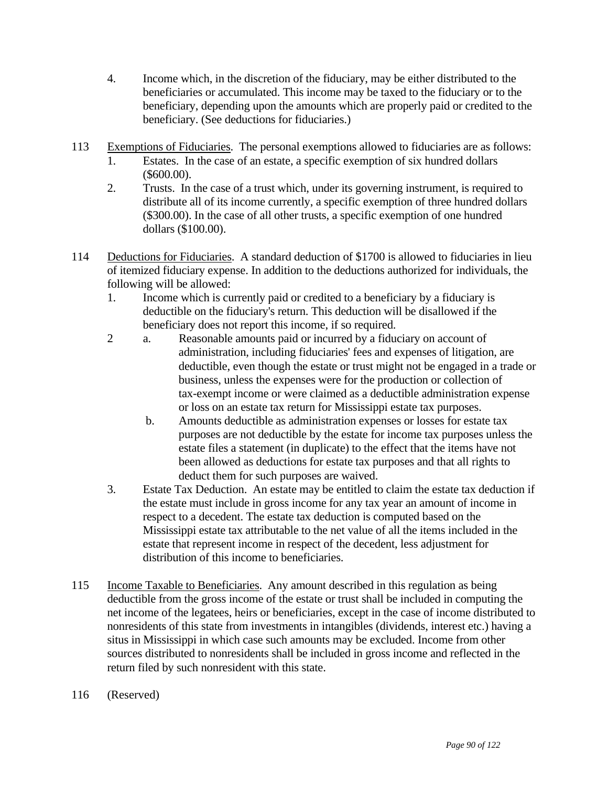- 4. Income which, in the discretion of the fiduciary, may be either distributed to the beneficiaries or accumulated. This income may be taxed to the fiduciary or to the beneficiary, depending upon the amounts which are properly paid or credited to the beneficiary. (See deductions for fiduciaries.)
- 113 Exemptions of Fiduciaries. The personal exemptions allowed to fiduciaries are as follows:
	- 1. Estates. In the case of an estate, a specific exemption of six hundred dollars (\$600.00).
	- 2. Trusts. In the case of a trust which, under its governing instrument, is required to distribute all of its income currently, a specific exemption of three hundred dollars (\$300.00). In the case of all other trusts, a specific exemption of one hundred dollars (\$100.00).
- 114 Deductions for Fiduciaries. A standard deduction of \$1700 is allowed to fiduciaries in lieu of itemized fiduciary expense. In addition to the deductions authorized for individuals, the following will be allowed:
	- 1. Income which is currently paid or credited to a beneficiary by a fiduciary is deductible on the fiduciary's return. This deduction will be disallowed if the beneficiary does not report this income, if so required.
	- 2 a. Reasonable amounts paid or incurred by a fiduciary on account of administration, including fiduciaries' fees and expenses of litigation, are deductible, even though the estate or trust might not be engaged in a trade or business, unless the expenses were for the production or collection of tax-exempt income or were claimed as a deductible administration expense or loss on an estate tax return for Mississippi estate tax purposes.
		- b. Amounts deductible as administration expenses or losses for estate tax purposes are not deductible by the estate for income tax purposes unless the estate files a statement (in duplicate) to the effect that the items have not been allowed as deductions for estate tax purposes and that all rights to deduct them for such purposes are waived.
	- 3. Estate Tax Deduction. An estate may be entitled to claim the estate tax deduction if the estate must include in gross income for any tax year an amount of income in respect to a decedent. The estate tax deduction is computed based on the Mississippi estate tax attributable to the net value of all the items included in the estate that represent income in respect of the decedent, less adjustment for distribution of this income to beneficiaries.
- 115 Income Taxable to Beneficiaries. Any amount described in this regulation as being deductible from the gross income of the estate or trust shall be included in computing the net income of the legatees, heirs or beneficiaries, except in the case of income distributed to nonresidents of this state from investments in intangibles (dividends, interest etc.) having a situs in Mississippi in which case such amounts may be excluded. Income from other sources distributed to nonresidents shall be included in gross income and reflected in the return filed by such nonresident with this state.
- 116 (Reserved)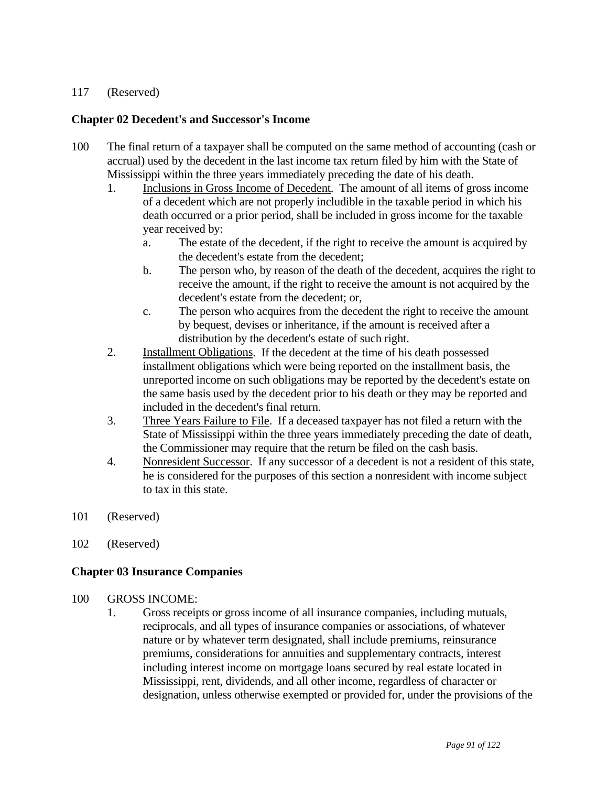### 117 (Reserved)

## **Chapter 02 Decedent's and Successor's Income**

- 100 The final return of a taxpayer shall be computed on the same method of accounting (cash or accrual) used by the decedent in the last income tax return filed by him with the State of Mississippi within the three years immediately preceding the date of his death.
	- 1. Inclusions in Gross Income of Decedent. The amount of all items of gross income of a decedent which are not properly includible in the taxable period in which his death occurred or a prior period, shall be included in gross income for the taxable year received by:
		- a. The estate of the decedent, if the right to receive the amount is acquired by the decedent's estate from the decedent;
		- b. The person who, by reason of the death of the decedent, acquires the right to receive the amount, if the right to receive the amount is not acquired by the decedent's estate from the decedent; or,
		- c. The person who acquires from the decedent the right to receive the amount by bequest, devises or inheritance, if the amount is received after a distribution by the decedent's estate of such right.
	- 2. Installment Obligations. If the decedent at the time of his death possessed installment obligations which were being reported on the installment basis, the unreported income on such obligations may be reported by the decedent's estate on the same basis used by the decedent prior to his death or they may be reported and included in the decedent's final return.
	- 3. Three Years Failure to File. If a deceased taxpayer has not filed a return with the State of Mississippi within the three years immediately preceding the date of death, the Commissioner may require that the return be filed on the cash basis.
	- 4. Nonresident Successor. If any successor of a decedent is not a resident of this state, he is considered for the purposes of this section a nonresident with income subject to tax in this state.
- 101 (Reserved)
- 102 (Reserved)

### **Chapter 03 Insurance Companies**

#### 100 GROSS INCOME:

 1. Gross receipts or gross income of all insurance companies, including mutuals, reciprocals, and all types of insurance companies or associations, of whatever nature or by whatever term designated, shall include premiums, reinsurance premiums, considerations for annuities and supplementary contracts, interest including interest income on mortgage loans secured by real estate located in Mississippi, rent, dividends, and all other income, regardless of character or designation, unless otherwise exempted or provided for, under the provisions of the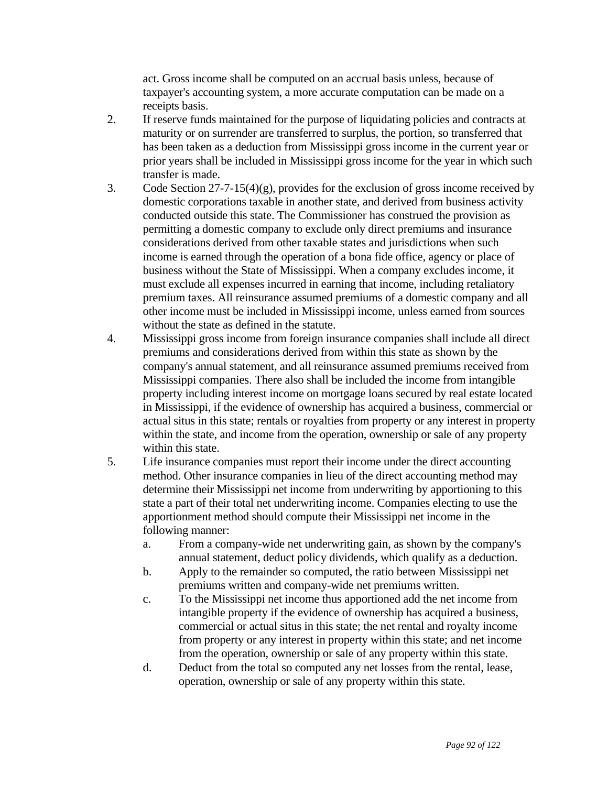act. Gross income shall be computed on an accrual basis unless, because of taxpayer's accounting system, a more accurate computation can be made on a receipts basis.

- 2. If reserve funds maintained for the purpose of liquidating policies and contracts at maturity or on surrender are transferred to surplus, the portion, so transferred that has been taken as a deduction from Mississippi gross income in the current year or prior years shall be included in Mississippi gross income for the year in which such transfer is made.
- 3. Code Section 27-7-15(4)(g), provides for the exclusion of gross income received by domestic corporations taxable in another state, and derived from business activity conducted outside this state. The Commissioner has construed the provision as permitting a domestic company to exclude only direct premiums and insurance considerations derived from other taxable states and jurisdictions when such income is earned through the operation of a bona fide office, agency or place of business without the State of Mississippi. When a company excludes income, it must exclude all expenses incurred in earning that income, including retaliatory premium taxes. All reinsurance assumed premiums of a domestic company and all other income must be included in Mississippi income, unless earned from sources without the state as defined in the statute.
- 4. Mississippi gross income from foreign insurance companies shall include all direct premiums and considerations derived from within this state as shown by the company's annual statement, and all reinsurance assumed premiums received from Mississippi companies. There also shall be included the income from intangible property including interest income on mortgage loans secured by real estate located in Mississippi, if the evidence of ownership has acquired a business, commercial or actual situs in this state; rentals or royalties from property or any interest in property within the state, and income from the operation, ownership or sale of any property within this state.
- 5. Life insurance companies must report their income under the direct accounting method. Other insurance companies in lieu of the direct accounting method may determine their Mississippi net income from underwriting by apportioning to this state a part of their total net underwriting income. Companies electing to use the apportionment method should compute their Mississippi net income in the following manner:
	- a. From a company-wide net underwriting gain, as shown by the company's annual statement, deduct policy dividends, which qualify as a deduction.
	- b. Apply to the remainder so computed, the ratio between Mississippi net premiums written and company-wide net premiums written.
	- c. To the Mississippi net income thus apportioned add the net income from intangible property if the evidence of ownership has acquired a business, commercial or actual situs in this state; the net rental and royalty income from property or any interest in property within this state; and net income from the operation, ownership or sale of any property within this state.
	- d. Deduct from the total so computed any net losses from the rental, lease, operation, ownership or sale of any property within this state.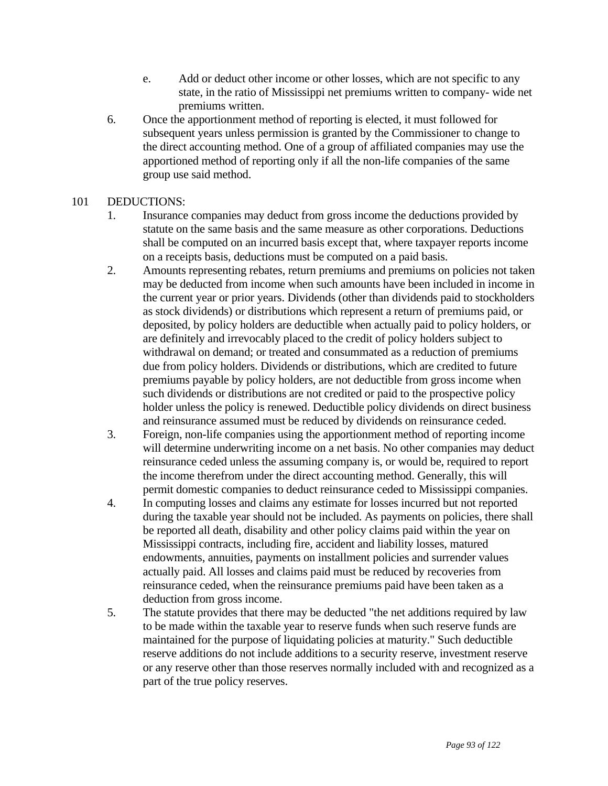- e. Add or deduct other income or other losses, which are not specific to any state, in the ratio of Mississippi net premiums written to company- wide net premiums written.
- 6. Once the apportionment method of reporting is elected, it must followed for subsequent years unless permission is granted by the Commissioner to change to the direct accounting method. One of a group of affiliated companies may use the apportioned method of reporting only if all the non-life companies of the same group use said method.

# 101 DEDUCTIONS:

- 1. Insurance companies may deduct from gross income the deductions provided by statute on the same basis and the same measure as other corporations. Deductions shall be computed on an incurred basis except that, where taxpayer reports income on a receipts basis, deductions must be computed on a paid basis.
- 2. Amounts representing rebates, return premiums and premiums on policies not taken may be deducted from income when such amounts have been included in income in the current year or prior years. Dividends (other than dividends paid to stockholders as stock dividends) or distributions which represent a return of premiums paid, or deposited, by policy holders are deductible when actually paid to policy holders, or are definitely and irrevocably placed to the credit of policy holders subject to withdrawal on demand; or treated and consummated as a reduction of premiums due from policy holders. Dividends or distributions, which are credited to future premiums payable by policy holders, are not deductible from gross income when such dividends or distributions are not credited or paid to the prospective policy holder unless the policy is renewed. Deductible policy dividends on direct business and reinsurance assumed must be reduced by dividends on reinsurance ceded.
- 3. Foreign, non-life companies using the apportionment method of reporting income will determine underwriting income on a net basis. No other companies may deduct reinsurance ceded unless the assuming company is, or would be, required to report the income therefrom under the direct accounting method. Generally, this will permit domestic companies to deduct reinsurance ceded to Mississippi companies.
- 4. In computing losses and claims any estimate for losses incurred but not reported during the taxable year should not be included. As payments on policies, there shall be reported all death, disability and other policy claims paid within the year on Mississippi contracts, including fire, accident and liability losses, matured endowments, annuities, payments on installment policies and surrender values actually paid. All losses and claims paid must be reduced by recoveries from reinsurance ceded, when the reinsurance premiums paid have been taken as a deduction from gross income.
- 5. The statute provides that there may be deducted "the net additions required by law to be made within the taxable year to reserve funds when such reserve funds are maintained for the purpose of liquidating policies at maturity." Such deductible reserve additions do not include additions to a security reserve, investment reserve or any reserve other than those reserves normally included with and recognized as a part of the true policy reserves.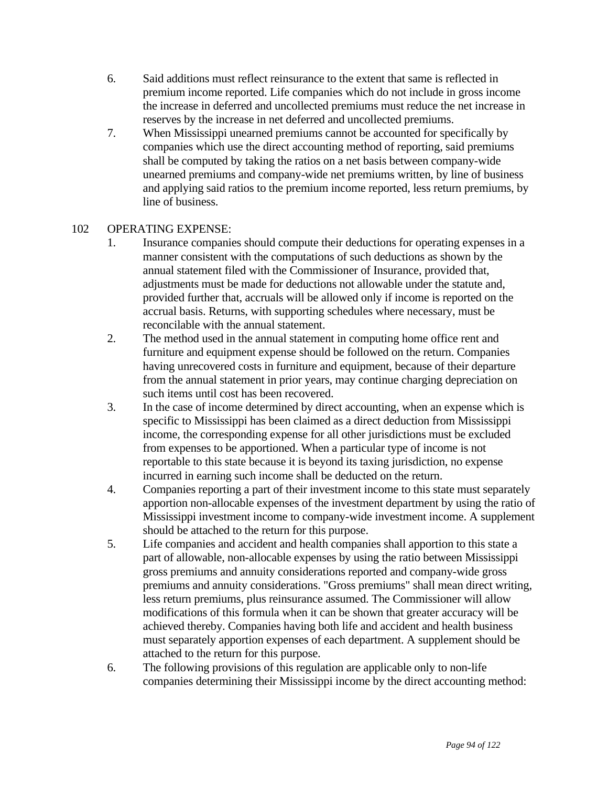- 6. Said additions must reflect reinsurance to the extent that same is reflected in premium income reported. Life companies which do not include in gross income the increase in deferred and uncollected premiums must reduce the net increase in reserves by the increase in net deferred and uncollected premiums.
- 7. When Mississippi unearned premiums cannot be accounted for specifically by companies which use the direct accounting method of reporting, said premiums shall be computed by taking the ratios on a net basis between company-wide unearned premiums and company-wide net premiums written, by line of business and applying said ratios to the premium income reported, less return premiums, by line of business.

## 102 OPERATING EXPENSE:

- 1. Insurance companies should compute their deductions for operating expenses in a manner consistent with the computations of such deductions as shown by the annual statement filed with the Commissioner of Insurance, provided that, adjustments must be made for deductions not allowable under the statute and, provided further that, accruals will be allowed only if income is reported on the accrual basis. Returns, with supporting schedules where necessary, must be reconcilable with the annual statement.
- 2. The method used in the annual statement in computing home office rent and furniture and equipment expense should be followed on the return. Companies having unrecovered costs in furniture and equipment, because of their departure from the annual statement in prior years, may continue charging depreciation on such items until cost has been recovered.
- 3. In the case of income determined by direct accounting, when an expense which is specific to Mississippi has been claimed as a direct deduction from Mississippi income, the corresponding expense for all other jurisdictions must be excluded from expenses to be apportioned. When a particular type of income is not reportable to this state because it is beyond its taxing jurisdiction, no expense incurred in earning such income shall be deducted on the return.
- 4. Companies reporting a part of their investment income to this state must separately apportion non-allocable expenses of the investment department by using the ratio of Mississippi investment income to company-wide investment income. A supplement should be attached to the return for this purpose.
- 5. Life companies and accident and health companies shall apportion to this state a part of allowable, non-allocable expenses by using the ratio between Mississippi gross premiums and annuity considerations reported and company-wide gross premiums and annuity considerations. "Gross premiums" shall mean direct writing, less return premiums, plus reinsurance assumed. The Commissioner will allow modifications of this formula when it can be shown that greater accuracy will be achieved thereby. Companies having both life and accident and health business must separately apportion expenses of each department. A supplement should be attached to the return for this purpose.
- 6. The following provisions of this regulation are applicable only to non-life companies determining their Mississippi income by the direct accounting method: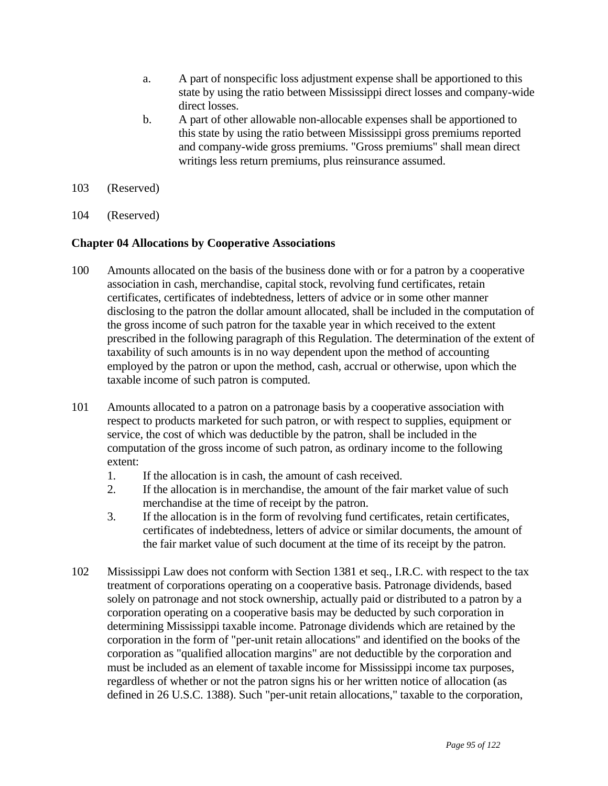- a. A part of nonspecific loss adjustment expense shall be apportioned to this state by using the ratio between Mississippi direct losses and company-wide direct losses.
- b. A part of other allowable non-allocable expenses shall be apportioned to this state by using the ratio between Mississippi gross premiums reported and company-wide gross premiums. "Gross premiums" shall mean direct writings less return premiums, plus reinsurance assumed.
- 103 (Reserved)
- 104 (Reserved)

#### **Chapter 04 Allocations by Cooperative Associations**

- 100 Amounts allocated on the basis of the business done with or for a patron by a cooperative association in cash, merchandise, capital stock, revolving fund certificates, retain certificates, certificates of indebtedness, letters of advice or in some other manner disclosing to the patron the dollar amount allocated, shall be included in the computation of the gross income of such patron for the taxable year in which received to the extent prescribed in the following paragraph of this Regulation. The determination of the extent of taxability of such amounts is in no way dependent upon the method of accounting employed by the patron or upon the method, cash, accrual or otherwise, upon which the taxable income of such patron is computed.
- 101 Amounts allocated to a patron on a patronage basis by a cooperative association with respect to products marketed for such patron, or with respect to supplies, equipment or service, the cost of which was deductible by the patron, shall be included in the computation of the gross income of such patron, as ordinary income to the following extent:
	- 1. If the allocation is in cash, the amount of cash received.
	- 2. If the allocation is in merchandise, the amount of the fair market value of such merchandise at the time of receipt by the patron.
	- 3. If the allocation is in the form of revolving fund certificates, retain certificates, certificates of indebtedness, letters of advice or similar documents, the amount of the fair market value of such document at the time of its receipt by the patron.
- 102 Mississippi Law does not conform with Section 1381 et seq., I.R.C. with respect to the tax treatment of corporations operating on a cooperative basis. Patronage dividends, based solely on patronage and not stock ownership, actually paid or distributed to a patron by a corporation operating on a cooperative basis may be deducted by such corporation in determining Mississippi taxable income. Patronage dividends which are retained by the corporation in the form of "per-unit retain allocations" and identified on the books of the corporation as "qualified allocation margins" are not deductible by the corporation and must be included as an element of taxable income for Mississippi income tax purposes, regardless of whether or not the patron signs his or her written notice of allocation (as defined in 26 U.S.C. 1388). Such "per-unit retain allocations," taxable to the corporation,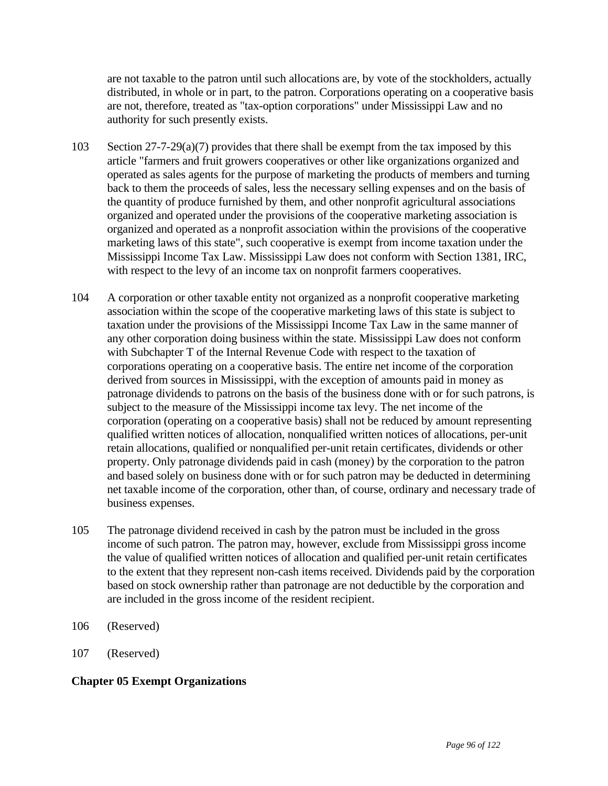are not taxable to the patron until such allocations are, by vote of the stockholders, actually distributed, in whole or in part, to the patron. Corporations operating on a cooperative basis are not, therefore, treated as "tax-option corporations" under Mississippi Law and no authority for such presently exists.

- 103 Section 27-7-29(a)(7) provides that there shall be exempt from the tax imposed by this article "farmers and fruit growers cooperatives or other like organizations organized and operated as sales agents for the purpose of marketing the products of members and turning back to them the proceeds of sales, less the necessary selling expenses and on the basis of the quantity of produce furnished by them, and other nonprofit agricultural associations organized and operated under the provisions of the cooperative marketing association is organized and operated as a nonprofit association within the provisions of the cooperative marketing laws of this state", such cooperative is exempt from income taxation under the Mississippi Income Tax Law. Mississippi Law does not conform with Section 1381, IRC, with respect to the levy of an income tax on nonprofit farmers cooperatives.
- 104 A corporation or other taxable entity not organized as a nonprofit cooperative marketing association within the scope of the cooperative marketing laws of this state is subject to taxation under the provisions of the Mississippi Income Tax Law in the same manner of any other corporation doing business within the state. Mississippi Law does not conform with Subchapter T of the Internal Revenue Code with respect to the taxation of corporations operating on a cooperative basis. The entire net income of the corporation derived from sources in Mississippi, with the exception of amounts paid in money as patronage dividends to patrons on the basis of the business done with or for such patrons, is subject to the measure of the Mississippi income tax levy. The net income of the corporation (operating on a cooperative basis) shall not be reduced by amount representing qualified written notices of allocation, nonqualified written notices of allocations, per-unit retain allocations, qualified or nonqualified per-unit retain certificates, dividends or other property. Only patronage dividends paid in cash (money) by the corporation to the patron and based solely on business done with or for such patron may be deducted in determining net taxable income of the corporation, other than, of course, ordinary and necessary trade of business expenses.
- 105 The patronage dividend received in cash by the patron must be included in the gross income of such patron. The patron may, however, exclude from Mississippi gross income the value of qualified written notices of allocation and qualified per-unit retain certificates to the extent that they represent non-cash items received. Dividends paid by the corporation based on stock ownership rather than patronage are not deductible by the corporation and are included in the gross income of the resident recipient.
- 106 (Reserved)
- 107 (Reserved)

### **Chapter 05 Exempt Organizations**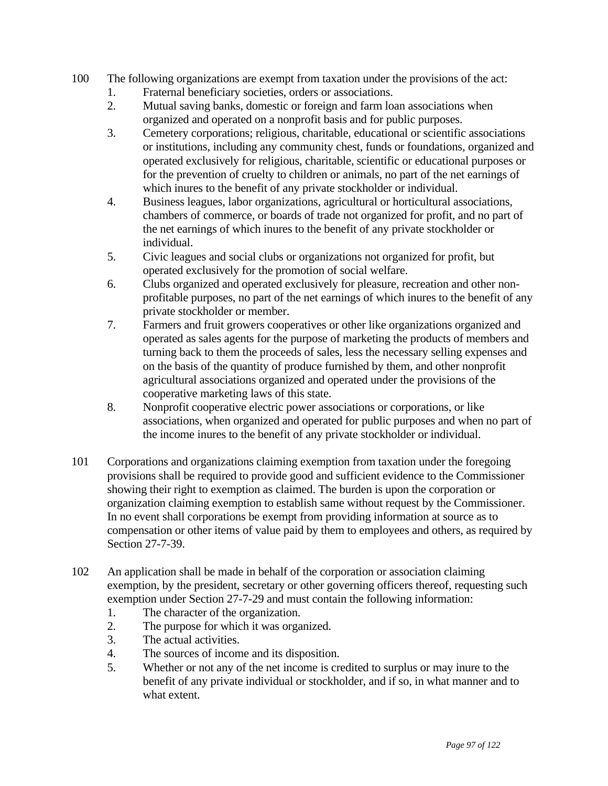- 100 The following organizations are exempt from taxation under the provisions of the act:
	- 1. Fraternal beneficiary societies, orders or associations.
	- 2. Mutual saving banks, domestic or foreign and farm loan associations when organized and operated on a nonprofit basis and for public purposes.
	- 3. Cemetery corporations; religious, charitable, educational or scientific associations or institutions, including any community chest, funds or foundations, organized and operated exclusively for religious, charitable, scientific or educational purposes or for the prevention of cruelty to children or animals, no part of the net earnings of which inures to the benefit of any private stockholder or individual.
	- 4. Business leagues, labor organizations, agricultural or horticultural associations, chambers of commerce, or boards of trade not organized for profit, and no part of the net earnings of which inures to the benefit of any private stockholder or individual.
	- 5. Civic leagues and social clubs or organizations not organized for profit, but operated exclusively for the promotion of social welfare.
	- 6. Clubs organized and operated exclusively for pleasure, recreation and other nonprofitable purposes, no part of the net earnings of which inures to the benefit of any private stockholder or member.
	- 7. Farmers and fruit growers cooperatives or other like organizations organized and operated as sales agents for the purpose of marketing the products of members and turning back to them the proceeds of sales, less the necessary selling expenses and on the basis of the quantity of produce furnished by them, and other nonprofit agricultural associations organized and operated under the provisions of the cooperative marketing laws of this state.
	- 8. Nonprofit cooperative electric power associations or corporations, or like associations, when organized and operated for public purposes and when no part of the income inures to the benefit of any private stockholder or individual.
- 101 Corporations and organizations claiming exemption from taxation under the foregoing provisions shall be required to provide good and sufficient evidence to the Commissioner showing their right to exemption as claimed. The burden is upon the corporation or organization claiming exemption to establish same without request by the Commissioner. In no event shall corporations be exempt from providing information at source as to compensation or other items of value paid by them to employees and others, as required by Section 27-7-39.
- 102 An application shall be made in behalf of the corporation or association claiming exemption, by the president, secretary or other governing officers thereof, requesting such exemption under Section 27-7-29 and must contain the following information:
	- 1. The character of the organization.
	- 2. The purpose for which it was organized.
	- 3. The actual activities.
	- 4. The sources of income and its disposition.
	- 5. Whether or not any of the net income is credited to surplus or may inure to the benefit of any private individual or stockholder, and if so, in what manner and to what extent.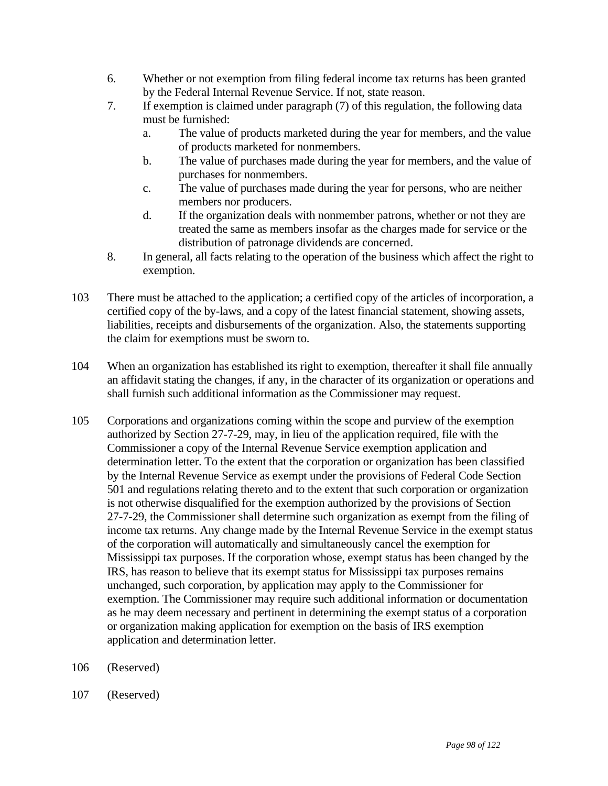- 6. Whether or not exemption from filing federal income tax returns has been granted by the Federal Internal Revenue Service. If not, state reason.
- 7. If exemption is claimed under paragraph (7) of this regulation, the following data must be furnished:
	- a. The value of products marketed during the year for members, and the value of products marketed for nonmembers.
	- b. The value of purchases made during the year for members, and the value of purchases for nonmembers.
	- c. The value of purchases made during the year for persons, who are neither members nor producers.
	- d. If the organization deals with nonmember patrons, whether or not they are treated the same as members insofar as the charges made for service or the distribution of patronage dividends are concerned.
- 8. In general, all facts relating to the operation of the business which affect the right to exemption.
- 103 There must be attached to the application; a certified copy of the articles of incorporation, a certified copy of the by-laws, and a copy of the latest financial statement, showing assets, liabilities, receipts and disbursements of the organization. Also, the statements supporting the claim for exemptions must be sworn to.
- 104 When an organization has established its right to exemption, thereafter it shall file annually an affidavit stating the changes, if any, in the character of its organization or operations and shall furnish such additional information as the Commissioner may request.
- 105 Corporations and organizations coming within the scope and purview of the exemption authorized by Section 27-7-29, may, in lieu of the application required, file with the Commissioner a copy of the Internal Revenue Service exemption application and determination letter. To the extent that the corporation or organization has been classified by the Internal Revenue Service as exempt under the provisions of Federal Code Section 501 and regulations relating thereto and to the extent that such corporation or organization is not otherwise disqualified for the exemption authorized by the provisions of Section 27-7-29, the Commissioner shall determine such organization as exempt from the filing of income tax returns. Any change made by the Internal Revenue Service in the exempt status of the corporation will automatically and simultaneously cancel the exemption for Mississippi tax purposes. If the corporation whose, exempt status has been changed by the IRS, has reason to believe that its exempt status for Mississippi tax purposes remains unchanged, such corporation, by application may apply to the Commissioner for exemption. The Commissioner may require such additional information or documentation as he may deem necessary and pertinent in determining the exempt status of a corporation or organization making application for exemption on the basis of IRS exemption application and determination letter.
- 106 (Reserved)
- 107 (Reserved)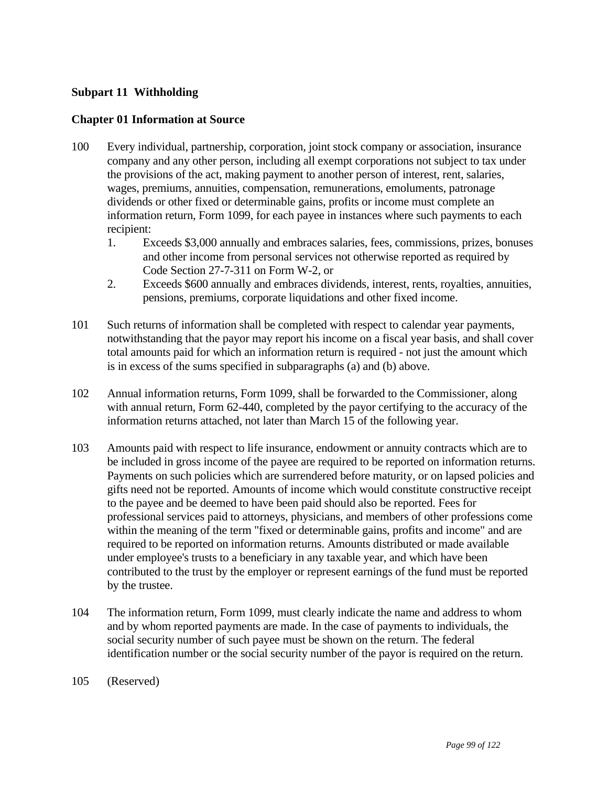### **Subpart 11 Withholding**

### **Chapter 01 Information at Source**

- 100 Every individual, partnership, corporation, joint stock company or association, insurance company and any other person, including all exempt corporations not subject to tax under the provisions of the act, making payment to another person of interest, rent, salaries, wages, premiums, annuities, compensation, remunerations, emoluments, patronage dividends or other fixed or determinable gains, profits or income must complete an information return, Form 1099, for each payee in instances where such payments to each recipient:
	- 1. Exceeds \$3,000 annually and embraces salaries, fees, commissions, prizes, bonuses and other income from personal services not otherwise reported as required by Code Section 27-7-311 on Form W-2, or
	- 2. Exceeds \$600 annually and embraces dividends, interest, rents, royalties, annuities, pensions, premiums, corporate liquidations and other fixed income.
- 101 Such returns of information shall be completed with respect to calendar year payments, notwithstanding that the payor may report his income on a fiscal year basis, and shall cover total amounts paid for which an information return is required - not just the amount which is in excess of the sums specified in subparagraphs (a) and (b) above.
- 102 Annual information returns, Form 1099, shall be forwarded to the Commissioner, along with annual return, Form 62-440, completed by the payor certifying to the accuracy of the information returns attached, not later than March 15 of the following year.
- 103 Amounts paid with respect to life insurance, endowment or annuity contracts which are to be included in gross income of the payee are required to be reported on information returns. Payments on such policies which are surrendered before maturity, or on lapsed policies and gifts need not be reported. Amounts of income which would constitute constructive receipt to the payee and be deemed to have been paid should also be reported. Fees for professional services paid to attorneys, physicians, and members of other professions come within the meaning of the term "fixed or determinable gains, profits and income" and are required to be reported on information returns. Amounts distributed or made available under employee's trusts to a beneficiary in any taxable year, and which have been contributed to the trust by the employer or represent earnings of the fund must be reported by the trustee.
- 104 The information return, Form 1099, must clearly indicate the name and address to whom and by whom reported payments are made. In the case of payments to individuals, the social security number of such payee must be shown on the return. The federal identification number or the social security number of the payor is required on the return.
- 105 (Reserved)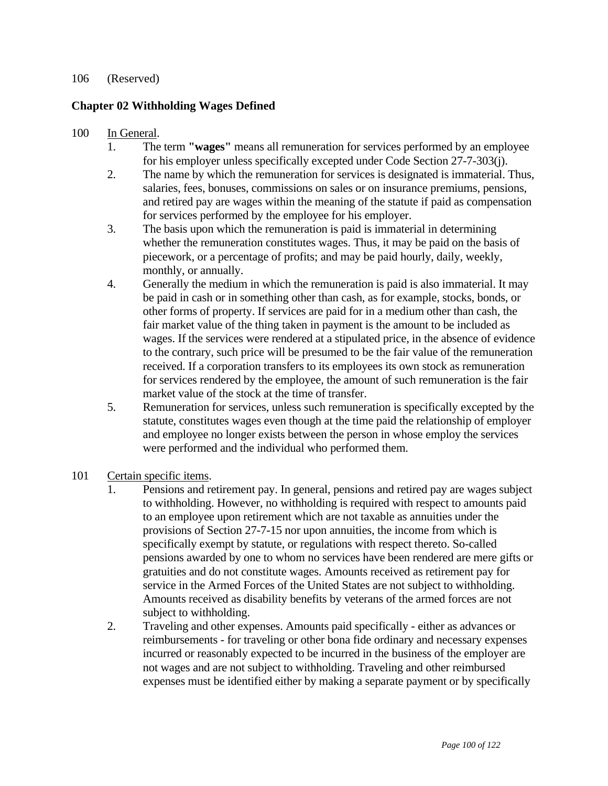#### 106 (Reserved)

## **Chapter 02 Withholding Wages Defined**

#### 100 In General.

- 1. The term **"wages"** means all remuneration for services performed by an employee for his employer unless specifically excepted under Code Section 27-7-303(j).
- 2. The name by which the remuneration for services is designated is immaterial. Thus, salaries, fees, bonuses, commissions on sales or on insurance premiums, pensions, and retired pay are wages within the meaning of the statute if paid as compensation for services performed by the employee for his employer.
- 3. The basis upon which the remuneration is paid is immaterial in determining whether the remuneration constitutes wages. Thus, it may be paid on the basis of piecework, or a percentage of profits; and may be paid hourly, daily, weekly, monthly, or annually.
- 4. Generally the medium in which the remuneration is paid is also immaterial. It may be paid in cash or in something other than cash, as for example, stocks, bonds, or other forms of property. If services are paid for in a medium other than cash, the fair market value of the thing taken in payment is the amount to be included as wages. If the services were rendered at a stipulated price, in the absence of evidence to the contrary, such price will be presumed to be the fair value of the remuneration received. If a corporation transfers to its employees its own stock as remuneration for services rendered by the employee, the amount of such remuneration is the fair market value of the stock at the time of transfer.
- 5. Remuneration for services, unless such remuneration is specifically excepted by the statute, constitutes wages even though at the time paid the relationship of employer and employee no longer exists between the person in whose employ the services were performed and the individual who performed them.
- 101 Certain specific items.
	- 1. Pensions and retirement pay. In general, pensions and retired pay are wages subject to withholding. However, no withholding is required with respect to amounts paid to an employee upon retirement which are not taxable as annuities under the provisions of Section 27-7-15 nor upon annuities, the income from which is specifically exempt by statute, or regulations with respect thereto. So-called pensions awarded by one to whom no services have been rendered are mere gifts or gratuities and do not constitute wages. Amounts received as retirement pay for service in the Armed Forces of the United States are not subject to withholding. Amounts received as disability benefits by veterans of the armed forces are not subject to withholding.
	- 2. Traveling and other expenses. Amounts paid specifically either as advances or reimbursements - for traveling or other bona fide ordinary and necessary expenses incurred or reasonably expected to be incurred in the business of the employer are not wages and are not subject to withholding. Traveling and other reimbursed expenses must be identified either by making a separate payment or by specifically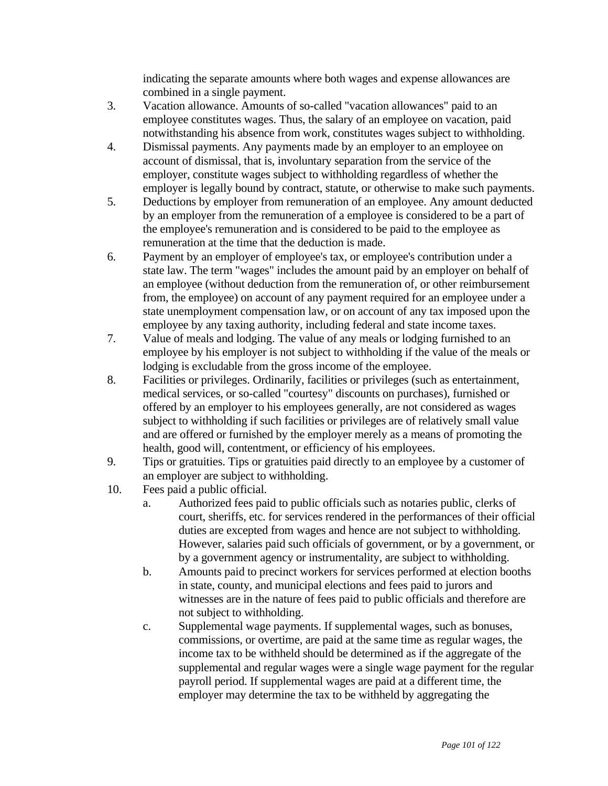indicating the separate amounts where both wages and expense allowances are combined in a single payment.

- 3. Vacation allowance. Amounts of so-called "vacation allowances" paid to an employee constitutes wages. Thus, the salary of an employee on vacation, paid notwithstanding his absence from work, constitutes wages subject to withholding.
- 4. Dismissal payments. Any payments made by an employer to an employee on account of dismissal, that is, involuntary separation from the service of the employer, constitute wages subject to withholding regardless of whether the employer is legally bound by contract, statute, or otherwise to make such payments.
- 5. Deductions by employer from remuneration of an employee. Any amount deducted by an employer from the remuneration of a employee is considered to be a part of the employee's remuneration and is considered to be paid to the employee as remuneration at the time that the deduction is made.
- 6. Payment by an employer of employee's tax, or employee's contribution under a state law. The term "wages" includes the amount paid by an employer on behalf of an employee (without deduction from the remuneration of, or other reimbursement from, the employee) on account of any payment required for an employee under a state unemployment compensation law, or on account of any tax imposed upon the employee by any taxing authority, including federal and state income taxes.
- 7. Value of meals and lodging. The value of any meals or lodging furnished to an employee by his employer is not subject to withholding if the value of the meals or lodging is excludable from the gross income of the employee.
- 8. Facilities or privileges. Ordinarily, facilities or privileges (such as entertainment, medical services, or so-called "courtesy" discounts on purchases), furnished or offered by an employer to his employees generally, are not considered as wages subject to withholding if such facilities or privileges are of relatively small value and are offered or furnished by the employer merely as a means of promoting the health, good will, contentment, or efficiency of his employees.
- 9. Tips or gratuities. Tips or gratuities paid directly to an employee by a customer of an employer are subject to withholding.
- 10. Fees paid a public official.
	- a. Authorized fees paid to public officials such as notaries public, clerks of court, sheriffs, etc. for services rendered in the performances of their official duties are excepted from wages and hence are not subject to withholding. However, salaries paid such officials of government, or by a government, or by a government agency or instrumentality, are subject to withholding.
	- b. Amounts paid to precinct workers for services performed at election booths in state, county, and municipal elections and fees paid to jurors and witnesses are in the nature of fees paid to public officials and therefore are not subject to withholding.
	- c. Supplemental wage payments. If supplemental wages, such as bonuses, commissions, or overtime, are paid at the same time as regular wages, the income tax to be withheld should be determined as if the aggregate of the supplemental and regular wages were a single wage payment for the regular payroll period. If supplemental wages are paid at a different time, the employer may determine the tax to be withheld by aggregating the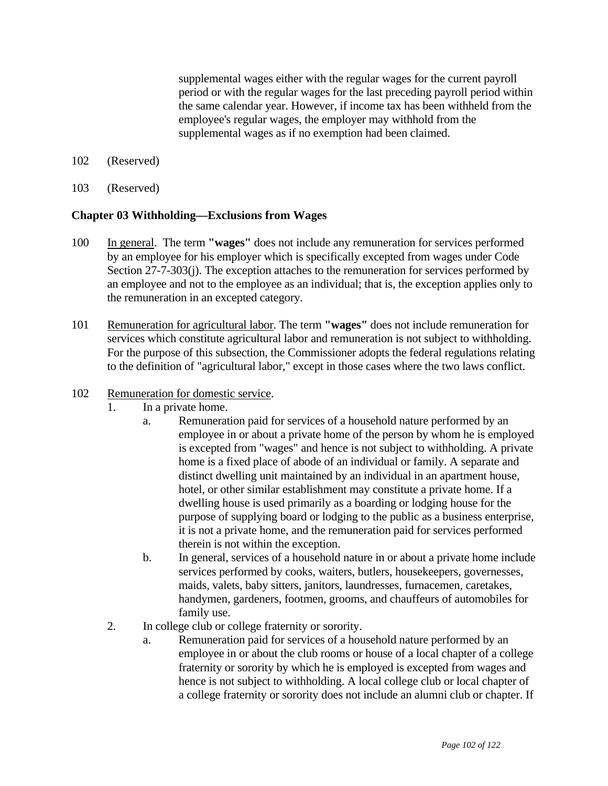supplemental wages either with the regular wages for the current payroll period or with the regular wages for the last preceding payroll period within the same calendar year. However, if income tax has been withheld from the employee's regular wages, the employer may withhold from the supplemental wages as if no exemption had been claimed.

- 102 (Reserved)
- 103 (Reserved)

#### **Chapter 03 Withholding—Exclusions from Wages**

- 100 In general. The term **"wages"** does not include any remuneration for services performed by an employee for his employer which is specifically excepted from wages under Code Section 27-7-303(j). The exception attaches to the remuneration for services performed by an employee and not to the employee as an individual; that is, the exception applies only to the remuneration in an excepted category.
- 101 Remuneration for agricultural labor. The term **"wages"** does not include remuneration for services which constitute agricultural labor and remuneration is not subject to withholding. For the purpose of this subsection, the Commissioner adopts the federal regulations relating to the definition of "agricultural labor," except in those cases where the two laws conflict.

#### 102 Remuneration for domestic service.

- 1. In a private home.
	- a. Remuneration paid for services of a household nature performed by an employee in or about a private home of the person by whom he is employed is excepted from "wages" and hence is not subject to withholding. A private home is a fixed place of abode of an individual or family. A separate and distinct dwelling unit maintained by an individual in an apartment house, hotel, or other similar establishment may constitute a private home. If a dwelling house is used primarily as a boarding or lodging house for the purpose of supplying board or lodging to the public as a business enterprise, it is not a private home, and the remuneration paid for services performed therein is not within the exception.
	- b. In general, services of a household nature in or about a private home include services performed by cooks, waiters, butlers, housekeepers, governesses, maids, valets, baby sitters, janitors, laundresses, furnacemen, caretakes, handymen, gardeners, footmen, grooms, and chauffeurs of automobiles for family use.
- 2. In college club or college fraternity or sorority.
	- a. Remuneration paid for services of a household nature performed by an employee in or about the club rooms or house of a local chapter of a college fraternity or sorority by which he is employed is excepted from wages and hence is not subject to withholding. A local college club or local chapter of a college fraternity or sorority does not include an alumni club or chapter. If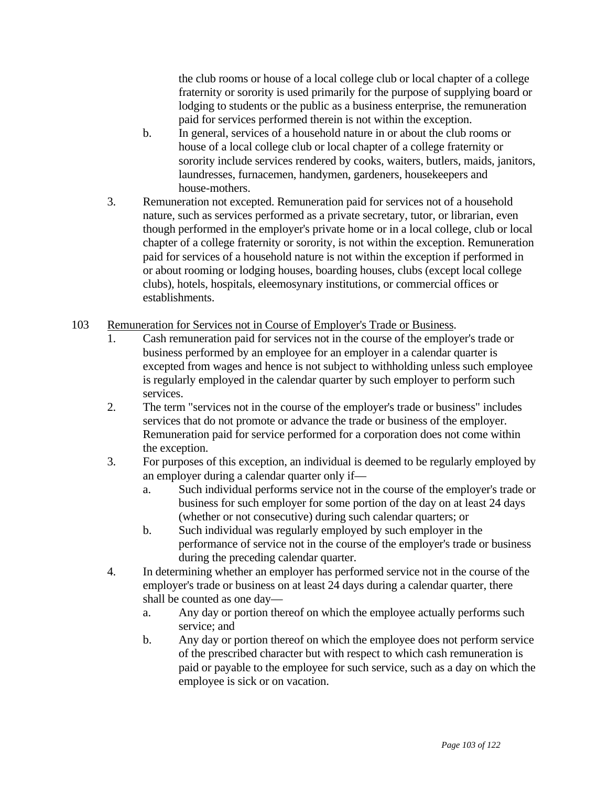the club rooms or house of a local college club or local chapter of a college fraternity or sorority is used primarily for the purpose of supplying board or lodging to students or the public as a business enterprise, the remuneration paid for services performed therein is not within the exception.

- b. In general, services of a household nature in or about the club rooms or house of a local college club or local chapter of a college fraternity or sorority include services rendered by cooks, waiters, butlers, maids, janitors, laundresses, furnacemen, handymen, gardeners, housekeepers and house-mothers.
- 3. Remuneration not excepted. Remuneration paid for services not of a household nature, such as services performed as a private secretary, tutor, or librarian, even though performed in the employer's private home or in a local college, club or local chapter of a college fraternity or sorority, is not within the exception. Remuneration paid for services of a household nature is not within the exception if performed in or about rooming or lodging houses, boarding houses, clubs (except local college clubs), hotels, hospitals, eleemosynary institutions, or commercial offices or establishments.
- 103 Remuneration for Services not in Course of Employer's Trade or Business.
	- 1. Cash remuneration paid for services not in the course of the employer's trade or business performed by an employee for an employer in a calendar quarter is excepted from wages and hence is not subject to withholding unless such employee is regularly employed in the calendar quarter by such employer to perform such services.
	- 2. The term "services not in the course of the employer's trade or business" includes services that do not promote or advance the trade or business of the employer. Remuneration paid for service performed for a corporation does not come within the exception.
	- 3. For purposes of this exception, an individual is deemed to be regularly employed by an employer during a calendar quarter only if
		- a. Such individual performs service not in the course of the employer's trade or business for such employer for some portion of the day on at least 24 days (whether or not consecutive) during such calendar quarters; or
		- b. Such individual was regularly employed by such employer in the performance of service not in the course of the employer's trade or business during the preceding calendar quarter.
	- 4. In determining whether an employer has performed service not in the course of the employer's trade or business on at least 24 days during a calendar quarter, there shall be counted as one day
		- a. Any day or portion thereof on which the employee actually performs such service; and
		- b. Any day or portion thereof on which the employee does not perform service of the prescribed character but with respect to which cash remuneration is paid or payable to the employee for such service, such as a day on which the employee is sick or on vacation.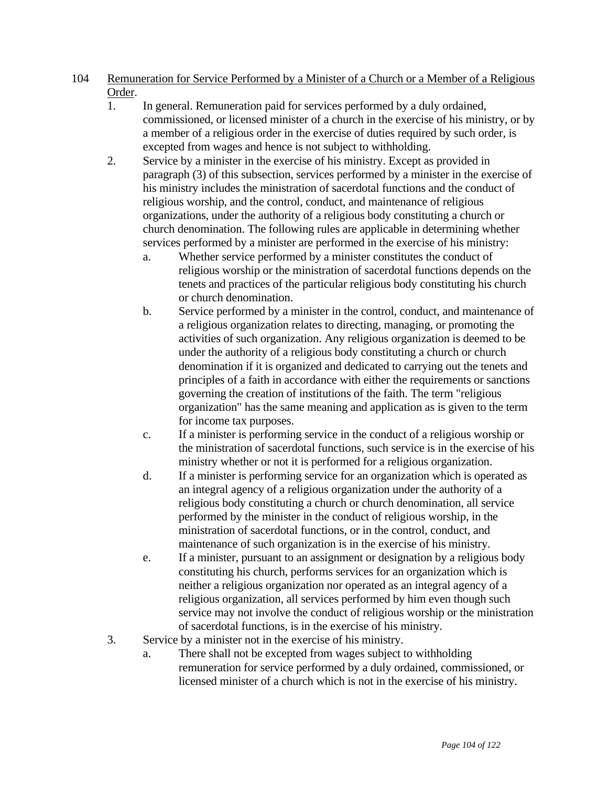- 104 Remuneration for Service Performed by a Minister of a Church or a Member of a Religious Order.
	- 1. In general. Remuneration paid for services performed by a duly ordained, commissioned, or licensed minister of a church in the exercise of his ministry, or by a member of a religious order in the exercise of duties required by such order, is excepted from wages and hence is not subject to withholding.
	- 2. Service by a minister in the exercise of his ministry. Except as provided in paragraph (3) of this subsection, services performed by a minister in the exercise of his ministry includes the ministration of sacerdotal functions and the conduct of religious worship, and the control, conduct, and maintenance of religious organizations, under the authority of a religious body constituting a church or church denomination. The following rules are applicable in determining whether services performed by a minister are performed in the exercise of his ministry:
		- a. Whether service performed by a minister constitutes the conduct of religious worship or the ministration of sacerdotal functions depends on the tenets and practices of the particular religious body constituting his church or church denomination.
		- b. Service performed by a minister in the control, conduct, and maintenance of a religious organization relates to directing, managing, or promoting the activities of such organization. Any religious organization is deemed to be under the authority of a religious body constituting a church or church denomination if it is organized and dedicated to carrying out the tenets and principles of a faith in accordance with either the requirements or sanctions governing the creation of institutions of the faith. The term "religious organization" has the same meaning and application as is given to the term for income tax purposes.
		- c. If a minister is performing service in the conduct of a religious worship or the ministration of sacerdotal functions, such service is in the exercise of his ministry whether or not it is performed for a religious organization.
		- d. If a minister is performing service for an organization which is operated as an integral agency of a religious organization under the authority of a religious body constituting a church or church denomination, all service performed by the minister in the conduct of religious worship, in the ministration of sacerdotal functions, or in the control, conduct, and maintenance of such organization is in the exercise of his ministry.
		- e. If a minister, pursuant to an assignment or designation by a religious body constituting his church, performs services for an organization which is neither a religious organization nor operated as an integral agency of a religious organization, all services performed by him even though such service may not involve the conduct of religious worship or the ministration of sacerdotal functions, is in the exercise of his ministry.
	- 3. Service by a minister not in the exercise of his ministry.
		- a. There shall not be excepted from wages subject to withholding remuneration for service performed by a duly ordained, commissioned, or licensed minister of a church which is not in the exercise of his ministry.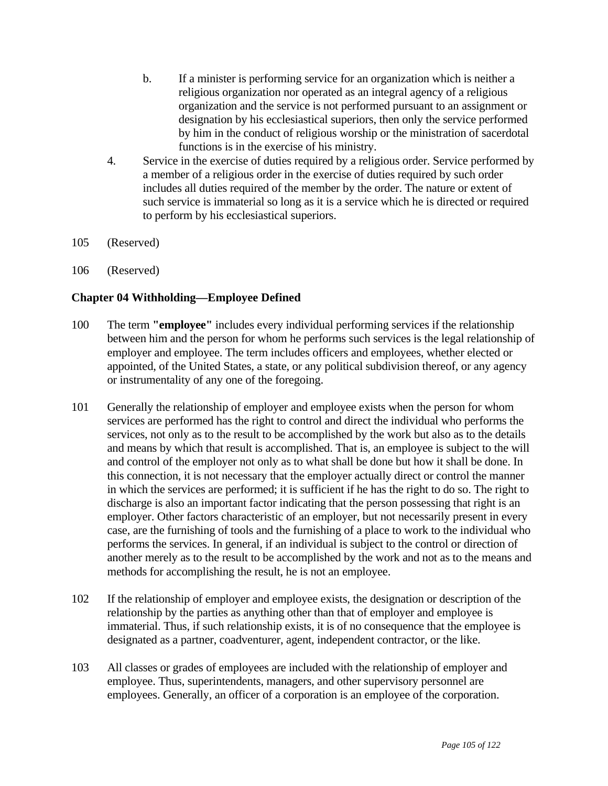- b. If a minister is performing service for an organization which is neither a religious organization nor operated as an integral agency of a religious organization and the service is not performed pursuant to an assignment or designation by his ecclesiastical superiors, then only the service performed by him in the conduct of religious worship or the ministration of sacerdotal functions is in the exercise of his ministry.
- 4. Service in the exercise of duties required by a religious order. Service performed by a member of a religious order in the exercise of duties required by such order includes all duties required of the member by the order. The nature or extent of such service is immaterial so long as it is a service which he is directed or required to perform by his ecclesiastical superiors.
- 105 (Reserved)
- 106 (Reserved)

# **Chapter 04 Withholding—Employee Defined**

- 100 The term **"employee"** includes every individual performing services if the relationship between him and the person for whom he performs such services is the legal relationship of employer and employee. The term includes officers and employees, whether elected or appointed, of the United States, a state, or any political subdivision thereof, or any agency or instrumentality of any one of the foregoing.
- 101 Generally the relationship of employer and employee exists when the person for whom services are performed has the right to control and direct the individual who performs the services, not only as to the result to be accomplished by the work but also as to the details and means by which that result is accomplished. That is, an employee is subject to the will and control of the employer not only as to what shall be done but how it shall be done. In this connection, it is not necessary that the employer actually direct or control the manner in which the services are performed; it is sufficient if he has the right to do so. The right to discharge is also an important factor indicating that the person possessing that right is an employer. Other factors characteristic of an employer, but not necessarily present in every case, are the furnishing of tools and the furnishing of a place to work to the individual who performs the services. In general, if an individual is subject to the control or direction of another merely as to the result to be accomplished by the work and not as to the means and methods for accomplishing the result, he is not an employee.
- 102 If the relationship of employer and employee exists, the designation or description of the relationship by the parties as anything other than that of employer and employee is immaterial. Thus, if such relationship exists, it is of no consequence that the employee is designated as a partner, coadventurer, agent, independent contractor, or the like.
- 103 All classes or grades of employees are included with the relationship of employer and employee. Thus, superintendents, managers, and other supervisory personnel are employees. Generally, an officer of a corporation is an employee of the corporation.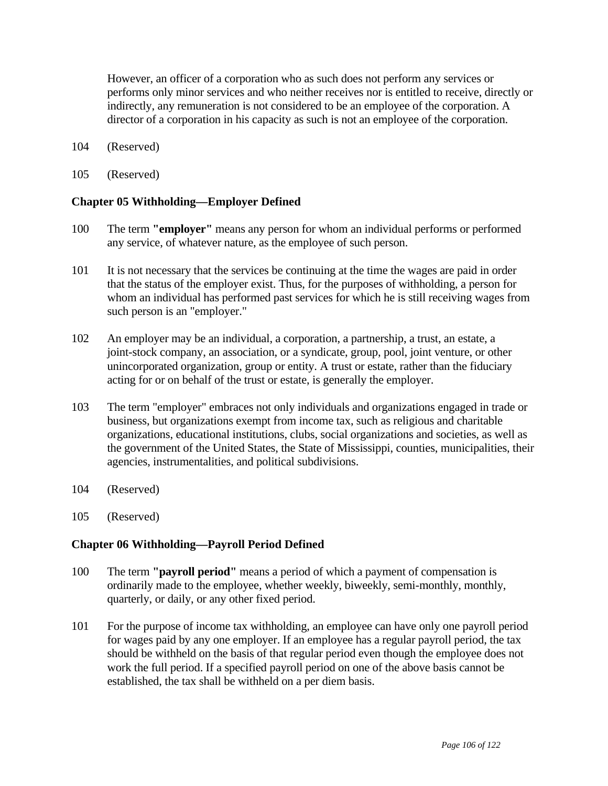However, an officer of a corporation who as such does not perform any services or performs only minor services and who neither receives nor is entitled to receive, directly or indirectly, any remuneration is not considered to be an employee of the corporation. A director of a corporation in his capacity as such is not an employee of the corporation.

- 104 (Reserved)
- 105 (Reserved)

### **Chapter 05 Withholding—Employer Defined**

- 100 The term **"employer"** means any person for whom an individual performs or performed any service, of whatever nature, as the employee of such person.
- 101 It is not necessary that the services be continuing at the time the wages are paid in order that the status of the employer exist. Thus, for the purposes of withholding, a person for whom an individual has performed past services for which he is still receiving wages from such person is an "employer."
- 102 An employer may be an individual, a corporation, a partnership, a trust, an estate, a joint-stock company, an association, or a syndicate, group, pool, joint venture, or other unincorporated organization, group or entity. A trust or estate, rather than the fiduciary acting for or on behalf of the trust or estate, is generally the employer.
- 103 The term "employer" embraces not only individuals and organizations engaged in trade or business, but organizations exempt from income tax, such as religious and charitable organizations, educational institutions, clubs, social organizations and societies, as well as the government of the United States, the State of Mississippi, counties, municipalities, their agencies, instrumentalities, and political subdivisions.
- 104 (Reserved)
- 105 (Reserved)

### **Chapter 06 Withholding—Payroll Period Defined**

- 100 The term **"payroll period"** means a period of which a payment of compensation is ordinarily made to the employee, whether weekly, biweekly, semi-monthly, monthly, quarterly, or daily, or any other fixed period.
- 101 For the purpose of income tax withholding, an employee can have only one payroll period for wages paid by any one employer. If an employee has a regular payroll period, the tax should be withheld on the basis of that regular period even though the employee does not work the full period. If a specified payroll period on one of the above basis cannot be established, the tax shall be withheld on a per diem basis.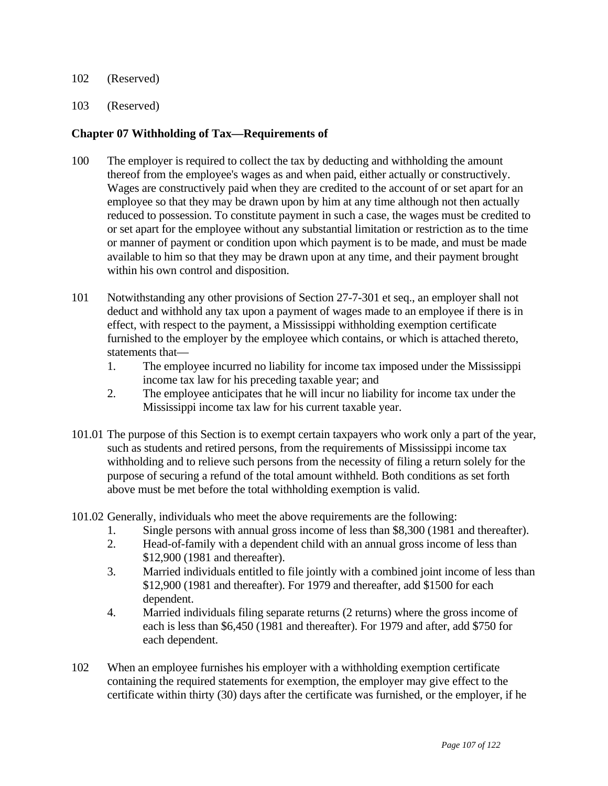- 102 (Reserved)
- 103 (Reserved)

### **Chapter 07 Withholding of Tax—Requirements of**

- 100 The employer is required to collect the tax by deducting and withholding the amount thereof from the employee's wages as and when paid, either actually or constructively. Wages are constructively paid when they are credited to the account of or set apart for an employee so that they may be drawn upon by him at any time although not then actually reduced to possession. To constitute payment in such a case, the wages must be credited to or set apart for the employee without any substantial limitation or restriction as to the time or manner of payment or condition upon which payment is to be made, and must be made available to him so that they may be drawn upon at any time, and their payment brought within his own control and disposition.
- 101 Notwithstanding any other provisions of Section 27-7-301 et seq., an employer shall not deduct and withhold any tax upon a payment of wages made to an employee if there is in effect, with respect to the payment, a Mississippi withholding exemption certificate furnished to the employer by the employee which contains, or which is attached thereto, statements that—
	- 1. The employee incurred no liability for income tax imposed under the Mississippi income tax law for his preceding taxable year; and
	- 2. The employee anticipates that he will incur no liability for income tax under the Mississippi income tax law for his current taxable year.
- 101.01 The purpose of this Section is to exempt certain taxpayers who work only a part of the year, such as students and retired persons, from the requirements of Mississippi income tax withholding and to relieve such persons from the necessity of filing a return solely for the purpose of securing a refund of the total amount withheld. Both conditions as set forth above must be met before the total withholding exemption is valid.
- 101.02 Generally, individuals who meet the above requirements are the following:
	- 1. Single persons with annual gross income of less than \$8,300 (1981 and thereafter).
	- 2. Head-of-family with a dependent child with an annual gross income of less than \$12,900 (1981 and thereafter).
	- 3. Married individuals entitled to file jointly with a combined joint income of less than \$12,900 (1981 and thereafter). For 1979 and thereafter, add \$1500 for each dependent.
	- 4. Married individuals filing separate returns (2 returns) where the gross income of each is less than \$6,450 (1981 and thereafter). For 1979 and after, add \$750 for each dependent.
- 102 When an employee furnishes his employer with a withholding exemption certificate containing the required statements for exemption, the employer may give effect to the certificate within thirty (30) days after the certificate was furnished, or the employer, if he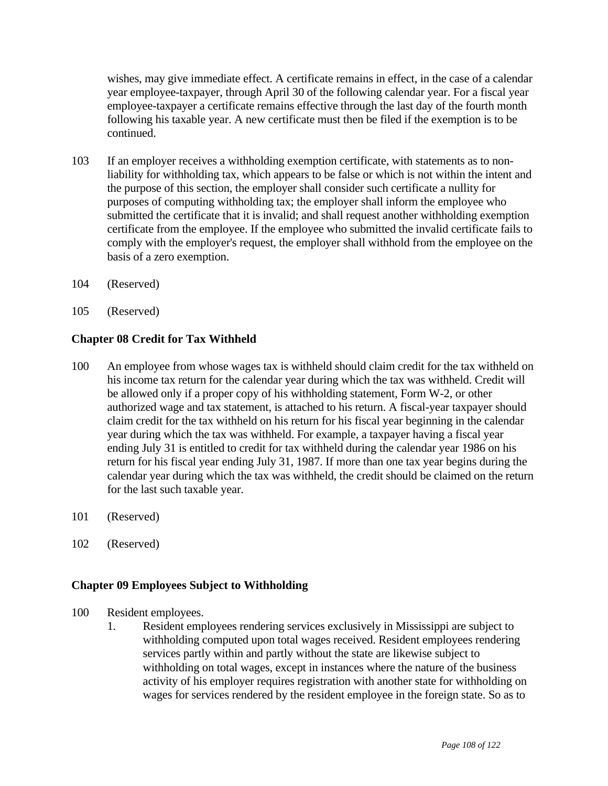wishes, may give immediate effect. A certificate remains in effect, in the case of a calendar year employee-taxpayer, through April 30 of the following calendar year. For a fiscal year employee-taxpayer a certificate remains effective through the last day of the fourth month following his taxable year. A new certificate must then be filed if the exemption is to be continued.

- 103 If an employer receives a withholding exemption certificate, with statements as to nonliability for withholding tax, which appears to be false or which is not within the intent and the purpose of this section, the employer shall consider such certificate a nullity for purposes of computing withholding tax; the employer shall inform the employee who submitted the certificate that it is invalid; and shall request another withholding exemption certificate from the employee. If the employee who submitted the invalid certificate fails to comply with the employer's request, the employer shall withhold from the employee on the basis of a zero exemption.
- 104 (Reserved)
- 105 (Reserved)

# **Chapter 08 Credit for Tax Withheld**

- 100 An employee from whose wages tax is withheld should claim credit for the tax withheld on his income tax return for the calendar year during which the tax was withheld. Credit will be allowed only if a proper copy of his withholding statement, Form W-2, or other authorized wage and tax statement, is attached to his return. A fiscal-year taxpayer should claim credit for the tax withheld on his return for his fiscal year beginning in the calendar year during which the tax was withheld. For example, a taxpayer having a fiscal year ending July 31 is entitled to credit for tax withheld during the calendar year 1986 on his return for his fiscal year ending July 31, 1987. If more than one tax year begins during the calendar year during which the tax was withheld, the credit should be claimed on the return for the last such taxable year.
- 101 (Reserved)
- 102 (Reserved)

### **Chapter 09 Employees Subject to Withholding**

- 100 Resident employees.
	- 1. Resident employees rendering services exclusively in Mississippi are subject to withholding computed upon total wages received. Resident employees rendering services partly within and partly without the state are likewise subject to withholding on total wages, except in instances where the nature of the business activity of his employer requires registration with another state for withholding on wages for services rendered by the resident employee in the foreign state. So as to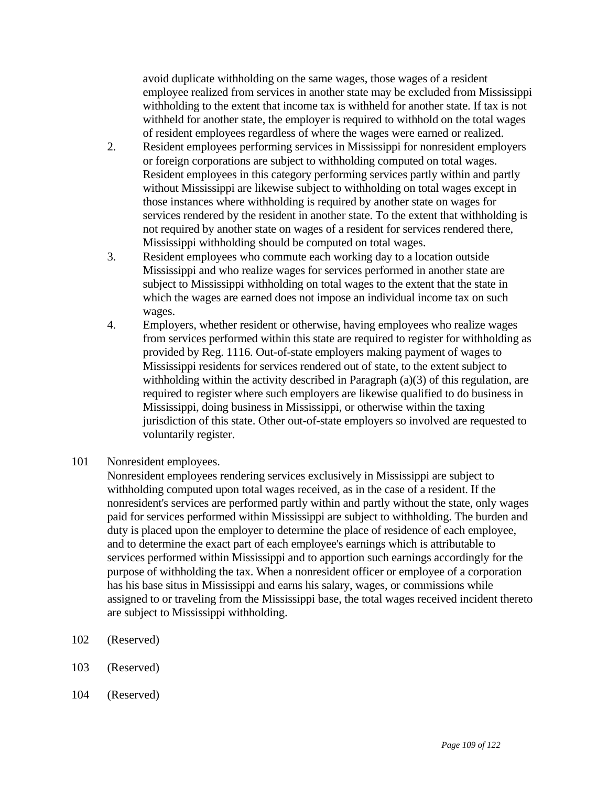avoid duplicate withholding on the same wages, those wages of a resident employee realized from services in another state may be excluded from Mississippi withholding to the extent that income tax is withheld for another state. If tax is not withheld for another state, the employer is required to withhold on the total wages of resident employees regardless of where the wages were earned or realized.

- 2. Resident employees performing services in Mississippi for nonresident employers or foreign corporations are subject to withholding computed on total wages. Resident employees in this category performing services partly within and partly without Mississippi are likewise subject to withholding on total wages except in those instances where withholding is required by another state on wages for services rendered by the resident in another state. To the extent that withholding is not required by another state on wages of a resident for services rendered there, Mississippi withholding should be computed on total wages.
- 3. Resident employees who commute each working day to a location outside Mississippi and who realize wages for services performed in another state are subject to Mississippi withholding on total wages to the extent that the state in which the wages are earned does not impose an individual income tax on such wages.
- 4. Employers, whether resident or otherwise, having employees who realize wages from services performed within this state are required to register for withholding as provided by Reg. 1116. Out-of-state employers making payment of wages to Mississippi residents for services rendered out of state, to the extent subject to withholding within the activity described in Paragraph (a)(3) of this regulation, are required to register where such employers are likewise qualified to do business in Mississippi, doing business in Mississippi, or otherwise within the taxing jurisdiction of this state. Other out-of-state employers so involved are requested to voluntarily register.
- 101 Nonresident employees.

 Nonresident employees rendering services exclusively in Mississippi are subject to withholding computed upon total wages received, as in the case of a resident. If the nonresident's services are performed partly within and partly without the state, only wages paid for services performed within Mississippi are subject to withholding. The burden and duty is placed upon the employer to determine the place of residence of each employee, and to determine the exact part of each employee's earnings which is attributable to services performed within Mississippi and to apportion such earnings accordingly for the purpose of withholding the tax. When a nonresident officer or employee of a corporation has his base situs in Mississippi and earns his salary, wages, or commissions while assigned to or traveling from the Mississippi base, the total wages received incident thereto are subject to Mississippi withholding.

- 102 (Reserved)
- 103 (Reserved)
- 104 (Reserved)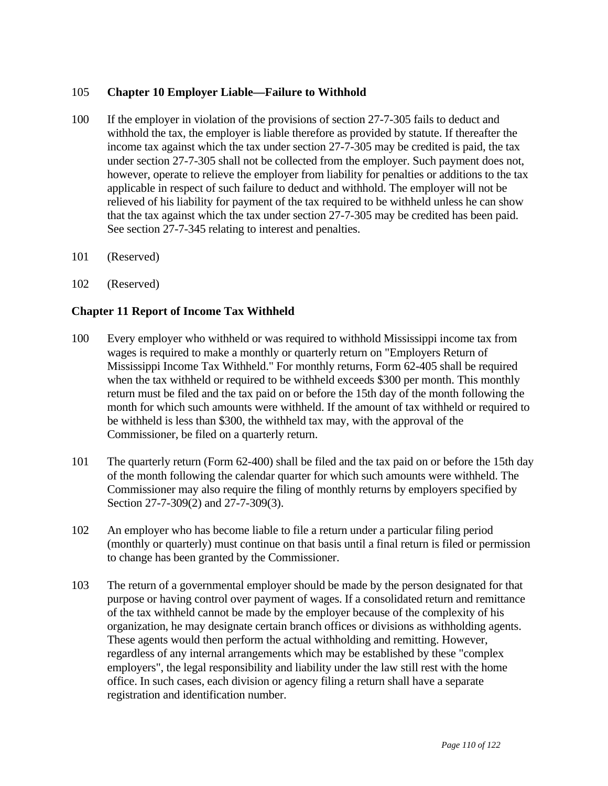# 105 **Chapter 10 Employer Liable—Failure to Withhold**

- 100 If the employer in violation of the provisions of section 27-7-305 fails to deduct and withhold the tax, the employer is liable therefore as provided by statute. If thereafter the income tax against which the tax under section 27-7-305 may be credited is paid, the tax under section 27-7-305 shall not be collected from the employer. Such payment does not, however, operate to relieve the employer from liability for penalties or additions to the tax applicable in respect of such failure to deduct and withhold. The employer will not be relieved of his liability for payment of the tax required to be withheld unless he can show that the tax against which the tax under section 27-7-305 may be credited has been paid. See section 27-7-345 relating to interest and penalties.
- 101 (Reserved)
- 102 (Reserved)

## **Chapter 11 Report of Income Tax Withheld**

- 100 Every employer who withheld or was required to withhold Mississippi income tax from wages is required to make a monthly or quarterly return on "Employers Return of Mississippi Income Tax Withheld." For monthly returns, Form 62-405 shall be required when the tax withheld or required to be withheld exceeds \$300 per month. This monthly return must be filed and the tax paid on or before the 15th day of the month following the month for which such amounts were withheld. If the amount of tax withheld or required to be withheld is less than \$300, the withheld tax may, with the approval of the Commissioner, be filed on a quarterly return.
- 101 The quarterly return (Form 62-400) shall be filed and the tax paid on or before the 15th day of the month following the calendar quarter for which such amounts were withheld. The Commissioner may also require the filing of monthly returns by employers specified by Section 27-7-309(2) and 27-7-309(3).
- 102 An employer who has become liable to file a return under a particular filing period (monthly or quarterly) must continue on that basis until a final return is filed or permission to change has been granted by the Commissioner.
- 103 The return of a governmental employer should be made by the person designated for that purpose or having control over payment of wages. If a consolidated return and remittance of the tax withheld cannot be made by the employer because of the complexity of his organization, he may designate certain branch offices or divisions as withholding agents. These agents would then perform the actual withholding and remitting. However, regardless of any internal arrangements which may be established by these "complex employers", the legal responsibility and liability under the law still rest with the home office. In such cases, each division or agency filing a return shall have a separate registration and identification number.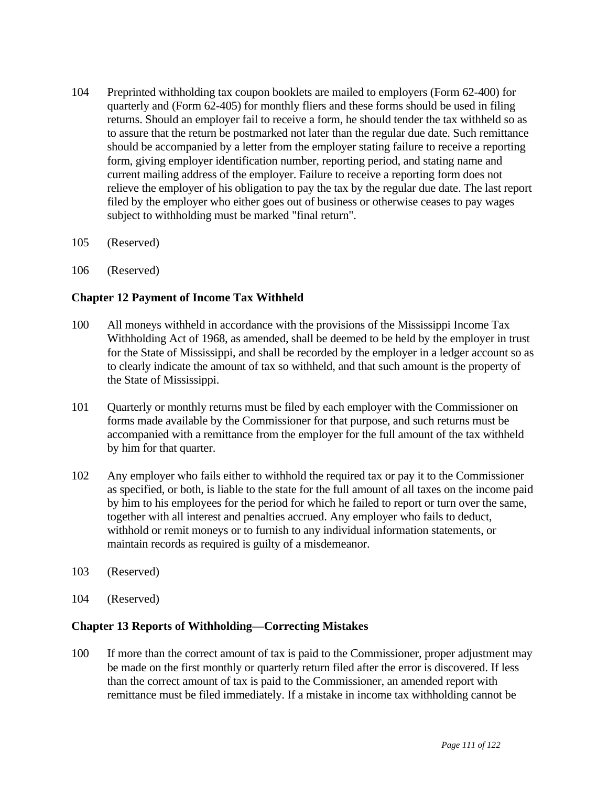- 104 Preprinted withholding tax coupon booklets are mailed to employers (Form 62-400) for quarterly and (Form 62-405) for monthly fliers and these forms should be used in filing returns. Should an employer fail to receive a form, he should tender the tax withheld so as to assure that the return be postmarked not later than the regular due date. Such remittance should be accompanied by a letter from the employer stating failure to receive a reporting form, giving employer identification number, reporting period, and stating name and current mailing address of the employer. Failure to receive a reporting form does not relieve the employer of his obligation to pay the tax by the regular due date. The last report filed by the employer who either goes out of business or otherwise ceases to pay wages subject to withholding must be marked "final return".
- 105 (Reserved)
- 106 (Reserved)

# **Chapter 12 Payment of Income Tax Withheld**

- 100 All moneys withheld in accordance with the provisions of the Mississippi Income Tax Withholding Act of 1968, as amended, shall be deemed to be held by the employer in trust for the State of Mississippi, and shall be recorded by the employer in a ledger account so as to clearly indicate the amount of tax so withheld, and that such amount is the property of the State of Mississippi.
- 101 Quarterly or monthly returns must be filed by each employer with the Commissioner on forms made available by the Commissioner for that purpose, and such returns must be accompanied with a remittance from the employer for the full amount of the tax withheld by him for that quarter.
- 102 Any employer who fails either to withhold the required tax or pay it to the Commissioner as specified, or both, is liable to the state for the full amount of all taxes on the income paid by him to his employees for the period for which he failed to report or turn over the same, together with all interest and penalties accrued. Any employer who fails to deduct, withhold or remit moneys or to furnish to any individual information statements, or maintain records as required is guilty of a misdemeanor.
- 103 (Reserved)
- 104 (Reserved)

### **Chapter 13 Reports of Withholding—Correcting Mistakes**

100 If more than the correct amount of tax is paid to the Commissioner, proper adjustment may be made on the first monthly or quarterly return filed after the error is discovered. If less than the correct amount of tax is paid to the Commissioner, an amended report with remittance must be filed immediately. If a mistake in income tax withholding cannot be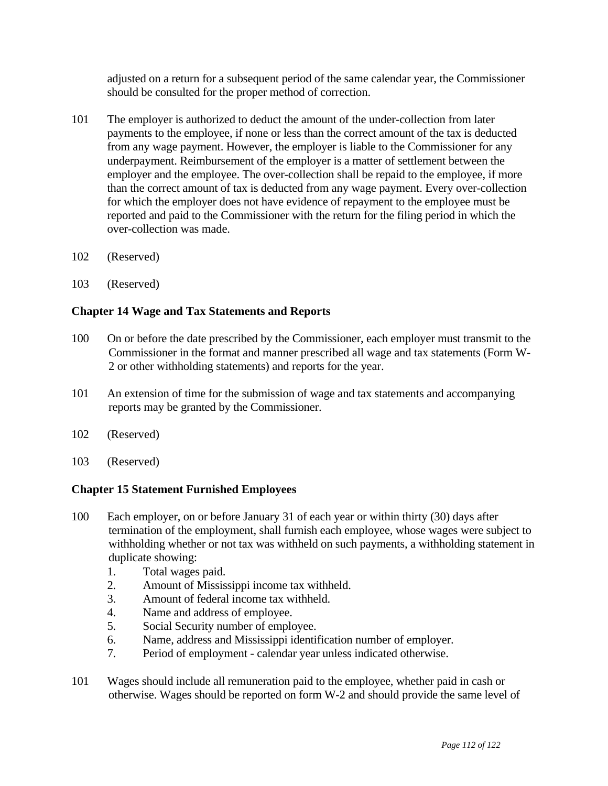adjusted on a return for a subsequent period of the same calendar year, the Commissioner should be consulted for the proper method of correction.

- 101 The employer is authorized to deduct the amount of the under-collection from later payments to the employee, if none or less than the correct amount of the tax is deducted from any wage payment. However, the employer is liable to the Commissioner for any underpayment. Reimbursement of the employer is a matter of settlement between the employer and the employee. The over-collection shall be repaid to the employee, if more than the correct amount of tax is deducted from any wage payment. Every over-collection for which the employer does not have evidence of repayment to the employee must be reported and paid to the Commissioner with the return for the filing period in which the over-collection was made.
- 102 (Reserved)
- 103 (Reserved)

## **Chapter 14 Wage and Tax Statements and Reports**

- 100 On or before the date prescribed by the Commissioner, each employer must transmit to the Commissioner in the format and manner prescribed all wage and tax statements (Form W-2 or other withholding statements) and reports for the year.
- 101 An extension of time for the submission of wage and tax statements and accompanying reports may be granted by the Commissioner.
- 102 (Reserved)
- 103 (Reserved)

# **Chapter 15 Statement Furnished Employees**

- 100 Each employer, on or before January 31 of each year or within thirty (30) days after termination of the employment, shall furnish each employee, whose wages were subject to withholding whether or not tax was withheld on such payments, a withholding statement in duplicate showing:
	- 1. Total wages paid.
	- 2. Amount of Mississippi income tax withheld.
	- 3. Amount of federal income tax withheld.
	- 4. Name and address of employee.
	- 5. Social Security number of employee.
	- 6. Name, address and Mississippi identification number of employer.
	- 7. Period of employment calendar year unless indicated otherwise.
- 101 Wages should include all remuneration paid to the employee, whether paid in cash or otherwise. Wages should be reported on form W-2 and should provide the same level of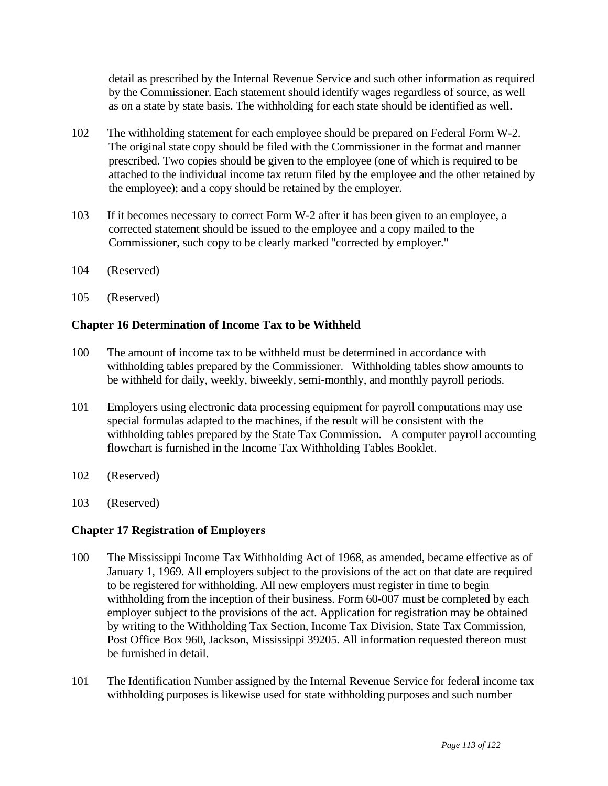detail as prescribed by the Internal Revenue Service and such other information as required by the Commissioner. Each statement should identify wages regardless of source, as well as on a state by state basis. The withholding for each state should be identified as well.

- 102 The withholding statement for each employee should be prepared on Federal Form W-2. The original state copy should be filed with the Commissioner in the format and manner prescribed. Two copies should be given to the employee (one of which is required to be attached to the individual income tax return filed by the employee and the other retained by the employee); and a copy should be retained by the employer.
- 103 If it becomes necessary to correct Form W-2 after it has been given to an employee, a corrected statement should be issued to the employee and a copy mailed to the Commissioner, such copy to be clearly marked "corrected by employer."
- 104 (Reserved)
- 105 (Reserved)

## **Chapter 16 Determination of Income Tax to be Withheld**

- 100 The amount of income tax to be withheld must be determined in accordance with withholding tables prepared by the Commissioner. Withholding tables show amounts to be withheld for daily, weekly, biweekly, semi-monthly, and monthly payroll periods.
- 101 Employers using electronic data processing equipment for payroll computations may use special formulas adapted to the machines, if the result will be consistent with the withholding tables prepared by the State Tax Commission. A computer payroll accounting flowchart is furnished in the Income Tax Withholding Tables Booklet.
- 102 (Reserved)
- 103 (Reserved)

### **Chapter 17 Registration of Employers**

- 100 The Mississippi Income Tax Withholding Act of 1968, as amended, became effective as of January 1, 1969. All employers subject to the provisions of the act on that date are required to be registered for withholding. All new employers must register in time to begin withholding from the inception of their business. Form 60-007 must be completed by each employer subject to the provisions of the act. Application for registration may be obtained by writing to the Withholding Tax Section, Income Tax Division, State Tax Commission, Post Office Box 960, Jackson, Mississippi 39205. All information requested thereon must be furnished in detail.
- 101 The Identification Number assigned by the Internal Revenue Service for federal income tax withholding purposes is likewise used for state withholding purposes and such number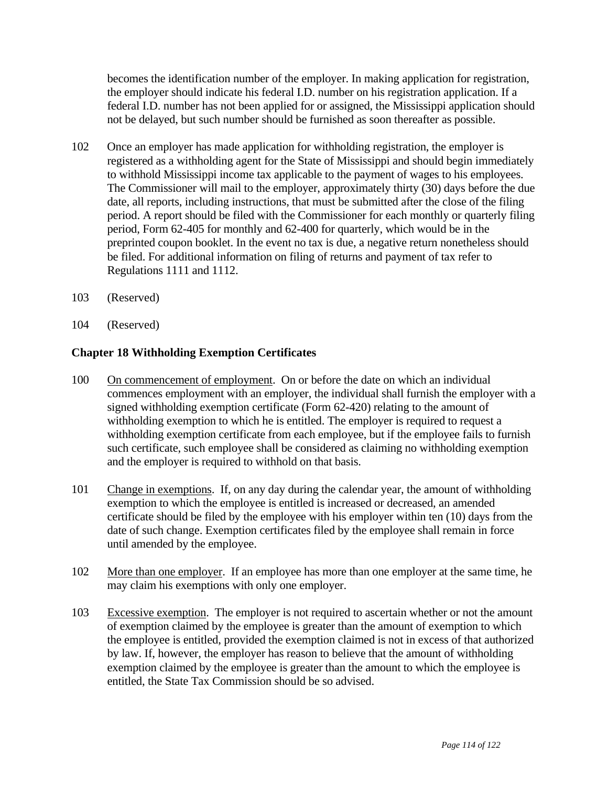becomes the identification number of the employer. In making application for registration, the employer should indicate his federal I.D. number on his registration application. If a federal I.D. number has not been applied for or assigned, the Mississippi application should not be delayed, but such number should be furnished as soon thereafter as possible.

- 102 Once an employer has made application for withholding registration, the employer is registered as a withholding agent for the State of Mississippi and should begin immediately to withhold Mississippi income tax applicable to the payment of wages to his employees. The Commissioner will mail to the employer, approximately thirty (30) days before the due date, all reports, including instructions, that must be submitted after the close of the filing period. A report should be filed with the Commissioner for each monthly or quarterly filing period, Form 62-405 for monthly and 62-400 for quarterly, which would be in the preprinted coupon booklet. In the event no tax is due, a negative return nonetheless should be filed. For additional information on filing of returns and payment of tax refer to Regulations 1111 and 1112.
- 103 (Reserved)
- 104 (Reserved)

## **Chapter 18 Withholding Exemption Certificates**

- 100 On commencement of employment. On or before the date on which an individual commences employment with an employer, the individual shall furnish the employer with a signed withholding exemption certificate (Form 62-420) relating to the amount of withholding exemption to which he is entitled. The employer is required to request a withholding exemption certificate from each employee, but if the employee fails to furnish such certificate, such employee shall be considered as claiming no withholding exemption and the employer is required to withhold on that basis.
- 101 Change in exemptions. If, on any day during the calendar year, the amount of withholding exemption to which the employee is entitled is increased or decreased, an amended certificate should be filed by the employee with his employer within ten (10) days from the date of such change. Exemption certificates filed by the employee shall remain in force until amended by the employee.
- 102 More than one employer. If an employee has more than one employer at the same time, he may claim his exemptions with only one employer.
- 103 Excessive exemption. The employer is not required to ascertain whether or not the amount of exemption claimed by the employee is greater than the amount of exemption to which the employee is entitled, provided the exemption claimed is not in excess of that authorized by law. If, however, the employer has reason to believe that the amount of withholding exemption claimed by the employee is greater than the amount to which the employee is entitled, the State Tax Commission should be so advised.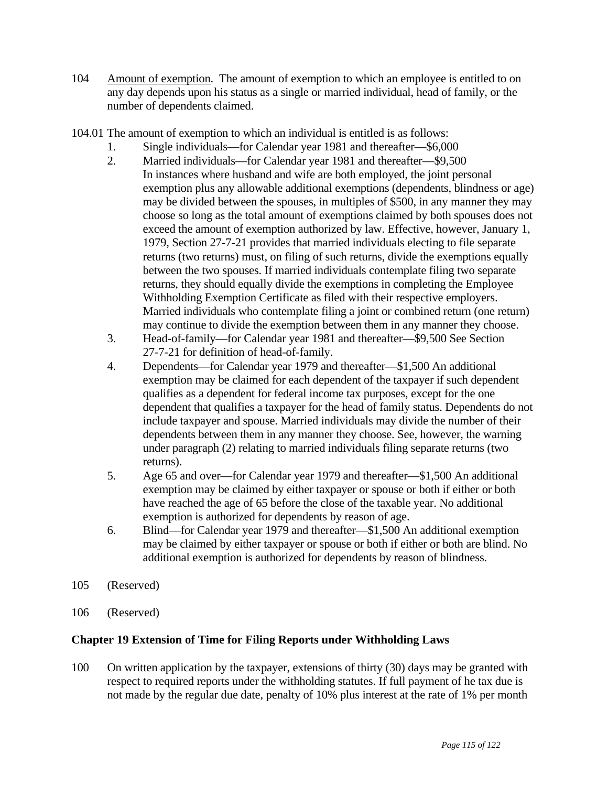- 104 Amount of exemption. The amount of exemption to which an employee is entitled to on any day depends upon his status as a single or married individual, head of family, or the number of dependents claimed.
- 104.01 The amount of exemption to which an individual is entitled is as follows:
	- 1. Single individuals—for Calendar year 1981 and thereafter—\$6,000
	- 2. Married individuals—for Calendar year 1981 and thereafter—\$9,500 In instances where husband and wife are both employed, the joint personal exemption plus any allowable additional exemptions (dependents, blindness or age) may be divided between the spouses, in multiples of \$500, in any manner they may choose so long as the total amount of exemptions claimed by both spouses does not exceed the amount of exemption authorized by law. Effective, however, January 1, 1979, Section 27-7-21 provides that married individuals electing to file separate returns (two returns) must, on filing of such returns, divide the exemptions equally between the two spouses. If married individuals contemplate filing two separate returns, they should equally divide the exemptions in completing the Employee Withholding Exemption Certificate as filed with their respective employers. Married individuals who contemplate filing a joint or combined return (one return) may continue to divide the exemption between them in any manner they choose.
	- 3. Head-of-family—for Calendar year 1981 and thereafter—\$9,500 See Section 27-7-21 for definition of head-of-family.
	- 4. Dependents—for Calendar year 1979 and thereafter—\$1,500 An additional exemption may be claimed for each dependent of the taxpayer if such dependent qualifies as a dependent for federal income tax purposes, except for the one dependent that qualifies a taxpayer for the head of family status. Dependents do not include taxpayer and spouse. Married individuals may divide the number of their dependents between them in any manner they choose. See, however, the warning under paragraph (2) relating to married individuals filing separate returns (two returns).
	- 5. Age 65 and over—for Calendar year 1979 and thereafter—\$1,500 An additional exemption may be claimed by either taxpayer or spouse or both if either or both have reached the age of 65 before the close of the taxable year. No additional exemption is authorized for dependents by reason of age.
	- 6. Blind—for Calendar year 1979 and thereafter—\$1,500 An additional exemption may be claimed by either taxpayer or spouse or both if either or both are blind. No additional exemption is authorized for dependents by reason of blindness.
- 105 (Reserved)
- 106 (Reserved)

# **Chapter 19 Extension of Time for Filing Reports under Withholding Laws**

100 On written application by the taxpayer, extensions of thirty (30) days may be granted with respect to required reports under the withholding statutes. If full payment of he tax due is not made by the regular due date, penalty of 10% plus interest at the rate of 1% per month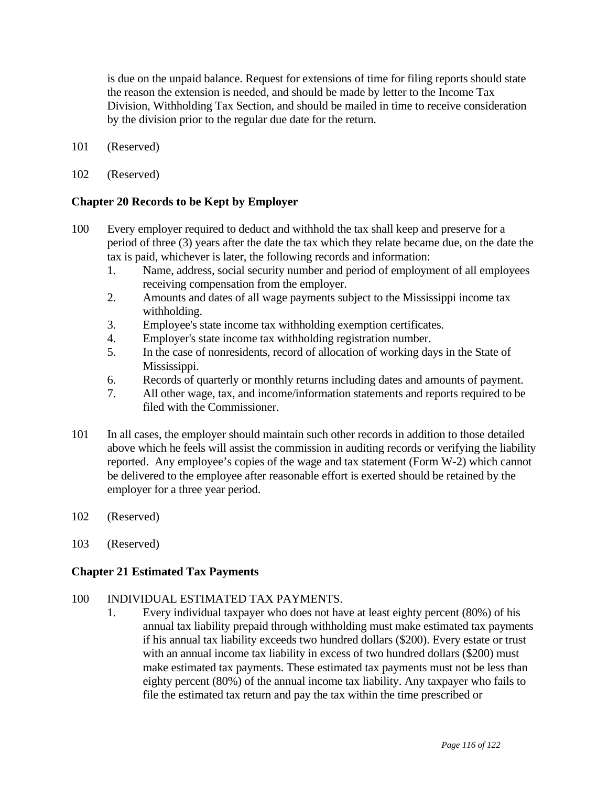is due on the unpaid balance. Request for extensions of time for filing reports should state the reason the extension is needed, and should be made by letter to the Income Tax Division, Withholding Tax Section, and should be mailed in time to receive consideration by the division prior to the regular due date for the return.

- 101 (Reserved)
- 102 (Reserved)

## **Chapter 20 Records to be Kept by Employer**

- 100 Every employer required to deduct and withhold the tax shall keep and preserve for a period of three (3) years after the date the tax which they relate became due, on the date the tax is paid, whichever is later, the following records and information:
	- 1. Name, address, social security number and period of employment of all employees receiving compensation from the employer.
	- 2. Amounts and dates of all wage payments subject to the Mississippi income tax withholding.
	- 3. Employee's state income tax withholding exemption certificates.
	- 4. Employer's state income tax withholding registration number.
	- 5. In the case of nonresidents, record of allocation of working days in the State of Mississippi.
	- 6. Records of quarterly or monthly returns including dates and amounts of payment.
	- 7. All other wage, tax, and income/information statements and reports required to be filed with the Commissioner.
- 101 In all cases, the employer should maintain such other records in addition to those detailed above which he feels will assist the commission in auditing records or verifying the liability reported. Any employee's copies of the wage and tax statement (Form W-2) which cannot be delivered to the employee after reasonable effort is exerted should be retained by the employer for a three year period.
- 102 (Reserved)
- 103 (Reserved)

### **Chapter 21 Estimated Tax Payments**

### 100 INDIVIDUAL ESTIMATED TAX PAYMENTS.

 1. Every individual taxpayer who does not have at least eighty percent (80%) of his annual tax liability prepaid through withholding must make estimated tax payments if his annual tax liability exceeds two hundred dollars (\$200). Every estate or trust with an annual income tax liability in excess of two hundred dollars (\$200) must make estimated tax payments. These estimated tax payments must not be less than eighty percent (80%) of the annual income tax liability. Any taxpayer who fails to file the estimated tax return and pay the tax within the time prescribed or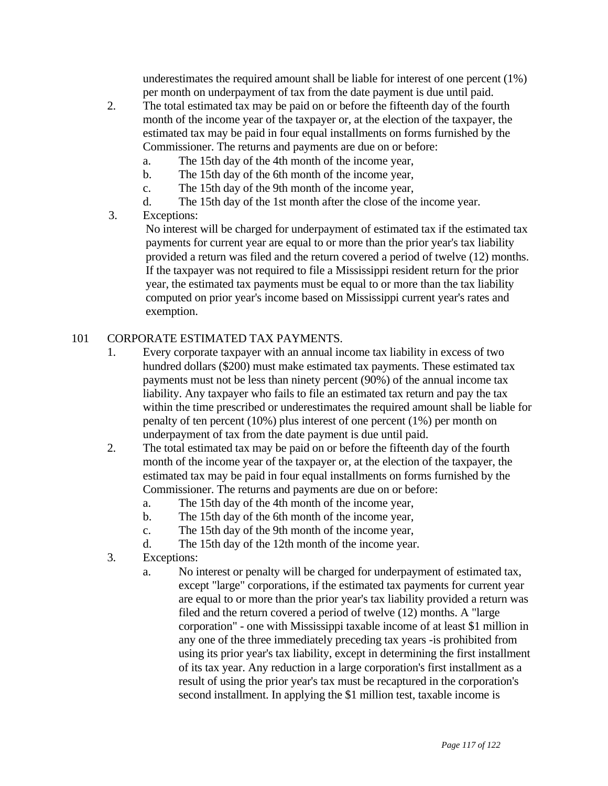underestimates the required amount shall be liable for interest of one percent (1%) per month on underpayment of tax from the date payment is due until paid.

- 2. The total estimated tax may be paid on or before the fifteenth day of the fourth month of the income year of the taxpayer or, at the election of the taxpayer, the estimated tax may be paid in four equal installments on forms furnished by the Commissioner. The returns and payments are due on or before:
	- a. The 15th day of the 4th month of the income year,
	- b. The 15th day of the 6th month of the income year,
	- c. The 15th day of the 9th month of the income year,
	- d. The 15th day of the 1st month after the close of the income year.
- 3. Exceptions:

 No interest will be charged for underpayment of estimated tax if the estimated tax payments for current year are equal to or more than the prior year's tax liability provided a return was filed and the return covered a period of twelve (12) months. If the taxpayer was not required to file a Mississippi resident return for the prior year, the estimated tax payments must be equal to or more than the tax liability computed on prior year's income based on Mississippi current year's rates and exemption.

# 101 CORPORATE ESTIMATED TAX PAYMENTS.

- 1. Every corporate taxpayer with an annual income tax liability in excess of two hundred dollars (\$200) must make estimated tax payments. These estimated tax payments must not be less than ninety percent (90%) of the annual income tax liability. Any taxpayer who fails to file an estimated tax return and pay the tax within the time prescribed or underestimates the required amount shall be liable for penalty of ten percent (10%) plus interest of one percent (1%) per month on underpayment of tax from the date payment is due until paid.
- 2. The total estimated tax may be paid on or before the fifteenth day of the fourth month of the income year of the taxpayer or, at the election of the taxpayer, the estimated tax may be paid in four equal installments on forms furnished by the Commissioner. The returns and payments are due on or before:
	- a. The 15th day of the 4th month of the income year,
	- b. The 15th day of the 6th month of the income year,
	- c. The 15th day of the 9th month of the income year,
	- d. The 15th day of the 12th month of the income year.
- 3. Exceptions:
	- a. No interest or penalty will be charged for underpayment of estimated tax, except "large" corporations, if the estimated tax payments for current year are equal to or more than the prior year's tax liability provided a return was filed and the return covered a period of twelve (12) months. A "large corporation" - one with Mississippi taxable income of at least \$1 million in any one of the three immediately preceding tax years -is prohibited from using its prior year's tax liability, except in determining the first installment of its tax year. Any reduction in a large corporation's first installment as a result of using the prior year's tax must be recaptured in the corporation's second installment. In applying the \$1 million test, taxable income is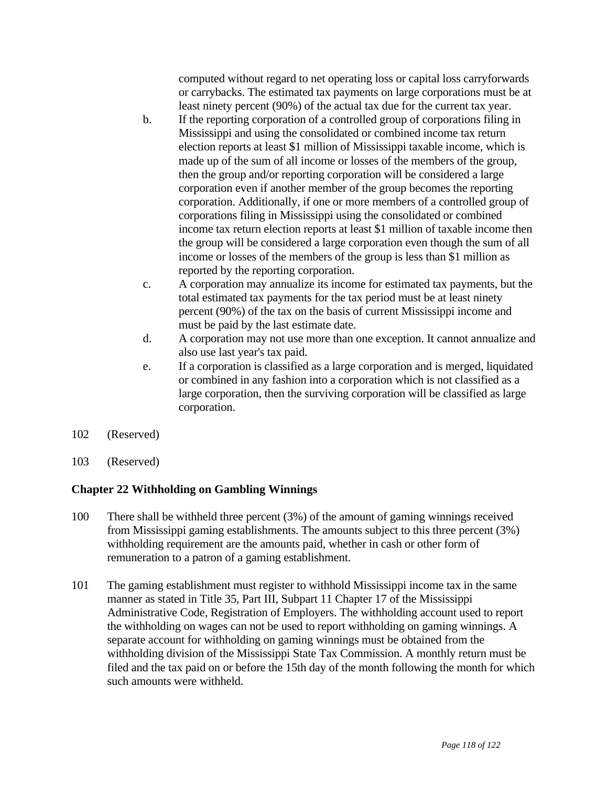computed without regard to net operating loss or capital loss carryforwards or carrybacks. The estimated tax payments on large corporations must be at least ninety percent (90%) of the actual tax due for the current tax year.

- b. If the reporting corporation of a controlled group of corporations filing in Mississippi and using the consolidated or combined income tax return election reports at least \$1 million of Mississippi taxable income, which is made up of the sum of all income or losses of the members of the group, then the group and/or reporting corporation will be considered a large corporation even if another member of the group becomes the reporting corporation. Additionally, if one or more members of a controlled group of corporations filing in Mississippi using the consolidated or combined income tax return election reports at least \$1 million of taxable income then the group will be considered a large corporation even though the sum of all income or losses of the members of the group is less than \$1 million as reported by the reporting corporation.
- c. A corporation may annualize its income for estimated tax payments, but the total estimated tax payments for the tax period must be at least ninety percent (90%) of the tax on the basis of current Mississippi income and must be paid by the last estimate date.
- d. A corporation may not use more than one exception. It cannot annualize and also use last year's tax paid.
- e. If a corporation is classified as a large corporation and is merged, liquidated or combined in any fashion into a corporation which is not classified as a large corporation, then the surviving corporation will be classified as large corporation.
- 102 (Reserved)
- 103 (Reserved)

# **Chapter 22 Withholding on Gambling Winnings**

- 100 There shall be withheld three percent (3%) of the amount of gaming winnings received from Mississippi gaming establishments. The amounts subject to this three percent (3%) withholding requirement are the amounts paid, whether in cash or other form of remuneration to a patron of a gaming establishment.
- 101 The gaming establishment must register to withhold Mississippi income tax in the same manner as stated in Title 35, Part III, Subpart 11 Chapter 17 of the Mississippi Administrative Code, Registration of Employers. The withholding account used to report the withholding on wages can not be used to report withholding on gaming winnings. A separate account for withholding on gaming winnings must be obtained from the withholding division of the Mississippi State Tax Commission. A monthly return must be filed and the tax paid on or before the 15th day of the month following the month for which such amounts were withheld.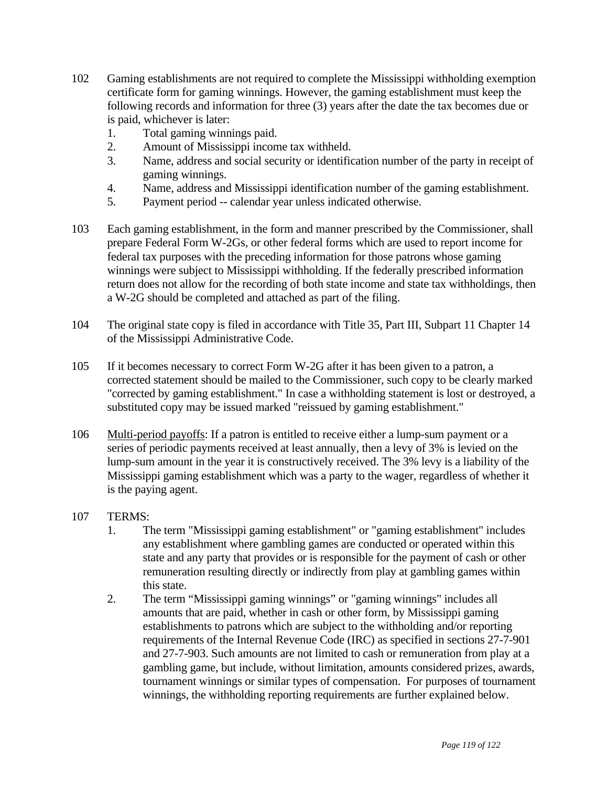- 102 Gaming establishments are not required to complete the Mississippi withholding exemption certificate form for gaming winnings. However, the gaming establishment must keep the following records and information for three (3) years after the date the tax becomes due or is paid, whichever is later:
	- 1. Total gaming winnings paid.
	- 2. Amount of Mississippi income tax withheld.
	- 3. Name, address and social security or identification number of the party in receipt of gaming winnings.
	- 4. Name, address and Mississippi identification number of the gaming establishment.
	- 5. Payment period -- calendar year unless indicated otherwise.
- 103 Each gaming establishment, in the form and manner prescribed by the Commissioner, shall prepare Federal Form W-2Gs, or other federal forms which are used to report income for federal tax purposes with the preceding information for those patrons whose gaming winnings were subject to Mississippi withholding. If the federally prescribed information return does not allow for the recording of both state income and state tax withholdings, then a W-2G should be completed and attached as part of the filing.
- 104 The original state copy is filed in accordance with Title 35, Part III, Subpart 11 Chapter 14 of the Mississippi Administrative Code.
- 105 If it becomes necessary to correct Form W-2G after it has been given to a patron, a corrected statement should be mailed to the Commissioner, such copy to be clearly marked "corrected by gaming establishment." In case a withholding statement is lost or destroyed, a substituted copy may be issued marked "reissued by gaming establishment."
- 106 Multi-period payoffs: If a patron is entitled to receive either a lump-sum payment or a series of periodic payments received at least annually, then a levy of 3% is levied on the lump-sum amount in the year it is constructively received. The 3% levy is a liability of the Mississippi gaming establishment which was a party to the wager, regardless of whether it is the paying agent.
- 107 TERMS:
	- 1. The term "Mississippi gaming establishment" or "gaming establishment" includes any establishment where gambling games are conducted or operated within this state and any party that provides or is responsible for the payment of cash or other remuneration resulting directly or indirectly from play at gambling games within this state.
	- 2. The term "Mississippi gaming winnings" or "gaming winnings" includes all amounts that are paid, whether in cash or other form, by Mississippi gaming establishments to patrons which are subject to the withholding and/or reporting requirements of the Internal Revenue Code (IRC) as specified in sections 27-7-901 and 27-7-903. Such amounts are not limited to cash or remuneration from play at a gambling game, but include, without limitation, amounts considered prizes, awards, tournament winnings or similar types of compensation. For purposes of tournament winnings, the withholding reporting requirements are further explained below.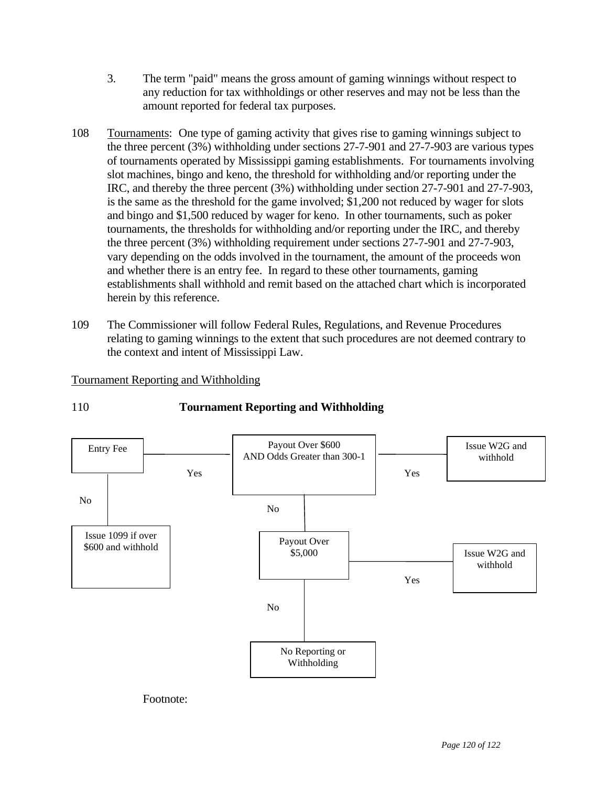- 3. The term "paid" means the gross amount of gaming winnings without respect to any reduction for tax withholdings or other reserves and may not be less than the amount reported for federal tax purposes.
- 108 Tournaments: One type of gaming activity that gives rise to gaming winnings subject to the three percent (3%) withholding under sections 27-7-901 and 27-7-903 are various types of tournaments operated by Mississippi gaming establishments. For tournaments involving slot machines, bingo and keno, the threshold for withholding and/or reporting under the IRC, and thereby the three percent (3%) withholding under section 27-7-901 and 27-7-903, is the same as the threshold for the game involved; \$1,200 not reduced by wager for slots and bingo and \$1,500 reduced by wager for keno. In other tournaments, such as poker tournaments, the thresholds for withholding and/or reporting under the IRC, and thereby the three percent (3%) withholding requirement under sections 27-7-901 and 27-7-903, vary depending on the odds involved in the tournament, the amount of the proceeds won and whether there is an entry fee. In regard to these other tournaments, gaming establishments shall withhold and remit based on the attached chart which is incorporated herein by this reference.
- 109 The Commissioner will follow Federal Rules, Regulations, and Revenue Procedures relating to gaming winnings to the extent that such procedures are not deemed contrary to the context and intent of Mississippi Law.

# Tournament Reporting and Withholding





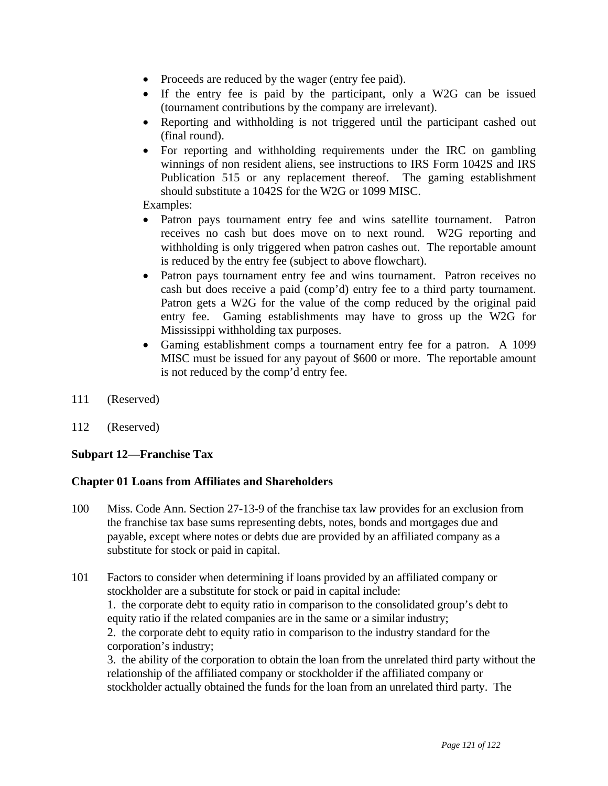- Proceeds are reduced by the wager (entry fee paid).
- If the entry fee is paid by the participant, only a W2G can be issued (tournament contributions by the company are irrelevant).
- Reporting and withholding is not triggered until the participant cashed out (final round).
- For reporting and withholding requirements under the IRC on gambling winnings of non resident aliens, see instructions to IRS Form 1042S and IRS Publication 515 or any replacement thereof. The gaming establishment should substitute a 1042S for the W2G or 1099 MISC.

Examples:

- Patron pays tournament entry fee and wins satellite tournament. Patron receives no cash but does move on to next round. W2G reporting and withholding is only triggered when patron cashes out. The reportable amount is reduced by the entry fee (subject to above flowchart).
- Patron pays tournament entry fee and wins tournament. Patron receives no cash but does receive a paid (comp'd) entry fee to a third party tournament. Patron gets a W2G for the value of the comp reduced by the original paid entry fee. Gaming establishments may have to gross up the W2G for Mississippi withholding tax purposes.
- Gaming establishment comps a tournament entry fee for a patron. A 1099 MISC must be issued for any payout of \$600 or more. The reportable amount is not reduced by the comp'd entry fee.
- 111 (Reserved)
- 112 (Reserved)

### **Subpart 12—Franchise Tax**

### **Chapter 01 Loans from Affiliates and Shareholders**

- 100 Miss. Code Ann. Section 27-13-9 of the franchise tax law provides for an exclusion from the franchise tax base sums representing debts, notes, bonds and mortgages due and payable, except where notes or debts due are provided by an affiliated company as a substitute for stock or paid in capital.
- 101 Factors to consider when determining if loans provided by an affiliated company or stockholder are a substitute for stock or paid in capital include: 1. the corporate debt to equity ratio in comparison to the consolidated group's debt to equity ratio if the related companies are in the same or a similar industry; 2. the corporate debt to equity ratio in comparison to the industry standard for the corporation's industry; 3. the ability of the corporation to obtain the loan from the unrelated third party without the

relationship of the affiliated company or stockholder if the affiliated company or stockholder actually obtained the funds for the loan from an unrelated third party. The